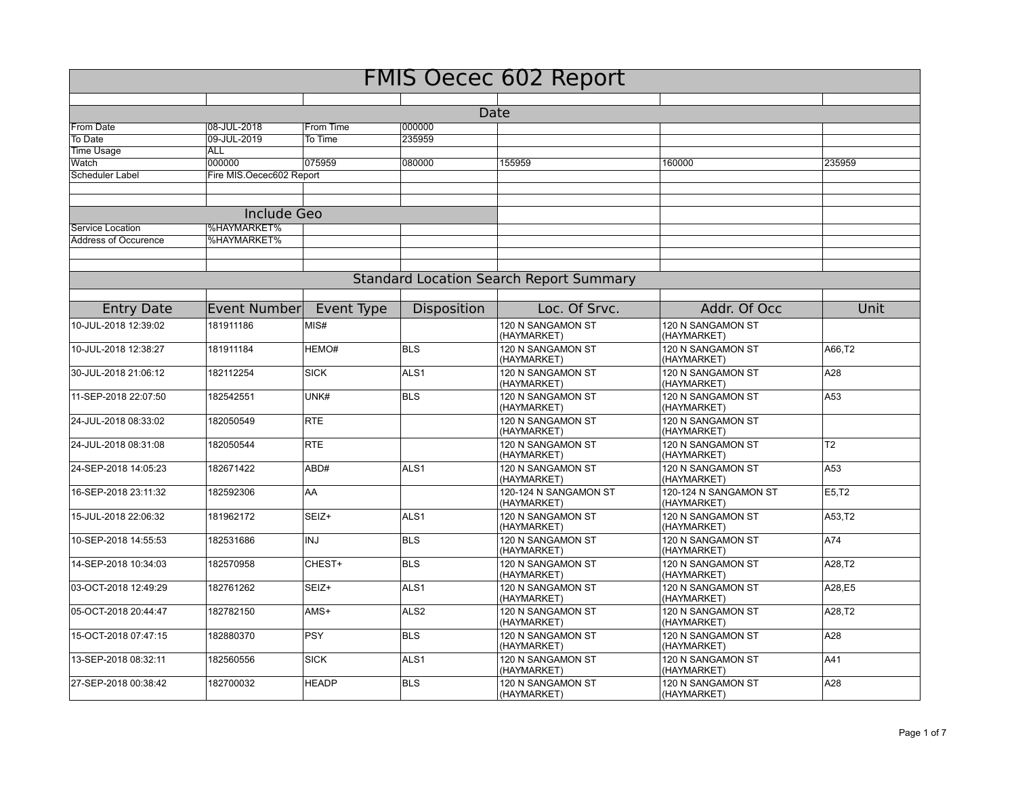| <b>FMIS Oecec 602 Report</b> |                          |              |                  |                                                |                                      |                |  |  |
|------------------------------|--------------------------|--------------|------------------|------------------------------------------------|--------------------------------------|----------------|--|--|
|                              |                          |              |                  |                                                |                                      |                |  |  |
|                              |                          |              |                  | Date                                           |                                      |                |  |  |
| From Date                    | 08-JUL-2018              | From Time    | 000000           |                                                |                                      |                |  |  |
| To Date                      | 09-JUL-2019              | To Time      | 235959           |                                                |                                      |                |  |  |
| <b>Time Usage</b>            | ALL                      |              |                  |                                                |                                      |                |  |  |
| Watch                        | 000000                   | 075959       | 080000           | 155959                                         | 160000                               | 235959         |  |  |
| <b>Scheduler Label</b>       | Fire MIS.Oecec602 Report |              |                  |                                                |                                      |                |  |  |
|                              |                          |              |                  |                                                |                                      |                |  |  |
|                              | <b>Include Geo</b>       |              |                  |                                                |                                      |                |  |  |
| Service Location             | <b>%HAYMARKET%</b>       |              |                  |                                                |                                      |                |  |  |
| <b>Address of Occurence</b>  | %HAYMARKET%              |              |                  |                                                |                                      |                |  |  |
|                              |                          |              |                  |                                                |                                      |                |  |  |
|                              |                          |              |                  |                                                |                                      |                |  |  |
|                              |                          |              |                  | <b>Standard Location Search Report Summary</b> |                                      |                |  |  |
| <b>Entry Date</b>            | Event Number             | Event Type   | Disposition      | Loc. Of Srvc.                                  | Addr. Of Occ                         | Unit           |  |  |
| 10-JUL-2018 12:39:02         | 181911186                | MIS#         |                  | 120 N SANGAMON ST<br>(HAYMARKET)               | 120 N SANGAMON ST<br>(HAYMARKET)     |                |  |  |
| 10-JUL-2018 12:38:27         | 181911184                | HEMO#        | <b>BLS</b>       | 120 N SANGAMON ST<br>(HAYMARKET)               | 120 N SANGAMON ST<br>(HAYMARKET)     | A66,T2         |  |  |
| 30-JUL-2018 21:06:12         | 182112254                | <b>SICK</b>  | ALS <sub>1</sub> | 120 N SANGAMON ST<br>(HAYMARKET)               | 120 N SANGAMON ST<br>(HAYMARKET)     | A28            |  |  |
| 11-SEP-2018 22:07:50         | 182542551                | UNK#         | <b>BLS</b>       | 120 N SANGAMON ST<br>(HAYMARKET)               | 120 N SANGAMON ST<br>(HAYMARKET)     | A53            |  |  |
| 24-JUL-2018 08:33:02         | 182050549                | <b>RTE</b>   |                  | 120 N SANGAMON ST<br>(HAYMARKET)               | 120 N SANGAMON ST<br>(HAYMARKET)     |                |  |  |
| 24-JUL-2018 08:31:08         | 182050544                | <b>RTE</b>   |                  | 120 N SANGAMON ST<br>(HAYMARKET)               | 120 N SANGAMON ST<br>(HAYMARKET)     | T <sub>2</sub> |  |  |
| 24-SEP-2018 14:05:23         | 182671422                | ABD#         | ALS <sub>1</sub> | 120 N SANGAMON ST<br>(HAYMARKET)               | 120 N SANGAMON ST<br>(HAYMARKET)     | A53            |  |  |
| 16-SEP-2018 23:11:32         | 182592306                | AA           |                  | 120-124 N SANGAMON ST<br>(HAYMARKET)           | 120-124 N SANGAMON ST<br>(HAYMARKET) | E5,T2          |  |  |
| 15-JUL-2018 22:06:32         | 181962172                | SEIZ+        | ALS <sub>1</sub> | 120 N SANGAMON ST<br>(HAYMARKET)               | 120 N SANGAMON ST<br>(HAYMARKET)     | A53,T2         |  |  |
| 10-SEP-2018 14:55:53         | 182531686                | <b>INJ</b>   | <b>BLS</b>       | 120 N SANGAMON ST<br>(HAYMARKET)               | 120 N SANGAMON ST<br>(HAYMARKET)     | A74            |  |  |
| 14-SEP-2018 10:34:03         | 182570958                | CHEST+       | <b>BLS</b>       | 120 N SANGAMON ST<br>(HAYMARKET)               | 120 N SANGAMON ST<br>(HAYMARKET)     | A28,T2         |  |  |
| 03-OCT-2018 12:49:29         | 182761262                | SEIZ+        | ALS <sub>1</sub> | 120 N SANGAMON ST<br>(HAYMARKET)               | 120 N SANGAMON ST<br>(HAYMARKET)     | A28,E5         |  |  |
| 05-OCT-2018 20:44:47         | 182782150                | AMS+         | ALS <sub>2</sub> | 120 N SANGAMON ST<br>(HAYMARKET)               | 120 N SANGAMON ST<br>(HAYMARKET)     | A28,T2         |  |  |
| 15-OCT-2018 07:47:15         | 182880370                | <b>PSY</b>   | <b>BLS</b>       | 120 N SANGAMON ST<br>(HAYMARKET)               | 120 N SANGAMON ST<br>(HAYMARKET)     | A28            |  |  |
| 13-SEP-2018 08:32:11         | 182560556                | <b>SICK</b>  | ALS <sub>1</sub> | 120 N SANGAMON ST<br>(HAYMARKET)               | 120 N SANGAMON ST<br>(HAYMARKET)     | A41            |  |  |
| 27-SEP-2018 00:38:42         | 182700032                | <b>HEADP</b> | <b>BLS</b>       | 120 N SANGAMON ST<br>(HAYMARKET)               | 120 N SANGAMON ST<br>(HAYMARKET)     | A28            |  |  |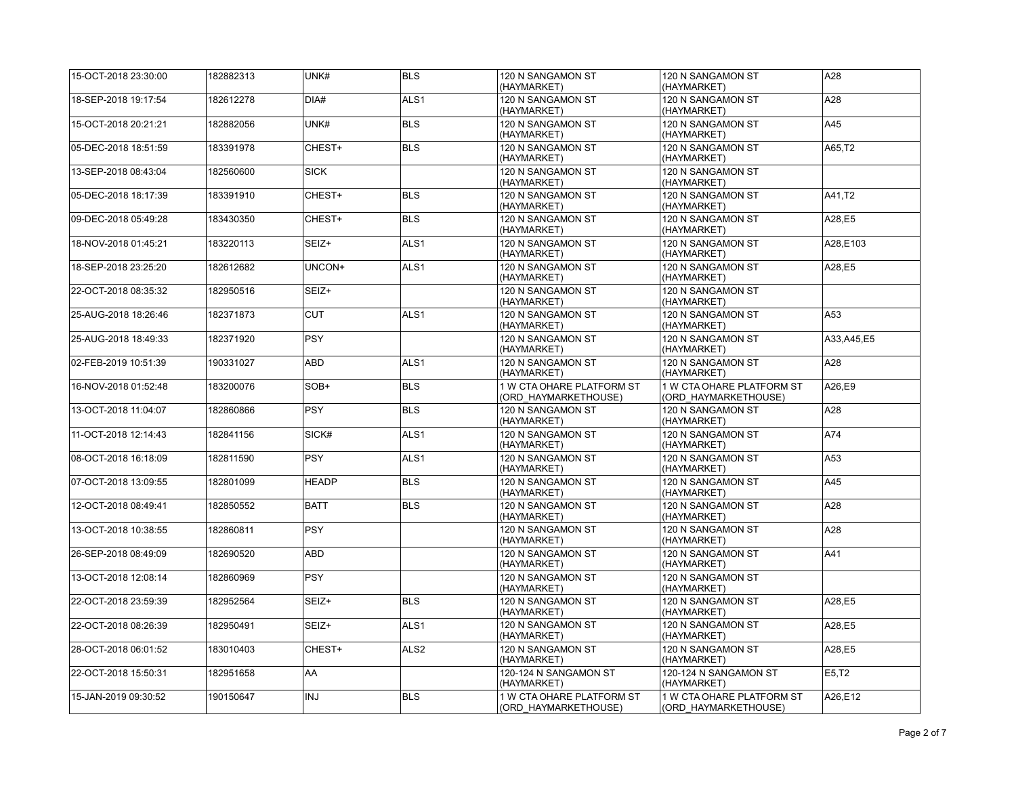| 15-OCT-2018 23:30:00 | 182882313 | UNK#         | <b>BLS</b>       | 120 N SANGAMON ST<br>(HAYMARKET)                  | 120 N SANGAMON ST<br>(HAYMARKET)                  | A28          |
|----------------------|-----------|--------------|------------------|---------------------------------------------------|---------------------------------------------------|--------------|
| 18-SEP-2018 19:17:54 | 182612278 | DIA#         | ALS <sub>1</sub> | 120 N SANGAMON ST<br>(HAYMARKET)                  | 120 N SANGAMON ST<br>(HAYMARKET)                  | A28          |
| 15-OCT-2018 20:21:21 | 182882056 | UNK#         | <b>BLS</b>       | 120 N SANGAMON ST<br>(HAYMARKET)                  | 120 N SANGAMON ST<br>(HAYMARKET)                  | A45          |
| 05-DEC-2018 18:51:59 | 183391978 | CHEST+       | <b>BLS</b>       | 120 N SANGAMON ST<br>(HAYMARKET)                  | 120 N SANGAMON ST<br>(HAYMARKET)                  | A65.T2       |
| 13-SEP-2018 08:43:04 | 182560600 | <b>SICK</b>  |                  | 120 N SANGAMON ST<br>(HAYMARKET)                  | 120 N SANGAMON ST<br>(HAYMARKET)                  |              |
| 05-DEC-2018 18:17:39 | 183391910 | CHEST+       | <b>BLS</b>       | 120 N SANGAMON ST<br>(HAYMARKET)                  | 120 N SANGAMON ST<br>(HAYMARKET)                  | A41,T2       |
| 09-DEC-2018 05:49:28 | 183430350 | CHEST+       | <b>BLS</b>       | 120 N SANGAMON ST<br>(HAYMARKET)                  | 120 N SANGAMON ST<br>(HAYMARKET)                  | A28,E5       |
| 18-NOV-2018 01:45:21 | 183220113 | SEIZ+        | ALS <sub>1</sub> | 120 N SANGAMON ST<br>(HAYMARKET)                  | 120 N SANGAMON ST<br>(HAYMARKET)                  | A28,E103     |
| 18-SEP-2018 23:25:20 | 182612682 | UNCON+       | ALS1             | 120 N SANGAMON ST<br>(HAYMARKET)                  | 120 N SANGAMON ST<br>(HAYMARKET)                  | A28,E5       |
| 22-OCT-2018 08:35:32 | 182950516 | SEIZ+        |                  | 120 N SANGAMON ST<br>(HAYMARKET)                  | 120 N SANGAMON ST<br>(HAYMARKET)                  |              |
| 25-AUG-2018 18:26:46 | 182371873 | <b>CUT</b>   | ALS <sub>1</sub> | 120 N SANGAMON ST<br>(HAYMARKET)                  | 120 N SANGAMON ST<br>(HAYMARKET)                  | A53          |
| 25-AUG-2018 18:49:33 | 182371920 | <b>PSY</b>   |                  | 120 N SANGAMON ST<br>(HAYMARKET)                  | 120 N SANGAMON ST<br>(HAYMARKET)                  | A33, A45, E5 |
| 02-FEB-2019 10:51:39 | 190331027 | ABD          | ALS <sub>1</sub> | 120 N SANGAMON ST<br>(HAYMARKET)                  | 120 N SANGAMON ST<br>(HAYMARKET)                  | A28          |
| 16-NOV-2018 01:52:48 | 183200076 | SOB+         | <b>BLS</b>       | 1 W CTA OHARE PLATFORM ST<br>(ORD HAYMARKETHOUSE) | 1 W CTA OHARE PLATFORM ST<br>(ORD HAYMARKETHOUSE) | A26.E9       |
| 13-OCT-2018 11:04:07 | 182860866 | <b>PSY</b>   | <b>BLS</b>       | 120 N SANGAMON ST<br>(HAYMARKET)                  | 120 N SANGAMON ST<br>(HAYMARKET)                  | A28          |
| 11-OCT-2018 12:14:43 | 182841156 | SICK#        | ALS <sub>1</sub> | 120 N SANGAMON ST<br>(HAYMARKET)                  | 120 N SANGAMON ST<br>(HAYMARKET)                  | A74          |
| 08-OCT-2018 16:18:09 | 182811590 | <b>PSY</b>   | ALS <sub>1</sub> | 120 N SANGAMON ST<br>(HAYMARKET)                  | 120 N SANGAMON ST<br>(HAYMARKET)                  | A53          |
| 07-OCT-2018 13:09:55 | 182801099 | <b>HEADP</b> | <b>BLS</b>       | 120 N SANGAMON ST<br>(HAYMARKET)                  | 120 N SANGAMON ST<br>(HAYMARKET)                  | A45          |
| 12-OCT-2018 08:49:41 | 182850552 | <b>BATT</b>  | <b>BLS</b>       | 120 N SANGAMON ST<br>(HAYMARKET)                  | 120 N SANGAMON ST<br>(HAYMARKET)                  | A28          |
| 13-OCT-2018 10:38:55 | 182860811 | <b>PSY</b>   |                  | 120 N SANGAMON ST<br>(HAYMARKET)                  | 120 N SANGAMON ST<br>(HAYMARKET)                  | A28          |
| 26-SEP-2018 08:49:09 | 182690520 | ABD          |                  | 120 N SANGAMON ST<br>(HAYMARKET)                  | 120 N SANGAMON ST<br>(HAYMARKET)                  | A41          |
| 13-OCT-2018 12:08:14 | 182860969 | <b>PSY</b>   |                  | 120 N SANGAMON ST<br>(HAYMARKET)                  | 120 N SANGAMON ST<br>(HAYMARKET)                  |              |
| 22-OCT-2018 23:59:39 | 182952564 | SEIZ+        | <b>BLS</b>       | 120 N SANGAMON ST<br>(HAYMARKET)                  | 120 N SANGAMON ST<br>(HAYMARKET)                  | A28,E5       |
| 22-OCT-2018 08:26:39 | 182950491 | SEIZ+        | ALS <sub>1</sub> | 120 N SANGAMON ST<br>(HAYMARKET)                  | 120 N SANGAMON ST<br>(HAYMARKET)                  | A28,E5       |
| 28-OCT-2018 06:01:52 | 183010403 | CHEST+       | ALS <sub>2</sub> | 120 N SANGAMON ST<br>(HAYMARKET)                  | 120 N SANGAMON ST<br>(HAYMARKET)                  | A28,E5       |
| 22-OCT-2018 15:50:31 | 182951658 | AA           |                  | 120-124 N SANGAMON ST<br>(HAYMARKET)              | 120-124 N SANGAMON ST<br>(HAYMARKET)              | E5,T2        |
| 15-JAN-2019 09:30:52 | 190150647 | INJ          | <b>BLS</b>       | 1 W CTA OHARE PLATFORM ST<br>(ORD HAYMARKETHOUSE) | 1 W CTA OHARE PLATFORM ST<br>(ORD HAYMARKETHOUSE) | A26,E12      |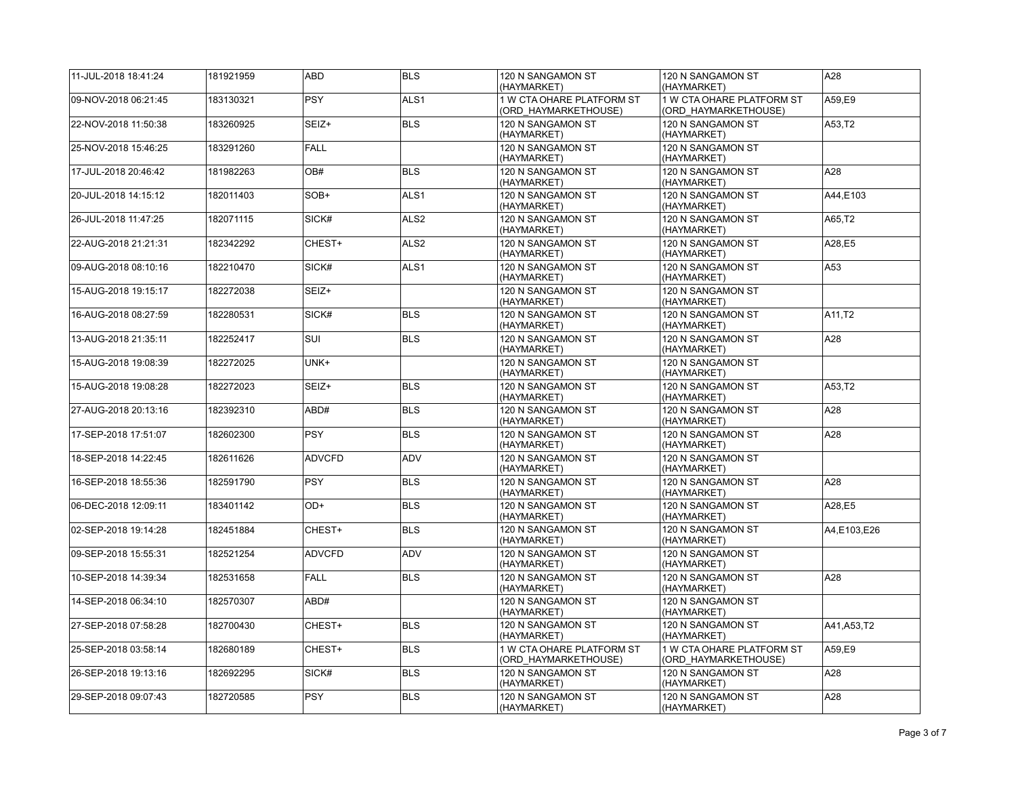| 11-JUL-2018 18:41:24 | 181921959 | ABD           | <b>BLS</b>       | 120 N SANGAMON ST<br>(HAYMARKET)                  | 120 N SANGAMON ST<br>(HAYMARKET)                  | A28          |
|----------------------|-----------|---------------|------------------|---------------------------------------------------|---------------------------------------------------|--------------|
| 09-NOV-2018 06:21:45 | 183130321 | <b>PSY</b>    | ALS <sub>1</sub> | 1 W CTA OHARE PLATFORM ST<br>(ORD HAYMARKETHOUSE) | 1 W CTA OHARE PLATFORM ST<br>(ORD HAYMARKETHOUSE) | A59.E9       |
| 22-NOV-2018 11:50:38 | 183260925 | SEIZ+         | <b>BLS</b>       | 120 N SANGAMON ST<br>(HAYMARKET)                  | 120 N SANGAMON ST<br>(HAYMARKET)                  | A53,T2       |
| 25-NOV-2018 15:46:25 | 183291260 | <b>FALL</b>   |                  | 120 N SANGAMON ST<br>(HAYMARKET)                  | 120 N SANGAMON ST<br>(HAYMARKET)                  |              |
| 17-JUL-2018 20:46:42 | 181982263 | OB#           | <b>BLS</b>       | 120 N SANGAMON ST<br>(HAYMARKET)                  | 120 N SANGAMON ST<br>(HAYMARKET)                  | A28          |
| 20-JUL-2018 14:15:12 | 182011403 | SOB+          | ALS <sub>1</sub> | 120 N SANGAMON ST<br>(HAYMARKET)                  | 120 N SANGAMON ST<br>(HAYMARKET)                  | A44,E103     |
| 26-JUL-2018 11:47:25 | 182071115 | SICK#         | ALS <sub>2</sub> | 120 N SANGAMON ST<br>(HAYMARKET)                  | 120 N SANGAMON ST<br>(HAYMARKET)                  | A65,T2       |
| 22-AUG-2018 21:21:31 | 182342292 | CHEST+        | ALS <sub>2</sub> | 120 N SANGAMON ST<br>(HAYMARKET)                  | 120 N SANGAMON ST<br>(HAYMARKET)                  | A28,E5       |
| 09-AUG-2018 08:10:16 | 182210470 | SICK#         | ALS <sub>1</sub> | 120 N SANGAMON ST<br>(HAYMARKET)                  | 120 N SANGAMON ST<br>(HAYMARKET)                  | A53          |
| 15-AUG-2018 19:15:17 | 182272038 | SEIZ+         |                  | 120 N SANGAMON ST<br>(HAYMARKET)                  | 120 N SANGAMON ST<br>(HAYMARKET)                  |              |
| 16-AUG-2018 08:27:59 | 182280531 | SICK#         | <b>BLS</b>       | 120 N SANGAMON ST<br>(HAYMARKET)                  | 120 N SANGAMON ST<br>(HAYMARKET)                  | A11,T2       |
| 13-AUG-2018 21:35:11 | 182252417 | <b>SUI</b>    | <b>BLS</b>       | 120 N SANGAMON ST<br>(HAYMARKET)                  | 120 N SANGAMON ST<br>(HAYMARKET)                  | A28          |
| 15-AUG-2018 19:08:39 | 182272025 | UNK+          |                  | 120 N SANGAMON ST<br>(HAYMARKET)                  | 120 N SANGAMON ST<br>(HAYMARKET)                  |              |
| 15-AUG-2018 19:08:28 | 182272023 | SEIZ+         | <b>BLS</b>       | 120 N SANGAMON ST<br>(HAYMARKET)                  | 120 N SANGAMON ST<br>(HAYMARKET)                  | A53,T2       |
| 27-AUG-2018 20:13:16 | 182392310 | ABD#          | <b>BLS</b>       | 120 N SANGAMON ST<br>(HAYMARKET)                  | 120 N SANGAMON ST<br>(HAYMARKET)                  | A28          |
| 17-SEP-2018 17:51:07 | 182602300 | <b>PSY</b>    | <b>BLS</b>       | 120 N SANGAMON ST<br>(HAYMARKET)                  | 120 N SANGAMON ST<br>(HAYMARKET)                  | A28          |
| 18-SEP-2018 14:22:45 | 182611626 | <b>ADVCFD</b> | ADV              | 120 N SANGAMON ST<br>(HAYMARKET)                  | 120 N SANGAMON ST<br>(HAYMARKET)                  |              |
| 16-SEP-2018 18:55:36 | 182591790 | <b>PSY</b>    | <b>BLS</b>       | 120 N SANGAMON ST<br>(HAYMARKET)                  | 120 N SANGAMON ST<br>(HAYMARKET)                  | A28          |
| 06-DEC-2018 12:09:11 | 183401142 | OD+           | <b>BLS</b>       | 120 N SANGAMON ST<br>(HAYMARKET)                  | 120 N SANGAMON ST<br>(HAYMARKET)                  | A28,E5       |
| 02-SEP-2018 19:14:28 | 182451884 | CHEST+        | <b>BLS</b>       | 120 N SANGAMON ST<br>(HAYMARKET)                  | 120 N SANGAMON ST<br>(HAYMARKET)                  | A4,E103,E26  |
| 09-SEP-2018 15:55:31 | 182521254 | <b>ADVCFD</b> | ADV              | 120 N SANGAMON ST<br>(HAYMARKET)                  | 120 N SANGAMON ST<br>(HAYMARKET)                  |              |
| 10-SEP-2018 14:39:34 | 182531658 | <b>FALL</b>   | <b>BLS</b>       | 120 N SANGAMON ST<br>(HAYMARKET)                  | 120 N SANGAMON ST<br>(HAYMARKET)                  | A28          |
| 14-SEP-2018 06:34:10 | 182570307 | ABD#          |                  | 120 N SANGAMON ST<br>(HAYMARKET)                  | 120 N SANGAMON ST<br>(HAYMARKET)                  |              |
| 27-SEP-2018 07:58:28 | 182700430 | CHEST+        | <b>BLS</b>       | 120 N SANGAMON ST<br>(HAYMARKET)                  | 120 N SANGAMON ST<br>(HAYMARKET)                  | A41, A53, T2 |
| 25-SEP-2018 03:58:14 | 182680189 | CHEST+        | <b>BLS</b>       | 1 W CTA OHARE PLATFORM ST<br>(ORD HAYMARKETHOUSE) | 1 W CTA OHARE PLATFORM ST<br>(ORD HAYMARKETHOUSE) | A59,E9       |
| 26-SEP-2018 19:13:16 | 182692295 | SICK#         | <b>BLS</b>       | 120 N SANGAMON ST<br>(HAYMARKET)                  | 120 N SANGAMON ST<br>(HAYMARKET)                  | A28          |
| 29-SEP-2018 09:07:43 | 182720585 | <b>PSY</b>    | <b>BLS</b>       | 120 N SANGAMON ST<br>(HAYMARKET)                  | 120 N SANGAMON ST<br>(HAYMARKET)                  | A28          |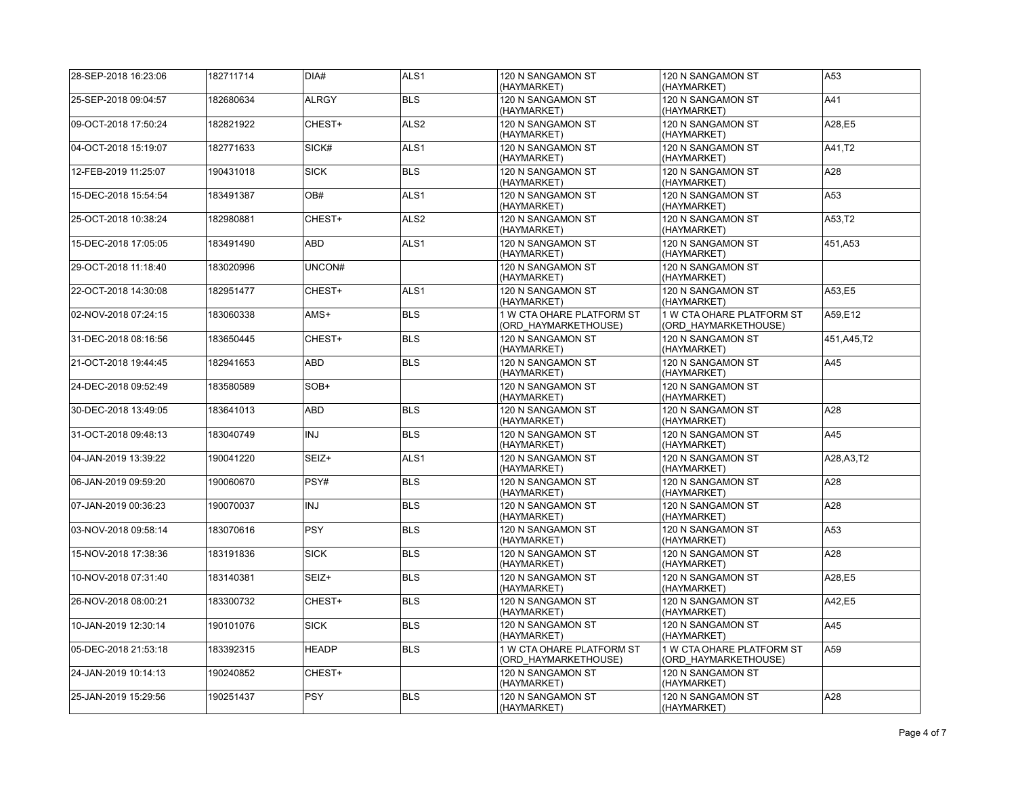| 28-SEP-2018 16:23:06 | 182711714 | DIA#         | ALS <sub>1</sub> | 120 N SANGAMON ST<br>(HAYMARKET)                  | 120 N SANGAMON ST<br>(HAYMARKET)                  | A53          |
|----------------------|-----------|--------------|------------------|---------------------------------------------------|---------------------------------------------------|--------------|
| 25-SEP-2018 09:04:57 | 182680634 | <b>ALRGY</b> | <b>BLS</b>       | 120 N SANGAMON ST<br>(HAYMARKET)                  | 120 N SANGAMON ST<br>(HAYMARKET)                  | A41          |
| 09-OCT-2018 17:50:24 | 182821922 | CHEST+       | ALS <sub>2</sub> | 120 N SANGAMON ST<br>(HAYMARKET)                  | 120 N SANGAMON ST<br>(HAYMARKET)                  | A28,E5       |
| 04-OCT-2018 15:19:07 | 182771633 | SICK#        | ALS <sub>1</sub> | 120 N SANGAMON ST<br>(HAYMARKET)                  | 120 N SANGAMON ST<br>(HAYMARKET)                  | A41,T2       |
| 12-FEB-2019 11:25:07 | 190431018 | <b>SICK</b>  | <b>BLS</b>       | 120 N SANGAMON ST<br>(HAYMARKET)                  | 120 N SANGAMON ST<br>(HAYMARKET)                  | A28          |
| 15-DEC-2018 15:54:54 | 183491387 | OB#          | ALS <sub>1</sub> | 120 N SANGAMON ST<br>(HAYMARKET)                  | 120 N SANGAMON ST<br>(HAYMARKET)                  | A53          |
| 25-OCT-2018 10:38:24 | 182980881 | CHEST+       | ALS <sub>2</sub> | 120 N SANGAMON ST<br>(HAYMARKET)                  | 120 N SANGAMON ST<br>(HAYMARKET)                  | A53,T2       |
| 15-DEC-2018 17:05:05 | 183491490 | ABD          | ALS1             | 120 N SANGAMON ST<br>(HAYMARKET)                  | 120 N SANGAMON ST<br>(HAYMARKET)                  | 451, A53     |
| 29-OCT-2018 11:18:40 | 183020996 | UNCON#       |                  | 120 N SANGAMON ST<br>(HAYMARKET)                  | 120 N SANGAMON ST<br>(HAYMARKET)                  |              |
| 22-OCT-2018 14:30:08 | 182951477 | CHEST+       | ALS1             | 120 N SANGAMON ST<br>(HAYMARKET)                  | 120 N SANGAMON ST<br>(HAYMARKET)                  | A53,E5       |
| 02-NOV-2018 07:24:15 | 183060338 | AMS+         | <b>BLS</b>       | 1 W CTA OHARE PLATFORM ST<br>(ORD HAYMARKETHOUSE) | 1 W CTA OHARE PLATFORM ST<br>(ORD HAYMARKETHOUSE) | A59.E12      |
| 31-DEC-2018 08:16:56 | 183650445 | CHEST+       | <b>BLS</b>       | 120 N SANGAMON ST<br>(HAYMARKET)                  | 120 N SANGAMON ST<br>(HAYMARKET)                  | 451, A45, T2 |
| 21-OCT-2018 19:44:45 | 182941653 | ABD          | <b>BLS</b>       | 120 N SANGAMON ST<br>(HAYMARKET)                  | 120 N SANGAMON ST<br>(HAYMARKET)                  | A45          |
| 24-DEC-2018 09:52:49 | 183580589 | $SOB+$       |                  | 120 N SANGAMON ST<br>(HAYMARKET)                  | 120 N SANGAMON ST<br>(HAYMARKET)                  |              |
| 30-DEC-2018 13:49:05 | 183641013 | ABD          | <b>BLS</b>       | 120 N SANGAMON ST<br>(HAYMARKET)                  | 120 N SANGAMON ST<br>(HAYMARKET)                  | A28          |
| 31-OCT-2018 09:48:13 | 183040749 | <b>INJ</b>   | <b>BLS</b>       | 120 N SANGAMON ST<br>(HAYMARKET)                  | 120 N SANGAMON ST<br>(HAYMARKET)                  | A45          |
| 04-JAN-2019 13:39:22 | 190041220 | SEIZ+        | ALS <sub>1</sub> | 120 N SANGAMON ST<br>(HAYMARKET)                  | 120 N SANGAMON ST<br>(HAYMARKET)                  | A28, A3, T2  |
| 06-JAN-2019 09:59:20 | 190060670 | PSY#         | <b>BLS</b>       | 120 N SANGAMON ST<br>(HAYMARKET)                  | 120 N SANGAMON ST<br>(HAYMARKET)                  | A28          |
| 07-JAN-2019 00:36:23 | 190070037 | INJ          | <b>BLS</b>       | 120 N SANGAMON ST<br>(HAYMARKET)                  | 120 N SANGAMON ST<br>(HAYMARKET)                  | A28          |
| 03-NOV-2018 09:58:14 | 183070616 | <b>PSY</b>   | <b>BLS</b>       | 120 N SANGAMON ST<br>(HAYMARKET)                  | 120 N SANGAMON ST<br>(HAYMARKET)                  | A53          |
| 15-NOV-2018 17:38:36 | 183191836 | <b>SICK</b>  | <b>BLS</b>       | 120 N SANGAMON ST<br>(HAYMARKET)                  | 120 N SANGAMON ST<br>(HAYMARKET)                  | A28          |
| 10-NOV-2018 07:31:40 | 183140381 | SEIZ+        | <b>BLS</b>       | 120 N SANGAMON ST<br>(HAYMARKET)                  | 120 N SANGAMON ST<br>(HAYMARKET)                  | A28,E5       |
| 26-NOV-2018 08:00:21 | 183300732 | CHEST+       | <b>BLS</b>       | 120 N SANGAMON ST<br>(HAYMARKET)                  | 120 N SANGAMON ST<br>(HAYMARKET)                  | A42,E5       |
| 10-JAN-2019 12:30:14 | 190101076 | <b>SICK</b>  | <b>BLS</b>       | 120 N SANGAMON ST<br>(HAYMARKET)                  | 120 N SANGAMON ST<br>(HAYMARKET)                  | A45          |
| 05-DEC-2018 21:53:18 | 183392315 | <b>HEADP</b> | <b>BLS</b>       | 1 W CTA OHARE PLATFORM ST<br>(ORD HAYMARKETHOUSE) | 1 W CTA OHARE PLATFORM ST<br>(ORD HAYMARKETHOUSE) | A59          |
| 24-JAN-2019 10:14:13 | 190240852 | CHEST+       |                  | 120 N SANGAMON ST<br>(HAYMARKET)                  | 120 N SANGAMON ST<br>(HAYMARKET)                  |              |
| 25-JAN-2019 15:29:56 | 190251437 | <b>PSY</b>   | <b>BLS</b>       | 120 N SANGAMON ST<br>(HAYMARKET)                  | 120 N SANGAMON ST<br>(HAYMARKET)                  | A28          |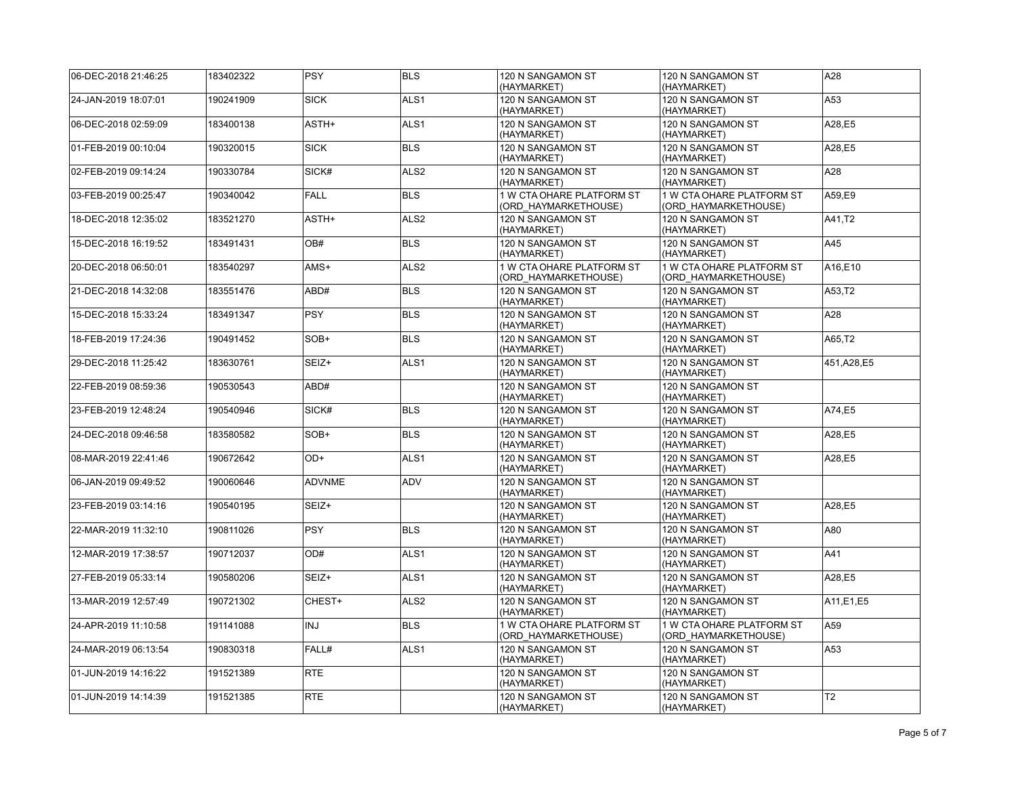| 06-DEC-2018 21:46:25 | 183402322 | <b>PSY</b>    | <b>BLS</b>       | 120 N SANGAMON ST<br>(HAYMARKET)                  | 120 N SANGAMON ST<br>(HAYMARKET)                  | A28            |
|----------------------|-----------|---------------|------------------|---------------------------------------------------|---------------------------------------------------|----------------|
| 24-JAN-2019 18:07:01 | 190241909 | <b>SICK</b>   | ALS <sub>1</sub> | 120 N SANGAMON ST<br>(HAYMARKET)                  | 120 N SANGAMON ST<br>(HAYMARKET)                  | A53            |
| 06-DEC-2018 02:59:09 | 183400138 | ASTH+         | ALS1             | 120 N SANGAMON ST<br>(HAYMARKET)                  | 120 N SANGAMON ST<br>(HAYMARKET)                  | A28,E5         |
| 01-FEB-2019 00:10:04 | 190320015 | <b>SICK</b>   | <b>BLS</b>       | 120 N SANGAMON ST<br>(HAYMARKET)                  | 120 N SANGAMON ST<br>(HAYMARKET)                  | A28,E5         |
| 02-FEB-2019 09:14:24 | 190330784 | SICK#         | ALS <sub>2</sub> | 120 N SANGAMON ST<br>(HAYMARKET)                  | 120 N SANGAMON ST<br>(HAYMARKET)                  | A28            |
| 03-FEB-2019 00:25:47 | 190340042 | <b>FALL</b>   | <b>BLS</b>       | 1 W CTA OHARE PLATFORM ST<br>(ORD_HAYMARKETHOUSE) | 1 W CTA OHARE PLATFORM ST<br>(ORD HAYMARKETHOUSE) | A59,E9         |
| 18-DEC-2018 12:35:02 | 183521270 | ASTH+         | ALS <sub>2</sub> | 120 N SANGAMON ST<br>(HAYMARKET)                  | 120 N SANGAMON ST<br>(HAYMARKET)                  | A41,T2         |
| 15-DEC-2018 16:19:52 | 183491431 | OB#           | <b>BLS</b>       | 120 N SANGAMON ST<br>(HAYMARKET)                  | 120 N SANGAMON ST<br>(HAYMARKET)                  | A45            |
| 20-DEC-2018 06:50:01 | 183540297 | AMS+          | ALS <sub>2</sub> | 1 W CTA OHARE PLATFORM ST<br>(ORD HAYMARKETHOUSE) | 1 W CTA OHARE PLATFORM ST<br>(ORD HAYMARKETHOUSE) | A16,E10        |
| 21-DEC-2018 14:32:08 | 183551476 | ABD#          | <b>BLS</b>       | 120 N SANGAMON ST<br>(HAYMARKET)                  | 120 N SANGAMON ST<br>(HAYMARKET)                  | A53,T2         |
| 15-DEC-2018 15:33:24 | 183491347 | <b>PSY</b>    | <b>BLS</b>       | 120 N SANGAMON ST<br>(HAYMARKET)                  | 120 N SANGAMON ST<br>(HAYMARKET)                  | A28            |
| 18-FEB-2019 17:24:36 | 190491452 | SOB+          | <b>BLS</b>       | 120 N SANGAMON ST<br>(HAYMARKET)                  | 120 N SANGAMON ST<br>(HAYMARKET)                  | A65,T2         |
| 29-DEC-2018 11:25:42 | 183630761 | SEIZ+         | ALS <sub>1</sub> | 120 N SANGAMON ST<br>(HAYMARKET)                  | 120 N SANGAMON ST<br>(HAYMARKET)                  | 451, A28, E5   |
| 22-FEB-2019 08:59:36 | 190530543 | ABD#          |                  | 120 N SANGAMON ST<br>(HAYMARKET)                  | 120 N SANGAMON ST<br>(HAYMARKET)                  |                |
| 23-FEB-2019 12:48:24 | 190540946 | SICK#         | <b>BLS</b>       | 120 N SANGAMON ST<br>(HAYMARKET)                  | 120 N SANGAMON ST<br>(HAYMARKET)                  | A74,E5         |
| 24-DEC-2018 09:46:58 | 183580582 | SOB+          | <b>BLS</b>       | 120 N SANGAMON ST<br>(HAYMARKET)                  | 120 N SANGAMON ST<br>(HAYMARKET)                  | A28,E5         |
| 08-MAR-2019 22:41:46 | 190672642 | OD+           | ALS <sub>1</sub> | 120 N SANGAMON ST<br>(HAYMARKET)                  | 120 N SANGAMON ST<br>(HAYMARKET)                  | A28,E5         |
| 06-JAN-2019 09:49:52 | 190060646 | <b>ADVNME</b> | ADV              | 120 N SANGAMON ST<br>(HAYMARKET)                  | 120 N SANGAMON ST<br>(HAYMARKET)                  |                |
| 23-FEB-2019 03:14:16 | 190540195 | SEIZ+         |                  | 120 N SANGAMON ST<br>(HAYMARKET)                  | 120 N SANGAMON ST<br>(HAYMARKET)                  | A28,E5         |
| 22-MAR-2019 11:32:10 | 190811026 | <b>PSY</b>    | <b>BLS</b>       | 120 N SANGAMON ST<br>(HAYMARKET)                  | 120 N SANGAMON ST<br>(HAYMARKET)                  | A80            |
| 12-MAR-2019 17:38:57 | 190712037 | OD#           | ALS <sub>1</sub> | 120 N SANGAMON ST<br>(HAYMARKET)                  | 120 N SANGAMON ST<br>(HAYMARKET)                  | A41            |
| 27-FEB-2019 05:33:14 | 190580206 | SEIZ+         | ALS <sub>1</sub> | 120 N SANGAMON ST<br>(HAYMARKET)                  | 120 N SANGAMON ST<br>(HAYMARKET)                  | A28,E5         |
| 13-MAR-2019 12:57:49 | 190721302 | CHEST+        | ALS <sub>2</sub> | 120 N SANGAMON ST<br>(HAYMARKET)                  | 120 N SANGAMON ST<br>(HAYMARKET)                  | A11, E1, E5    |
| 24-APR-2019 11:10:58 | 191141088 | <b>INJ</b>    | <b>BLS</b>       | 1 W CTA OHARE PLATFORM ST<br>(ORD HAYMARKETHOUSE) | 1 W CTA OHARE PLATFORM ST<br>(ORD HAYMARKETHOUSE) | A59            |
| 24-MAR-2019 06:13:54 | 190830318 | FALL#         | ALS1             | 120 N SANGAMON ST<br>(HAYMARKET)                  | 120 N SANGAMON ST<br>(HAYMARKET)                  | A53            |
| 01-JUN-2019 14:16:22 | 191521389 | <b>RTE</b>    |                  | 120 N SANGAMON ST<br>(HAYMARKET)                  | 120 N SANGAMON ST<br>(HAYMARKET)                  |                |
| 01-JUN-2019 14:14:39 | 191521385 | <b>RTE</b>    |                  | 120 N SANGAMON ST<br>(HAYMARKET)                  | 120 N SANGAMON ST<br>(HAYMARKET)                  | T <sub>2</sub> |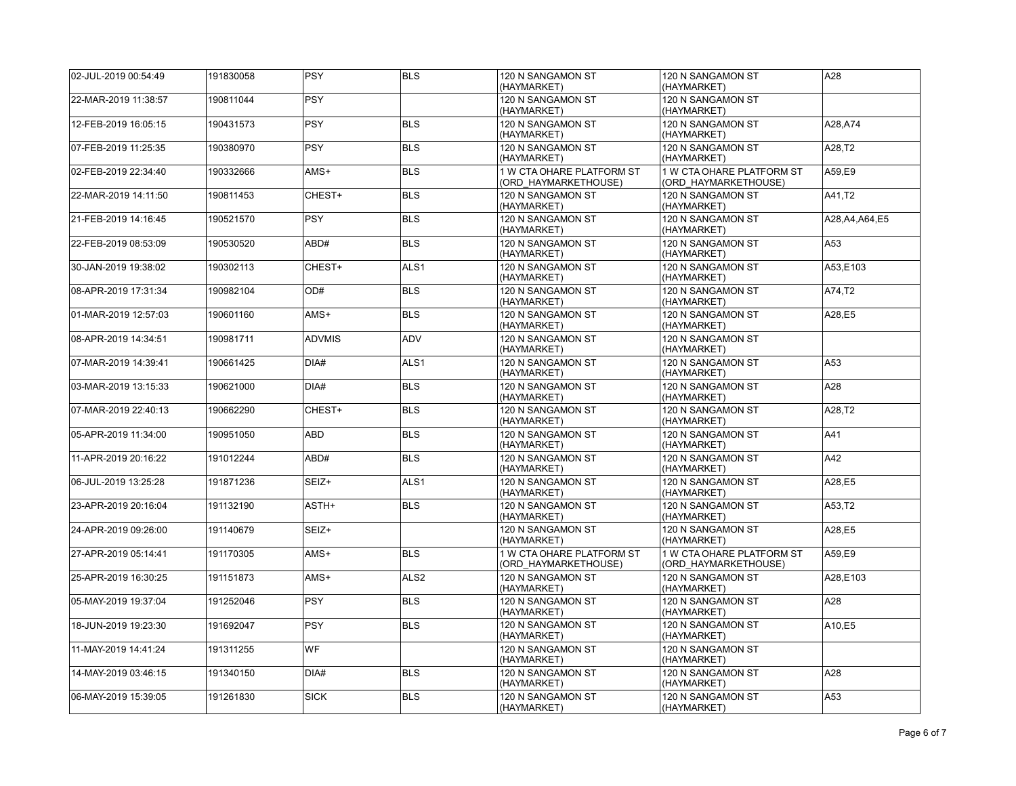| 02-JUL-2019 00:54:49 | 191830058 | <b>PSY</b>    | <b>BLS</b>       | 120 N SANGAMON ST<br>(HAYMARKET)                  | 120 N SANGAMON ST<br>(HAYMARKET)                  | A28              |
|----------------------|-----------|---------------|------------------|---------------------------------------------------|---------------------------------------------------|------------------|
| 22-MAR-2019 11:38:57 | 190811044 | <b>PSY</b>    |                  | 120 N SANGAMON ST<br>(HAYMARKET)                  | 120 N SANGAMON ST<br>(HAYMARKET)                  |                  |
| 12-FEB-2019 16:05:15 | 190431573 | <b>PSY</b>    | <b>BLS</b>       | 120 N SANGAMON ST<br>(HAYMARKET)                  | 120 N SANGAMON ST<br>(HAYMARKET)                  | A28, A74         |
| 07-FEB-2019 11:25:35 | 190380970 | <b>PSY</b>    | <b>BLS</b>       | 120 N SANGAMON ST<br>(HAYMARKET)                  | 120 N SANGAMON ST<br>(HAYMARKET)                  | A28,T2           |
| 02-FEB-2019 22:34:40 | 190332666 | AMS+          | <b>BLS</b>       | 1 W CTA OHARE PLATFORM ST<br>(ORD HAYMARKETHOUSE) | 1 W CTA OHARE PLATFORM ST<br>(ORD HAYMARKETHOUSE) | A59.E9           |
| 22-MAR-2019 14:11:50 | 190811453 | CHEST+        | <b>BLS</b>       | 120 N SANGAMON ST<br>(HAYMARKET)                  | 120 N SANGAMON ST<br>(HAYMARKET)                  | A41,T2           |
| 21-FEB-2019 14:16:45 | 190521570 | <b>PSY</b>    | <b>BLS</b>       | 120 N SANGAMON ST<br>(HAYMARKET)                  | 120 N SANGAMON ST<br>(HAYMARKET)                  | A28, A4, A64, E5 |
| 22-FEB-2019 08:53:09 | 190530520 | ABD#          | <b>BLS</b>       | 120 N SANGAMON ST<br>(HAYMARKET)                  | 120 N SANGAMON ST<br>(HAYMARKET)                  | A53              |
| 30-JAN-2019 19:38:02 | 190302113 | CHEST+        | ALS <sub>1</sub> | 120 N SANGAMON ST<br>(HAYMARKET)                  | 120 N SANGAMON ST<br>(HAYMARKET)                  | A53,E103         |
| 08-APR-2019 17:31:34 | 190982104 | OD#           | <b>BLS</b>       | 120 N SANGAMON ST<br>(HAYMARKET)                  | 120 N SANGAMON ST<br>(HAYMARKET)                  | A74,T2           |
| 01-MAR-2019 12:57:03 | 190601160 | AMS+          | <b>BLS</b>       | 120 N SANGAMON ST<br>(HAYMARKET)                  | 120 N SANGAMON ST<br>(HAYMARKET)                  | A28,E5           |
| 08-APR-2019 14:34:51 | 190981711 | <b>ADVMIS</b> | <b>ADV</b>       | 120 N SANGAMON ST<br>(HAYMARKET)                  | 120 N SANGAMON ST<br>(HAYMARKET)                  |                  |
| 07-MAR-2019 14:39:41 | 190661425 | DIA#          | ALS <sub>1</sub> | 120 N SANGAMON ST<br>(HAYMARKET)                  | 120 N SANGAMON ST<br>(HAYMARKET)                  | A53              |
| 03-MAR-2019 13:15:33 | 190621000 | DIA#          | <b>BLS</b>       | 120 N SANGAMON ST<br>(HAYMARKET)                  | 120 N SANGAMON ST<br>(HAYMARKET)                  | A28              |
| 07-MAR-2019 22:40:13 | 190662290 | CHEST+        | <b>BLS</b>       | 120 N SANGAMON ST<br>(HAYMARKET)                  | 120 N SANGAMON ST<br>(HAYMARKET)                  | A28,T2           |
| 05-APR-2019 11:34:00 | 190951050 | ABD           | <b>BLS</b>       | 120 N SANGAMON ST<br>(HAYMARKET)                  | 120 N SANGAMON ST<br>(HAYMARKET)                  | A41              |
| 11-APR-2019 20:16:22 | 191012244 | ABD#          | <b>BLS</b>       | 120 N SANGAMON ST<br>(HAYMARKET)                  | 120 N SANGAMON ST<br>(HAYMARKET)                  | A42              |
| 06-JUL-2019 13:25:28 | 191871236 | SEIZ+         | ALS1             | 120 N SANGAMON ST<br>(HAYMARKET)                  | 120 N SANGAMON ST<br>(HAYMARKET)                  | A28,E5           |
| 23-APR-2019 20:16:04 | 191132190 | ASTH+         | <b>BLS</b>       | 120 N SANGAMON ST<br>(HAYMARKET)                  | 120 N SANGAMON ST<br>(HAYMARKET)                  | A53,T2           |
| 24-APR-2019 09:26:00 | 191140679 | SEIZ+         |                  | 120 N SANGAMON ST<br>(HAYMARKET)                  | 120 N SANGAMON ST<br>(HAYMARKET)                  | A28,E5           |
| 27-APR-2019 05:14:41 | 191170305 | AMS+          | <b>BLS</b>       | 1 W CTA OHARE PLATFORM ST<br>(ORD HAYMARKETHOUSE) | 1 W CTA OHARE PLATFORM ST<br>(ORD HAYMARKETHOUSE) | A59,E9           |
| 25-APR-2019 16:30:25 | 191151873 | AMS+          | ALS <sub>2</sub> | 120 N SANGAMON ST<br>(HAYMARKET)                  | 120 N SANGAMON ST<br>(HAYMARKET)                  | A28,E103         |
| 05-MAY-2019 19:37:04 | 191252046 | <b>PSY</b>    | <b>BLS</b>       | 120 N SANGAMON ST<br>(HAYMARKET)                  | 120 N SANGAMON ST<br>(HAYMARKET)                  | A28              |
| 18-JUN-2019 19:23:30 | 191692047 | <b>PSY</b>    | <b>BLS</b>       | 120 N SANGAMON ST<br>(HAYMARKET)                  | 120 N SANGAMON ST<br>(HAYMARKET)                  | A10,E5           |
| 11-MAY-2019 14:41:24 | 191311255 | <b>WF</b>     |                  | 120 N SANGAMON ST<br>(HAYMARKET)                  | 120 N SANGAMON ST<br>(HAYMARKET)                  |                  |
| 14-MAY-2019 03:46:15 | 191340150 | DIA#          | <b>BLS</b>       | 120 N SANGAMON ST<br>(HAYMARKET)                  | 120 N SANGAMON ST<br>(HAYMARKET)                  | A28              |
| 06-MAY-2019 15:39:05 | 191261830 | <b>SICK</b>   | <b>BLS</b>       | 120 N SANGAMON ST<br>(HAYMARKET)                  | 120 N SANGAMON ST<br>(HAYMARKET)                  | A53              |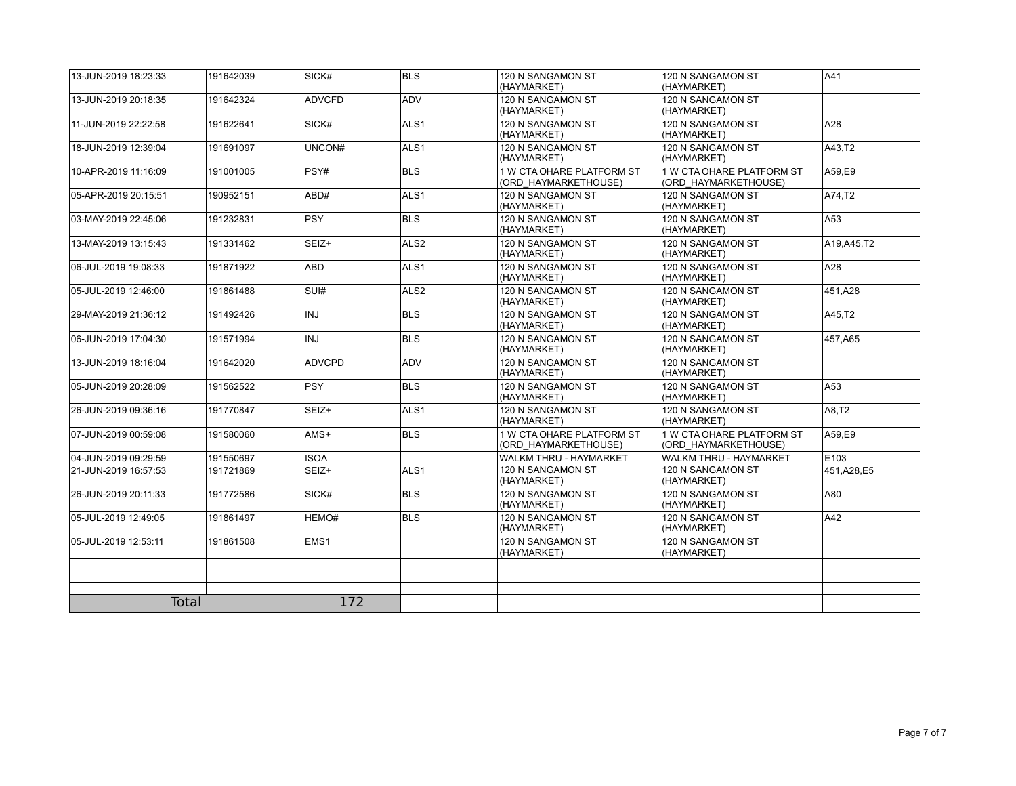| 13-JUN-2019 18:23:33 | 191642039 | SICK#            | <b>BLS</b>       | 120 N SANGAMON ST<br>(HAYMARKET)                  | 120 N SANGAMON ST<br>(HAYMARKET)                  | A41          |
|----------------------|-----------|------------------|------------------|---------------------------------------------------|---------------------------------------------------|--------------|
| 13-JUN-2019 20:18:35 | 191642324 | <b>ADVCFD</b>    | <b>ADV</b>       | 120 N SANGAMON ST<br>(HAYMARKET)                  | 120 N SANGAMON ST<br>(HAYMARKET)                  |              |
| 11-JUN-2019 22:22:58 | 191622641 | SICK#            | ALS <sub>1</sub> | 120 N SANGAMON ST<br>(HAYMARKET)                  | 120 N SANGAMON ST<br>(HAYMARKET)                  | A28          |
| 18-JUN-2019 12:39:04 | 191691097 | UNCON#           | ALS <sub>1</sub> | 120 N SANGAMON ST<br>(HAYMARKET)                  | 120 N SANGAMON ST<br>(HAYMARKET)                  | A43,T2       |
| 10-APR-2019 11:16:09 | 191001005 | PSY#             | <b>BLS</b>       | 1 W CTA OHARE PLATFORM ST<br>(ORD HAYMARKETHOUSE) | 1 W CTA OHARE PLATFORM ST<br>(ORD HAYMARKETHOUSE) | A59,E9       |
| 05-APR-2019 20:15:51 | 190952151 | ABD#             | ALS <sub>1</sub> | 120 N SANGAMON ST<br>(HAYMARKET)                  | 120 N SANGAMON ST<br>(HAYMARKET)                  | A74,T2       |
| 03-MAY-2019 22:45:06 | 191232831 | <b>PSY</b>       | <b>BLS</b>       | 120 N SANGAMON ST<br>(HAYMARKET)                  | 120 N SANGAMON ST<br>(HAYMARKET)                  | A53          |
| 13-MAY-2019 13:15:43 | 191331462 | SEIZ+            | ALS <sub>2</sub> | 120 N SANGAMON ST<br>(HAYMARKET)                  | 120 N SANGAMON ST<br>(HAYMARKET)                  | A19, A45, T2 |
| 06-JUL-2019 19:08:33 | 191871922 | ABD              | ALS <sub>1</sub> | 120 N SANGAMON ST<br>(HAYMARKET)                  | 120 N SANGAMON ST<br>(HAYMARKET)                  | A28          |
| 05-JUL-2019 12:46:00 | 191861488 | SUI#             | ALS <sub>2</sub> | 120 N SANGAMON ST<br>(HAYMARKET)                  | 120 N SANGAMON ST<br>(HAYMARKET)                  | 451.A28      |
| 29-MAY-2019 21:36:12 | 191492426 | <b>INJ</b>       | <b>BLS</b>       | 120 N SANGAMON ST<br>(HAYMARKET)                  | 120 N SANGAMON ST<br>(HAYMARKET)                  | A45,T2       |
| 06-JUN-2019 17:04:30 | 191571994 | <b>INJ</b>       | <b>BLS</b>       | 120 N SANGAMON ST<br>(HAYMARKET)                  | 120 N SANGAMON ST<br>(HAYMARKET)                  | 457,A65      |
| 13-JUN-2019 18:16:04 | 191642020 | <b>ADVCPD</b>    | ADV              | 120 N SANGAMON ST<br>(HAYMARKET)                  | 120 N SANGAMON ST<br>(HAYMARKET)                  |              |
| 05-JUN-2019 20:28:09 | 191562522 | <b>PSY</b>       | <b>BLS</b>       | 120 N SANGAMON ST<br>(HAYMARKET)                  | 120 N SANGAMON ST<br>(HAYMARKET)                  | A53          |
| 26-JUN-2019 09:36:16 | 191770847 | SEIZ+            | ALS <sub>1</sub> | 120 N SANGAMON ST<br>(HAYMARKET)                  | 120 N SANGAMON ST<br>(HAYMARKET)                  | A8,T2        |
| 07-JUN-2019 00:59:08 | 191580060 | AMS+             | <b>BLS</b>       | 1 W CTA OHARE PLATFORM ST<br>(ORD HAYMARKETHOUSE) | 1 W CTA OHARE PLATFORM ST<br>(ORD HAYMARKETHOUSE) | A59,E9       |
| 04-JUN-2019 09:29:59 | 191550697 | <b>ISOA</b>      |                  | <b>WALKM THRU - HAYMARKET</b>                     | <b>WALKM THRU - HAYMARKET</b>                     | E103         |
| 21-JUN-2019 16:57:53 | 191721869 | SEIZ+            | ALS <sub>1</sub> | 120 N SANGAMON ST<br>(HAYMARKET)                  | 120 N SANGAMON ST<br>(HAYMARKET)                  | 451, A28, E5 |
| 26-JUN-2019 20:11:33 | 191772586 | SICK#            | <b>BLS</b>       | 120 N SANGAMON ST<br>(HAYMARKET)                  | 120 N SANGAMON ST<br>(HAYMARKET)                  | A80          |
| 05-JUL-2019 12:49:05 | 191861497 | HEMO#            | <b>BLS</b>       | 120 N SANGAMON ST<br>(HAYMARKET)                  | 120 N SANGAMON ST<br>(HAYMARKET)                  | A42          |
| 05-JUL-2019 12:53:11 | 191861508 | EMS <sub>1</sub> |                  | 120 N SANGAMON ST<br>(HAYMARKET)                  | 120 N SANGAMON ST<br>(HAYMARKET)                  |              |
|                      |           |                  |                  |                                                   |                                                   |              |
|                      |           |                  |                  |                                                   |                                                   |              |
|                      |           |                  |                  |                                                   |                                                   |              |
| <b>Total</b>         |           | 172              |                  |                                                   |                                                   |              |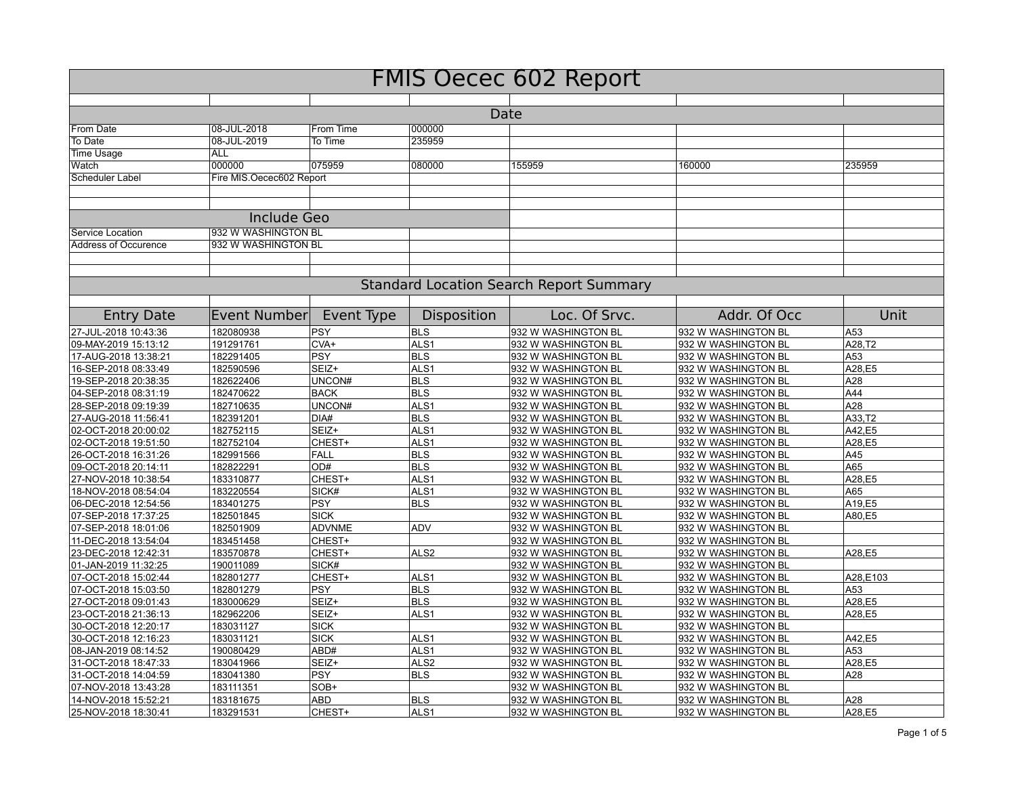| <b>FMIS Oecec 602 Report</b>                 |                          |                     |                                |                                                |                                            |               |  |  |
|----------------------------------------------|--------------------------|---------------------|--------------------------------|------------------------------------------------|--------------------------------------------|---------------|--|--|
|                                              |                          |                     |                                |                                                |                                            |               |  |  |
|                                              |                          |                     |                                | Date                                           |                                            |               |  |  |
| From Date                                    | 08-JUL-2018              | From Time           | 000000                         |                                                |                                            |               |  |  |
| To Date                                      | 08-JUL-2019              | To Time             | 235959                         |                                                |                                            |               |  |  |
| <b>Time Usage</b>                            | <b>ALL</b>               |                     |                                |                                                |                                            |               |  |  |
| Watch                                        | 000000                   | 075959              | 080000                         | 155959                                         | 160000                                     | 235959        |  |  |
| Scheduler Label                              | Fire MIS.Oecec602 Report |                     |                                |                                                |                                            |               |  |  |
|                                              |                          |                     |                                |                                                |                                            |               |  |  |
|                                              | <b>Include Geo</b>       |                     |                                |                                                |                                            |               |  |  |
| Service Location                             | 932 W WASHINGTON BL      |                     |                                |                                                |                                            |               |  |  |
| <b>Address of Occurence</b>                  | 932 W WASHINGTON BL      |                     |                                |                                                |                                            |               |  |  |
|                                              |                          |                     |                                |                                                |                                            |               |  |  |
|                                              |                          |                     |                                |                                                |                                            |               |  |  |
|                                              |                          |                     |                                | <b>Standard Location Search Report Summary</b> |                                            |               |  |  |
| <b>Entry Date</b>                            | <b>Event Number</b>      | Event Type          | Disposition                    | Loc. Of Srvc.                                  | Addr. Of Occ                               | Unit          |  |  |
| 27-JUL-2018 10:43:36                         | 182080938                | <b>PSY</b>          | <b>BLS</b>                     | 932 W WASHINGTON BL                            | 932 W WASHINGTON BL                        | A53           |  |  |
| 09-MAY-2019 15:13:12                         | 191291761                | CVA+                | ALS <sub>1</sub>               | 932 W WASHINGTON BL                            | 932 W WASHINGTON BL                        | A28,T2        |  |  |
| 17-AUG-2018 13:38:21                         | 182291405                | <b>PSY</b>          | <b>BLS</b>                     | 932 W WASHINGTON BL                            | 932 W WASHINGTON BL                        | A53           |  |  |
| 16-SEP-2018 08:33:49                         | 182590596                | SEIZ+               | ALS <sub>1</sub>               | 932 W WASHINGTON BL                            | 932 W WASHINGTON BL                        | A28,E5        |  |  |
| 19-SEP-2018 20:38:35                         | 182622406                | UNCON#              | <b>BLS</b>                     | 932 W WASHINGTON BL                            | 932 W WASHINGTON BL                        | A28           |  |  |
| 04-SEP-2018 08:31:19                         | 182470622                | <b>BACK</b>         | <b>BLS</b>                     | 932 W WASHINGTON BL                            | 932 W WASHINGTON BL                        | A44           |  |  |
| 28-SEP-2018 09:19:39                         | 182710635                | UNCON#              | ALS <sub>1</sub>               | 932 W WASHINGTON BL                            | 932 W WASHINGTON BL                        | A28           |  |  |
| 27-AUG-2018 11:56:41                         | 182391201                | DIA#                | <b>BLS</b>                     | 932 W WASHINGTON BL                            | 932 W WASHINGTON BL                        | A33,T2        |  |  |
| 02-OCT-2018 20:00:02                         | 182752115                | SEIZ+               | ALS <sub>1</sub>               | 932 W WASHINGTON BL                            | 932 W WASHINGTON BL                        | A42,E5        |  |  |
| 02-OCT-2018 19:51:50                         | 182752104                | CHEST+              | ALS <sub>1</sub>               | 932 W_WASHINGTON BL                            | 932 W WASHINGTON BL                        | A28,E5        |  |  |
| 26-OCT-2018 16:31:26                         | 182991566                | <b>FALL</b>         | <b>BLS</b>                     | 932 W WASHINGTON BL                            | 932 W WASHINGTON BL                        | A45           |  |  |
| 09-OCT-2018 20:14:11                         | 182822291                | OD#                 | <b>BLS</b>                     | 932 W WASHINGTON BL                            | 932 W WASHINGTON BL                        | A65           |  |  |
| 27-NOV-2018 10:38:54                         | 183310877                | CHEST+              | ALS <sub>1</sub>               | 932 W WASHINGTON BL                            | 932 W WASHINGTON BL                        | A28,E5        |  |  |
| 18-NOV-2018 08:54:04                         | 183220554                | SICK#               | ALS <sub>1</sub>               | 932 W WASHINGTON BL                            | 932 W WASHINGTON BL                        | A65           |  |  |
| 06-DEC-2018 12:54:56                         | 183401275                | <b>PSY</b>          | <b>BLS</b>                     | 932 W WASHINGTON BL                            | 932 W WASHINGTON BL                        | A19,E5        |  |  |
| 07-SEP-2018 17:37:25                         | 182501845                | <b>SICK</b>         |                                | 932 W WASHINGTON BL                            | 932 W WASHINGTON BL                        | A80,E5        |  |  |
| 07-SEP-2018 18:01:06                         | 182501909                | <b>ADVNME</b>       | <b>ADV</b>                     | 932 W WASHINGTON BL                            | 932 W WASHINGTON BL                        |               |  |  |
| 11-DEC-2018 13:54:04                         | 183451458                | CHEST+              |                                | 932 W WASHINGTON BL                            | 932 W WASHINGTON BL                        |               |  |  |
| 23-DEC-2018 12:42:31                         | 183570878                | CHEST+              | ALS <sub>2</sub>               | 932 W WASHINGTON BL                            | 932 W WASHINGTON BL                        | A28,E5        |  |  |
| 01-JAN-2019 11:32:25                         | 190011089                | SICK#               |                                | 932 W WASHINGTON BL                            | 932 W WASHINGTON BL                        |               |  |  |
| 07-OCT-2018 15:02:44                         | 182801277                | CHEST+              | ALS <sub>1</sub>               | 932 W WASHINGTON BL                            | 932 W WASHINGTON BL                        | A28.E103      |  |  |
| 07-OCT-2018 15:03:50                         | 182801279                | <b>PSY</b>          | <b>BLS</b>                     | 932 W WASHINGTON BL                            | 932 W WASHINGTON BL                        | A53           |  |  |
| 27-OCT-2018 09:01:43                         | 183000629                | SEIZ+               | <b>BLS</b>                     | 932 W WASHINGTON BL                            | 932 W WASHINGTON BL                        | A28.E5        |  |  |
| 23-OCT-2018 21:36:13                         | 182962206                | SEIZ+               | ALS <sub>1</sub>               | 932 W WASHINGTON BL                            | 932 W WASHINGTON BL                        | A28,E5        |  |  |
| 30-OCT-2018 12:20:17                         | 183031127                | <b>SICK</b>         |                                | 932 W_WASHINGTON BL                            | 932 W WASHINGTON BL                        |               |  |  |
| 30-OCT-2018 12:16:23                         | 183031121                | <b>SICK</b>         | ALS <sub>1</sub>               | 932 W WASHINGTON BL                            | 932 W WASHINGTON BL                        | A42,E5        |  |  |
| 08-JAN-2019 08:14:52                         | 190080429                | ABD#                | ALS <sub>1</sub>               | 932 W WASHINGTON BL                            | 932 W WASHINGTON BL                        | A53           |  |  |
| 31-OCT-2018 18:47:33                         | 183041966                | SEIZ+<br><b>PSY</b> | ALS <sub>2</sub><br><b>BLS</b> | 932 W WASHINGTON BL                            | 932 W WASHINGTON BL                        | A28,E5<br>A28 |  |  |
| 31-OCT-2018 14:04:59<br>07-NOV-2018 13:43:28 | 183041380<br>183111351   | SOB+                |                                | 932 W WASHINGTON BL<br>932 W WASHINGTON BL     | 932 W WASHINGTON BL<br>932 W WASHINGTON BL |               |  |  |
| 14-NOV-2018 15:52:21                         | 183181675                | <b>ABD</b>          | <b>BLS</b>                     | 932 W WASHINGTON BL                            | 932 W WASHINGTON BL                        | A28           |  |  |
| 25-NOV-2018 18:30:41                         | 183291531                | CHEST+              | ALS1                           | 932 W WASHINGTON BL                            | 932 W WASHINGTON BL                        | A28,E5        |  |  |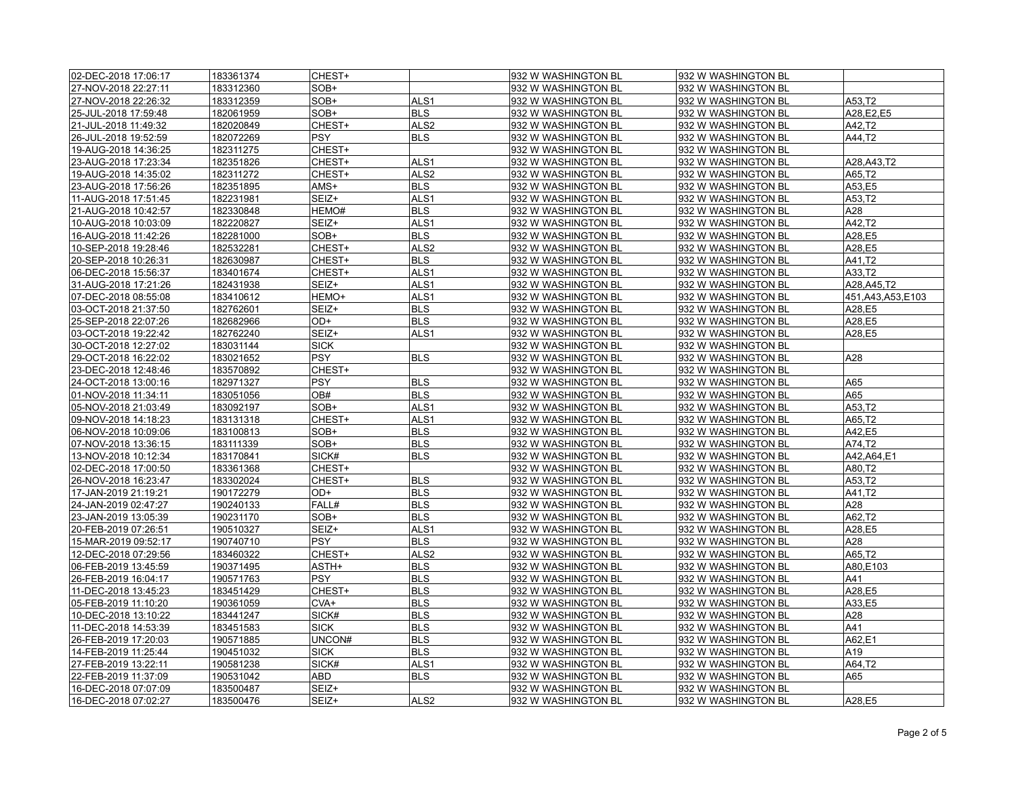| 02-DEC-2018 17:06:17 | 183361374 | CHEST+      |                  | 932 W WASHINGTON BL | 932 W WASHINGTON BL |                     |
|----------------------|-----------|-------------|------------------|---------------------|---------------------|---------------------|
| 27-NOV-2018 22:27:11 | 183312360 | SOB+        |                  | 932 W WASHINGTON BL | 932 W WASHINGTON BL |                     |
| 27-NOV-2018 22:26:32 | 183312359 | SOB+        | ALS1             | 932 W WASHINGTON BL | 932 W WASHINGTON BL | A53,T2              |
| 25-JUL-2018 17:59:48 | 182061959 | SOB+        | <b>BLS</b>       | 932 W WASHINGTON BL | 932 W WASHINGTON BL | A28,E2,E5           |
| 21-JUL-2018 11:49:32 | 182020849 | CHEST+      | ALS <sub>2</sub> | 932 W WASHINGTON BL | 932 W WASHINGTON BL | A42,T2              |
| 26-JUL-2018 19:52:59 | 182072269 | <b>PSY</b>  | <b>BLS</b>       | 932 W WASHINGTON BL | 932 W WASHINGTON BL | A44,T2              |
| 19-AUG-2018 14:36:25 | 182311275 | CHEST+      |                  | 932 W WASHINGTON BL | 932 W WASHINGTON BL |                     |
| 23-AUG-2018 17:23:34 | 182351826 | CHEST+      | ALS <sub>1</sub> | 932 W WASHINGTON BL | 932 W WASHINGTON BL | A28, A43, T2        |
| 19-AUG-2018 14:35:02 | 182311272 | CHEST+      | ALS <sub>2</sub> | 932 W WASHINGTON BL | 932 W WASHINGTON BL | A65,T2              |
| 23-AUG-2018 17:56:26 | 182351895 | AMS+        | <b>BLS</b>       | 932 W WASHINGTON BL | 932 W WASHINGTON BL | A53,E5              |
| 11-AUG-2018 17:51:45 | 182231981 | SEIZ+       | ALS1             | 932 W WASHINGTON BL | 932 W WASHINGTON BL | A53,T2              |
| 21-AUG-2018 10:42:57 | 182330848 | HEMO#       | <b>BLS</b>       | 932 W WASHINGTON BL | 932 W WASHINGTON BL | A28                 |
| 10-AUG-2018 10:03:09 | 182220827 | SEIZ+       | ALS <sub>1</sub> | 932 W WASHINGTON BL | 932 W WASHINGTON BL | A42,T2              |
| 16-AUG-2018 11:42:26 | 182281000 | SOB+        | <b>BLS</b>       | 932 W WASHINGTON BL | 932 W WASHINGTON BL | A28,E5              |
| 10-SEP-2018 19:28:46 | 182532281 | CHEST+      | ALS <sub>2</sub> | 932 W WASHINGTON BL | 932 W WASHINGTON BL | A28,E5              |
| 20-SEP-2018 10:26:31 | 182630987 | CHEST+      | <b>BLS</b>       | 932 W WASHINGTON BL | 932 W WASHINGTON BL | A41,T2              |
| 06-DEC-2018 15:56:37 | 183401674 | CHEST+      | ALS <sub>1</sub> | 932 W WASHINGTON BL | 932 W WASHINGTON BL | A33,T2              |
| 31-AUG-2018 17:21:26 | 182431938 | SEIZ+       | ALS1             | 932 W WASHINGTON BL | 932 W WASHINGTON BL | A28, A45, T2        |
| 07-DEC-2018 08:55:08 | 183410612 | HEMO+       | ALS <sub>1</sub> | 932 W WASHINGTON BL | 932 W WASHINGTON BL | 451, A43, A53, E103 |
| 03-OCT-2018 21:37:50 | 182762601 | SEIZ+       | <b>BLS</b>       | 932 W WASHINGTON BL | 932 W WASHINGTON BL | A28,E5              |
| 25-SEP-2018 22:07:26 | 182682966 | OD+         | <b>BLS</b>       | 932 W WASHINGTON BL | 932 W WASHINGTON BL | A28.E5              |
| 03-OCT-2018 19:22:42 | 182762240 | SEIZ+       | ALS1             | 932 W WASHINGTON BL | 932 W WASHINGTON BL | A28,E5              |
| 30-OCT-2018 12:27:02 | 183031144 | <b>SICK</b> |                  | 932 W WASHINGTON BL | 932 W WASHINGTON BL |                     |
| 29-OCT-2018 16:22:02 | 183021652 | PSY         | <b>BLS</b>       | 932 W WASHINGTON BL | 932 W WASHINGTON BL | A28                 |
| 23-DEC-2018 12:48:46 | 183570892 | CHEST+      |                  | 932 W WASHINGTON BL | 932 W WASHINGTON BL |                     |
|                      |           | <b>PSY</b>  | <b>BLS</b>       |                     |                     | A65                 |
| 24-OCT-2018 13:00:16 | 182971327 | OB#         |                  | 932 W WASHINGTON BL | 932 W WASHINGTON BL |                     |
| 01-NOV-2018 11:34:11 | 183051056 |             | <b>BLS</b>       | 932 W WASHINGTON BL | 932 W WASHINGTON BL | A65                 |
| 05-NOV-2018 21:03:49 | 183092197 | SOB+        | ALS1             | 932 W WASHINGTON BL | 932 W WASHINGTON BL | A53,T2              |
| 09-NOV-2018 14:18:23 | 183131318 | CHEST+      | ALS1             | 932 W_WASHINGTON BL | 932 W WASHINGTON BL | A65,T2              |
| 06-NOV-2018 10:09:06 | 183100813 | SOB+        | <b>BLS</b>       | 932 W WASHINGTON BL | 932 W WASHINGTON BL | A42,E5              |
| 07-NOV-2018 13:36:15 | 183111339 | SOB+        | <b>BLS</b>       | 932 W WASHINGTON BL | 932 W WASHINGTON BL | A74,T2              |
| 13-NOV-2018 10:12:34 | 183170841 | SICK#       | <b>BLS</b>       | 932 W WASHINGTON BL | 932 W WASHINGTON BL | A42, A64, E1        |
| 02-DEC-2018 17:00:50 | 183361368 | CHEST+      |                  | 932 W WASHINGTON BL | 932 W WASHINGTON BL | A80.T2              |
| 26-NOV-2018 16:23:47 | 183302024 | CHEST+      | <b>BLS</b>       | 932 W WASHINGTON BL | 932 W WASHINGTON BL | A53,T2              |
| 17-JAN-2019 21:19:21 | 190172279 | OD+         | <b>BLS</b>       | 932 W WASHINGTON BL | 932 W WASHINGTON BL | A41,T2              |
| 24-JAN-2019 02:47:27 | 190240133 | FALL#       | <b>BLS</b>       | 932 W WASHINGTON BL | 932 W WASHINGTON BL | A28                 |
| 23-JAN-2019 13:05:39 | 190231170 | SOB+        | <b>BLS</b>       | 932 W WASHINGTON BL | 932 W WASHINGTON BL | A62,T2              |
| 20-FEB-2019 07:26:51 | 190510327 | SEIZ+       | ALS1             | 932 W WASHINGTON BL | 932 W WASHINGTON BL | A28,E5              |
| 15-MAR-2019 09:52:17 | 190740710 | <b>PSY</b>  | <b>BLS</b>       | 932 W WASHINGTON BL | 932 W WASHINGTON BL | A28                 |
| 12-DEC-2018 07:29:56 | 183460322 | CHEST+      | ALS <sub>2</sub> | 932 W WASHINGTON BL | 932 W WASHINGTON BL | A65,T2              |
| 06-FEB-2019 13:45:59 | 190371495 | ASTH+       | <b>BLS</b>       | 932 W WASHINGTON BL | 932 W WASHINGTON BL | A80,E103            |
| 26-FEB-2019 16:04:17 | 190571763 | <b>PSY</b>  | <b>BLS</b>       | 932 W WASHINGTON BL | 932 W WASHINGTON BL | A41                 |
| 11-DEC-2018 13:45:23 | 183451429 | CHEST+      | <b>BLS</b>       | 932 W WASHINGTON BL | 932 W WASHINGTON BL | A28,E5              |
| 05-FEB-2019 11:10:20 | 190361059 | CVA+        | <b>BLS</b>       | 932 W WASHINGTON BL | 932 W WASHINGTON BL | A33.E5              |
| 10-DEC-2018 13:10:22 | 183441247 | SICK#       | <b>BLS</b>       | 932 W WASHINGTON BL | 932 W WASHINGTON BL | A28                 |
| 11-DEC-2018 14:53:39 | 183451583 | <b>SICK</b> | <b>BLS</b>       | 932 W WASHINGTON BL | 932 W WASHINGTON BL | A41                 |
| 26-FEB-2019 17:20:03 | 190571885 | UNCON#      | <b>BLS</b>       | 932 W WASHINGTON BL | 932 W WASHINGTON BL | A62,E1              |
| 14-FEB-2019 11:25:44 | 190451032 | <b>SICK</b> | <b>BLS</b>       | 932 W WASHINGTON BL | 932 W WASHINGTON BL | A19                 |
| 27-FEB-2019 13:22:11 | 190581238 | SICK#       | ALS1             | 932 W WASHINGTON BL | 932 W WASHINGTON BL | A64,T2              |
| 22-FEB-2019 11:37:09 | 190531042 | ABD         | <b>BLS</b>       | 932 W WASHINGTON BL | 932 W WASHINGTON BL | A65                 |
| 16-DEC-2018 07:07:09 | 183500487 | SEIZ+       |                  | 932 W WASHINGTON BL | 932 W WASHINGTON BL |                     |
| 16-DEC-2018 07:02:27 | 183500476 | SEIZ+       | ALS <sub>2</sub> | 932 W WASHINGTON BL | 932 W WASHINGTON BL | A28.E5              |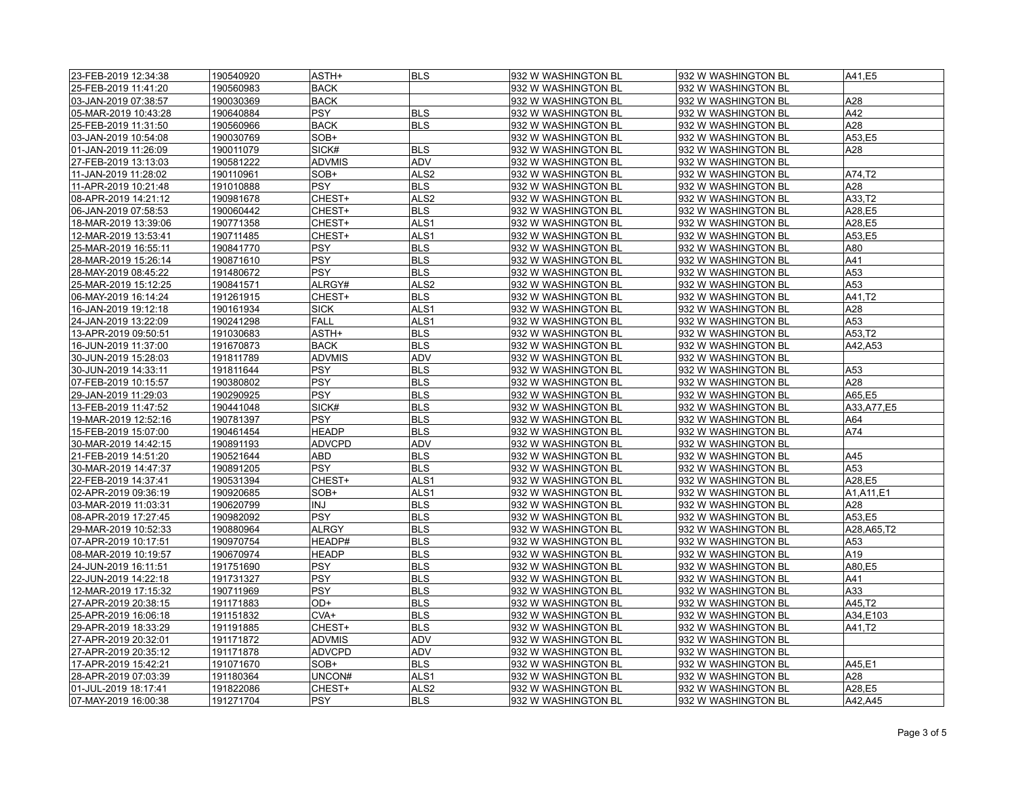| 23-FEB-2019 12:34:38 | 190540920 | ASTH+         | <b>BLS</b>       | 932 W WASHINGTON BL | 932 W WASHINGTON BL  | A41,E5       |
|----------------------|-----------|---------------|------------------|---------------------|----------------------|--------------|
| 25-FEB-2019 11:41:20 | 190560983 | <b>BACK</b>   |                  | 932 W WASHINGTON BL | 932 W WASHINGTON BL  |              |
| 03-JAN-2019 07:38:57 | 190030369 | <b>BACK</b>   |                  | 932 W WASHINGTON BL | 932 W WASHINGTON BL  | A28          |
| 05-MAR-2019 10:43:28 | 190640884 | <b>PSY</b>    | <b>BLS</b>       | 932 W WASHINGTON BL | 932 W WASHINGTON BL  | A42          |
| 25-FEB-2019 11:31:50 | 190560966 | <b>BACK</b>   | <b>BLS</b>       | 932 W WASHINGTON BL | 932 W WASHINGTON BL  | A28          |
| 03-JAN-2019 10:54:08 | 190030769 | SOB+          |                  | 932 W WASHINGTON BL | 932 W WASHINGTON BL  | A53,E5       |
| 01-JAN-2019 11:26:09 | 190011079 | SICK#         | <b>BLS</b>       | 932 W WASHINGTON BL | 932 W WASHINGTON BL  | A28          |
| 27-FEB-2019 13:13:03 | 190581222 | <b>ADVMIS</b> | ADV              | 932 W WASHINGTON BL | 932 W WASHINGTON BL  |              |
| 11-JAN-2019 11:28:02 | 190110961 | SOB+          | ALS <sub>2</sub> | 932 W WASHINGTON BL | 932 W WASHINGTON BL  | A74.T2       |
| 11-APR-2019 10:21:48 | 191010888 | <b>PSY</b>    | <b>BLS</b>       | 932 W WASHINGTON BL | 932 W WASHINGTON BL  | A28          |
| 08-APR-2019 14:21:12 | 190981678 | CHEST+        | ALS <sub>2</sub> | 932 W WASHINGTON BL | 932 W WASHINGTON BL  | A33,T2       |
| 06-JAN-2019 07:58:53 | 190060442 | CHEST+        | <b>BLS</b>       | 932 W WASHINGTON BL | 932 W WASHINGTON BL  | A28,E5       |
| 18-MAR-2019 13:39:06 | 190771358 | CHEST+        | ALS <sub>1</sub> | 932 W WASHINGTON BL | 932 W WASHINGTON BL  | A28,E5       |
| 12-MAR-2019 13:53:41 | 190711485 | CHEST+        | ALS <sub>1</sub> | 932 W WASHINGTON BL | 932 W WASHINGTON BL  | A53,E5       |
| 25-MAR-2019 16:55:11 | 190841770 | <b>PSY</b>    | <b>BLS</b>       | 932 W WASHINGTON BL | 932 W WASHINGTON BL  | A80          |
| 28-MAR-2019 15:26:14 | 190871610 | $ $ PSY       | <b>BLS</b>       | 932 W WASHINGTON BL | 932 W WASHINGTON BL  | A41          |
| 28-MAY-2019 08:45:22 | 191480672 | <b>PSY</b>    | <b>BLS</b>       | 932 W WASHINGTON BL | 932 W WASHINGTON BL  | A53          |
| 25-MAR-2019 15:12:25 | 190841571 | ALRGY#        | ALS <sub>2</sub> | 932 W WASHINGTON BL | 932 W WASHINGTON BL  | A53          |
| 06-MAY-2019 16:14:24 | 191261915 | CHEST+        | <b>BLS</b>       | 932 W WASHINGTON BL | 932 W WASHINGTON BL  | A41,T2       |
| 16-JAN-2019 19:12:18 | 190161934 | <b>SICK</b>   | ALS <sub>1</sub> | 932 W WASHINGTON BL | 932 W WASHINGTON BL  | A28          |
| 24-JAN-2019 13:22:09 | 190241298 | <b>FALL</b>   | ALS <sub>1</sub> | 932 W WASHINGTON BL | 932 W WASHINGTON BL  | A53          |
| 13-APR-2019 09:50:51 | 191030683 | ASTH+         | <b>BLS</b>       | 932 W WASHINGTON BL | 932 W WASHINGTON BL  | A53.T2       |
| 16-JUN-2019 11:37:00 | 191670873 | <b>BACK</b>   | <b>BLS</b>       | 932 W WASHINGTON BL | 932 W WASHINGTON BL  | A42,A53      |
| 30-JUN-2019 15:28:03 | 191811789 | <b>ADVMIS</b> | ADV              | 932 W WASHINGTON BL | 932 W WASHINGTON BL  |              |
| 30-JUN-2019 14:33:11 | 191811644 | <b>PSY</b>    | <b>BLS</b>       | 932 W WASHINGTON BL | 932 W WASHINGTON BL  | A53          |
|                      | 190380802 | <b>PSY</b>    | <b>BLS</b>       |                     |                      | A28          |
| 07-FEB-2019 10:15:57 |           |               |                  | 932 W WASHINGTON BL | 932 W WASHINGTON BL  |              |
| 29-JAN-2019 11:29:03 | 190290925 | <b>PSY</b>    | <b>BLS</b>       | 932 W WASHINGTON BL | 932 W WASHINGTON BL  | A65,E5       |
| 13-FEB-2019 11:47:52 | 190441048 | SICK#         | <b>BLS</b>       | 932 W WASHINGTON BL | 932 W WASHINGTON BL  | A33, A77, E5 |
| 19-MAR-2019 12:52:16 | 190781397 | <b>PSY</b>    | <b>BLS</b>       | 932 W WASHINGTON BL | 932 W WASHINGTON BL  | A64          |
| 15-FEB-2019 15:07:00 | 190461454 | <b>HEADP</b>  | <b>BLS</b>       | 932 W WASHINGTON BL | 932 W WASHINGTON BL  | A74          |
| 30-MAR-2019 14:42:15 | 190891193 | <b>ADVCPD</b> | <b>ADV</b>       | 932 W WASHINGTON BL | 932 W WASHINGTON BL  |              |
| 21-FEB-2019 14:51:20 | 190521644 | <b>ABD</b>    | <b>BLS</b>       | 932 W WASHINGTON BL | 932 W WASHINGTON BL  | A45          |
| 30-MAR-2019 14:47:37 | 190891205 | <b>PSY</b>    | <b>BLS</b>       | 932 W WASHINGTON BL | 932 W WASHINGTON BL  | A53          |
| 22-FEB-2019 14:37:41 | 190531394 | CHEST+        | ALS <sub>1</sub> | 932 W WASHINGTON BL | 932 W WASHINGTON BL  | A28,E5       |
| 02-APR-2019 09:36:19 | 190920685 | SOB+          | ALS <sub>1</sub> | 932 W WASHINGTON BL | 932 W WASHINGTON BL  | A1,A11,E1    |
| 03-MAR-2019 11:03:31 | 190620799 | INJ           | <b>BLS</b>       | 932 W WASHINGTON BL | 932 W WASHINGTON BL  | A28          |
| 08-APR-2019 17:27:45 | 190982092 | <b>PSY</b>    | <b>BLS</b>       | 932 W WASHINGTON BL | 932 W WASHINGTON BL  | A53,E5       |
| 29-MAR-2019 10:52:33 | 190880964 | <b>ALRGY</b>  | <b>BLS</b>       | 932 W WASHINGTON BL | 932 W WASHINGTON BL  | A28, A65, T2 |
| 07-APR-2019 10:17:51 | 190970754 | HEADP#        | <b>BLS</b>       | 932 W WASHINGTON BL | 932 W WASHINGTON BL  | A53          |
| 08-MAR-2019 10:19:57 | 190670974 | <b>HEADP</b>  | <b>BLS</b>       | 932 W WASHINGTON BL | 932 W WASHINGTON BL  | A19          |
| 24-JUN-2019 16:11:51 | 191751690 | <b>PSY</b>    | <b>BLS</b>       | 932 W WASHINGTON BL | 932 W WASHINGTON BL  | A80,E5       |
| 22-JUN-2019 14:22:18 | 191731327 | <b>PSY</b>    | <b>BLS</b>       | 932 W WASHINGTON BL | 932 W WASHINGTON BL  | A41          |
| 12-MAR-2019 17:15:32 | 190711969 | <b>PSY</b>    | <b>BLS</b>       | 932 W WASHINGTON BL | 932 W WASHINGTON BL  | A33          |
| 27-APR-2019 20:38:15 | 191171883 | OD+           | <b>BLS</b>       | 932 W WASHINGTON BL | 1932 W WASHINGTON BL | A45.T2       |
| 25-APR-2019 16:06:18 | 191151832 | CVA+          | <b>BLS</b>       | 932 W WASHINGTON BL | 932 W WASHINGTON BL  | A34,E103     |
| 29-APR-2019 18:33:29 | 191191885 | CHEST+        | <b>BLS</b>       | 932 W WASHINGTON BL | 932 W WASHINGTON BL  | A41,T2       |
| 27-APR-2019 20:32:01 | 191171872 | ADVMIS        | <b>ADV</b>       | 932 W WASHINGTON BL | 932 W WASHINGTON BL  |              |
| 27-APR-2019 20:35:12 | 191171878 | <b>ADVCPD</b> | ADV              | 932 W WASHINGTON BL | 932 W WASHINGTON BL  |              |
| 17-APR-2019 15:42:21 | 191071670 | SOB+          | <b>BLS</b>       | 932 W WASHINGTON BL | 932 W WASHINGTON BL  | A45,E1       |
| 28-APR-2019 07:03:39 | 191180364 | UNCON#        | ALS <sub>1</sub> | 932 W WASHINGTON BL | 932 W WASHINGTON BL  | A28          |
| 01-JUL-2019 18:17:41 | 191822086 | CHEST+        | ALS <sub>2</sub> | 932 W WASHINGTON BL | 932 W WASHINGTON BL  | A28,E5       |
| 07-MAY-2019 16:00:38 | 191271704 | <b>PSY</b>    | <b>BLS</b>       | 932 W WASHINGTON BL | 932 W WASHINGTON BL  | A42,A45      |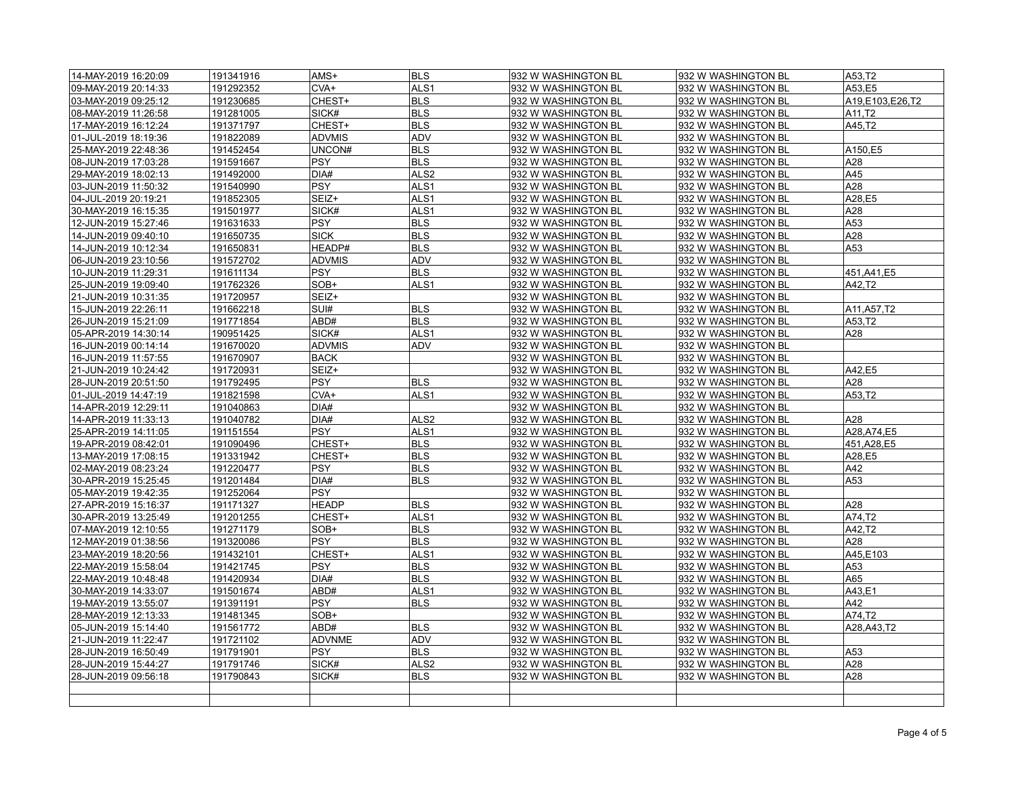| 14-MAY-2019 16:20:09                         | 191341916 | AMS+               | <b>BLS</b>                           | 932 W WASHINGTON BL | 932 W WASHINGTON BL | A53.T2          |
|----------------------------------------------|-----------|--------------------|--------------------------------------|---------------------|---------------------|-----------------|
| 09-MAY-2019 20:14:33                         | 191292352 | CVA+               | ALS <sub>1</sub>                     | 932 W WASHINGTON BL | 932 W WASHINGTON BL | A53,E5          |
| 03-MAY-2019 09:25:12                         | 191230685 | CHEST+             | <b>BLS</b>                           | 932 W WASHINGTON BL | 932 W WASHINGTON BL | A19,E103,E26,T2 |
| 08-MAY-2019 11:26:58                         | 191281005 | SICK#              | <b>BLS</b>                           | 932 W WASHINGTON BL | 932 W WASHINGTON BL | A11,T2          |
| 17-MAY-2019 16:12:24                         | 191371797 | CHEST+             | <b>BLS</b>                           | 932 W WASHINGTON BL | 932 W WASHINGTON BL | A45.T2          |
| 01-JUL-2019 18:19:36                         | 191822089 | <b>ADVMIS</b>      | ADV                                  | 932 W WASHINGTON BL | 932 W WASHINGTON BL |                 |
| 25-MAY-2019 22:48:36                         | 191452454 | UNCON#             | <b>BLS</b>                           | 932 W WASHINGTON BL | 932 W WASHINGTON BL | A150,E5         |
| 08-JUN-2019 17:03:28                         | 191591667 | PSY                | <b>BLS</b>                           | 932 W WASHINGTON BL | 932 W WASHINGTON BL | A28             |
| 29-MAY-2019 18:02:13                         | 191492000 | DIA#               | ALS <sub>2</sub>                     | 932 W WASHINGTON BL | 932 W WASHINGTON BL | A45             |
| 03-JUN-2019 11:50:32                         | 191540990 | <b>PSY</b>         | ALS <sub>1</sub>                     | 932 W WASHINGTON BL | 932 W WASHINGTON BL | A28             |
| 04-JUL-2019 20:19:21                         | 191852305 | SEIZ+              | ALS <sub>1</sub>                     | 932 W WASHINGTON BL | 932 W WASHINGTON BL | A28.E5          |
| 30-MAY-2019 16:15:35                         | 191501977 | SICK#              | ALS <sub>1</sub>                     | 932 W WASHINGTON BL | 932 W WASHINGTON BL | A28             |
| 12-JUN-2019 15:27:46                         | 191631633 | <b>PSY</b>         | <b>BLS</b>                           | 932 W WASHINGTON BL | 932 W WASHINGTON BL | A53             |
| 14-JUN-2019 09:40:10                         | 191650735 | <b>SICK</b>        | <b>BLS</b>                           | 932 W WASHINGTON BL | 932 W WASHINGTON BL | A28             |
| 14-JUN-2019 10:12:34                         | 191650831 | HEADP#             | <b>BLS</b>                           | 932 W WASHINGTON BL | 932 W WASHINGTON BL | A53             |
| 06-JUN-2019 23:10:56                         | 191572702 | <b>ADVMIS</b>      | <b>ADV</b>                           | 932 W WASHINGTON BL | 932 W WASHINGTON BL |                 |
| 10-JUN-2019 11:29:31                         | 191611134 | <b>PSY</b>         | <b>BLS</b>                           | 932 W WASHINGTON BL | 932 W WASHINGTON BL | 451, A41, E5    |
| 25-JUN-2019 19:09:40                         | 191762326 | SOB+               | ALS <sub>1</sub>                     | 932 W WASHINGTON BL | 932 W WASHINGTON BL | A42,T2          |
| 21-JUN-2019 10:31:35                         | 191720957 | SEIZ+              |                                      | 932 W WASHINGTON BL | 932 W WASHINGTON BL |                 |
| 15-JUN-2019 22:26:11                         | 191662218 | SUI#               | <b>BLS</b>                           | 932 W WASHINGTON BL | 932 W WASHINGTON BL | A11, A57, T2    |
| 26-JUN-2019 15:21:09                         | 191771854 | ABD#               | <b>BLS</b>                           | 932 W WASHINGTON BL | 932 W WASHINGTON BL | A53,T2          |
| 05-APR-2019 14:30:14                         | 190951425 | SICK#              | ALS <sub>1</sub>                     | 932 W WASHINGTON BL | 932 W WASHINGTON BL | A28             |
| 16-JUN-2019 00:14:14                         | 191670020 | <b>ADVMIS</b>      | ADV                                  | 932 W WASHINGTON BL | 932 W WASHINGTON BL |                 |
| 16-JUN-2019 11:57:55                         | 191670907 | <b>BACK</b>        |                                      | 932 W WASHINGTON BL | 932 W WASHINGTON BL |                 |
| 21-JUN-2019 10:24:42                         | 191720931 | SEIZ+              |                                      | 932 W WASHINGTON BL | 932 W WASHINGTON BL | A42,E5          |
| 28-JUN-2019 20:51:50                         | 191792495 | <b>PSY</b>         | <b>BLS</b>                           | 932 W WASHINGTON BL | 932 W WASHINGTON BL | A28             |
|                                              |           |                    | ALS <sub>1</sub>                     |                     |                     | A53,T2          |
| 01-JUL-2019 14:47:19<br>14-APR-2019 12:29:11 | 191821598 | $CVA+$<br>DIA#     |                                      | 932 W WASHINGTON BL | 932 W WASHINGTON BL |                 |
|                                              | 191040863 |                    |                                      | 932 W WASHINGTON BL | 932 W WASHINGTON BL |                 |
| 14-APR-2019 11:33:13                         | 191040782 | DIA#<br>PSY        | ALS <sub>2</sub><br>ALS <sub>1</sub> | 932 W WASHINGTON BL | 932 W WASHINGTON BL | A28             |
| 25-APR-2019 14:11:05                         | 191151554 |                    |                                      | 932 W WASHINGTON BL | 932 W WASHINGTON BL | A28, A74, E5    |
| 19-APR-2019 08:42:01                         | 191090496 | CHEST+             | <b>BLS</b>                           | 932 W WASHINGTON BL | 932 W WASHINGTON BL | 451, A28, E5    |
| 13-MAY-2019 17:08:15                         | 191331942 | CHEST+             | <b>BLS</b>                           | 932 W WASHINGTON BL | 932 W WASHINGTON BL | A28,E5          |
| 02-MAY-2019 08:23:24                         | 191220477 | PSY                | <b>BLS</b>                           | 932 W WASHINGTON BL | 932 W WASHINGTON BL | A42             |
| 30-APR-2019 15:25:45                         | 191201484 | DIA#<br><b>PSY</b> | <b>BLS</b>                           | 932 W WASHINGTON BL | 932 W WASHINGTON BL | A53             |
| 05-MAY-2019 19:42:35                         | 191252064 |                    |                                      | 932 W WASHINGTON BL | 932 W WASHINGTON BL |                 |
| 27-APR-2019 15:16:37                         | 191171327 | <b>HEADP</b>       | <b>BLS</b>                           | 932 W WASHINGTON BL | 932 W WASHINGTON BL | A28             |
| 30-APR-2019 13:25:49                         | 191201255 | CHEST+             | ALS <sub>1</sub>                     | 932 W WASHINGTON BL | 932 W WASHINGTON BL | A74.T2          |
| 07-MAY-2019 12:10:55                         | 191271179 | SOB+               | <b>BLS</b>                           | 932 W WASHINGTON BL | 932 W WASHINGTON BL | A42,T2          |
| 12-MAY-2019 01:38:56                         | 191320086 | PSY                | <b>BLS</b>                           | 932 W WASHINGTON BL | 932 W WASHINGTON BL | A28             |
| 23-MAY-2019 18:20:56                         | 191432101 | CHEST+             | ALS <sub>1</sub>                     | 932 W WASHINGTON BL | 932 W WASHINGTON BL | A45,E103        |
| 22-MAY-2019 15:58:04                         | 191421745 | PSY                | <b>BLS</b>                           | 932 W WASHINGTON BL | 932 W WASHINGTON BL | A53             |
| 22-MAY-2019 10:48:48                         | 191420934 | DIA#               | <b>BLS</b>                           | 932 W WASHINGTON BL | 932 W WASHINGTON BL | A65             |
| 30-MAY-2019 14:33:07                         | 191501674 | ABD#               | ALS <sub>1</sub>                     | 932 W WASHINGTON BL | 932 W WASHINGTON BL | A43,E1          |
| 19-MAY-2019 13:55:07                         | 191391191 | <b>PSY</b>         | <b>BLS</b>                           | 932 W WASHINGTON BL | 932 W WASHINGTON BL | A42             |
| 28-MAY-2019 12:13:33                         | 191481345 | SOB+               |                                      | 932 W WASHINGTON BL | 932 W WASHINGTON BL | A74,T2          |
| 05-JUN-2019 15:14:40                         | 191561772 | ABD#               | <b>BLS</b>                           | 932 W WASHINGTON BL | 932 W WASHINGTON BL | A28, A43, T2    |
| 21-JUN-2019 11:22:47                         | 191721102 | <b>ADVNME</b>      | <b>ADV</b>                           | 932 W WASHINGTON BL | 932 W WASHINGTON BL |                 |
| 28-JUN-2019 16:50:49                         | 191791901 | <b>PSY</b>         | <b>BLS</b>                           | 932 W WASHINGTON BL | 932 W WASHINGTON BL | A53             |
| 28-JUN-2019 15:44:27                         | 191791746 | SICK#              | ALS <sub>2</sub>                     | 932 W WASHINGTON BL | 932 W WASHINGTON BL | A28             |
| 28-JUN-2019 09:56:18                         | 191790843 | SICK#              | <b>BLS</b>                           | 932 W WASHINGTON BL | 932 W WASHINGTON BL | A28             |
|                                              |           |                    |                                      |                     |                     |                 |
|                                              |           |                    |                                      |                     |                     |                 |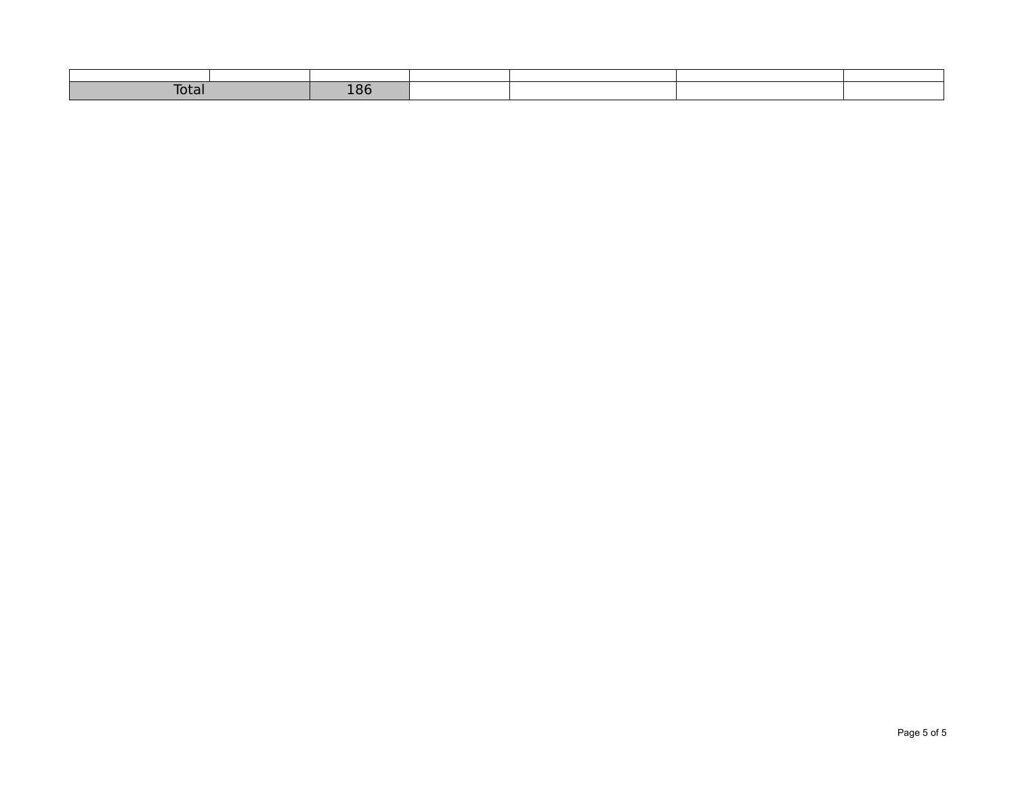| Total | - - -<br>$\sim$<br>≖∪∿<br>--- |  |  |
|-------|-------------------------------|--|--|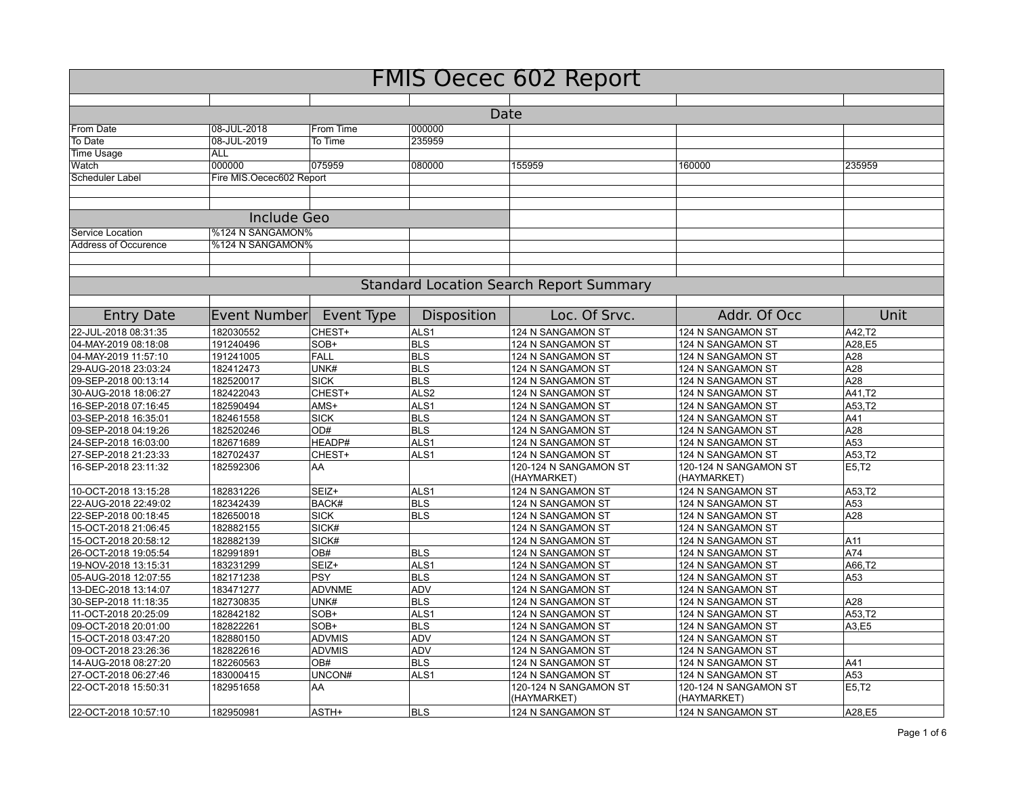| <b>FMIS Oecec 602 Report</b> |                          |               |                    |                                                |                                      |        |  |  |
|------------------------------|--------------------------|---------------|--------------------|------------------------------------------------|--------------------------------------|--------|--|--|
|                              |                          |               |                    |                                                |                                      |        |  |  |
|                              |                          |               |                    | Date                                           |                                      |        |  |  |
| From Date                    | 08-JUL-2018              | From Time     | 000000             |                                                |                                      |        |  |  |
| To Date                      | 08-JUL-2019              | To Time       | 235959             |                                                |                                      |        |  |  |
| <b>Time Usage</b>            | <b>ALL</b>               |               |                    |                                                |                                      |        |  |  |
| Watch                        | 000000                   | 075959        | 080000             | 155959                                         | 160000                               | 235959 |  |  |
| Scheduler Label              | Fire MIS.Oecec602 Report |               |                    |                                                |                                      |        |  |  |
|                              |                          |               |                    |                                                |                                      |        |  |  |
|                              |                          |               |                    |                                                |                                      |        |  |  |
|                              | <b>Include Geo</b>       |               |                    |                                                |                                      |        |  |  |
| Service Location             | %124 N SANGAMON%         |               |                    |                                                |                                      |        |  |  |
| Address of Occurence         | %124 N SANGAMON%         |               |                    |                                                |                                      |        |  |  |
|                              |                          |               |                    |                                                |                                      |        |  |  |
|                              |                          |               |                    |                                                |                                      |        |  |  |
|                              |                          |               |                    | <b>Standard Location Search Report Summary</b> |                                      |        |  |  |
|                              |                          |               |                    |                                                |                                      |        |  |  |
| <b>Entry Date</b>            | Event Number             | Event Type    | <b>Disposition</b> | Loc. Of Srvc.                                  | Addr. Of Occ                         | Unit   |  |  |
| 22-JUL-2018 08:31:35         | 182030552                | CHEST+        | ALS1               | 124 N SANGAMON ST                              | 124 N SANGAMON ST                    | A42,T2 |  |  |
| 04-MAY-2019 08:18:08         | 191240496                | SOB+          | <b>BLS</b>         | 124 N SANGAMON ST                              | 124 N SANGAMON ST                    | A28,E5 |  |  |
| 04-MAY-2019 11:57:10         | 191241005                | FALL          | <b>BLS</b>         | 124 N SANGAMON ST                              | 124 N SANGAMON ST                    | A28    |  |  |
| 29-AUG-2018 23:03:24         | 182412473                | UNK#          | <b>BLS</b>         | 124 N SANGAMON ST                              | 124 N SANGAMON ST                    | A28    |  |  |
| 09-SEP-2018 00:13:14         | 182520017                | <b>SICK</b>   | <b>BLS</b>         | 124 N SANGAMON ST                              | 124 N SANGAMON ST                    | A28    |  |  |
| 30-AUG-2018 18:06:27         | 182422043                | CHEST+        | ALS <sub>2</sub>   | 124 N SANGAMON ST                              | 124 N SANGAMON ST                    | A41.T2 |  |  |
| 16-SEP-2018 07:16:45         | 182590494                | AMS+          | ALS <sub>1</sub>   | 124 N SANGAMON ST                              | 124 N SANGAMON ST                    | A53,T2 |  |  |
| 03-SEP-2018 16:35:01         | 182461558                | <b>SICK</b>   | <b>BLS</b>         | 124 N SANGAMON ST                              | 124 N SANGAMON ST                    | A41    |  |  |
| 09-SEP-2018 04:19:26         | 182520246                | OD#           | <b>BLS</b>         | 124 N SANGAMON ST                              | 124 N SANGAMON ST                    | A28    |  |  |
| 24-SEP-2018 16:03:00         | 182671689                | HEADP#        | ALS <sub>1</sub>   | 124 N SANGAMON ST                              | 124 N SANGAMON ST                    | A53    |  |  |
| 27-SEP-2018 21:23:33         | 182702437                | CHEST+        | ALS <sub>1</sub>   | 124 N SANGAMON ST                              | 124 N SANGAMON ST                    | A53.T2 |  |  |
| 16-SEP-2018 23:11:32         | 182592306                | AA            |                    | 120-124 N SANGAMON ST<br>(HAYMARKET)           | 120-124 N SANGAMON ST<br>(HAYMARKET) | E5,T2  |  |  |
| 10-OCT-2018 13:15:28         | 182831226                | SEIZ+         | ALS <sub>1</sub>   | 124 N SANGAMON ST                              | 124 N SANGAMON ST                    | A53.T2 |  |  |
| 22-AUG-2018 22:49:02         | 182342439                | <b>BACK#</b>  | <b>BLS</b>         | 124 N SANGAMON ST                              | 124 N SANGAMON ST                    | A53    |  |  |
| 22-SEP-2018 00:18:45         | 182650018                | <b>SICK</b>   | <b>BLS</b>         | 124 N SANGAMON ST                              | 124 N SANGAMON ST                    | A28    |  |  |
| 15-OCT-2018 21:06:45         | 182882155                | SICK#         |                    | 124 N SANGAMON ST                              | 124 N SANGAMON ST                    |        |  |  |
| 15-OCT-2018 20:58:12         | 182882139                | SICK#         |                    | 124 N SANGAMON ST                              | 124 N SANGAMON ST                    | A11    |  |  |
| 26-OCT-2018 19:05:54         | 182991891                | OB#           | <b>BLS</b>         | 124 N SANGAMON ST                              | 124 N SANGAMON ST                    | A74    |  |  |
| 19-NOV-2018 13:15:31         | 183231299                | SEIZ+         | ALS <sub>1</sub>   | 124 N SANGAMON ST                              | 124 N SANGAMON ST                    | A66,T2 |  |  |
| 05-AUG-2018 12:07:55         | 182171238                | <b>PSY</b>    | <b>BLS</b>         | 124 N SANGAMON ST                              | 124 N SANGAMON ST                    | A53    |  |  |
| 13-DEC-2018 13:14:07         | 183471277                | <b>ADVNME</b> | ADV                | 124 N SANGAMON ST                              | 124 N SANGAMON ST                    |        |  |  |
| 30-SEP-2018 11:18:35         | 182730835                | UNK#          | <b>BLS</b>         | 124 N SANGAMON ST                              | 124 N SANGAMON ST                    | A28    |  |  |
| 11-OCT-2018 20:25:09         | 182842182                | SOB+          | ALS <sub>1</sub>   | 124 N SANGAMON ST                              | 124 N SANGAMON ST                    | A53,T2 |  |  |
| 09-OCT-2018 20:01:00         | 182822261                | SOB+          | <b>BLS</b>         | 124 N SANGAMON ST                              | 124 N SANGAMON ST                    | A3,E5  |  |  |
| 15-OCT-2018 03:47:20         | 182880150                | <b>ADVMIS</b> | <b>ADV</b>         | 124 N SANGAMON ST                              | 124 N SANGAMON ST                    |        |  |  |
| 09-OCT-2018 23:26:36         | 182822616                | <b>ADVMIS</b> | ADV                | 124 N SANGAMON ST                              | 124 N SANGAMON ST                    |        |  |  |
| 14-AUG-2018 08:27:20         | 182260563                | OB#           | <b>BLS</b>         | 124 N SANGAMON ST                              | 124 N SANGAMON ST                    | A41    |  |  |
| 27-OCT-2018 06:27:46         | 183000415                | UNCON#        | ALS <sub>1</sub>   | 124 N SANGAMON ST                              | 124 N SANGAMON ST                    | A53    |  |  |
| 22-OCT-2018 15:50:31         | 182951658                | AA            |                    | 120-124 N SANGAMON ST<br>(HAYMARKET)           | 120-124 N SANGAMON ST<br>(HAYMARKET) | E5,T2  |  |  |
| 22-OCT-2018 10:57:10         | 182950981                | ASTH+         | <b>BLS</b>         | 124 N SANGAMON ST                              | 124 N SANGAMON ST                    | A28,E5 |  |  |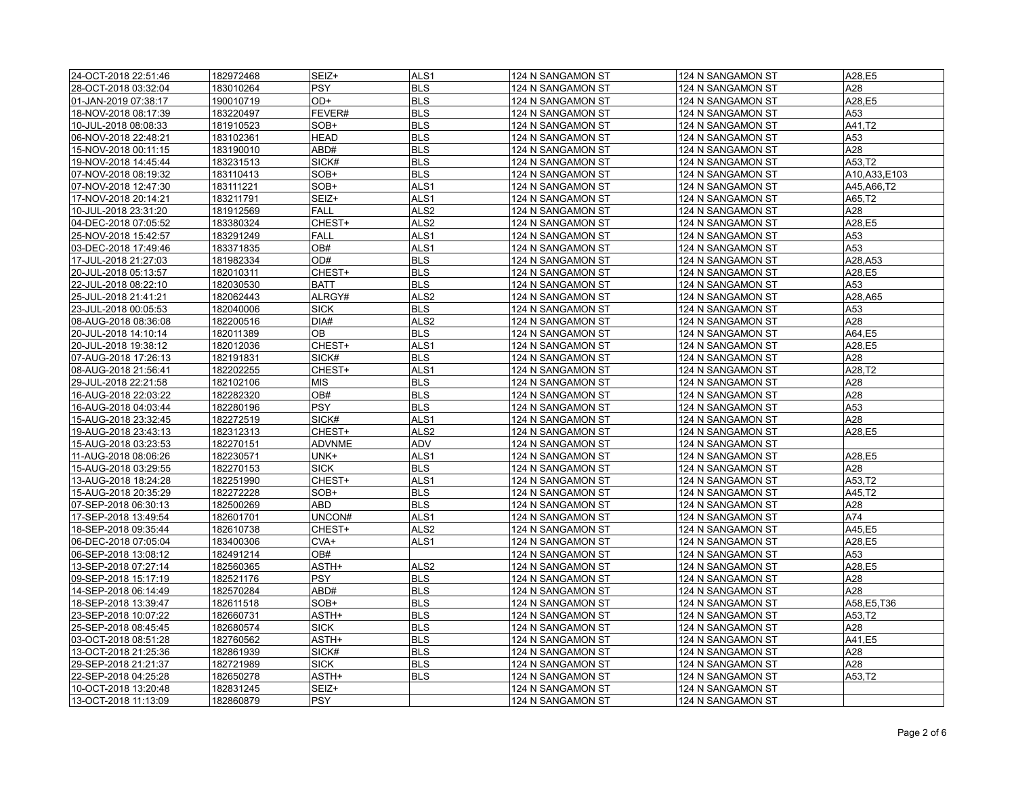| 24-OCT-2018 22:51:46 | 182972468 | SEIZ+         | ALS <sub>1</sub> | 124 N SANGAMON ST | 124 N SANGAMON ST | A28,E5        |
|----------------------|-----------|---------------|------------------|-------------------|-------------------|---------------|
| 28-OCT-2018 03:32:04 | 183010264 | <b>PSY</b>    | <b>BLS</b>       | 124 N SANGAMON ST | 124 N SANGAMON ST | A28           |
| 01-JAN-2019 07:38:17 | 190010719 | OD+           | <b>BLS</b>       | 124 N SANGAMON ST | 124 N SANGAMON ST | A28,E5        |
| 18-NOV-2018 08:17:39 | 183220497 | FEVER#        | <b>BLS</b>       | 124 N SANGAMON ST | 124 N SANGAMON ST | A53           |
| 10-JUL-2018 08:08:33 | 181910523 | SOB+          | <b>BLS</b>       | 124 N SANGAMON ST | 124 N SANGAMON ST | A41.T2        |
| 06-NOV-2018 22:48:21 | 183102361 | HEAD          | <b>BLS</b>       | 124 N SANGAMON ST | 124 N SANGAMON ST | A53           |
| 15-NOV-2018 00:11:15 | 183190010 | ABD#          | <b>BLS</b>       | 124 N SANGAMON ST | 124 N SANGAMON ST | A28           |
| 19-NOV-2018 14:45:44 | 183231513 | SICK#         | <b>BLS</b>       | 124 N SANGAMON ST | 124 N SANGAMON ST | A53,T2        |
| 07-NOV-2018 08:19:32 | 183110413 | SOB+          | <b>BLS</b>       | 124 N SANGAMON ST | 124 N SANGAMON ST | A10,A33,E103  |
| 07-NOV-2018 12:47:30 | 183111221 | SOB+          | ALS <sub>1</sub> | 124 N SANGAMON ST | 124 N SANGAMON ST | A45, A66, T2  |
| 17-NOV-2018 20:14:21 | 183211791 | SEIZ+         | ALS <sub>1</sub> | 124 N SANGAMON ST | 124 N SANGAMON ST | A65,T2        |
| 10-JUL-2018 23:31:20 | 181912569 | <b>FALL</b>   | ALS <sub>2</sub> | 124 N SANGAMON ST | 124 N SANGAMON ST | A28           |
| 04-DEC-2018 07:05:52 | 183380324 | CHEST+        | ALS <sub>2</sub> | 124 N SANGAMON ST | 124 N SANGAMON ST | A28,E5        |
| 25-NOV-2018 15:42:57 | 183291249 | <b>FALL</b>   | ALS <sub>1</sub> | 124 N SANGAMON ST | 124 N SANGAMON ST | A53           |
| 03-DEC-2018 17:49:46 | 183371835 | OB#           | ALS1             | 124 N SANGAMON ST | 124 N SANGAMON ST | A53           |
| 17-JUL-2018 21:27:03 | 181982334 | OD#           | <b>BLS</b>       | 124 N SANGAMON ST | 124 N SANGAMON ST | A28,A53       |
| 20-JUL-2018 05:13:57 | 182010311 | CHEST+        | <b>BLS</b>       | 124 N SANGAMON ST | 124 N SANGAMON ST | A28,E5        |
| 22-JUL-2018 08:22:10 | 182030530 | <b>BATT</b>   | <b>BLS</b>       | 124 N SANGAMON ST | 124 N SANGAMON ST | A53           |
| 25-JUL-2018 21:41:21 | 182062443 | ALRGY#        | ALS <sub>2</sub> | 124 N SANGAMON ST | 124 N SANGAMON ST | A28,A65       |
| 23-JUL-2018 00:05:53 | 182040006 | <b>SICK</b>   | <b>BLS</b>       | 124 N SANGAMON ST | 124 N SANGAMON ST | A53           |
| 08-AUG-2018 08:36:08 | 182200516 | DIA#          | ALS <sub>2</sub> |                   | 124 N SANGAMON ST | A28           |
|                      |           | OВ            | <b>BLS</b>       | 124 N SANGAMON ST |                   |               |
| 20-JUL-2018 14:10:14 | 182011389 |               | ALS1             | 124 N SANGAMON ST | 124 N SANGAMON ST | A64,E5        |
| 20-JUL-2018 19:38:12 | 182012036 | CHEST+        | <b>BLS</b>       | 124 N SANGAMON ST | 124 N SANGAMON ST | A28,E5<br>A28 |
| 07-AUG-2018 17:26:13 | 182191831 | SICK#         |                  | 124 N SANGAMON ST | 124 N SANGAMON ST |               |
| 08-AUG-2018 21:56:41 | 182202255 | CHEST+        | ALS1             | 124 N SANGAMON ST | 124 N SANGAMON ST | A28,T2        |
| 29-JUL-2018 22:21:58 | 182102106 | <b>MIS</b>    | <b>BLS</b>       | 124 N SANGAMON ST | 124 N SANGAMON ST | A28           |
| 16-AUG-2018 22:03:22 | 182282320 | OB#           | <b>BLS</b>       | 124 N SANGAMON ST | 124 N SANGAMON ST | A28           |
| 16-AUG-2018 04:03:44 | 182280196 | <b>PSY</b>    | <b>BLS</b>       | 124 N SANGAMON ST | 124 N SANGAMON ST | A53           |
| 15-AUG-2018 23:32:45 | 182272519 | SICK#         | ALS <sub>1</sub> | 124 N SANGAMON ST | 124 N SANGAMON ST | A28           |
| 19-AUG-2018 23:43:13 | 182312313 | CHEST+        | ALS <sub>2</sub> | 124 N SANGAMON ST | 124 N SANGAMON ST | A28,E5        |
| 15-AUG-2018 03:23:53 | 182270151 | <b>ADVNME</b> | ADV              | 124 N SANGAMON ST | 124 N SANGAMON ST |               |
| 11-AUG-2018 08:06:26 | 182230571 | UNK+          | ALS <sub>1</sub> | 124 N SANGAMON ST | 124 N SANGAMON ST | A28,E5        |
| 15-AUG-2018 03:29:55 | 182270153 | <b>SICK</b>   | <b>BLS</b>       | 124 N SANGAMON ST | 124 N SANGAMON ST | A28           |
| 13-AUG-2018 18:24:28 | 182251990 | CHEST+        | ALS <sub>1</sub> | 124 N SANGAMON ST | 124 N SANGAMON ST | A53,T2        |
| 15-AUG-2018 20:35:29 | 182272228 | SOB+          | <b>BLS</b>       | 124 N SANGAMON ST | 124 N SANGAMON ST | A45,T2        |
| 07-SEP-2018 06:30:13 | 182500269 | ABD           | <b>BLS</b>       | 124 N SANGAMON ST | 124 N SANGAMON ST | A28           |
| 17-SEP-2018 13:49:54 | 182601701 | UNCON#        | ALS <sub>1</sub> | 124 N SANGAMON ST | 124 N SANGAMON ST | A74           |
| 18-SEP-2018 09:35:44 | 182610738 | CHEST+        | ALS <sub>2</sub> | 124 N SANGAMON ST | 124 N SANGAMON ST | A45,E5        |
| 06-DEC-2018 07:05:04 | 183400306 | CVA+          | ALS1             | 124 N SANGAMON ST | 124 N SANGAMON ST | A28,E5        |
| 06-SEP-2018 13:08:12 | 182491214 | OB#           |                  | 124 N SANGAMON ST | 124 N SANGAMON ST | A53           |
| 13-SEP-2018 07:27:14 | 182560365 | ASTH+         | ALS <sub>2</sub> | 124 N SANGAMON ST | 124 N SANGAMON ST | A28,E5        |
| 09-SEP-2018 15:17:19 | 182521176 | $ $ PSY       | <b>BLS</b>       | 124 N SANGAMON ST | 124 N SANGAMON ST | A28           |
| 14-SEP-2018 06:14:49 | 182570284 | ABD#          | <b>BLS</b>       | 124 N SANGAMON ST | 124 N SANGAMON ST | A28           |
| 18-SEP-2018 13:39:47 | 182611518 | SOB+          | <b>BLS</b>       | 124 N SANGAMON ST | 124 N SANGAMON ST | A58,E5,T36    |
| 23-SEP-2018 10:07:22 | 182660731 | ASTH+         | <b>BLS</b>       | 124 N SANGAMON ST | 124 N SANGAMON ST | A53,T2        |
| 25-SEP-2018 08:45:45 | 182680574 | <b>SICK</b>   | <b>BLS</b>       | 124 N SANGAMON ST | 124 N SANGAMON ST | A28           |
| 03-OCT-2018 08:51:28 | 182760562 | ASTH+         | <b>BLS</b>       | 124 N SANGAMON ST | 124 N SANGAMON ST | A41,E5        |
| 13-OCT-2018 21:25:36 | 182861939 | SICK#         | <b>BLS</b>       | 124 N SANGAMON ST | 124 N SANGAMON ST | A28           |
| 29-SEP-2018 21:21:37 | 182721989 | <b>SICK</b>   | <b>BLS</b>       | 124 N SANGAMON ST | 124 N SANGAMON ST | A28           |
| 22-SEP-2018 04:25:28 | 182650278 | ASTH+         | <b>BLS</b>       | 124 N SANGAMON ST | 124 N SANGAMON ST | A53,T2        |
| 10-OCT-2018 13:20:48 | 182831245 | SEIZ+         |                  | 124 N SANGAMON ST | 124 N SANGAMON ST |               |
| 13-OCT-2018 11:13:09 | 182860879 | <b>PSY</b>    |                  | 124 N SANGAMON ST | 124 N SANGAMON ST |               |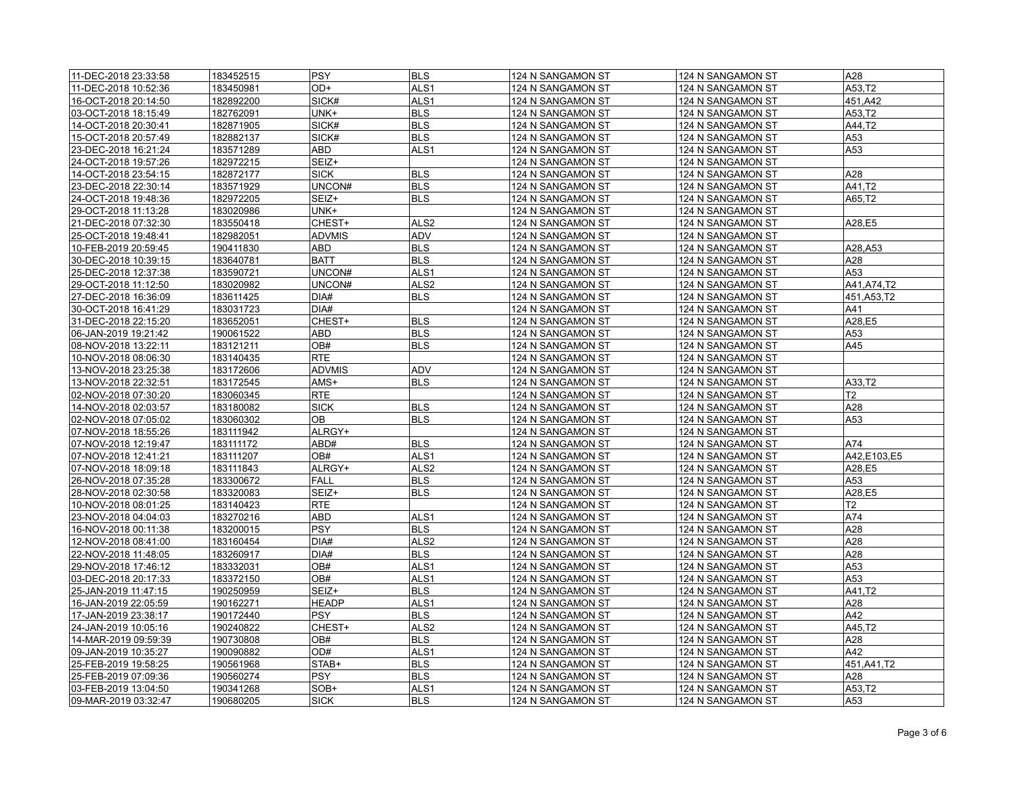| 11-DEC-2018 23:33:58 | 183452515 | PSY           | <b>BLS</b>       | 124 N SANGAMON ST | 124 N SANGAMON ST | A28            |
|----------------------|-----------|---------------|------------------|-------------------|-------------------|----------------|
| 11-DEC-2018 10:52:36 | 183450981 | OD+           | ALS <sub>1</sub> | 124 N SANGAMON ST | 124 N SANGAMON ST | A53,T2         |
| 16-OCT-2018 20:14:50 | 182892200 | SICK#         | ALS <sub>1</sub> | 124 N SANGAMON ST | 124 N SANGAMON ST | 451,A42        |
| 03-OCT-2018 18:15:49 | 182762091 | UNK+          | <b>BLS</b>       | 124 N SANGAMON ST | 124 N SANGAMON ST | A53,T2         |
| 14-OCT-2018 20:30:41 | 182871905 | SICK#         | <b>BLS</b>       | 124 N SANGAMON ST | 124 N SANGAMON ST | A44,T2         |
| 15-OCT-2018 20:57:49 | 182882137 | SICK#         | <b>BLS</b>       | 124 N SANGAMON ST | 124 N SANGAMON ST | A53            |
| 23-DEC-2018 16:21:24 | 183571289 | <b>ABD</b>    | ALS <sub>1</sub> | 124 N SANGAMON ST | 124 N SANGAMON ST | A53            |
| 24-OCT-2018 19:57:26 | 182972215 | SEIZ+         |                  | 124 N SANGAMON ST | 124 N SANGAMON ST |                |
| 14-OCT-2018 23:54:15 | 182872177 | <b>SICK</b>   | <b>BLS</b>       | 124 N SANGAMON ST | 124 N SANGAMON ST | A28            |
| 23-DEC-2018 22:30:14 | 183571929 | UNCON#        | <b>BLS</b>       | 124 N SANGAMON ST | 124 N SANGAMON ST | A41,T2         |
| 24-OCT-2018 19:48:36 | 182972205 | SEIZ+         | <b>BLS</b>       | 124 N SANGAMON ST | 124 N SANGAMON ST | A65,T2         |
| 29-OCT-2018 11:13:28 | 183020986 | UNK+          |                  | 124 N SANGAMON ST | 124 N SANGAMON ST |                |
| 21-DEC-2018 07:32:30 | 183550418 | CHEST+        | ALS <sub>2</sub> | 124 N SANGAMON ST | 124 N SANGAMON ST | A28,E5         |
| 25-OCT-2018 19:48:41 | 182982051 | <b>ADVMIS</b> | ADV              | 124 N SANGAMON ST | 124 N SANGAMON ST |                |
| 10-FEB-2019 20:59:45 | 190411830 | ABD           | <b>BLS</b>       | 124 N SANGAMON ST | 124 N SANGAMON ST | A28, A53       |
| 30-DEC-2018 10:39:15 | 183640781 | <b>BATT</b>   | <b>BLS</b>       | 124 N SANGAMON ST | 124 N SANGAMON ST | A28            |
| 25-DEC-2018 12:37:38 | 183590721 | UNCON#        | ALS <sub>1</sub> | 124 N SANGAMON ST | 124 N SANGAMON ST | A53            |
| 29-OCT-2018 11:12:50 | 183020982 | UNCON#        | ALS <sub>2</sub> | 124 N SANGAMON ST | 124 N SANGAMON ST | A41, A74, T2   |
| 27-DEC-2018 16:36:09 | 183611425 | DIA#          | <b>BLS</b>       | 124 N SANGAMON ST | 124 N SANGAMON ST | 451, A53, T2   |
| 30-OCT-2018 16:41:29 | 183031723 | DIA#          |                  | 124 N SANGAMON ST | 124 N SANGAMON ST | A41            |
| 31-DEC-2018 22:15:20 | 183652051 | CHEST+        | <b>BLS</b>       | 124 N SANGAMON ST | 124 N SANGAMON ST | A28,E5         |
| 06-JAN-2019 19:21:42 | 190061522 | ABD           | <b>BLS</b>       | 124 N SANGAMON ST | 124 N SANGAMON ST | A53            |
| 08-NOV-2018 13:22:11 | 183121211 | OB#           | <b>BLS</b>       | 124 N SANGAMON ST | 124 N SANGAMON ST | A45            |
| 10-NOV-2018 08:06:30 | 183140435 | <b>RTE</b>    |                  | 124 N SANGAMON ST | 124 N SANGAMON ST |                |
| 13-NOV-2018 23:25:38 | 183172606 | <b>ADVMIS</b> | ADV              | 124 N SANGAMON ST | 124 N SANGAMON ST |                |
| 13-NOV-2018 22:32:51 | 183172545 | AMS+          | <b>BLS</b>       | 124 N SANGAMON ST | 124 N SANGAMON ST | A33,T2         |
| 02-NOV-2018 07:30:20 | 183060345 | RTE           |                  | 124 N SANGAMON ST | 124 N SANGAMON ST | T <sub>2</sub> |
| 14-NOV-2018 02:03:57 | 183180082 | <b>SICK</b>   | <b>BLS</b>       | 124 N SANGAMON ST | 124 N SANGAMON ST | A28            |
| 02-NOV-2018 07:05:02 | 183060302 | OB            | <b>BLS</b>       | 124 N SANGAMON ST | 124 N SANGAMON ST | A53            |
| 07-NOV-2018 18:55:26 | 183111942 | ALRGY+        |                  | 124 N SANGAMON ST | 124 N SANGAMON ST |                |
| 07-NOV-2018 12:19:47 | 183111172 | ABD#          | <b>BLS</b>       | 124 N SANGAMON ST | 124 N SANGAMON ST | A74            |
| 07-NOV-2018 12:41:21 | 183111207 | OB#           | ALS <sub>1</sub> | 124 N SANGAMON ST | 124 N SANGAMON ST | A42,E103,E5    |
| 07-NOV-2018 18:09:18 | 183111843 | ALRGY+        | ALS <sub>2</sub> | 124 N SANGAMON ST | 124 N SANGAMON ST | A28,E5         |
| 26-NOV-2018 07:35:28 | 183300672 | FALL          | <b>BLS</b>       | 124 N SANGAMON ST | 124 N SANGAMON ST | A53            |
| 28-NOV-2018 02:30:58 | 183320083 | SEIZ+         | <b>BLS</b>       | 124 N SANGAMON ST | 124 N SANGAMON ST | A28,E5         |
| 10-NOV-2018 08:01:25 | 183140423 | <b>RTE</b>    |                  | 124 N SANGAMON ST | 124 N SANGAMON ST | T2             |
| 23-NOV-2018 04:04:03 | 183270216 | ABD           | ALS <sub>1</sub> | 124 N SANGAMON ST | 124 N SANGAMON ST | A74            |
| 16-NOV-2018 00:11:38 | 183200015 | $ $ PSY       | <b>BLS</b>       | 124 N SANGAMON ST | 124 N SANGAMON ST | A28            |
| 12-NOV-2018 08:41:00 | 183160454 | DIA#          | ALS <sub>2</sub> | 124 N SANGAMON ST | 124 N SANGAMON ST | A28            |
| 22-NOV-2018 11:48:05 | 183260917 | DIA#          | <b>BLS</b>       | 124 N SANGAMON ST | 124 N SANGAMON ST | A28            |
| 29-NOV-2018 17:46:12 | 183332031 | OB#           | ALS <sub>1</sub> | 124 N SANGAMON ST | 124 N SANGAMON ST | A53            |
| 03-DEC-2018 20:17:33 | 183372150 | OB#           | ALS <sub>1</sub> | 124 N SANGAMON ST | 124 N SANGAMON ST | A53            |
| 25-JAN-2019 11:47:15 | 190250959 | SEIZ+         | <b>BLS</b>       | 124 N SANGAMON ST | 124 N SANGAMON ST | A41,T2         |
| 16-JAN-2019 22:05:59 | 190162271 | <b>HEADP</b>  | ALS <sub>1</sub> | 124 N SANGAMON ST | 124 N SANGAMON ST | A28            |
| 17-JAN-2019 23:38:17 | 190172440 | PSY           | <b>BLS</b>       | 124 N SANGAMON ST | 124 N SANGAMON ST | A42            |
| 24-JAN-2019 10:05:16 | 190240822 | CHEST+        | ALS <sub>2</sub> | 124 N SANGAMON ST | 124 N SANGAMON ST | A45,T2         |
| 14-MAR-2019 09:59:39 | 190730808 | OB#           | <b>BLS</b>       | 124 N SANGAMON ST | 124 N SANGAMON ST | A28            |
| 09-JAN-2019 10:35:27 | 190090882 | OD#           | ALS <sub>1</sub> | 124 N SANGAMON ST | 124 N SANGAMON ST | A42            |
| 25-FEB-2019 19:58:25 | 190561968 | STAB+         | <b>BLS</b>       | 124 N SANGAMON ST | 124 N SANGAMON ST | 451, A41, T2   |
| 25-FEB-2019 07:09:36 | 190560274 | <b>PSY</b>    | <b>BLS</b>       | 124 N SANGAMON ST | 124 N SANGAMON ST | A28            |
| 03-FEB-2019 13:04:50 | 190341268 | SOB+          | ALS <sub>1</sub> | 124 N SANGAMON ST | 124 N SANGAMON ST | A53.T2         |
| 09-MAR-2019 03:32:47 | 190680205 | <b>SICK</b>   | <b>BLS</b>       | 124 N SANGAMON ST | 124 N SANGAMON ST | A53            |
|                      |           |               |                  |                   |                   |                |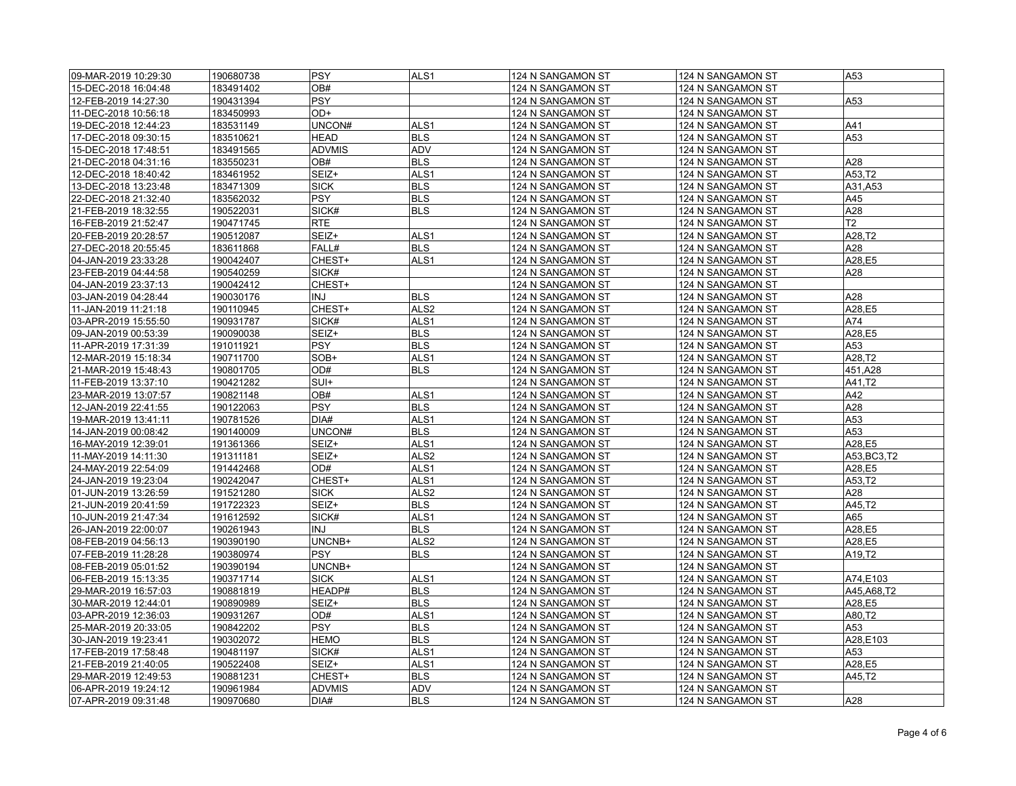| 09-MAR-2019 10:29:30 | 190680738 | PSY           | ALS <sub>1</sub> | 124 N SANGAMON ST | 124 N SANGAMON ST | A53          |
|----------------------|-----------|---------------|------------------|-------------------|-------------------|--------------|
| 15-DEC-2018 16:04:48 | 183491402 | OB#           |                  | 124 N SANGAMON ST | 124 N SANGAMON ST |              |
| 12-FEB-2019 14:27:30 | 190431394 | <b>PSY</b>    |                  | 124 N SANGAMON ST | 124 N SANGAMON ST | A53          |
| 11-DEC-2018 10:56:18 | 183450993 | OD+           |                  | 124 N SANGAMON ST | 124 N SANGAMON ST |              |
| 19-DEC-2018 12:44:23 | 183531149 | UNCON#        | ALS <sub>1</sub> | 124 N SANGAMON ST | 124 N SANGAMON ST | A41          |
| 17-DEC-2018 09:30:15 | 183510621 | <b>HEAD</b>   | <b>BLS</b>       | 124 N SANGAMON ST | 124 N SANGAMON ST | A53          |
| 15-DEC-2018 17:48:51 | 183491565 | <b>ADVMIS</b> | <b>ADV</b>       | 124 N SANGAMON ST | 124 N SANGAMON ST |              |
| 21-DEC-2018 04:31:16 | 183550231 | OB#           | <b>BLS</b>       | 124 N SANGAMON ST | 124 N SANGAMON ST | A28          |
| 12-DEC-2018 18:40:42 | 183461952 | SEIZ+         | ALS <sub>1</sub> | 124 N SANGAMON ST | 124 N SANGAMON ST | A53,T2       |
| 13-DEC-2018 13:23:48 | 183471309 | <b>SICK</b>   | <b>BLS</b>       | 124 N SANGAMON ST | 124 N SANGAMON ST | A31,A53      |
| 22-DEC-2018 21:32:40 | 183562032 | PSY           | <b>BLS</b>       | 124 N SANGAMON ST | 124 N SANGAMON ST | A45          |
| 21-FEB-2019 18:32:55 | 190522031 | SICK#         | <b>BLS</b>       | 124 N SANGAMON ST | 124 N SANGAMON ST | A28          |
| 16-FEB-2019 21:52:47 | 190471745 | <b>RTE</b>    |                  | 124 N SANGAMON ST | 124 N SANGAMON ST | T2           |
| 20-FEB-2019 20:28:57 | 190512087 | SEIZ+         | ALS1             | 124 N SANGAMON ST | 124 N SANGAMON ST | A28,T2       |
| 27-DEC-2018 20:55:45 | 183611868 | FALL#         | <b>BLS</b>       | 124 N SANGAMON ST | 124 N SANGAMON ST | A28          |
| 04-JAN-2019 23:33:28 | 190042407 | CHEST+        | ALS <sub>1</sub> | 124 N SANGAMON ST | 124 N SANGAMON ST | A28,E5       |
| 23-FEB-2019 04:44:58 | 190540259 | SICK#         |                  | 124 N SANGAMON ST | 124 N SANGAMON ST | A28          |
| 04-JAN-2019 23:37:13 | 190042412 | CHEST+        |                  | 124 N SANGAMON ST | 124 N SANGAMON ST |              |
|                      |           | INJ           | <b>BLS</b>       |                   |                   | A28          |
| 03-JAN-2019 04:28:44 | 190030176 |               |                  | 124 N SANGAMON ST | 124 N SANGAMON ST |              |
| 11-JAN-2019 11:21:18 | 190110945 | CHEST+        | ALS <sub>2</sub> | 124 N SANGAMON ST | 124 N SANGAMON ST | A28,E5       |
| 03-APR-2019 15:55:50 | 190931787 | SICK#         | ALS1             | 124 N SANGAMON ST | 124 N SANGAMON ST | A74          |
| 09-JAN-2019 00:53:39 | 190090038 | SEIZ+         | <b>BLS</b>       | 124 N SANGAMON ST | 124 N SANGAMON ST | A28,E5       |
| 11-APR-2019 17:31:39 | 191011921 | <b>PSY</b>    | <b>BLS</b>       | 124 N SANGAMON ST | 124 N SANGAMON ST | A53          |
| 12-MAR-2019 15:18:34 | 190711700 | SOB+          | ALS <sub>1</sub> | 124 N SANGAMON ST | 124 N SANGAMON ST | A28.T2       |
| 21-MAR-2019 15:48:43 | 190801705 | OD#           | <b>BLS</b>       | 124 N SANGAMON ST | 124 N SANGAMON ST | 451,A28      |
| 11-FEB-2019 13:37:10 | 190421282 | SUI+          |                  | 124 N SANGAMON ST | 124 N SANGAMON ST | A41,T2       |
| 23-MAR-2019 13:07:57 | 190821148 | OB#           | ALS <sub>1</sub> | 124 N SANGAMON ST | 124 N SANGAMON ST | A42          |
| 12-JAN-2019 22:41:55 | 190122063 | <b>PSY</b>    | <b>BLS</b>       | 124 N SANGAMON ST | 124 N SANGAMON ST | A28          |
| 19-MAR-2019 13:41:11 | 190781526 | DIA#          | ALS1             | 124 N SANGAMON ST | 124 N SANGAMON ST | A53          |
| 14-JAN-2019 00:08:42 | 190140009 | UNCON#        | <b>BLS</b>       | 124 N SANGAMON ST | 124 N SANGAMON ST | A53          |
| 16-MAY-2019 12:39:01 | 191361366 | SEIZ+         | ALS <sub>1</sub> | 124 N SANGAMON ST | 124 N SANGAMON ST | A28,E5       |
| 11-MAY-2019 14:11:30 | 191311181 | SEIZ+         | ALS <sub>2</sub> | 124 N SANGAMON ST | 124 N SANGAMON ST | A53, BC3, T2 |
| 24-MAY-2019 22:54:09 | 191442468 | OD#           | ALS <sub>1</sub> | 124 N SANGAMON ST | 124 N SANGAMON ST | A28,E5       |
| 24-JAN-2019 19:23:04 | 190242047 | CHEST+        | ALS <sub>1</sub> | 124 N SANGAMON ST | 124 N SANGAMON ST | A53,T2       |
| 01-JUN-2019 13:26:59 | 191521280 | <b>SICK</b>   | ALS <sub>2</sub> | 124 N SANGAMON ST | 124 N SANGAMON ST | A28          |
| 21-JUN-2019 20:41:59 | 191722323 | SEIZ+         | <b>BLS</b>       | 124 N SANGAMON ST | 124 N SANGAMON ST | A45,T2       |
| 10-JUN-2019 21:47:34 | 191612592 | SICK#         | ALS <sub>1</sub> | 124 N SANGAMON ST | 124 N SANGAMON ST | A65          |
| 26-JAN-2019 22:00:07 | 190261943 | INJ           | <b>BLS</b>       | 124 N SANGAMON ST | 124 N SANGAMON ST | A28,E5       |
| 08-FEB-2019 04:56:13 | 190390190 | UNCNB+        | ALS <sub>2</sub> | 124 N SANGAMON ST | 124 N SANGAMON ST | A28,E5       |
| 07-FEB-2019 11:28:28 | 190380974 | <b>PSY</b>    | <b>BLS</b>       | 124 N SANGAMON ST | 124 N SANGAMON ST | A19,T2       |
| 08-FEB-2019 05:01:52 | 190390194 | UNCNB+        |                  | 124 N SANGAMON ST | 124 N SANGAMON ST |              |
| 06-FEB-2019 15:13:35 | 190371714 | <b>SICK</b>   | ALS <sub>1</sub> | 124 N SANGAMON ST | 124 N SANGAMON ST | A74,E103     |
| 29-MAR-2019 16:57:03 | 190881819 | HEADP#        | <b>BLS</b>       | 124 N SANGAMON ST | 124 N SANGAMON ST | A45,A68,T2   |
| 30-MAR-2019 12:44:01 | 190890989 | SEIZ+         | <b>BLS</b>       | 124 N SANGAMON ST | 124 N SANGAMON ST | A28,E5       |
| 03-APR-2019 12:36:03 | 190931267 | OD#           | ALS <sub>1</sub> | 124 N SANGAMON ST | 124 N SANGAMON ST | A80,T2       |
| 25-MAR-2019 20:33:05 | 190842202 | PSY           | <b>BLS</b>       | 124 N SANGAMON ST | 124 N SANGAMON ST | A53          |
| 30-JAN-2019 19:23:41 | 190302072 | <b>HEMO</b>   | <b>BLS</b>       | 124 N SANGAMON ST | 124 N SANGAMON ST | A28,E103     |
| 17-FEB-2019 17:58:48 | 190481197 | SICK#         | ALS1             | 124 N SANGAMON ST | 124 N SANGAMON ST | A53          |
| 21-FEB-2019 21:40:05 | 190522408 | SEIZ+         | ALS <sub>1</sub> | 124 N SANGAMON ST | 124 N SANGAMON ST | A28,E5       |
| 29-MAR-2019 12:49:53 | 190881231 | CHEST+        | <b>BLS</b>       | 124 N SANGAMON ST | 124 N SANGAMON ST | A45,T2       |
| 06-APR-2019 19:24:12 | 190961984 | <b>ADVMIS</b> | <b>ADV</b>       | 124 N SANGAMON ST | 124 N SANGAMON ST |              |
| 07-APR-2019 09:31:48 | 190970680 | DIA#          | <b>BLS</b>       | 124 N SANGAMON ST | 124 N SANGAMON ST | A28          |
|                      |           |               |                  |                   |                   |              |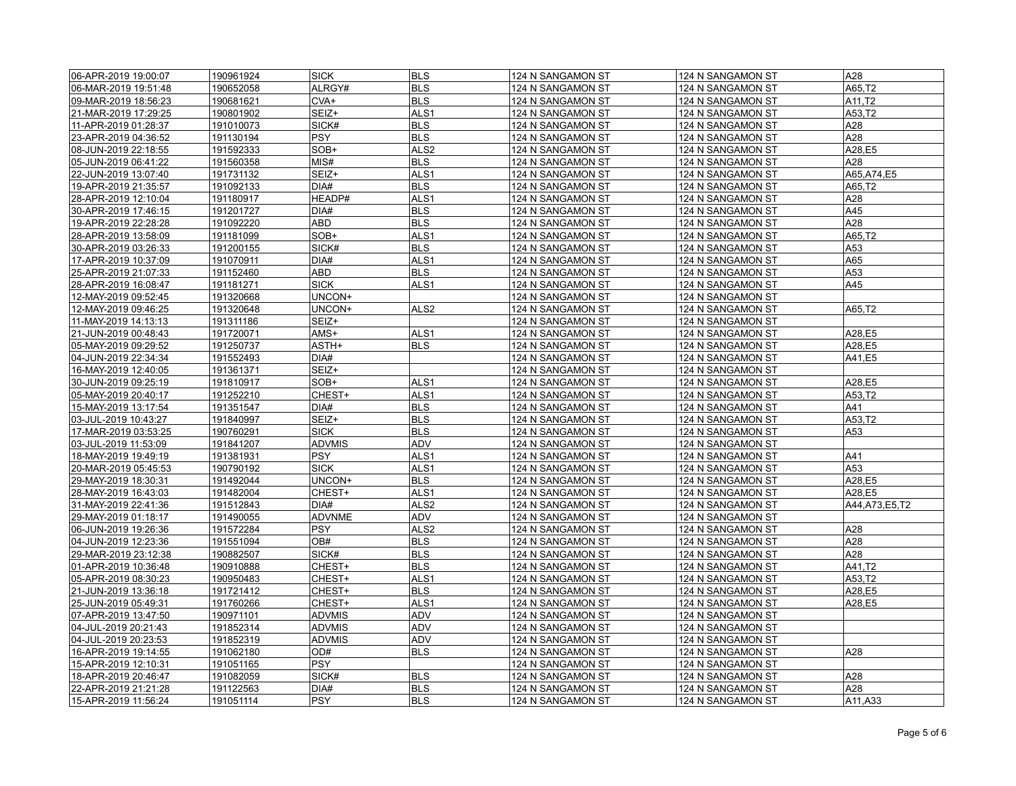| 06-APR-2019 19:00:07 | 190961924 | <b>SICK</b>   | <b>BLS</b>       | 124 N SANGAMON ST                      | 124 N SANGAMON ST                      | A28              |
|----------------------|-----------|---------------|------------------|----------------------------------------|----------------------------------------|------------------|
| 06-MAR-2019 19:51:48 | 190652058 | ALRGY#        | <b>BLS</b>       | 124 N SANGAMON ST                      | 124 N SANGAMON ST                      | A65,T2           |
| 09-MAR-2019 18:56:23 | 190681621 | CVA+          | <b>BLS</b>       | 124 N SANGAMON ST                      | 124 N SANGAMON ST                      | A11,T2           |
| 21-MAR-2019 17:29:25 | 190801902 | SEIZ+         | ALS1             | 124 N SANGAMON ST                      | 124 N SANGAMON ST                      | A53,T2           |
| 11-APR-2019 01:28:37 | 191010073 | SICK#         | <b>BLS</b>       | 124 N SANGAMON ST                      | 124 N SANGAMON ST                      | A28              |
| 23-APR-2019 04:36:52 | 191130194 | <b>PSY</b>    | <b>BLS</b>       | 124 N SANGAMON ST                      | 124 N SANGAMON ST                      | A28              |
| 08-JUN-2019 22:18:55 | 191592333 | SOB+          | ALS <sub>2</sub> | 124 N SANGAMON ST                      | 124 N SANGAMON ST                      | A28,E5           |
| 05-JUN-2019 06:41:22 | 191560358 | MIS#          | <b>BLS</b>       | 124 N SANGAMON ST                      | 124 N SANGAMON ST                      | A28              |
| 22-JUN-2019 13:07:40 | 191731132 | SEIZ+         | ALS <sub>1</sub> | 124 N SANGAMON ST                      | 124 N SANGAMON ST                      | A65, A74, E5     |
| 19-APR-2019 21:35:57 | 191092133 | DIA#          | <b>BLS</b>       | 124 N SANGAMON ST                      | 124 N SANGAMON ST                      | A65,T2           |
| 28-APR-2019 12:10:04 | 191180917 | HEADP#        | ALS <sub>1</sub> | 124 N SANGAMON ST                      | 124 N SANGAMON ST                      | A28              |
| 30-APR-2019 17:46:15 | 191201727 | DIA#          | <b>BLS</b>       | 124 N SANGAMON ST                      | 124 N SANGAMON ST                      | A45              |
| 19-APR-2019 22:28:28 | 191092220 | ABD           | <b>BLS</b>       | 124 N SANGAMON ST                      | 124 N SANGAMON ST                      | A28              |
| 28-APR-2019 13:58:09 | 191181099 | SOB+          | ALS <sub>1</sub> | 124 N SANGAMON ST                      | 124 N SANGAMON ST                      | A65,T2           |
| 30-APR-2019 03:26:33 | 191200155 | SICK#         | <b>BLS</b>       | 124 N SANGAMON ST                      | 124 N SANGAMON ST                      | A53              |
| 17-APR-2019 10:37:09 | 191070911 | DIA#          | ALS <sub>1</sub> | 124 N SANGAMON ST                      | 124 N SANGAMON ST                      | A65              |
| 25-APR-2019 21:07:33 | 191152460 | ABD           | <b>BLS</b>       | 124 N SANGAMON ST                      | 124 N SANGAMON ST                      | A53              |
| 28-APR-2019 16:08:47 | 191181271 | <b>SICK</b>   | ALS <sub>1</sub> | 124 N SANGAMON ST                      | 124 N SANGAMON ST                      | A45              |
| 12-MAY-2019 09:52:45 | 191320668 | UNCON+        |                  | 124 N SANGAMON ST                      | 124 N SANGAMON ST                      |                  |
| 12-MAY-2019 09:46:25 | 191320648 | UNCON+        | ALS <sub>2</sub> | 124 N SANGAMON ST                      | 124 N SANGAMON ST                      | A65,T2           |
| 11-MAY-2019 14:13:13 | 191311186 | SEIZ+         |                  | 124 N SANGAMON ST                      | 124 N SANGAMON ST                      |                  |
| 21-JUN-2019 00:48:43 | 191720071 | AMS+          | ALS <sub>1</sub> | 124 N SANGAMON ST                      | 124 N SANGAMON ST                      | A28,E5           |
| 05-MAY-2019 09:29:52 | 191250737 | ASTH+         | <b>BLS</b>       | 124 N SANGAMON ST                      | 124 N SANGAMON ST                      | A28,E5           |
| 04-JUN-2019 22:34:34 | 191552493 | DIA#          |                  | 124 N SANGAMON ST                      | 124 N SANGAMON ST                      | A41,E5           |
| 16-MAY-2019 12:40:05 | 191361371 | SEIZ+         |                  | 124 N SANGAMON ST                      | 124 N SANGAMON ST                      |                  |
| 30-JUN-2019 09:25:19 | 191810917 | SOB+          | ALS <sub>1</sub> | 124 N SANGAMON ST                      | 124 N SANGAMON ST                      | A28,E5           |
| 05-MAY-2019 20:40:17 | 191252210 | CHEST+        | ALS1             | 124 N SANGAMON ST                      | 124 N SANGAMON ST                      | A53,T2           |
| 15-MAY-2019 13:17:54 | 191351547 | DIA#          | <b>BLS</b>       | 124 N SANGAMON ST                      | 124 N SANGAMON ST                      | A41              |
| 03-JUL-2019 10:43:27 | 191840997 | SEIZ+         | <b>BLS</b>       | 124 N SANGAMON ST                      | 124 N SANGAMON ST                      | A53,T2           |
| 17-MAR-2019 03:53:25 | 190760291 | <b>SICK</b>   | <b>BLS</b>       | 124 N SANGAMON ST                      | 124 N SANGAMON ST                      | A53              |
| 03-JUL-2019 11:53:09 | 191841207 | <b>ADVMIS</b> | ADV              | 124 N SANGAMON ST                      | 124 N SANGAMON ST                      |                  |
| 18-MAY-2019 19:49:19 | 191381931 | <b>PSY</b>    | ALS <sub>1</sub> | 124 N SANGAMON ST                      | 124 N SANGAMON ST                      | A41              |
| 20-MAR-2019 05:45:53 | 190790192 | <b>SICK</b>   | ALS <sub>1</sub> | 124 N SANGAMON ST                      | 124 N SANGAMON ST                      | A53              |
| 29-MAY-2019 18:30:31 | 191492044 | UNCON+        | <b>BLS</b>       | 124 N SANGAMON ST                      | 124 N SANGAMON ST                      | A28,E5           |
| 28-MAY-2019 16:43:03 | 191482004 | CHEST+        | ALS <sub>1</sub> | 124 N SANGAMON ST                      | 124 N SANGAMON ST                      | A28,E5           |
| 31-MAY-2019 22:41:36 | 191512843 | DIA#          | ALS <sub>2</sub> | 124 N SANGAMON ST                      | 124 N SANGAMON ST                      | A44, A73, E5, T2 |
| 29-MAY-2019 01:18:17 | 191490055 | <b>ADVNME</b> | <b>ADV</b>       | 124 N SANGAMON ST                      | 124 N SANGAMON ST                      |                  |
| 06-JUN-2019 19:26:36 | 191572284 | PSY           | ALS <sub>2</sub> |                                        |                                        | A28              |
| 04-JUN-2019 12:23:36 | 191551094 | OB#           | <b>BLS</b>       | 124 N SANGAMON ST<br>124 N SANGAMON ST | 124 N SANGAMON ST<br>124 N SANGAMON ST | A28              |
| 29-MAR-2019 23:12:38 | 190882507 | SICK#         | <b>BLS</b>       | 124 N SANGAMON ST                      | 124 N SANGAMON ST                      | A28              |
| 01-APR-2019 10:36:48 | 190910888 | CHEST+        | <b>BLS</b>       | 124 N SANGAMON ST                      | 124 N SANGAMON ST                      | A41,T2           |
|                      |           |               |                  |                                        |                                        |                  |
| 05-APR-2019 08:30:23 | 190950483 | CHEST+        | ALS <sub>1</sub> | 124 N SANGAMON ST                      | 124 N SANGAMON ST                      | A53,T2           |
| 21-JUN-2019 13:36:18 | 191721412 | CHEST+        | <b>BLS</b>       | 124 N SANGAMON ST                      | 124 N SANGAMON ST                      | A28,E5           |
| 25-JUN-2019 05:49:31 | 191760266 | CHEST+        | ALS1             | 124 N SANGAMON ST                      | 124 N SANGAMON ST                      | A28,E5           |
| 07-APR-2019 13:47:50 | 190971101 | <b>ADVMIS</b> | <b>ADV</b>       | 124 N SANGAMON ST                      | 124 N SANGAMON ST                      |                  |
| 04-JUL-2019 20:21:43 | 191852314 | <b>ADVMIS</b> | <b>ADV</b>       | 124 N SANGAMON ST                      | 124 N SANGAMON ST                      |                  |
| 04-JUL-2019 20:23:53 | 191852319 | <b>ADVMIS</b> | ADV              | 124 N SANGAMON ST                      | 124 N SANGAMON ST                      |                  |
| 16-APR-2019 19:14:55 | 191062180 | OD#           | <b>BLS</b>       | 124 N SANGAMON ST                      | 124 N SANGAMON ST                      | A28              |
| 15-APR-2019 12:10:31 | 191051165 | <b>PSY</b>    |                  | 124 N SANGAMON ST                      | 124 N SANGAMON ST                      |                  |
| 18-APR-2019 20:46:47 | 191082059 | SICK#         | <b>BLS</b>       | 124 N SANGAMON ST                      | 124 N SANGAMON ST                      | A28              |
| 22-APR-2019 21:21:28 | 191122563 | DIA#          | <b>BLS</b>       | 124 N SANGAMON ST                      | 124 N SANGAMON ST                      | A28              |
| 15-APR-2019 11:56:24 | 191051114 | <b>PSY</b>    | <b>BLS</b>       | 124 N SANGAMON ST                      | 124 N SANGAMON ST                      | A11,A33          |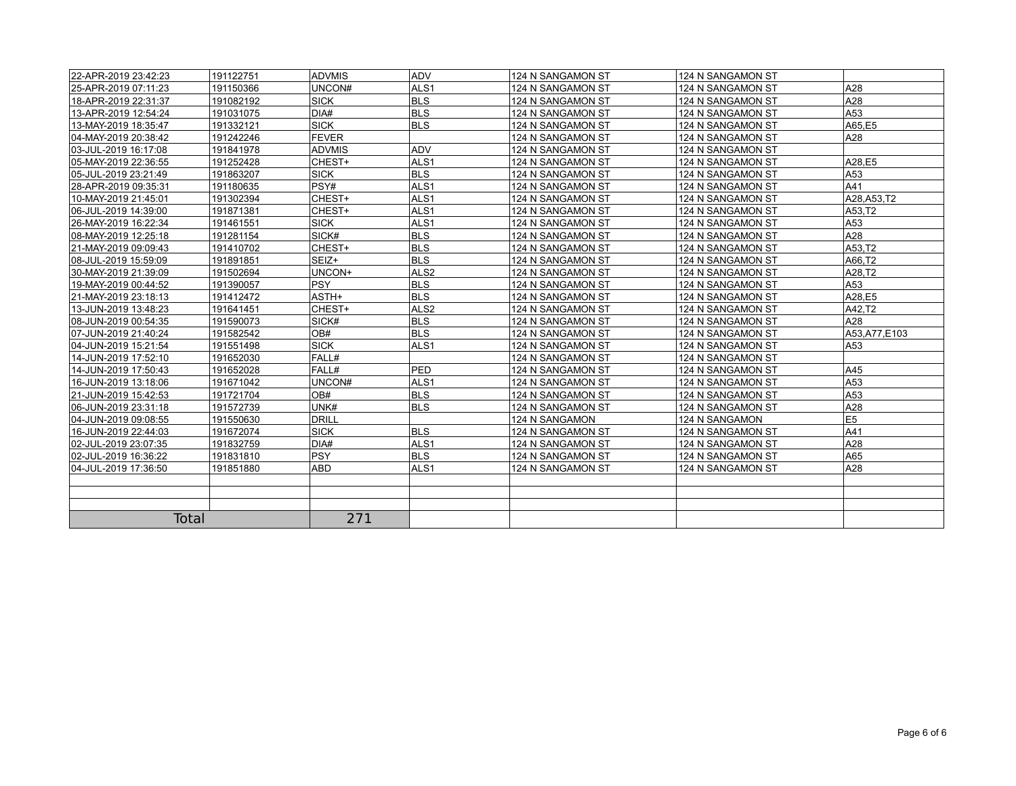| 22-APR-2019 23:42:23 | 191122751 | <b>ADVMIS</b> | ADV              | 124 N SANGAMON ST | 124 N SANGAMON ST |                |
|----------------------|-----------|---------------|------------------|-------------------|-------------------|----------------|
| 25-APR-2019 07:11:23 | 191150366 | UNCON#        | ALS <sub>1</sub> | 124 N SANGAMON ST | 124 N SANGAMON ST | A28            |
| 18-APR-2019 22:31:37 | 191082192 | <b>SICK</b>   | <b>BLS</b>       | 124 N SANGAMON ST | 124 N SANGAMON ST | A28            |
| 13-APR-2019 12:54:24 | 191031075 | DIA#          | <b>BLS</b>       | 124 N SANGAMON ST | 124 N SANGAMON ST | A53            |
| 13-MAY-2019 18:35:47 | 191332121 | <b>SICK</b>   | <b>BLS</b>       | 124 N SANGAMON ST | 124 N SANGAMON ST | A65.E5         |
| 04-MAY-2019 20:38:42 | 191242246 | <b>FEVER</b>  |                  | 124 N SANGAMON ST | 124 N SANGAMON ST | A28            |
| 03-JUL-2019 16:17:08 | 191841978 | <b>ADVMIS</b> | <b>ADV</b>       | 124 N SANGAMON ST | 124 N SANGAMON ST |                |
| 05-MAY-2019 22:36:55 | 191252428 | CHEST+        | ALS <sub>1</sub> | 124 N SANGAMON ST | 124 N SANGAMON ST | A28,E5         |
| 05-JUL-2019 23:21:49 | 191863207 | <b>SICK</b>   | <b>BLS</b>       | 124 N SANGAMON ST | 124 N SANGAMON ST | A53            |
| 28-APR-2019 09:35:31 | 191180635 | PSY#          | ALS <sub>1</sub> | 124 N SANGAMON ST | 124 N SANGAMON ST | A41            |
| 10-MAY-2019 21:45:01 | 191302394 | CHEST+        | ALS <sub>1</sub> | 124 N SANGAMON ST | 124 N SANGAMON ST | A28.A53.T2     |
| 06-JUL-2019 14:39:00 | 191871381 | CHEST+        | ALS <sub>1</sub> | 124 N SANGAMON ST | 124 N SANGAMON ST | A53,T2         |
| 26-MAY-2019 16:22:34 | 191461551 | <b>SICK</b>   | ALS1             | 124 N SANGAMON ST | 124 N SANGAMON ST | A53            |
| 08-MAY-2019 12:25:18 | 191281154 | SICK#         | <b>BLS</b>       | 124 N SANGAMON ST | 124 N SANGAMON ST | A28            |
| 21-MAY-2019 09:09:43 | 191410702 | CHEST+        | <b>BLS</b>       | 124 N SANGAMON ST | 124 N SANGAMON ST | A53,T2         |
| 08-JUL-2019 15:59:09 | 191891851 | SEIZ+         | <b>BLS</b>       | 124 N SANGAMON ST | 124 N SANGAMON ST | A66.T2         |
| 30-MAY-2019 21:39:09 | 191502694 | UNCON+        | ALS <sub>2</sub> | 124 N SANGAMON ST | 124 N SANGAMON ST | A28,T2         |
| 19-MAY-2019 00:44:52 | 191390057 | <b>PSY</b>    | <b>BLS</b>       | 124 N SANGAMON ST | 124 N SANGAMON ST | A53            |
| 21-MAY-2019 23:18:13 | 191412472 | ASTH+         | <b>BLS</b>       | 124 N SANGAMON ST | 124 N SANGAMON ST | A28,E5         |
| 13-JUN-2019 13:48:23 | 191641451 | CHEST+        | ALS <sub>2</sub> | 124 N SANGAMON ST | 124 N SANGAMON ST | A42.T2         |
| 08-JUN-2019 00:54:35 | 191590073 | SICK#         | <b>BLS</b>       | 124 N SANGAMON ST | 124 N SANGAMON ST | A28            |
| 07-JUN-2019 21:40:24 | 191582542 | OB#           | <b>BLS</b>       | 124 N SANGAMON ST | 124 N SANGAMON ST | A53, A77, E103 |
| 04-JUN-2019 15:21:54 | 191551498 | <b>SICK</b>   | ALS <sub>1</sub> | 124 N SANGAMON ST | 124 N SANGAMON ST | A53            |
| 14-JUN-2019 17:52:10 | 191652030 | FALL#         |                  | 124 N SANGAMON ST | 124 N SANGAMON ST |                |
| 14-JUN-2019 17:50:43 | 191652028 | FALL#         | PED              | 124 N SANGAMON ST | 124 N SANGAMON ST | A45            |
| 16-JUN-2019 13:18:06 | 191671042 | UNCON#        | ALS <sub>1</sub> | 124 N SANGAMON ST | 124 N SANGAMON ST | A53            |
| 21-JUN-2019 15:42:53 | 191721704 | OB#           | <b>BLS</b>       | 124 N SANGAMON ST | 124 N SANGAMON ST | A53            |
| 06-JUN-2019 23:31:18 | 191572739 | UNK#          | <b>BLS</b>       | 124 N SANGAMON ST | 124 N SANGAMON ST | A28            |
| 04-JUN-2019 09:08:55 | 191550630 | <b>DRILL</b>  |                  | 124 N SANGAMON    | 124 N SANGAMON    | E5             |
| 16-JUN-2019 22:44:03 | 191672074 | <b>SICK</b>   | <b>BLS</b>       | 124 N SANGAMON ST | 124 N SANGAMON ST | A41            |
| 02-JUL-2019 23:07:35 | 191832759 | DIA#          | ALS <sub>1</sub> | 124 N SANGAMON ST | 124 N SANGAMON ST | A28            |
| 02-JUL-2019 16:36:22 | 191831810 | <b>PSY</b>    | <b>BLS</b>       | 124 N SANGAMON ST | 124 N SANGAMON ST | A65            |
| 04-JUL-2019 17:36:50 | 191851880 | <b>ABD</b>    | ALS <sub>1</sub> | 124 N SANGAMON ST | 124 N SANGAMON ST | A28            |
|                      |           |               |                  |                   |                   |                |
|                      |           |               |                  |                   |                   |                |
|                      |           |               |                  |                   |                   |                |
| Total                |           | 271           |                  |                   |                   |                |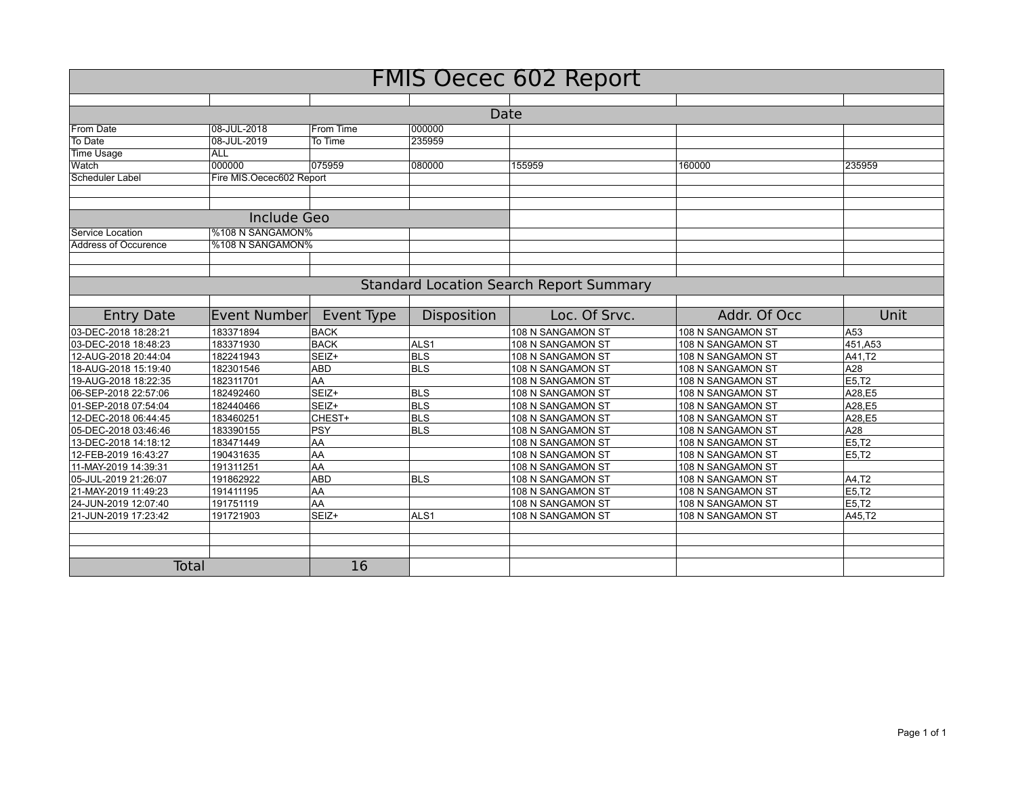| <b>FMIS Oecec 602 Report</b> |                                                |             |                  |                   |                   |         |  |  |
|------------------------------|------------------------------------------------|-------------|------------------|-------------------|-------------------|---------|--|--|
|                              |                                                |             |                  |                   |                   |         |  |  |
| Date                         |                                                |             |                  |                   |                   |         |  |  |
| From Date                    | 08-JUL-2018                                    | From Time   | 000000           |                   |                   |         |  |  |
| To Date                      | 08-JUL-2019                                    | To Time     | 235959           |                   |                   |         |  |  |
| <b>Time Usage</b>            | <b>ALL</b>                                     |             |                  |                   |                   |         |  |  |
| Watch                        | 000000                                         | 075959      | 080000           | 155959            | 160000            | 235959  |  |  |
| Scheduler Label              | Fire MIS.Oecec602 Report                       |             |                  |                   |                   |         |  |  |
|                              |                                                |             |                  |                   |                   |         |  |  |
|                              |                                                |             |                  |                   |                   |         |  |  |
|                              | Include Geo                                    |             |                  |                   |                   |         |  |  |
| Service Location             | %108 N SANGAMON%                               |             |                  |                   |                   |         |  |  |
| Address of Occurence         | %108 N SANGAMON%                               |             |                  |                   |                   |         |  |  |
|                              |                                                |             |                  |                   |                   |         |  |  |
|                              |                                                |             |                  |                   |                   |         |  |  |
|                              |                                                |             |                  |                   |                   |         |  |  |
|                              | <b>Standard Location Search Report Summary</b> |             |                  |                   |                   |         |  |  |
| <b>Entry Date</b>            | Event Number                                   | Event Type  | Disposition      | Loc. Of Srvc.     | Addr. Of Occ      | Unit    |  |  |
| 03-DEC-2018 18:28:21         | 183371894                                      | <b>BACK</b> |                  | 108 N SANGAMON ST | 108 N SANGAMON ST | A53     |  |  |
| 03-DEC-2018 18:48:23         | 183371930                                      | <b>BACK</b> | ALS <sub>1</sub> | 108 N SANGAMON ST | 108 N SANGAMON ST | 451,A53 |  |  |
| 12-AUG-2018 20:44:04         | 182241943                                      | SEIZ+       | <b>BLS</b>       | 108 N SANGAMON ST | 108 N SANGAMON ST | A41.T2  |  |  |
| 18-AUG-2018 15:19:40         | 182301546                                      | <b>ABD</b>  | <b>BLS</b>       | 108 N SANGAMON ST | 108 N SANGAMON ST | A28     |  |  |
| 19-AUG-2018 18:22:35         | 182311701                                      | AA          |                  | 108 N SANGAMON ST | 108 N SANGAMON ST | E5.T2   |  |  |
| 06-SEP-2018 22:57:06         | 182492460                                      | SEIZ+       | <b>BLS</b>       | 108 N SANGAMON ST | 108 N SANGAMON ST | A28.E5  |  |  |
| 01-SEP-2018 07:54:04         | 182440466                                      | SEIZ+       | <b>BLS</b>       | 108 N SANGAMON ST | 108 N SANGAMON ST | A28.E5  |  |  |
| 12-DEC-2018 06:44:45         | 183460251                                      | CHEST+      | <b>BLS</b>       | 108 N SANGAMON ST | 108 N SANGAMON ST | A28,E5  |  |  |
| 05-DEC-2018 03:46:46         | 183390155                                      | PSY         | <b>BLS</b>       | 108 N SANGAMON ST | 108 N SANGAMON ST | A28     |  |  |
| 13-DEC-2018 14:18:12         | 183471449                                      | AA          |                  | 108 N SANGAMON ST | 108 N SANGAMON ST | E5,T2   |  |  |
| 12-FEB-2019 16:43:27         | 190431635                                      | <b>AA</b>   |                  | 108 N SANGAMON ST | 108 N SANGAMON ST | E5,T2   |  |  |
| 11-MAY-2019 14:39:31         | 191311251                                      | <b>AA</b>   |                  | 108 N SANGAMON ST | 108 N SANGAMON ST |         |  |  |
| 05-JUL-2019 21:26:07         | 191862922                                      | <b>ABD</b>  | <b>BLS</b>       | 108 N SANGAMON ST | 108 N SANGAMON ST | A4.T2   |  |  |
| 21-MAY-2019 11:49:23         | 191411195                                      | <b>AA</b>   |                  | 108 N SANGAMON ST | 108 N SANGAMON ST | E5.T2   |  |  |
| 24-JUN-2019 12:07:40         | 191751119                                      | AA          |                  | 108 N SANGAMON ST | 108 N SANGAMON ST | E5,T2   |  |  |
| 21-JUN-2019 17:23:42         | 191721903                                      | SEIZ+       | ALS <sub>1</sub> | 108 N SANGAMON ST | 108 N SANGAMON ST | A45,T2  |  |  |
|                              |                                                |             |                  |                   |                   |         |  |  |
|                              |                                                |             |                  |                   |                   |         |  |  |
|                              |                                                | 16          |                  |                   |                   |         |  |  |
| <b>Total</b>                 |                                                |             |                  |                   |                   |         |  |  |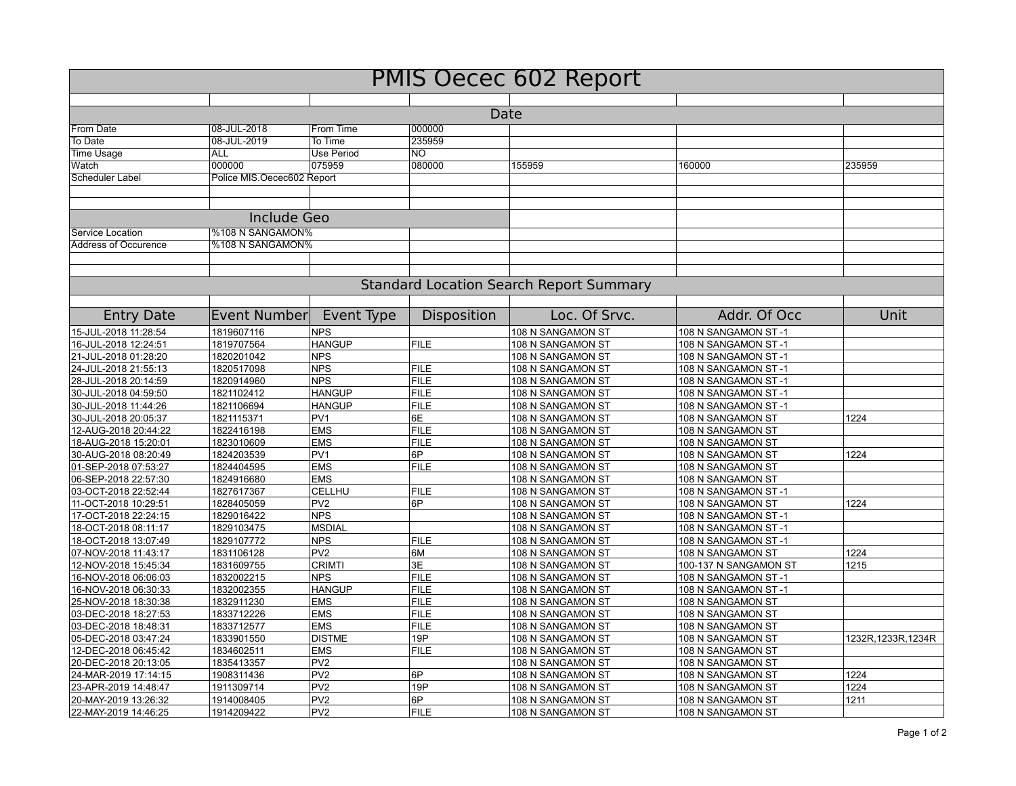| <b>PMIS Oecec 602 Report</b> |                            |                              |                  |                                                |                       |                     |  |  |
|------------------------------|----------------------------|------------------------------|------------------|------------------------------------------------|-----------------------|---------------------|--|--|
| Date                         |                            |                              |                  |                                                |                       |                     |  |  |
|                              |                            |                              |                  |                                                |                       |                     |  |  |
| From Date                    | 08-JUL-2018                | From Time                    | 000000<br>235959 |                                                |                       |                     |  |  |
| To Date                      | 08-JUL-2019<br><b>ALL</b>  | To Time<br><b>Use Period</b> | $\overline{NO}$  |                                                |                       |                     |  |  |
| <b>Time Usage</b><br>Watch   | 000000                     | 075959                       | 080000           | 155959                                         | 160000                | 235959              |  |  |
| Scheduler Label              |                            |                              |                  |                                                |                       |                     |  |  |
|                              | Police MIS.Oecec602 Report |                              |                  |                                                |                       |                     |  |  |
|                              | <b>Include Geo</b>         |                              |                  |                                                |                       |                     |  |  |
| Service Location             | %108 N SANGAMON%           |                              |                  |                                                |                       |                     |  |  |
| Address of Occurence         | %108 N SANGAMON%           |                              |                  |                                                |                       |                     |  |  |
|                              |                            |                              |                  |                                                |                       |                     |  |  |
|                              |                            |                              |                  | <b>Standard Location Search Report Summary</b> |                       |                     |  |  |
| <b>Entry Date</b>            | <b>Event Number</b>        | Event Type                   | Disposition      | Loc. Of Srvc.                                  | Addr. Of Occ          | Unit                |  |  |
| 15-JUL-2018 11:28:54         | 1819607116                 | <b>NPS</b>                   |                  | 108 N SANGAMON ST                              | 108 N SANGAMON ST-1   |                     |  |  |
| 16-JUL-2018 12:24:51         | 1819707564                 | <b>HANGUP</b>                | <b>FILE</b>      | 108 N SANGAMON ST                              | 108 N SANGAMON ST-1   |                     |  |  |
| 21-JUL-2018 01:28:20         | 1820201042                 | <b>NPS</b>                   |                  | 108 N SANGAMON ST                              | 108 N SANGAMON ST-1   |                     |  |  |
| 24-JUL-2018 21:55:13         | 1820517098                 | <b>NPS</b>                   | <b>FILE</b>      | 108 N SANGAMON ST                              | 108 N SANGAMON ST-1   |                     |  |  |
| 28-JUL-2018 20:14:59         | 1820914960                 | <b>NPS</b>                   | <b>FILE</b>      | 108 N SANGAMON ST                              | 108 N SANGAMON ST-1   |                     |  |  |
| 30-JUL-2018 04:59:50         | 1821102412                 | <b>HANGUP</b>                | <b>FILE</b>      | 108 N SANGAMON ST                              | 108 N SANGAMON ST-1   |                     |  |  |
| 30-JUL-2018 11:44:26         | 1821106694                 | <b>HANGUP</b>                | <b>FILE</b>      | 108 N SANGAMON ST                              | 108 N SANGAMON ST-1   |                     |  |  |
| 30-JUL-2018 20:05:37         | 1821115371                 | PV <sub>1</sub>              | 6E               | 108 N SANGAMON ST                              | 108 N SANGAMON ST     | 1224                |  |  |
| 12-AUG-2018 20:44:22         | 1822416198                 | <b>EMS</b>                   | <b>FILE</b>      | 108 N SANGAMON ST                              | 108 N SANGAMON ST     |                     |  |  |
| 18-AUG-2018 15:20:01         | 1823010609                 | <b>EMS</b>                   | <b>FILE</b>      | 108 N SANGAMON ST                              | 108 N SANGAMON ST     |                     |  |  |
| 30-AUG-2018 08:20:49         | 1824203539                 | PV <sub>1</sub>              | 6P               | 108 N SANGAMON ST                              | 108 N SANGAMON ST     | 1224                |  |  |
| 01-SEP-2018 07:53:27         | 1824404595                 | <b>EMS</b>                   | <b>FILE</b>      | 108 N SANGAMON ST                              | 108 N SANGAMON ST     |                     |  |  |
| 06-SEP-2018 22:57:30         | 1824916680                 | <b>EMS</b>                   |                  | 108 N SANGAMON ST                              | 108 N SANGAMON ST     |                     |  |  |
| 03-OCT-2018 22:52:44         | 1827617367                 | CELLHU                       | <b>FILE</b>      | 108 N SANGAMON ST                              | 108 N SANGAMON ST-1   |                     |  |  |
| 11-OCT-2018 10:29:51         | 1828405059                 | PV <sub>2</sub>              | 6P               | 108 N SANGAMON ST                              | 108 N SANGAMON ST     | 1224                |  |  |
| 17-OCT-2018 22:24:15         | 1829016422                 | <b>NPS</b>                   |                  | 108 N SANGAMON ST                              | 108 N SANGAMON ST-1   |                     |  |  |
| 18-OCT-2018 08:11:17         | 1829103475                 | <b>MSDIAL</b>                |                  | 108 N SANGAMON ST                              | 108 N SANGAMON ST-1   |                     |  |  |
| 18-OCT-2018 13:07:49         | 1829107772                 | <b>NPS</b>                   | <b>FILE</b>      | 108 N SANGAMON ST                              | 108 N SANGAMON ST-1   |                     |  |  |
| 07-NOV-2018 11:43:17         | 1831106128                 | PV <sub>2</sub>              | 6M               | 108 N SANGAMON ST                              | 108 N SANGAMON ST     | 1224                |  |  |
| 12-NOV-2018 15:45:34         | 1831609755                 | <b>CRIMTI</b>                | 3E               | 108 N SANGAMON ST                              | 100-137 N SANGAMON ST | 1215                |  |  |
| 16-NOV-2018 06:06:03         | 1832002215                 | <b>NPS</b>                   | <b>FILE</b>      | 108 N SANGAMON ST                              | 108 N SANGAMON ST-1   |                     |  |  |
| 16-NOV-2018 06:30:33         | 1832002355                 | <b>HANGUP</b>                | <b>FILE</b>      | 108 N SANGAMON ST                              | 108 N SANGAMON ST-1   |                     |  |  |
| 25-NOV-2018 18:30:38         | 1832911230                 | <b>EMS</b>                   | <b>FILE</b>      | 108 N SANGAMON ST                              | 108 N SANGAMON ST     |                     |  |  |
| 03-DEC-2018 18:27:53         | 1833712226                 | <b>EMS</b>                   | <b>FILE</b>      | 108 N SANGAMON ST                              | 108 N SANGAMON ST     |                     |  |  |
| 03-DEC-2018 18:48:31         | 1833712577                 | <b>EMS</b>                   | <b>FILE</b>      | 108 N SANGAMON ST                              | 108 N SANGAMON ST     |                     |  |  |
| 05-DEC-2018 03:47:24         | 1833901550                 | <b>DISTME</b>                | 19P              | 108 N SANGAMON ST                              | 108 N SANGAMON ST     | 1232R, 1233R, 1234R |  |  |
| 12-DEC-2018 06:45:42         | 1834602511                 | <b>EMS</b>                   | <b>FILE</b>      | 108 N SANGAMON ST                              | 108 N SANGAMON ST     |                     |  |  |
| 20-DEC-2018 20:13:05         | 1835413357                 | PV <sub>2</sub>              |                  | 108 N SANGAMON ST                              | 108 N SANGAMON ST     |                     |  |  |
| 24-MAR-2019 17:14:15         | 1908311436                 | PV <sub>2</sub>              | 6P               | 108 N SANGAMON ST                              | 108 N SANGAMON ST     | 1224                |  |  |
| 23-APR-2019 14:48:47         | 1911309714                 | PV <sub>2</sub>              | 19P              | 108 N SANGAMON ST                              | 108 N SANGAMON ST     | 1224                |  |  |
| 20-MAY-2019 13:26:32         | 1914008405                 | PV <sub>2</sub>              | 6P               | 108 N SANGAMON ST                              | 108 N SANGAMON ST     | 1211                |  |  |
| 22-MAY-2019 14:46:25         | 1914209422                 | PV <sub>2</sub>              | <b>FILE</b>      | 108 N SANGAMON ST                              | 108 N SANGAMON ST     |                     |  |  |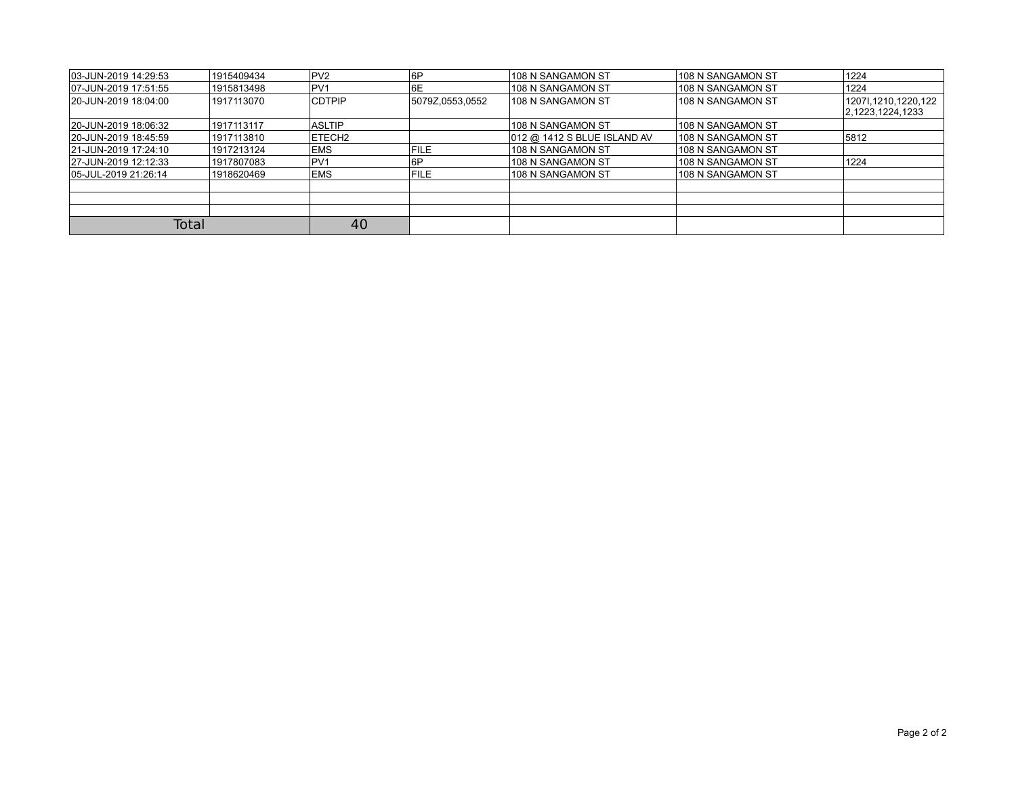| 03-JUN-2019 14:29:53 | 1915409434 | PV2           | ∣6P             | 108 N SANGAMON ST           | 108 N SANGAMON ST  | 1224                                       |
|----------------------|------------|---------------|-----------------|-----------------------------|--------------------|--------------------------------------------|
| 07-JUN-2019 17:51:55 | 1915813498 | IPV1          | 6E              | 108 N SANGAMON ST           | ∣108 N SANGAMON ST | 1224                                       |
| 20-JUN-2019 18:04:00 | 1917113070 | <b>CDTPIP</b> | 5079Z,0553,0552 | 108 N SANGAMON ST           | 108 N SANGAMON ST  | 1207l, 1210, 1220, 122<br>2,1223,1224,1233 |
| 20-JUN-2019 18:06:32 | 1917113117 | <b>ASLTIP</b> |                 | 108 N SANGAMON ST           | 108 N SANGAMON ST  |                                            |
| 20-JUN-2019 18:45:59 | 1917113810 | <b>ETECH2</b> |                 | 012 @ 1412 S BLUE ISLAND AV | 108 N SANGAMON ST  | 5812                                       |
| 21-JUN-2019 17:24:10 | 1917213124 | <b>IEMS</b>   | <b>FILE</b>     | 108 N SANGAMON ST           | 108 N SANGAMON ST  |                                            |
| 27-JUN-2019 12:12:33 | 1917807083 | PV1           | 6P              | 108 N SANGAMON ST           | ∣108 N SANGAMON ST | 1224                                       |
| 05-JUL-2019 21:26:14 | 1918620469 | <b>IEMS</b>   | <b>FILE</b>     | 108 N SANGAMON ST           | 108 N SANGAMON ST  |                                            |
|                      |            |               |                 |                             |                    |                                            |
|                      |            |               |                 |                             |                    |                                            |
|                      |            |               |                 |                             |                    |                                            |
| <b>Total</b>         |            | 40            |                 |                             |                    |                                            |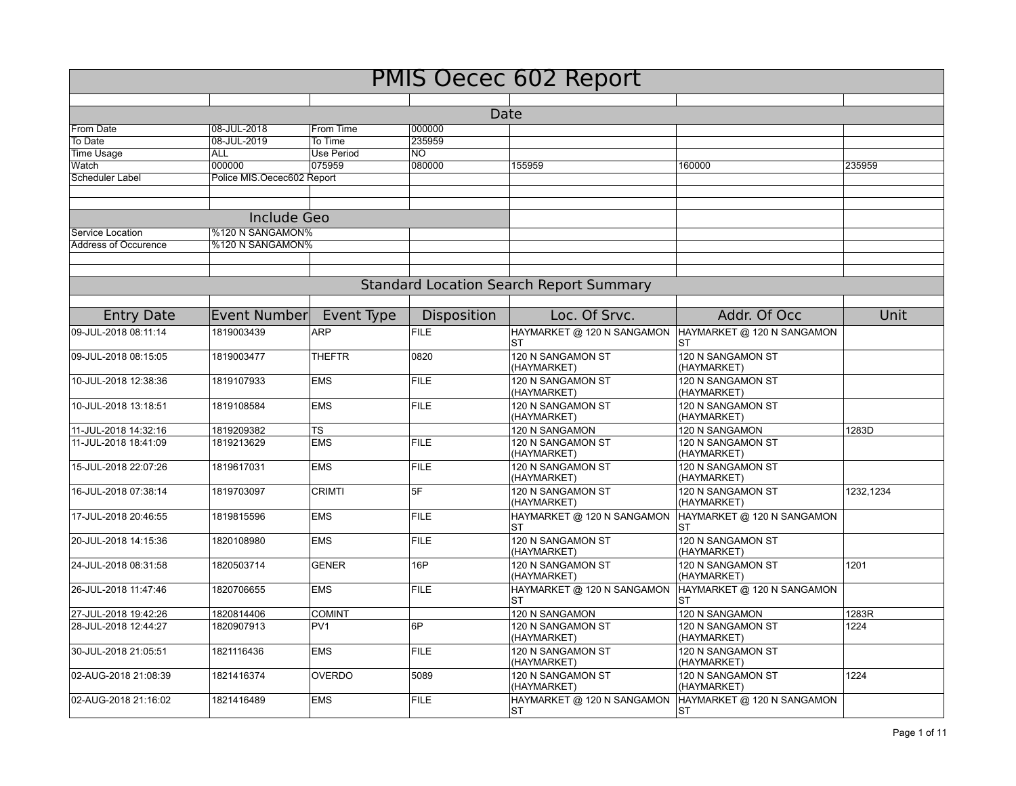| <b>PMIS Oecec 602 Report</b>                   |                            |                   |             |                                         |                                         |           |  |  |
|------------------------------------------------|----------------------------|-------------------|-------------|-----------------------------------------|-----------------------------------------|-----------|--|--|
|                                                |                            |                   |             |                                         |                                         |           |  |  |
| Date                                           |                            |                   |             |                                         |                                         |           |  |  |
| From Date                                      | 08-JUL-2018                | From Time         | 000000      |                                         |                                         |           |  |  |
| To Date                                        | 08-JUL-2019                | To Time           | 235959      |                                         |                                         |           |  |  |
| <b>Time Usage</b>                              | <b>ALL</b>                 | <b>Use Period</b> | NO.         |                                         |                                         |           |  |  |
| Watch                                          | 000000                     | 075959            | 080000      | 155959                                  | 160000                                  | 235959    |  |  |
| Scheduler Label                                | Police MIS.Oecec602 Report |                   |             |                                         |                                         |           |  |  |
|                                                |                            |                   |             |                                         |                                         |           |  |  |
|                                                | Include Geo                |                   |             |                                         |                                         |           |  |  |
| Service Location                               | %120 N SANGAMON%           |                   |             |                                         |                                         |           |  |  |
| <b>Address of Occurence</b>                    | %120 N SANGAMON%           |                   |             |                                         |                                         |           |  |  |
|                                                |                            |                   |             |                                         |                                         |           |  |  |
|                                                |                            |                   |             |                                         |                                         |           |  |  |
| <b>Standard Location Search Report Summary</b> |                            |                   |             |                                         |                                         |           |  |  |
|                                                |                            |                   |             |                                         |                                         |           |  |  |
| <b>Entry Date</b>                              | Event Number               | Event Type        | Disposition | Loc. Of Srvc.                           | Addr. Of Occ                            | Unit      |  |  |
| 09-JUL-2018 08:11:14                           | 1819003439                 | <b>ARP</b>        | <b>FILE</b> | HAYMARKET @ 120 N SANGAMON<br><b>ST</b> | HAYMARKET @ 120 N SANGAMON<br><b>ST</b> |           |  |  |
| 09-JUL-2018 08:15:05                           | 1819003477                 | <b>THEFTR</b>     | 0820        | 120 N SANGAMON ST<br>(HAYMARKET)        | 120 N SANGAMON ST<br>(HAYMARKET)        |           |  |  |
| 10-JUL-2018 12:38:36                           | 1819107933                 | <b>EMS</b>        | <b>FILE</b> | 120 N SANGAMON ST<br>(HAYMARKET)        | 120 N SANGAMON ST<br>(HAYMARKET)        |           |  |  |
| 10-JUL-2018 13:18:51                           | 1819108584                 | <b>EMS</b>        | <b>FILE</b> | 120 N SANGAMON ST<br>(HAYMARKET)        | 120 N SANGAMON ST<br>(HAYMARKET)        |           |  |  |
| 11-JUL-2018 14:32:16                           | 1819209382                 | TS                |             | 120 N SANGAMON                          | 120 N SANGAMON                          | 1283D     |  |  |
| 11-JUL-2018 18:41:09                           | 1819213629                 | <b>EMS</b>        | <b>FILE</b> | 120 N SANGAMON ST<br>(HAYMARKET)        | 120 N SANGAMON ST<br>(HAYMARKET)        |           |  |  |
| 15-JUL-2018 22:07:26                           | 1819617031                 | <b>EMS</b>        | <b>FILE</b> | 120 N SANGAMON ST<br>(HAYMARKET)        | 120 N SANGAMON ST<br>(HAYMARKET)        |           |  |  |
| 16-JUL-2018 07:38:14                           | 1819703097                 | <b>CRIMTI</b>     | 5F          | 120 N SANGAMON ST<br>(HAYMARKET)        | 120 N SANGAMON ST<br>(HAYMARKET)        | 1232,1234 |  |  |
| 17-JUL-2018 20:46:55                           | 1819815596                 | <b>EMS</b>        | <b>FILE</b> | HAYMARKET @ 120 N SANGAMON<br><b>ST</b> | HAYMARKET @ 120 N SANGAMON<br>SТ        |           |  |  |
| 20-JUL-2018 14:15:36                           | 1820108980                 | <b>EMS</b>        | <b>FILE</b> | 120 N SANGAMON ST<br>(HAYMARKET)        | 120 N SANGAMON ST<br>(HAYMARKET)        |           |  |  |
| 24-JUL-2018 08:31:58                           | 1820503714                 | <b>GENER</b>      | 16P         | 120 N SANGAMON ST<br>(HAYMARKET)        | 120 N SANGAMON ST<br>(HAYMARKET)        | 1201      |  |  |
| 26-JUL-2018 11:47:46                           | 1820706655                 | <b>EMS</b>        | <b>FILE</b> | HAYMARKET @ 120 N SANGAMON<br>ST        | HAYMARKET @ 120 N SANGAMON<br>ST        |           |  |  |
| 27-JUL-2018 19:42:26                           | 1820814406                 | <b>COMINT</b>     |             | 120 N SANGAMON                          | 120 N SANGAMON                          | 1283R     |  |  |
| 28-JUL-2018 12:44:27                           | 1820907913                 | PV <sub>1</sub>   | 6P          | 120 N SANGAMON ST<br>(HAYMARKET)        | 120 N SANGAMON ST<br>(HAYMARKET)        | 1224      |  |  |
| 30-JUL-2018 21:05:51                           | 1821116436                 | <b>EMS</b>        | <b>FILE</b> | 120 N SANGAMON ST<br>(HAYMARKET)        | 120 N SANGAMON ST<br>(HAYMARKET)        |           |  |  |
| 02-AUG-2018 21:08:39                           | 1821416374                 | <b>OVERDO</b>     | 5089        | 120 N SANGAMON ST<br>(HAYMARKET)        | 120 N SANGAMON ST<br>(HAYMARKET)        | 1224      |  |  |
| 02-AUG-2018 21:16:02                           | 1821416489                 | <b>EMS</b>        | <b>FILE</b> | HAYMARKET @ 120 N SANGAMON<br><b>ST</b> | HAYMARKET @ 120 N SANGAMON<br>ST        |           |  |  |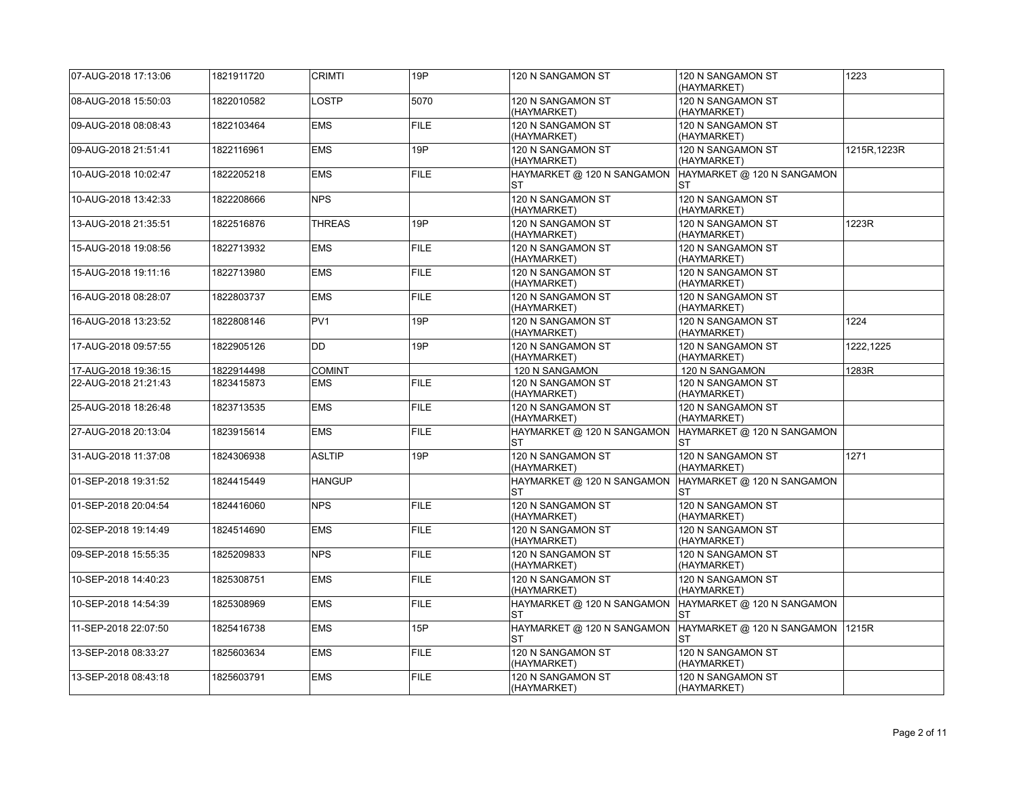| 07-AUG-2018 17:13:06 | 1821911720 | <b>CRIMTI</b>   | 19P         | 120 N SANGAMON ST                       | 120 N SANGAMON ST<br>(HAYMARKET)                | 1223         |
|----------------------|------------|-----------------|-------------|-----------------------------------------|-------------------------------------------------|--------------|
| 08-AUG-2018 15:50:03 | 1822010582 | LOSTP           | 5070        | 120 N SANGAMON ST<br>(HAYMARKET)        | 120 N SANGAMON ST<br>(HAYMARKET)                |              |
| 09-AUG-2018 08:08:43 | 1822103464 | <b>EMS</b>      | <b>FILE</b> | 120 N SANGAMON ST<br>(HAYMARKET)        | 120 N SANGAMON ST<br>(HAYMARKET)                |              |
| 09-AUG-2018 21:51:41 | 1822116961 | <b>EMS</b>      | 19P         | 120 N SANGAMON ST<br>(HAYMARKET)        | 120 N SANGAMON ST<br>(HAYMARKET)                | 1215R, 1223R |
| 10-AUG-2018 10:02:47 | 1822205218 | <b>EMS</b>      | <b>FILE</b> | HAYMARKET @ 120 N SANGAMON<br>ST        | HAYMARKET @ 120 N SANGAMON<br>ST                |              |
| 10-AUG-2018 13:42:33 | 1822208666 | <b>NPS</b>      |             | 120 N SANGAMON ST<br>(HAYMARKET)        | 120 N SANGAMON ST<br>(HAYMARKET)                |              |
| 13-AUG-2018 21:35:51 | 1822516876 | <b>THREAS</b>   | 19P         | 120 N SANGAMON ST<br>(HAYMARKET)        | 120 N SANGAMON ST<br>(HAYMARKET)                | 1223R        |
| 15-AUG-2018 19:08:56 | 1822713932 | <b>EMS</b>      | <b>FILE</b> | 120 N SANGAMON ST<br>(HAYMARKET)        | 120 N SANGAMON ST<br>(HAYMARKET)                |              |
| 15-AUG-2018 19:11:16 | 1822713980 | <b>EMS</b>      | <b>FILE</b> | 120 N SANGAMON ST<br>(HAYMARKET)        | 120 N SANGAMON ST<br>(HAYMARKET)                |              |
| 16-AUG-2018 08:28:07 | 1822803737 | <b>EMS</b>      | <b>FILE</b> | 120 N SANGAMON ST<br>(HAYMARKET)        | 120 N SANGAMON ST<br>(HAYMARKET)                |              |
| 16-AUG-2018 13:23:52 | 1822808146 | PV <sub>1</sub> | 19P         | 120 N SANGAMON ST<br>(HAYMARKET)        | 120 N SANGAMON ST<br>(HAYMARKET)                | 1224         |
| 17-AUG-2018 09:57:55 | 1822905126 | <b>DD</b>       | 19P         | 120 N SANGAMON ST<br>(HAYMARKET)        | 120 N SANGAMON ST<br>(HAYMARKET)                | 1222,1225    |
| 17-AUG-2018 19:36:15 | 1822914498 | <b>COMINT</b>   |             | 120 N SANGAMON                          | 120 N SANGAMON                                  | 1283R        |
| 22-AUG-2018 21:21:43 | 1823415873 | <b>EMS</b>      | <b>FILE</b> | 120 N SANGAMON ST<br>(HAYMARKET)        | 120 N SANGAMON ST<br>(HAYMARKET)                |              |
| 25-AUG-2018 18:26:48 | 1823713535 | <b>EMS</b>      | <b>FILE</b> | 120 N SANGAMON ST<br>(HAYMARKET)        | 120 N SANGAMON ST<br>(HAYMARKET)                |              |
| 27-AUG-2018 20:13:04 | 1823915614 | <b>EMS</b>      | <b>FILE</b> | HAYMARKET @ 120 N SANGAMON<br><b>ST</b> | HAYMARKET @ 120 N SANGAMON<br><b>ST</b>         |              |
| 31-AUG-2018 11:37:08 | 1824306938 | <b>ASLTIP</b>   | 19P         | 120 N SANGAMON ST<br>(HAYMARKET)        | 120 N SANGAMON ST<br>(HAYMARKET)                | 1271         |
| 01-SEP-2018 19:31:52 | 1824415449 | <b>HANGUP</b>   |             | HAYMARKET @ 120 N SANGAMON<br><b>ST</b> | HAYMARKET @ 120 N SANGAMON<br><b>ST</b>         |              |
| 01-SEP-2018 20:04:54 | 1824416060 | <b>NPS</b>      | <b>FILE</b> | 120 N SANGAMON ST<br>(HAYMARKET)        | 120 N SANGAMON ST<br>(HAYMARKET)                |              |
| 02-SEP-2018 19:14:49 | 1824514690 | <b>EMS</b>      | <b>FILE</b> | 120 N SANGAMON ST<br>(HAYMARKET)        | 120 N SANGAMON ST<br>(HAYMARKET)                |              |
| 09-SEP-2018 15:55:35 | 1825209833 | <b>NPS</b>      | <b>FILE</b> | 120 N SANGAMON ST<br>(HAYMARKET)        | 120 N SANGAMON ST<br>(HAYMARKET)                |              |
| 10-SEP-2018 14:40:23 | 1825308751 | <b>EMS</b>      | <b>FILE</b> | 120 N SANGAMON ST<br>(HAYMARKET)        | 120 N SANGAMON ST<br>(HAYMARKET)                |              |
| 10-SEP-2018 14:54:39 | 1825308969 | <b>EMS</b>      | <b>FILE</b> | HAYMARKET @ 120 N SANGAMON<br><b>ST</b> | HAYMARKET @ 120 N SANGAMON<br><b>ST</b>         |              |
| 11-SEP-2018 22:07:50 | 1825416738 | <b>EMS</b>      | 15P         | HAYMARKET @ 120 N SANGAMON<br>ST        | HAYMARKET @ 120 N SANGAMON   1215R<br><b>ST</b> |              |
| 13-SEP-2018 08:33:27 | 1825603634 | <b>EMS</b>      | <b>FILE</b> | 120 N SANGAMON ST<br>(HAYMARKET)        | 120 N SANGAMON ST<br>(HAYMARKET)                |              |
| 13-SEP-2018 08:43:18 | 1825603791 | <b>EMS</b>      | <b>FILE</b> | 120 N SANGAMON ST<br>(HAYMARKET)        | 120 N SANGAMON ST<br>(HAYMARKET)                |              |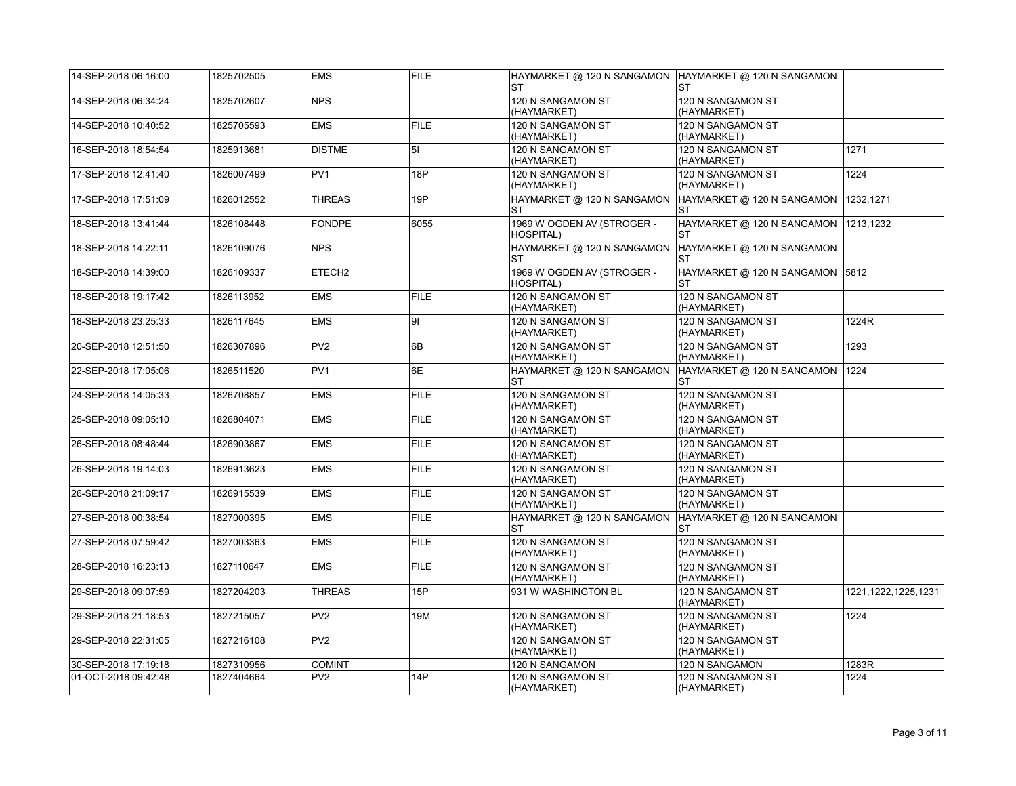| 14-SEP-2018 06:16:00 | 1825702505 | <b>EMS</b>         | <b>FILE</b> | HAYMARKET @ 120 N SANGAMON  HAYMARKET @ 120 N SANGAMON<br><b>ST</b> | <b>ST</b>                                    |                        |
|----------------------|------------|--------------------|-------------|---------------------------------------------------------------------|----------------------------------------------|------------------------|
| 14-SEP-2018 06:34:24 | 1825702607 | <b>NPS</b>         |             | 120 N SANGAMON ST<br>(HAYMARKET)                                    | 120 N SANGAMON ST<br>(HAYMARKET)             |                        |
| 14-SEP-2018 10:40:52 | 1825705593 | <b>EMS</b>         | <b>FILE</b> | 120 N SANGAMON ST<br>(HAYMARKET)                                    | 120 N SANGAMON ST<br>(HAYMARKET)             |                        |
| 16-SEP-2018 18:54:54 | 1825913681 | <b>DISTME</b>      | 51          | 120 N SANGAMON ST<br>(HAYMARKET)                                    | 120 N SANGAMON ST<br>(HAYMARKET)             | 1271                   |
| 17-SEP-2018 12:41:40 | 1826007499 | PV <sub>1</sub>    | 18P         | 120 N SANGAMON ST<br>(HAYMARKET)                                    | 120 N SANGAMON ST<br>(HAYMARKET)             | 1224                   |
| 17-SEP-2018 17:51:09 | 1826012552 | <b>THREAS</b>      | 19P         | HAYMARKET @ 120 N SANGAMON<br><b>ST</b>                             | HAYMARKET @ 120 N SANGAMON<br>ST             | 1232,1271              |
| 18-SEP-2018 13:41:44 | 1826108448 | <b>FONDPE</b>      | 6055        | 1969 W OGDEN AV (STROGER -<br><b>HOSPITAL)</b>                      | HAYMARKET @ 120 N SANGAMON<br><b>ST</b>      | 1213,1232              |
| 18-SEP-2018 14:22:11 | 1826109076 | <b>NPS</b>         |             | HAYMARKET @ 120 N SANGAMON<br>ST                                    | HAYMARKET @ 120 N SANGAMON<br>ST             |                        |
| 18-SEP-2018 14:39:00 | 1826109337 | ETECH <sub>2</sub> |             | 1969 W OGDEN AV (STROGER -<br><b>HOSPITAL)</b>                      | HAYMARKET @ 120 N SANGAMON 5812<br><b>ST</b> |                        |
| 18-SEP-2018 19:17:42 | 1826113952 | <b>EMS</b>         | <b>FILE</b> | 120 N SANGAMON ST<br>(HAYMARKET)                                    | 120 N SANGAMON ST<br>(HAYMARKET)             |                        |
| 18-SEP-2018 23:25:33 | 1826117645 | <b>EMS</b>         | 91          | 120 N SANGAMON ST<br>(HAYMARKET)                                    | 120 N SANGAMON ST<br>(HAYMARKET)             | 1224R                  |
| 20-SEP-2018 12:51:50 | 1826307896 | PV <sub>2</sub>    | 6B          | 120 N SANGAMON ST<br>(HAYMARKET)                                    | 120 N SANGAMON ST<br>(HAYMARKET)             | 1293                   |
| 22-SEP-2018 17:05:06 | 1826511520 | PV <sub>1</sub>    | 6E          | HAYMARKET @ 120 N SANGAMON<br>ST                                    | HAYMARKET @ 120 N SANGAMON<br><b>ST</b>      | 1224                   |
| 24-SEP-2018 14:05:33 | 1826708857 | <b>EMS</b>         | <b>FILE</b> | 120 N SANGAMON ST<br>(HAYMARKET)                                    | 120 N SANGAMON ST<br>(HAYMARKET)             |                        |
| 25-SEP-2018 09:05:10 | 1826804071 | <b>EMS</b>         | <b>FILE</b> | 120 N SANGAMON ST<br>(HAYMARKET)                                    | 120 N SANGAMON ST<br>(HAYMARKET)             |                        |
| 26-SEP-2018 08:48:44 | 1826903867 | <b>EMS</b>         | <b>FILE</b> | 120 N SANGAMON ST<br>(HAYMARKET)                                    | 120 N SANGAMON ST<br>(HAYMARKET)             |                        |
| 26-SEP-2018 19:14:03 | 1826913623 | <b>EMS</b>         | <b>FILE</b> | 120 N SANGAMON ST<br>(HAYMARKET)                                    | 120 N SANGAMON ST<br>(HAYMARKET)             |                        |
| 26-SEP-2018 21:09:17 | 1826915539 | <b>EMS</b>         | <b>FILE</b> | 120 N SANGAMON ST<br>(HAYMARKET)                                    | 120 N SANGAMON ST<br>(HAYMARKET)             |                        |
| 27-SEP-2018 00:38:54 | 1827000395 | <b>EMS</b>         | <b>FILE</b> | HAYMARKET @ 120 N SANGAMON<br>ST                                    | HAYMARKET @ 120 N SANGAMON<br><b>ST</b>      |                        |
| 27-SEP-2018 07:59:42 | 1827003363 | <b>EMS</b>         | <b>FILE</b> | 120 N SANGAMON ST<br>(HAYMARKET)                                    | 120 N SANGAMON ST<br>(HAYMARKET)             |                        |
| 28-SEP-2018 16:23:13 | 1827110647 | <b>EMS</b>         | <b>FILE</b> | 120 N SANGAMON ST<br>(HAYMARKET)                                    | 120 N SANGAMON ST<br>(HAYMARKET)             |                        |
| 29-SEP-2018 09:07:59 | 1827204203 | <b>THREAS</b>      | 15P         | 931 W WASHINGTON BL                                                 | 120 N SANGAMON ST<br>(HAYMARKET)             | 1221, 1222, 1225, 1231 |
| 29-SEP-2018 21:18:53 | 1827215057 | PV <sub>2</sub>    | 19M         | 120 N SANGAMON ST<br>(HAYMARKET)                                    | 120 N SANGAMON ST<br>(HAYMARKET)             | 1224                   |
| 29-SEP-2018 22:31:05 | 1827216108 | PV <sub>2</sub>    |             | 120 N SANGAMON ST<br>(HAYMARKET)                                    | 120 N SANGAMON ST<br>(HAYMARKET)             |                        |
| 30-SEP-2018 17:19:18 | 1827310956 | <b>COMINT</b>      |             | 120 N SANGAMON                                                      | 120 N SANGAMON                               | 1283R                  |
| 01-OCT-2018 09:42:48 | 1827404664 | PV <sub>2</sub>    | <b>14P</b>  | 120 N SANGAMON ST<br>(HAYMARKET)                                    | 120 N SANGAMON ST<br>(HAYMARKET)             | 1224                   |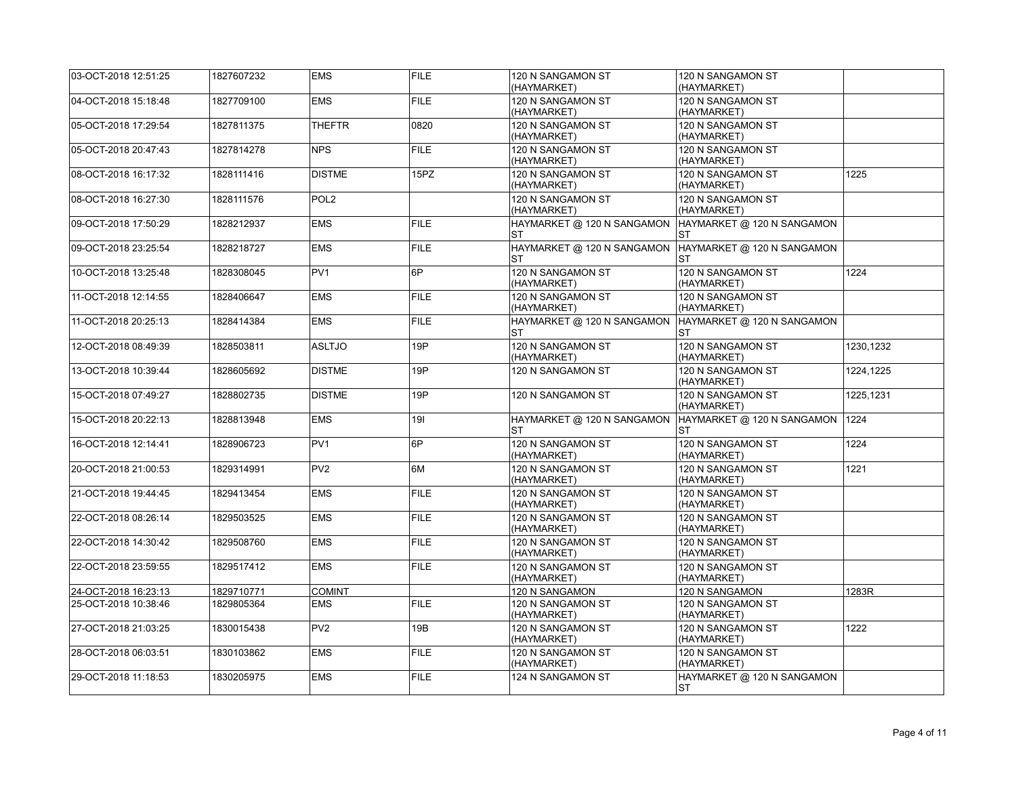| 03-OCT-2018 12:51:25 | 1827607232 | <b>EMS</b>       | <b>FILE</b> | 120 N SANGAMON ST<br>(HAYMARKET)        | 120 N SANGAMON ST<br>(HAYMARKET)        |           |
|----------------------|------------|------------------|-------------|-----------------------------------------|-----------------------------------------|-----------|
| 04-OCT-2018 15:18:48 | 1827709100 | <b>EMS</b>       | <b>FILE</b> | 120 N SANGAMON ST<br>(HAYMARKET)        | 120 N SANGAMON ST<br>(HAYMARKET)        |           |
| 05-OCT-2018 17:29:54 | 1827811375 | THEFTR           | 0820        | 120 N SANGAMON ST<br>(HAYMARKET)        | 120 N SANGAMON ST<br>(HAYMARKET)        |           |
| 05-OCT-2018 20:47:43 | 1827814278 | <b>NPS</b>       | <b>FILE</b> | 120 N SANGAMON ST<br>(HAYMARKET)        | 120 N SANGAMON ST<br>(HAYMARKET)        |           |
| 08-OCT-2018 16:17:32 | 1828111416 | <b>DISTME</b>    | 15PZ        | 120 N SANGAMON ST<br>(HAYMARKET)        | 120 N SANGAMON ST<br>(HAYMARKET)        | 1225      |
| 08-OCT-2018 16:27:30 | 1828111576 | POL <sub>2</sub> |             | 120 N SANGAMON ST<br>(HAYMARKET)        | 120 N SANGAMON ST<br>(HAYMARKET)        |           |
| 09-OCT-2018 17:50:29 | 1828212937 | <b>EMS</b>       | <b>FILE</b> | HAYMARKET @ 120 N SANGAMON<br>ST        | HAYMARKET @ 120 N SANGAMON<br>ST        |           |
| 09-OCT-2018 23:25:54 | 1828218727 | <b>EMS</b>       | <b>FILE</b> | HAYMARKET @ 120 N SANGAMON<br><b>ST</b> | HAYMARKET @ 120 N SANGAMON<br><b>ST</b> |           |
| 10-OCT-2018 13:25:48 | 1828308045 | PV <sub>1</sub>  | 6P          | 120 N SANGAMON ST<br>(HAYMARKET)        | 120 N SANGAMON ST<br>(HAYMARKET)        | 1224      |
| 11-OCT-2018 12:14:55 | 1828406647 | <b>EMS</b>       | <b>FILE</b> | 120 N SANGAMON ST<br>(HAYMARKET)        | 120 N SANGAMON ST<br>(HAYMARKET)        |           |
| 11-OCT-2018 20:25:13 | 1828414384 | EMS              | <b>FILE</b> | HAYMARKET @ 120 N SANGAMON<br><b>ST</b> | HAYMARKET @ 120 N SANGAMON<br><b>ST</b> |           |
| 12-OCT-2018 08:49:39 | 1828503811 | <b>ASLTJO</b>    | 19P         | 120 N SANGAMON ST<br>(HAYMARKET)        | 120 N SANGAMON ST<br>(HAYMARKET)        | 1230.1232 |
| 13-OCT-2018 10:39:44 | 1828605692 | <b>DISTME</b>    | 19P         | 120 N SANGAMON ST                       | 120 N SANGAMON ST<br>(HAYMARKET)        | 1224,1225 |
| 15-OCT-2018 07:49:27 | 1828802735 | <b>DISTME</b>    | 19P         | 120 N SANGAMON ST                       | 120 N SANGAMON ST<br>(HAYMARKET)        | 1225,1231 |
| 15-OCT-2018 20:22:13 | 1828813948 | <b>EMS</b>       | 191         | HAYMARKET @ 120 N SANGAMON<br>ST        | HAYMARKET @ 120 N SANGAMON<br>ST        | 1224      |
| 16-OCT-2018 12:14:41 | 1828906723 | PV <sub>1</sub>  | 6P          | 120 N SANGAMON ST<br>(HAYMARKET)        | 120 N SANGAMON ST<br>(HAYMARKET)        | 1224      |
| 20-OCT-2018 21:00:53 | 1829314991 | PV <sub>2</sub>  | 6M          | 120 N SANGAMON ST<br>(HAYMARKET)        | 120 N SANGAMON ST<br>(HAYMARKET)        | 1221      |
| 21-OCT-2018 19:44:45 | 1829413454 | <b>EMS</b>       | <b>FILE</b> | 120 N SANGAMON ST<br>(HAYMARKET)        | 120 N SANGAMON ST<br>(HAYMARKET)        |           |
| 22-OCT-2018 08:26:14 | 1829503525 | <b>EMS</b>       | <b>FILE</b> | 120 N SANGAMON ST<br>(HAYMARKET)        | 120 N SANGAMON ST<br>(HAYMARKET)        |           |
| 22-OCT-2018 14:30:42 | 1829508760 | <b>EMS</b>       | <b>FILE</b> | 120 N SANGAMON ST<br>(HAYMARKET)        | 120 N SANGAMON ST<br>(HAYMARKET)        |           |
| 22-OCT-2018 23:59:55 | 1829517412 | <b>EMS</b>       | <b>FILE</b> | 120 N SANGAMON ST<br>(HAYMARKET)        | 120 N SANGAMON ST<br>(HAYMARKET)        |           |
| 24-OCT-2018 16:23:13 | 1829710771 | <b>COMINT</b>    |             | 120 N SANGAMON                          | 120 N SANGAMON                          | 1283R     |
| 25-OCT-2018 10:38:46 | 1829805364 | <b>EMS</b>       | <b>FILE</b> | 120 N SANGAMON ST<br>(HAYMARKET)        | 120 N SANGAMON ST<br>(HAYMARKET)        |           |
| 27-OCT-2018 21:03:25 | 1830015438 | PV <sub>2</sub>  | 19B         | 120 N SANGAMON ST<br>(HAYMARKET)        | 120 N SANGAMON ST<br>(HAYMARKET)        | 1222      |
| 28-OCT-2018 06:03:51 | 1830103862 | <b>EMS</b>       | <b>FILE</b> | 120 N SANGAMON ST<br>(HAYMARKET)        | 120 N SANGAMON ST<br>(HAYMARKET)        |           |
| 29-OCT-2018 11:18:53 | 1830205975 | <b>EMS</b>       | <b>FILE</b> | 124 N SANGAMON ST                       | HAYMARKET @ 120 N SANGAMON<br>ST        |           |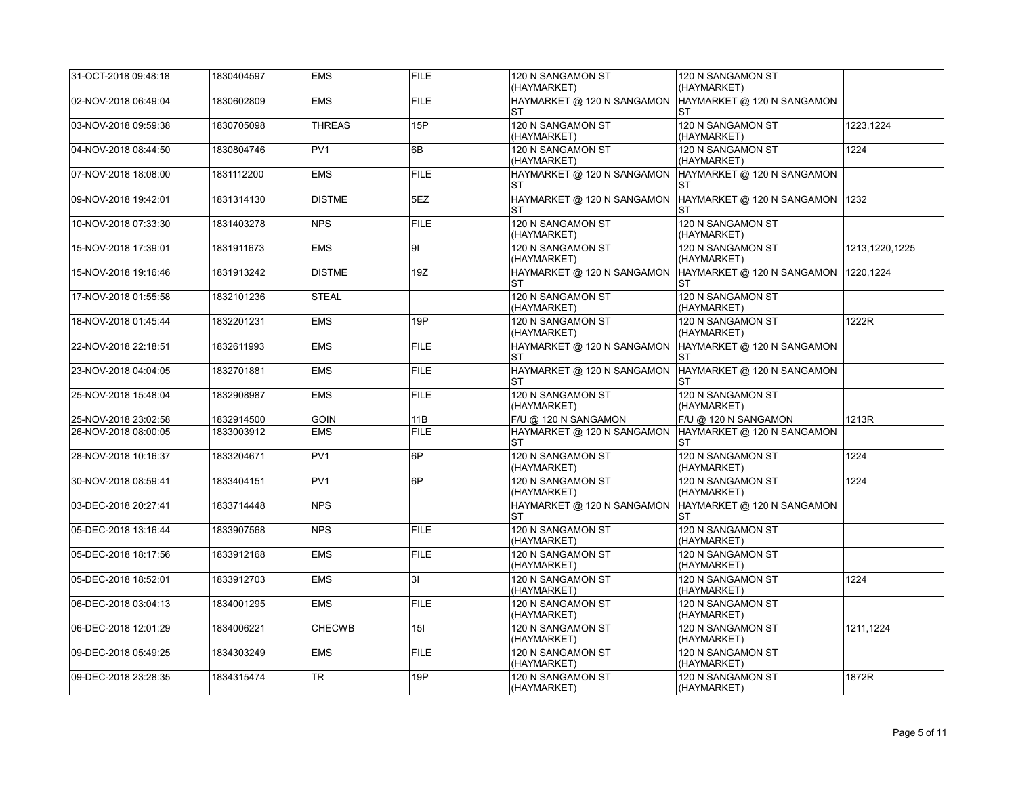| 31-OCT-2018 09:48:18 | 1830404597 | <b>EMS</b>      | FILE        | 120 N SANGAMON ST<br>(HAYMARKET) | 120 N SANGAMON ST<br>(HAYMARKET)        |                |
|----------------------|------------|-----------------|-------------|----------------------------------|-----------------------------------------|----------------|
| 02-NOV-2018 06:49:04 | 1830602809 | <b>EMS</b>      | <b>FILE</b> | HAYMARKET @ 120 N SANGAMON<br>ST | HAYMARKET @ 120 N SANGAMON<br>ST        |                |
| 03-NOV-2018 09:59:38 | 1830705098 | <b>THREAS</b>   | 15P         | 120 N SANGAMON ST<br>(HAYMARKET) | 120 N SANGAMON ST<br>(HAYMARKET)        | 1223,1224      |
| 04-NOV-2018 08:44:50 | 1830804746 | PV <sub>1</sub> | 6B          | 120 N SANGAMON ST<br>(HAYMARKET) | 120 N SANGAMON ST<br>(HAYMARKET)        | 1224           |
| 07-NOV-2018 18:08:00 | 1831112200 | <b>EMS</b>      | FILE        | HAYMARKET @ 120 N SANGAMON<br>ST | HAYMARKET @ 120 N SANGAMON<br>ST        |                |
| 09-NOV-2018 19:42:01 | 1831314130 | <b>DISTME</b>   | 5EZ         | HAYMARKET @ 120 N SANGAMON<br>ST | HAYMARKET @ 120 N SANGAMON<br>ST        | 1232           |
| 10-NOV-2018 07:33:30 | 1831403278 | <b>NPS</b>      | <b>FILE</b> | 120 N SANGAMON ST<br>(HAYMARKET) | 120 N SANGAMON ST<br>(HAYMARKET)        |                |
| 15-NOV-2018 17:39:01 | 1831911673 | <b>EMS</b>      | l9I         | 120 N SANGAMON ST<br>(HAYMARKET) | 120 N SANGAMON ST<br>(HAYMARKET)        | 1213,1220,1225 |
| 15-NOV-2018 19:16:46 | 1831913242 | <b>DISTME</b>   | 19Z         | HAYMARKET @ 120 N SANGAMON<br>ST | HAYMARKET @ 120 N SANGAMON  <br>ST      | 1220.1224      |
| 17-NOV-2018 01:55:58 | 1832101236 | <b>STEAL</b>    |             | 120 N SANGAMON ST<br>(HAYMARKET) | 120 N SANGAMON ST<br>(HAYMARKET)        |                |
| 18-NOV-2018 01:45:44 | 1832201231 | <b>EMS</b>      | 19P         | 120 N SANGAMON ST<br>(HAYMARKET) | 120 N SANGAMON ST<br>(HAYMARKET)        | 1222R          |
| 22-NOV-2018 22:18:51 | 1832611993 | <b>EMS</b>      | <b>FILE</b> | HAYMARKET @ 120 N SANGAMON<br>ST | HAYMARKET @ 120 N SANGAMON<br>ST        |                |
| 23-NOV-2018 04:04:05 | 1832701881 | <b>EMS</b>      | <b>FILE</b> | HAYMARKET @ 120 N SANGAMON<br>ST | HAYMARKET @ 120 N SANGAMON<br><b>ST</b> |                |
| 25-NOV-2018 15:48:04 | 1832908987 | <b>EMS</b>      | <b>FILE</b> | 120 N SANGAMON ST<br>(HAYMARKET) | 120 N SANGAMON ST<br>(HAYMARKET)        |                |
| 25-NOV-2018 23:02:58 | 1832914500 | <b>GOIN</b>     | 11B         | F/U @ 120 N SANGAMON             | F/U @ 120 N SANGAMON                    | 1213R          |
| 26-NOV-2018 08:00:05 | 1833003912 | <b>EMS</b>      | <b>FILE</b> | HAYMARKET @ 120 N SANGAMON<br>ST | HAYMARKET @ 120 N SANGAMON<br>ST        |                |
| 28-NOV-2018 10:16:37 | 1833204671 | PV1             | 6P          | 120 N SANGAMON ST<br>(HAYMARKET) | 120 N SANGAMON ST<br>(HAYMARKET)        | 1224           |
| 30-NOV-2018 08:59:41 | 1833404151 | PV <sub>1</sub> | 6P          | 120 N SANGAMON ST<br>(HAYMARKET) | 120 N SANGAMON ST<br>(HAYMARKET)        | 1224           |
| 03-DEC-2018 20:27:41 | 1833714448 | <b>NPS</b>      |             | HAYMARKET @ 120 N SANGAMON<br>ST | HAYMARKET @ 120 N SANGAMON<br><b>ST</b> |                |
| 05-DEC-2018 13:16:44 | 1833907568 | <b>NPS</b>      | <b>FILE</b> | 120 N SANGAMON ST<br>(HAYMARKET) | 120 N SANGAMON ST<br>(HAYMARKET)        |                |
| 05-DEC-2018 18:17:56 | 1833912168 | <b>EMS</b>      | <b>FILE</b> | 120 N SANGAMON ST<br>(HAYMARKET) | 120 N SANGAMON ST<br>(HAYMARKET)        |                |
| 05-DEC-2018 18:52:01 | 1833912703 | <b>EMS</b>      | 31          | 120 N SANGAMON ST<br>(HAYMARKET) | 120 N SANGAMON ST<br>(HAYMARKET)        | 1224           |
| 06-DEC-2018 03:04:13 | 1834001295 | <b>EMS</b>      | <b>FILE</b> | 120 N SANGAMON ST<br>(HAYMARKET) | 120 N SANGAMON ST<br>(HAYMARKET)        |                |
| 06-DEC-2018 12:01:29 | 1834006221 | <b>CHECWB</b>   | 15I         | 120 N SANGAMON ST<br>(HAYMARKET) | 120 N SANGAMON ST<br>(HAYMARKET)        | 1211,1224      |
| 09-DEC-2018 05:49:25 | 1834303249 | <b>EMS</b>      | <b>FILE</b> | 120 N SANGAMON ST<br>(HAYMARKET) | 120 N SANGAMON ST<br>(HAYMARKET)        |                |
| 09-DEC-2018 23:28:35 | 1834315474 | <b>TR</b>       | 19P         | 120 N SANGAMON ST<br>(HAYMARKET) | 120 N SANGAMON ST<br>(HAYMARKET)        | 1872R          |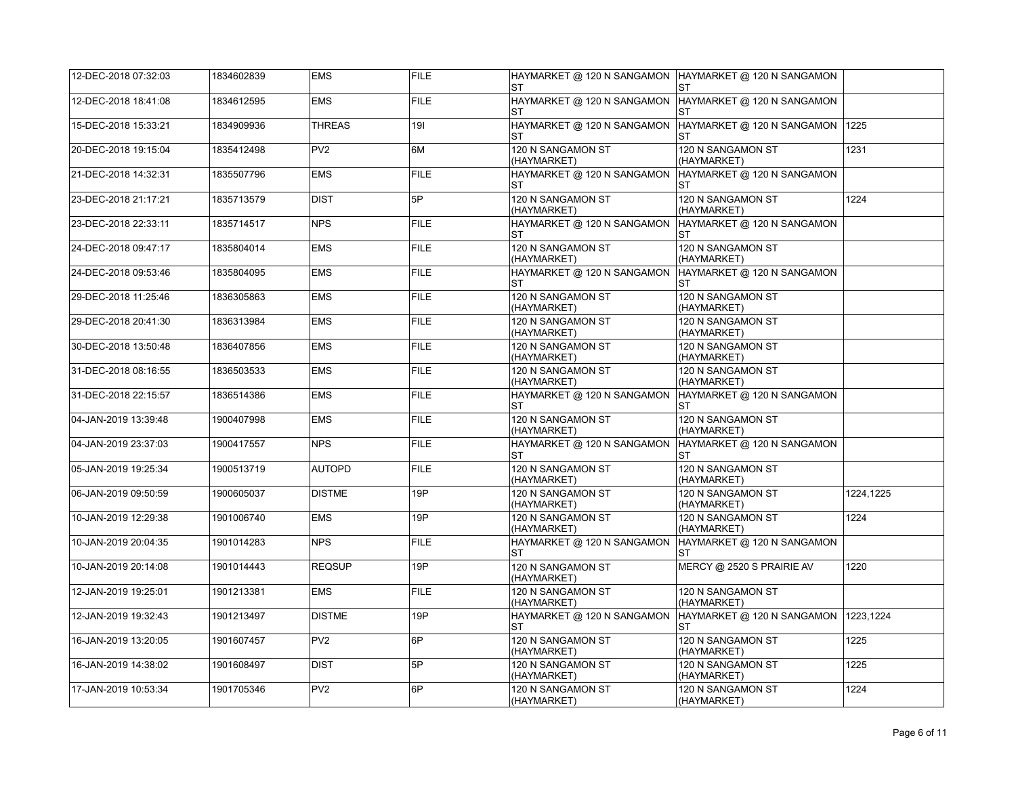| 12-DEC-2018 07:32:03 | 1834602839 | <b>EMS</b>      | <b>FILE</b> | ST                                      | HAYMARKET @ 120 N SANGAMON  HAYMARKET @ 120 N SANGAMON<br>ST        |           |
|----------------------|------------|-----------------|-------------|-----------------------------------------|---------------------------------------------------------------------|-----------|
| 12-DEC-2018 18:41:08 | 1834612595 | <b>EMS</b>      | <b>FILE</b> | ST                                      | HAYMARKET @ 120 N SANGAMON  HAYMARKET @ 120 N SANGAMON<br><b>ST</b> |           |
| 15-DEC-2018 15:33:21 | 1834909936 | <b>THREAS</b>   | 191         | HAYMARKET @ 120 N SANGAMON<br><b>ST</b> | HAYMARKET @ 120 N SANGAMON<br>ST                                    | 1225      |
| 20-DEC-2018 19:15:04 | 1835412498 | PV <sub>2</sub> | 6M          | 120 N SANGAMON ST<br>(HAYMARKET)        | 120 N SANGAMON ST<br>(HAYMARKET)                                    | 1231      |
| 21-DEC-2018 14:32:31 | 1835507796 | <b>EMS</b>      | <b>FILE</b> | HAYMARKET @ 120 N SANGAMON              | HAYMARKET @ 120 N SANGAMON<br>ST                                    |           |
| 23-DEC-2018 21:17:21 | 1835713579 | <b>DIST</b>     | 5P          | 120 N SANGAMON ST<br>(HAYMARKET)        | 120 N SANGAMON ST<br>(HAYMARKET)                                    | 1224      |
| 23-DEC-2018 22:33:11 | 1835714517 | <b>NPS</b>      | <b>FILE</b> | HAYMARKET @ 120 N SANGAMON<br><b>ST</b> | HAYMARKET @ 120 N SANGAMON<br>ST                                    |           |
| 24-DEC-2018 09:47:17 | 1835804014 | <b>EMS</b>      | <b>FILE</b> | 120 N SANGAMON ST<br>(HAYMARKET)        | 120 N SANGAMON ST<br>(HAYMARKET)                                    |           |
| 24-DEC-2018 09:53:46 | 1835804095 | <b>EMS</b>      | <b>FILE</b> | HAYMARKET @ 120 N SANGAMON<br><b>ST</b> | HAYMARKET @ 120 N SANGAMON<br><b>ST</b>                             |           |
| 29-DEC-2018 11:25:46 | 1836305863 | <b>EMS</b>      | <b>FILE</b> | 120 N SANGAMON ST<br>(HAYMARKET)        | 120 N SANGAMON ST<br>(HAYMARKET)                                    |           |
| 29-DEC-2018 20:41:30 | 1836313984 | <b>EMS</b>      | <b>FILE</b> | 120 N SANGAMON ST<br>(HAYMARKET)        | 120 N SANGAMON ST<br>(HAYMARKET)                                    |           |
| 30-DEC-2018 13:50:48 | 1836407856 | <b>EMS</b>      | <b>FILE</b> | 120 N SANGAMON ST<br>(HAYMARKET)        | 120 N SANGAMON ST<br>(HAYMARKET)                                    |           |
| 31-DEC-2018 08:16:55 | 1836503533 | <b>EMS</b>      | <b>FILE</b> | 120 N SANGAMON ST<br>(HAYMARKET)        | 120 N SANGAMON ST<br>(HAYMARKET)                                    |           |
| 31-DEC-2018 22:15:57 | 1836514386 | <b>EMS</b>      | <b>FILE</b> | HAYMARKET @ 120 N SANGAMON<br><b>ST</b> | HAYMARKET @ 120 N SANGAMON<br><b>ST</b>                             |           |
| 04-JAN-2019 13:39:48 | 1900407998 | <b>EMS</b>      | <b>FILE</b> | 120 N SANGAMON ST<br>(HAYMARKET)        | 120 N SANGAMON ST<br>(HAYMARKET)                                    |           |
| 04-JAN-2019 23:37:03 | 1900417557 | <b>NPS</b>      | <b>FILE</b> | HAYMARKET @ 120 N SANGAMON<br><b>ST</b> | HAYMARKET @ 120 N SANGAMON<br><b>ST</b>                             |           |
| 05-JAN-2019 19:25:34 | 1900513719 | <b>AUTOPD</b>   | <b>FILE</b> | 120 N SANGAMON ST<br>(HAYMARKET)        | 120 N SANGAMON ST<br>(HAYMARKET)                                    |           |
| 06-JAN-2019 09:50:59 | 1900605037 | <b>DISTME</b>   | 19P         | 120 N SANGAMON ST<br>(HAYMARKET)        | 120 N SANGAMON ST<br>(HAYMARKET)                                    | 1224,1225 |
| 10-JAN-2019 12:29:38 | 1901006740 | <b>EMS</b>      | 19P         | 120 N SANGAMON ST<br>(HAYMARKET)        | 120 N SANGAMON ST<br>(HAYMARKET)                                    | 1224      |
| 10-JAN-2019 20:04:35 | 1901014283 | <b>NPS</b>      | <b>FILE</b> | HAYMARKET @ 120 N SANGAMON<br>ST        | HAYMARKET @ 120 N SANGAMON<br>ST                                    |           |
| 10-JAN-2019 20:14:08 | 1901014443 | <b>REQSUP</b>   | 19P         | 120 N SANGAMON ST<br>(HAYMARKET)        | MERCY @ 2520 S PRAIRIE AV                                           | 1220      |
| 12-JAN-2019 19:25:01 | 1901213381 | <b>EMS</b>      | <b>FILE</b> | 120 N SANGAMON ST<br>(HAYMARKET)        | 120 N SANGAMON ST<br>(HAYMARKET)                                    |           |
| 12-JAN-2019 19:32:43 | 1901213497 | <b>DISTME</b>   | 19P         | HAYMARKET @ 120 N SANGAMON<br><b>ST</b> | HAYMARKET @ 120 N SANGAMON<br>ST                                    | 1223,1224 |
| 16-JAN-2019 13:20:05 | 1901607457 | PV <sub>2</sub> | 6P          | 120 N SANGAMON ST<br>(HAYMARKET)        | 120 N SANGAMON ST<br>(HAYMARKET)                                    | 1225      |
| 16-JAN-2019 14:38:02 | 1901608497 | <b>DIST</b>     | 5P          | 120 N SANGAMON ST<br>(HAYMARKET)        | 120 N SANGAMON ST<br>(HAYMARKET)                                    | 1225      |
| 17-JAN-2019 10:53:34 | 1901705346 | PV <sub>2</sub> | 6P          | 120 N SANGAMON ST<br>(HAYMARKET)        | 120 N SANGAMON ST<br>(HAYMARKET)                                    | 1224      |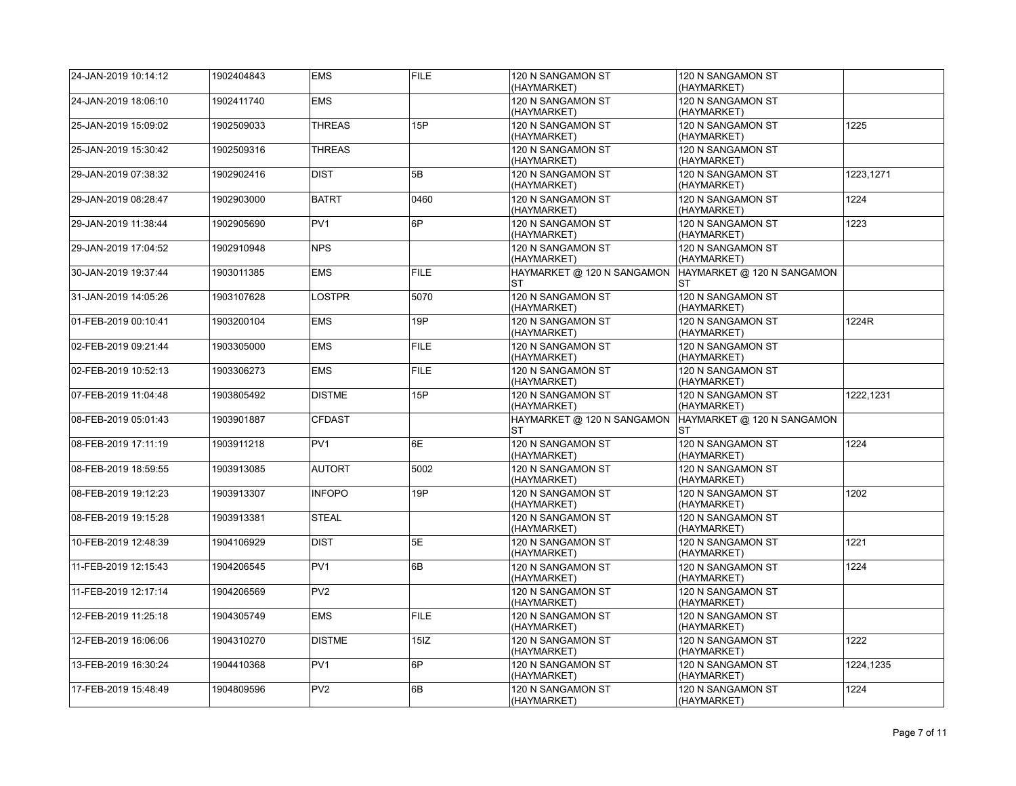| 24-JAN-2019 10:14:12 | 1902404843 | <b>EMS</b>      | <b>FILE</b> | 120 N SANGAMON ST<br>(HAYMARKET)        | 120 N SANGAMON ST<br>(HAYMARKET)        |           |
|----------------------|------------|-----------------|-------------|-----------------------------------------|-----------------------------------------|-----------|
| 24-JAN-2019 18:06:10 | 1902411740 | <b>EMS</b>      |             | 120 N SANGAMON ST<br>(HAYMARKET)        | 120 N SANGAMON ST<br>(HAYMARKET)        |           |
| 25-JAN-2019 15:09:02 | 1902509033 | <b>THREAS</b>   | 15P         | 120 N SANGAMON ST<br>(HAYMARKET)        | 120 N SANGAMON ST<br>(HAYMARKET)        | 1225      |
| 25-JAN-2019 15:30:42 | 1902509316 | <b>THREAS</b>   |             | 120 N SANGAMON ST<br>(HAYMARKET)        | 120 N SANGAMON ST<br>(HAYMARKET)        |           |
| 29-JAN-2019 07:38:32 | 1902902416 | <b>DIST</b>     | 5B          | 120 N SANGAMON ST<br>(HAYMARKET)        | 120 N SANGAMON ST<br>(HAYMARKET)        | 1223.1271 |
| 29-JAN-2019 08:28:47 | 1902903000 | <b>BATRT</b>    | 0460        | 120 N SANGAMON ST<br>(HAYMARKET)        | 120 N SANGAMON ST<br>(HAYMARKET)        | 1224      |
| 29-JAN-2019 11:38:44 | 1902905690 | PV <sub>1</sub> | 6P          | 120 N SANGAMON ST<br>(HAYMARKET)        | 120 N SANGAMON ST<br>(HAYMARKET)        | 1223      |
| 29-JAN-2019 17:04:52 | 1902910948 | <b>NPS</b>      |             | 120 N SANGAMON ST<br>(HAYMARKET)        | 120 N SANGAMON ST<br>(HAYMARKET)        |           |
| 30-JAN-2019 19:37:44 | 1903011385 | <b>EMS</b>      | <b>FILE</b> | HAYMARKET @ 120 N SANGAMON<br>ST        | HAYMARKET @ 120 N SANGAMON<br><b>ST</b> |           |
| 31-JAN-2019 14:05:26 | 1903107628 | <b>LOSTPR</b>   | 5070        | 120 N SANGAMON ST<br>(HAYMARKET)        | 120 N SANGAMON ST<br>(HAYMARKET)        |           |
| 01-FEB-2019 00:10:41 | 1903200104 | <b>EMS</b>      | 19P         | 120 N SANGAMON ST<br>(HAYMARKET)        | 120 N SANGAMON ST<br>(HAYMARKET)        | 1224R     |
| 02-FEB-2019 09:21:44 | 1903305000 | <b>EMS</b>      | <b>FILE</b> | 120 N SANGAMON ST<br>(HAYMARKET)        | 120 N SANGAMON ST<br>(HAYMARKET)        |           |
| 02-FEB-2019 10:52:13 | 1903306273 | <b>EMS</b>      | <b>FILE</b> | 120 N SANGAMON ST<br>(HAYMARKET)        | 120 N SANGAMON ST<br>(HAYMARKET)        |           |
| 07-FEB-2019 11:04:48 | 1903805492 | <b>DISTME</b>   | 15P         | 120 N SANGAMON ST<br>(HAYMARKET)        | 120 N SANGAMON ST<br>(HAYMARKET)        | 1222,1231 |
| 08-FEB-2019 05:01:43 | 1903901887 | <b>CFDAST</b>   |             | HAYMARKET @ 120 N SANGAMON<br><b>ST</b> | HAYMARKET @ 120 N SANGAMON<br><b>ST</b> |           |
| 08-FEB-2019 17:11:19 | 1903911218 | PV <sub>1</sub> | 6E          | 120 N SANGAMON ST<br>(HAYMARKET)        | 120 N SANGAMON ST<br>(HAYMARKET)        | 1224      |
| 08-FEB-2019 18:59:55 | 1903913085 | <b>AUTORT</b>   | 5002        | 120 N SANGAMON ST<br>(HAYMARKET)        | 120 N SANGAMON ST<br>(HAYMARKET)        |           |
| 08-FEB-2019 19:12:23 | 1903913307 | <b>INFOPO</b>   | 19P         | 120 N SANGAMON ST<br>(HAYMARKET)        | 120 N SANGAMON ST<br>(HAYMARKET)        | 1202      |
| 08-FEB-2019 19:15:28 | 1903913381 | <b>STEAL</b>    |             | 120 N SANGAMON ST<br>(HAYMARKET)        | 120 N SANGAMON ST<br>(HAYMARKET)        |           |
| 10-FEB-2019 12:48:39 | 1904106929 | <b>DIST</b>     | 5E          | 120 N SANGAMON ST<br>(HAYMARKET)        | 120 N SANGAMON ST<br>(HAYMARKET)        | 1221      |
| 11-FEB-2019 12:15:43 | 1904206545 | PV <sub>1</sub> | 6B          | 120 N SANGAMON ST<br>(HAYMARKET)        | 120 N SANGAMON ST<br>(HAYMARKET)        | 1224      |
| 11-FEB-2019 12:17:14 | 1904206569 | PV <sub>2</sub> |             | 120 N SANGAMON ST<br>(HAYMARKET)        | 120 N SANGAMON ST<br>(HAYMARKET)        |           |
| 12-FEB-2019 11:25:18 | 1904305749 | <b>EMS</b>      | <b>FILE</b> | 120 N SANGAMON ST<br>(HAYMARKET)        | 120 N SANGAMON ST<br>(HAYMARKET)        |           |
| 12-FEB-2019 16:06:06 | 1904310270 | <b>DISTME</b>   | 15IZ        | 120 N SANGAMON ST<br>(HAYMARKET)        | 120 N SANGAMON ST<br>(HAYMARKET)        | 1222      |
| 13-FEB-2019 16:30:24 | 1904410368 | PV <sub>1</sub> | 6P          | 120 N SANGAMON ST<br>(HAYMARKET)        | 120 N SANGAMON ST<br>(HAYMARKET)        | 1224,1235 |
| 17-FEB-2019 15:48:49 | 1904809596 | PV <sub>2</sub> | 6B          | 120 N SANGAMON ST<br>(HAYMARKET)        | 120 N SANGAMON ST<br>(HAYMARKET)        | 1224      |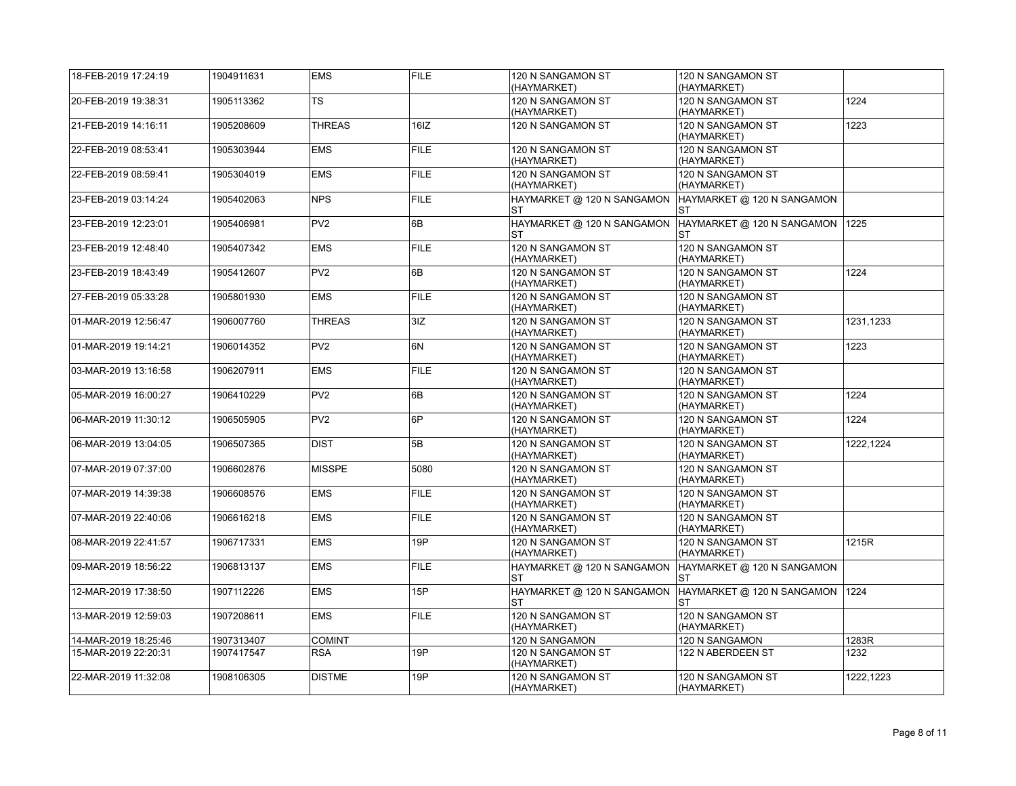| 18-FEB-2019 17:24:19 | 1904911631 | <b>EMS</b>      | <b>FILE</b> | 120 N SANGAMON ST<br>(HAYMARKET)        | 120 N SANGAMON ST<br>(HAYMARKET)        |           |
|----------------------|------------|-----------------|-------------|-----------------------------------------|-----------------------------------------|-----------|
| 20-FEB-2019 19:38:31 | 1905113362 | <b>TS</b>       |             | 120 N SANGAMON ST<br>(HAYMARKET)        | 120 N SANGAMON ST<br>(HAYMARKET)        | 1224      |
| 21-FEB-2019 14:16:11 | 1905208609 | <b>THREAS</b>   | 16IZ        | 120 N SANGAMON ST                       | 120 N SANGAMON ST<br>(HAYMARKET)        | 1223      |
| 22-FEB-2019 08:53:41 | 1905303944 | <b>EMS</b>      | <b>FILE</b> | 120 N SANGAMON ST<br>(HAYMARKET)        | 120 N SANGAMON ST<br>(HAYMARKET)        |           |
| 22-FEB-2019 08:59:41 | 1905304019 | <b>EMS</b>      | <b>FILE</b> | 120 N SANGAMON ST<br>(HAYMARKET)        | 120 N SANGAMON ST<br>(HAYMARKET)        |           |
| 23-FEB-2019 03:14:24 | 1905402063 | <b>NPS</b>      | <b>FILE</b> | HAYMARKET @ 120 N SANGAMON<br><b>ST</b> | HAYMARKET @ 120 N SANGAMON<br><b>ST</b> |           |
| 23-FEB-2019 12:23:01 | 1905406981 | PV <sub>2</sub> | 6B          | HAYMARKET @ 120 N SANGAMON<br><b>ST</b> | HAYMARKET @ 120 N SANGAMON<br><b>ST</b> | 1225      |
| 23-FEB-2019 12:48:40 | 1905407342 | <b>EMS</b>      | <b>FILE</b> | 120 N SANGAMON ST<br>(HAYMARKET)        | 120 N SANGAMON ST<br>(HAYMARKET)        |           |
| 23-FEB-2019 18:43:49 | 1905412607 | PV <sub>2</sub> | 6B          | 120 N SANGAMON ST<br>(HAYMARKET)        | 120 N SANGAMON ST<br>(HAYMARKET)        | 1224      |
| 27-FEB-2019 05:33:28 | 1905801930 | <b>EMS</b>      | <b>FILE</b> | 120 N SANGAMON ST<br>(HAYMARKET)        | 120 N SANGAMON ST<br>(HAYMARKET)        |           |
| 01-MAR-2019 12:56:47 | 1906007760 | <b>THREAS</b>   | 3IZ         | 120 N SANGAMON ST<br>(HAYMARKET)        | 120 N SANGAMON ST<br>(HAYMARKET)        | 1231,1233 |
| 01-MAR-2019 19:14:21 | 1906014352 | PV <sub>2</sub> | 6N          | 120 N SANGAMON ST<br>(HAYMARKET)        | 120 N SANGAMON ST<br>(HAYMARKET)        | 1223      |
| 03-MAR-2019 13:16:58 | 1906207911 | <b>EMS</b>      | <b>FILE</b> | 120 N SANGAMON ST<br>(HAYMARKET)        | 120 N SANGAMON ST<br>(HAYMARKET)        |           |
| 05-MAR-2019 16:00:27 | 1906410229 | PV <sub>2</sub> | 6B          | 120 N SANGAMON ST<br>(HAYMARKET)        | 120 N SANGAMON ST<br>(HAYMARKET)        | 1224      |
| 06-MAR-2019 11:30:12 | 1906505905 | PV <sub>2</sub> | 6P          | 120 N SANGAMON ST<br>(HAYMARKET)        | 120 N SANGAMON ST<br>(HAYMARKET)        | 1224      |
| 06-MAR-2019 13:04:05 | 1906507365 | <b>DIST</b>     | 5B          | 120 N SANGAMON ST<br>(HAYMARKET)        | 120 N SANGAMON ST<br>(HAYMARKET)        | 1222,1224 |
| 07-MAR-2019 07:37:00 | 1906602876 | <b>MISSPE</b>   | 5080        | 120 N SANGAMON ST<br>(HAYMARKET)        | 120 N SANGAMON ST<br>(HAYMARKET)        |           |
| 07-MAR-2019 14:39:38 | 1906608576 | <b>EMS</b>      | <b>FILE</b> | 120 N SANGAMON ST<br>(HAYMARKET)        | 120 N SANGAMON ST<br>(HAYMARKET)        |           |
| 07-MAR-2019 22:40:06 | 1906616218 | <b>EMS</b>      | <b>FILE</b> | 120 N SANGAMON ST<br>(HAYMARKET)        | 120 N SANGAMON ST<br>(HAYMARKET)        |           |
| 08-MAR-2019 22:41:57 | 1906717331 | <b>EMS</b>      | 19P         | 120 N SANGAMON ST<br>(HAYMARKET)        | 120 N SANGAMON ST<br>(HAYMARKET)        | 1215R     |
| 09-MAR-2019 18:56:22 | 1906813137 | <b>EMS</b>      | <b>FILE</b> | HAYMARKET @ 120 N SANGAMON<br>ST        | HAYMARKET @ 120 N SANGAMON<br>ST        |           |
| 12-MAR-2019 17:38:50 | 1907112226 | <b>EMS</b>      | 15P         | HAYMARKET @ 120 N SANGAMON<br>ST        | HAYMARKET @ 120 N SANGAMON<br>ST        | 1224      |
| 13-MAR-2019 12:59:03 | 1907208611 | <b>EMS</b>      | <b>FILE</b> | 120 N SANGAMON ST<br>(HAYMARKET)        | 120 N SANGAMON ST<br>(HAYMARKET)        |           |
| 14-MAR-2019 18:25:46 | 1907313407 | <b>COMINT</b>   |             | 120 N SANGAMON                          | 120 N SANGAMON                          | 1283R     |
| 15-MAR-2019 22:20:31 | 1907417547 | <b>RSA</b>      | 19P         | 120 N SANGAMON ST<br>(HAYMARKET)        | 122 N ABERDEEN ST                       | 1232      |
| 22-MAR-2019 11:32:08 | 1908106305 | <b>DISTME</b>   | 19P         | 120 N SANGAMON ST<br>(HAYMARKET)        | 120 N SANGAMON ST<br>(HAYMARKET)        | 1222.1223 |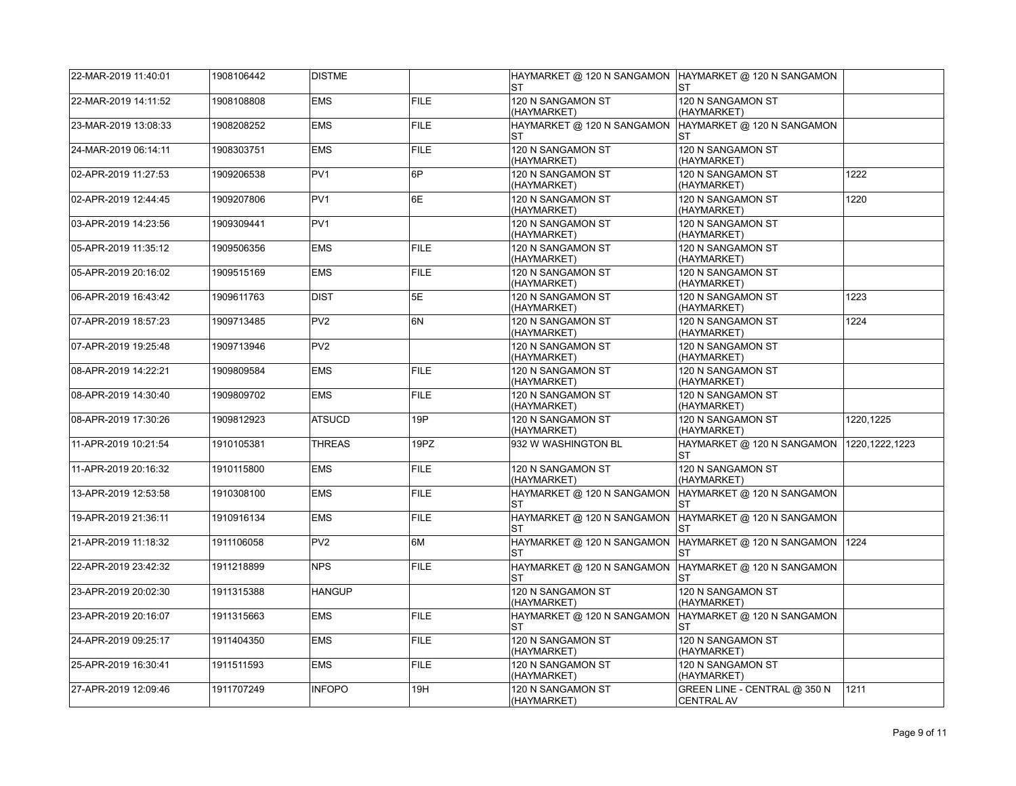| 22-MAR-2019 11:40:01 | 1908106442 | <b>DISTME</b>   |             | ST                                      | HAYMARKET @ 120 N SANGAMON  HAYMARKET @ 120 N SANGAMON<br>ST |                  |
|----------------------|------------|-----------------|-------------|-----------------------------------------|--------------------------------------------------------------|------------------|
| 22-MAR-2019 14:11:52 | 1908108808 | <b>EMS</b>      | <b>FILE</b> | 120 N SANGAMON ST<br>(HAYMARKET)        | 120 N SANGAMON ST<br>(HAYMARKET)                             |                  |
| 23-MAR-2019 13:08:33 | 1908208252 | <b>EMS</b>      | <b>FILE</b> | HAYMARKET @ 120 N SANGAMON<br>ST        | HAYMARKET @ 120 N SANGAMON<br>ST                             |                  |
| 24-MAR-2019 06:14:11 | 1908303751 | <b>EMS</b>      | <b>FILE</b> | 120 N SANGAMON ST<br>(HAYMARKET)        | 120 N SANGAMON ST<br>(HAYMARKET)                             |                  |
| 02-APR-2019 11:27:53 | 1909206538 | PV <sub>1</sub> | 6P          | 120 N SANGAMON ST<br>(HAYMARKET)        | 120 N SANGAMON ST<br>(HAYMARKET)                             | 1222             |
| 02-APR-2019 12:44:45 | 1909207806 | PV <sub>1</sub> | 6E          | 120 N SANGAMON ST<br>(HAYMARKET)        | 120 N SANGAMON ST<br>(HAYMARKET)                             | 1220             |
| 03-APR-2019 14:23:56 | 1909309441 | PV <sub>1</sub> |             | 120 N SANGAMON ST<br>(HAYMARKET)        | 120 N SANGAMON ST<br>(HAYMARKET)                             |                  |
| 05-APR-2019 11:35:12 | 1909506356 | EMS             | <b>FILE</b> | 120 N SANGAMON ST<br>(HAYMARKET)        | 120 N SANGAMON ST<br>(HAYMARKET)                             |                  |
| 05-APR-2019 20:16:02 | 1909515169 | <b>EMS</b>      | <b>FILE</b> | 120 N SANGAMON ST<br>(HAYMARKET)        | 120 N SANGAMON ST<br>(HAYMARKET)                             |                  |
| 06-APR-2019 16:43:42 | 1909611763 | <b>DIST</b>     | 5E          | 120 N SANGAMON ST<br>(HAYMARKET)        | 120 N SANGAMON ST<br>(HAYMARKET)                             | 1223             |
| 07-APR-2019 18:57:23 | 1909713485 | PV <sub>2</sub> | 6N          | 120 N SANGAMON ST<br>(HAYMARKET)        | 120 N SANGAMON ST<br>(HAYMARKET)                             | 1224             |
| 07-APR-2019 19:25:48 | 1909713946 | PV <sub>2</sub> |             | 120 N SANGAMON ST<br>(HAYMARKET)        | 120 N SANGAMON ST<br>(HAYMARKET)                             |                  |
| 08-APR-2019 14:22:21 | 1909809584 | <b>EMS</b>      | <b>FILE</b> | 120 N SANGAMON ST<br>(HAYMARKET)        | 120 N SANGAMON ST<br>(HAYMARKET)                             |                  |
| 08-APR-2019 14:30:40 | 1909809702 | <b>EMS</b>      | <b>FILE</b> | 120 N SANGAMON ST<br>(HAYMARKET)        | 120 N SANGAMON ST<br>(HAYMARKET)                             |                  |
| 08-APR-2019 17:30:26 | 1909812923 | ATSUCD          | 19P         | 120 N SANGAMON ST<br>(HAYMARKET)        | 120 N SANGAMON ST<br>(HAYMARKET)                             | 1220,1225        |
| 11-APR-2019 10:21:54 | 1910105381 | <b>THREAS</b>   | 19PZ        | 932 W WASHINGTON BL                     | HAYMARKET @ 120 N SANGAMON<br>ST                             | 1220, 1222, 1223 |
| 11-APR-2019 20:16:32 | 1910115800 | <b>EMS</b>      | <b>FILE</b> | 120 N SANGAMON ST<br>(HAYMARKET)        | 120 N SANGAMON ST<br>(HAYMARKET)                             |                  |
| 13-APR-2019 12:53:58 | 1910308100 | <b>EMS</b>      | <b>FILE</b> | HAYMARKET @ 120 N SANGAMON<br>ST        | HAYMARKET @ 120 N SANGAMON<br>ST                             |                  |
| 19-APR-2019 21:36:11 | 1910916134 | <b>EMS</b>      | <b>FILE</b> | HAYMARKET @ 120 N SANGAMON<br>ST        | HAYMARKET @ 120 N SANGAMON<br>ST                             |                  |
| 21-APR-2019 11:18:32 | 1911106058 | PV <sub>2</sub> | 6M          | HAYMARKET @ 120 N SANGAMON<br><b>ST</b> | HAYMARKET @ 120 N SANGAMON<br><b>ST</b>                      | 1224             |
| 22-APR-2019 23:42:32 | 1911218899 | <b>NPS</b>      | <b>FILE</b> | HAYMARKET @ 120 N SANGAMON<br>ST        | HAYMARKET @ 120 N SANGAMON<br><b>ST</b>                      |                  |
| 23-APR-2019 20:02:30 | 1911315388 | <b>HANGUP</b>   |             | 120 N SANGAMON ST<br>(HAYMARKET)        | 120 N SANGAMON ST<br>(HAYMARKET)                             |                  |
| 23-APR-2019 20:16:07 | 1911315663 | <b>EMS</b>      | <b>FILE</b> | HAYMARKET @ 120 N SANGAMON<br>ST        | HAYMARKET @ 120 N SANGAMON<br>ST                             |                  |
| 24-APR-2019 09:25:17 | 1911404350 | EMS             | <b>FILE</b> | 120 N SANGAMON ST<br>(HAYMARKET)        | 120 N SANGAMON ST<br>(HAYMARKET)                             |                  |
| 25-APR-2019 16:30:41 | 1911511593 | <b>EMS</b>      | <b>FILE</b> | 120 N SANGAMON ST<br>(HAYMARKET)        | 120 N SANGAMON ST<br>(HAYMARKET)                             |                  |
| 27-APR-2019 12:09:46 | 1911707249 | <b>INFOPO</b>   | 19H         | 120 N SANGAMON ST<br>(HAYMARKET)        | GREEN LINE - CENTRAL @ 350 N<br><b>CENTRAL AV</b>            | 1211             |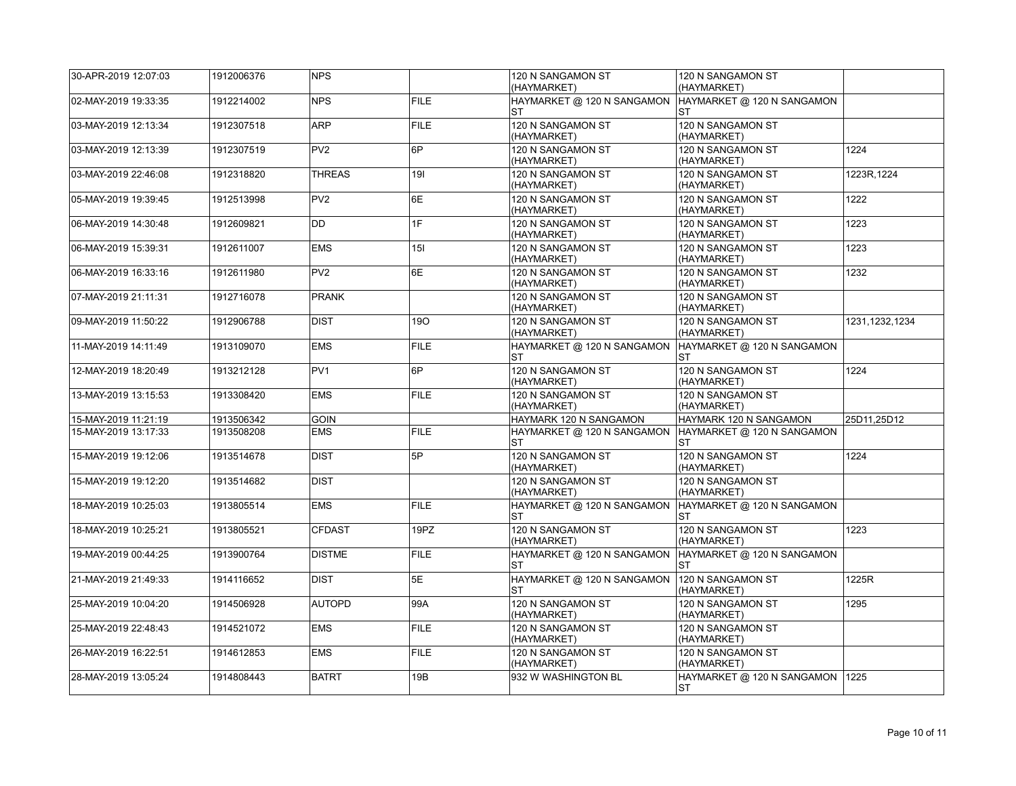| 30-APR-2019 12:07:03 | 1912006376 | <b>NPS</b>      |             | 120 N SANGAMON ST<br>(HAYMARKET)        | 120 N SANGAMON ST<br>(HAYMARKET)        |                  |
|----------------------|------------|-----------------|-------------|-----------------------------------------|-----------------------------------------|------------------|
| 02-MAY-2019 19:33:35 | 1912214002 | <b>NPS</b>      | <b>FILE</b> | HAYMARKET @ 120 N SANGAMON<br><b>ST</b> | HAYMARKET @ 120 N SANGAMON<br>ST        |                  |
| 03-MAY-2019 12:13:34 | 1912307518 | <b>ARP</b>      | <b>FILE</b> | 120 N SANGAMON ST<br>(HAYMARKET)        | 120 N SANGAMON ST<br>(HAYMARKET)        |                  |
| 03-MAY-2019 12:13:39 | 1912307519 | PV <sub>2</sub> | 6P          | 120 N SANGAMON ST<br>(HAYMARKET)        | 120 N SANGAMON ST<br>(HAYMARKET)        | 1224             |
| 03-MAY-2019 22:46:08 | 1912318820 | <b>THREAS</b>   | 191         | 120 N SANGAMON ST<br>(HAYMARKET)        | 120 N SANGAMON ST<br>(HAYMARKET)        | 1223R.1224       |
| 05-MAY-2019 19:39:45 | 1912513998 | PV <sub>2</sub> | 6E          | 120 N SANGAMON ST<br>(HAYMARKET)        | 120 N SANGAMON ST<br>(HAYMARKET)        | 1222             |
| 06-MAY-2019 14:30:48 | 1912609821 | DD              | 1F          | 120 N SANGAMON ST<br>(HAYMARKET)        | 120 N SANGAMON ST<br>(HAYMARKET)        | 1223             |
| 06-MAY-2019 15:39:31 | 1912611007 | <b>EMS</b>      | 15I         | 120 N SANGAMON ST<br>(HAYMARKET)        | 120 N SANGAMON ST<br>(HAYMARKET)        | 1223             |
| 06-MAY-2019 16:33:16 | 1912611980 | PV <sub>2</sub> | 6E          | 120 N SANGAMON ST<br>(HAYMARKET)        | 120 N SANGAMON ST<br>(HAYMARKET)        | 1232             |
| 07-MAY-2019 21:11:31 | 1912716078 | <b>PRANK</b>    |             | 120 N SANGAMON ST<br>(HAYMARKET)        | 120 N SANGAMON ST<br>(HAYMARKET)        |                  |
| 09-MAY-2019 11:50:22 | 1912906788 | <b>DIST</b>     | 190         | 120 N SANGAMON ST<br>(HAYMARKET)        | 120 N SANGAMON ST<br>(HAYMARKET)        | 1231, 1232, 1234 |
| 11-MAY-2019 14:11:49 | 1913109070 | <b>EMS</b>      | <b>FILE</b> | HAYMARKET @ 120 N SANGAMON<br><b>ST</b> | HAYMARKET @ 120 N SANGAMON<br>ST        |                  |
| 12-MAY-2019 18:20:49 | 1913212128 | PV <sub>1</sub> | 6P          | 120 N SANGAMON ST<br>(HAYMARKET)        | 120 N SANGAMON ST<br>(HAYMARKET)        | 1224             |
| 13-MAY-2019 13:15:53 | 1913308420 | <b>EMS</b>      | <b>FILE</b> | 120 N SANGAMON ST<br>(HAYMARKET)        | 120 N SANGAMON ST<br>(HAYMARKET)        |                  |
| 15-MAY-2019 11:21:19 | 1913506342 | <b>GOIN</b>     |             | HAYMARK 120 N SANGAMON                  | HAYMARK 120 N SANGAMON                  | 25D11.25D12      |
| 15-MAY-2019 13:17:33 | 1913508208 | <b>EMS</b>      | <b>FILE</b> | HAYMARKET @ 120 N SANGAMON<br><b>ST</b> | HAYMARKET @ 120 N SANGAMON<br><b>ST</b> |                  |
| 15-MAY-2019 19:12:06 | 1913514678 | <b>DIST</b>     | 5P          | 120 N SANGAMON ST<br>(HAYMARKET)        | 120 N SANGAMON ST<br>(HAYMARKET)        | 1224             |
| 15-MAY-2019 19:12:20 | 1913514682 | <b>DIST</b>     |             | 120 N SANGAMON ST<br>(HAYMARKET)        | 120 N SANGAMON ST<br>(HAYMARKET)        |                  |
| 18-MAY-2019 10:25:03 | 1913805514 | <b>EMS</b>      | <b>FILE</b> | HAYMARKET @ 120 N SANGAMON<br><b>ST</b> | HAYMARKET @ 120 N SANGAMON<br>ST        |                  |
| 18-MAY-2019 10:25:21 | 1913805521 | <b>CFDAST</b>   | 19PZ        | 120 N SANGAMON ST<br>(HAYMARKET)        | 120 N SANGAMON ST<br>(HAYMARKET)        | 1223             |
| 19-MAY-2019 00:44:25 | 1913900764 | <b>DISTME</b>   | <b>FILE</b> | HAYMARKET @ 120 N SANGAMON<br><b>ST</b> | HAYMARKET @ 120 N SANGAMON<br><b>ST</b> |                  |
| 21-MAY-2019 21:49:33 | 1914116652 | <b>DIST</b>     | 5E          | HAYMARKET @ 120 N SANGAMON<br><b>ST</b> | 120 N SANGAMON ST<br>(HAYMARKET)        | 1225R            |
| 25-MAY-2019 10:04:20 | 1914506928 | <b>AUTOPD</b>   | 99A         | 120 N SANGAMON ST<br>(HAYMARKET)        | 120 N SANGAMON ST<br>(HAYMARKET)        | 1295             |
| 25-MAY-2019 22:48:43 | 1914521072 | <b>EMS</b>      | <b>FILE</b> | 120 N SANGAMON ST<br>(HAYMARKET)        | 120 N SANGAMON ST<br>(HAYMARKET)        |                  |
| 26-MAY-2019 16:22:51 | 1914612853 | <b>EMS</b>      | <b>FILE</b> | 120 N SANGAMON ST<br>(HAYMARKET)        | 120 N SANGAMON ST<br>(HAYMARKET)        |                  |
|                      |            |                 |             |                                         |                                         |                  |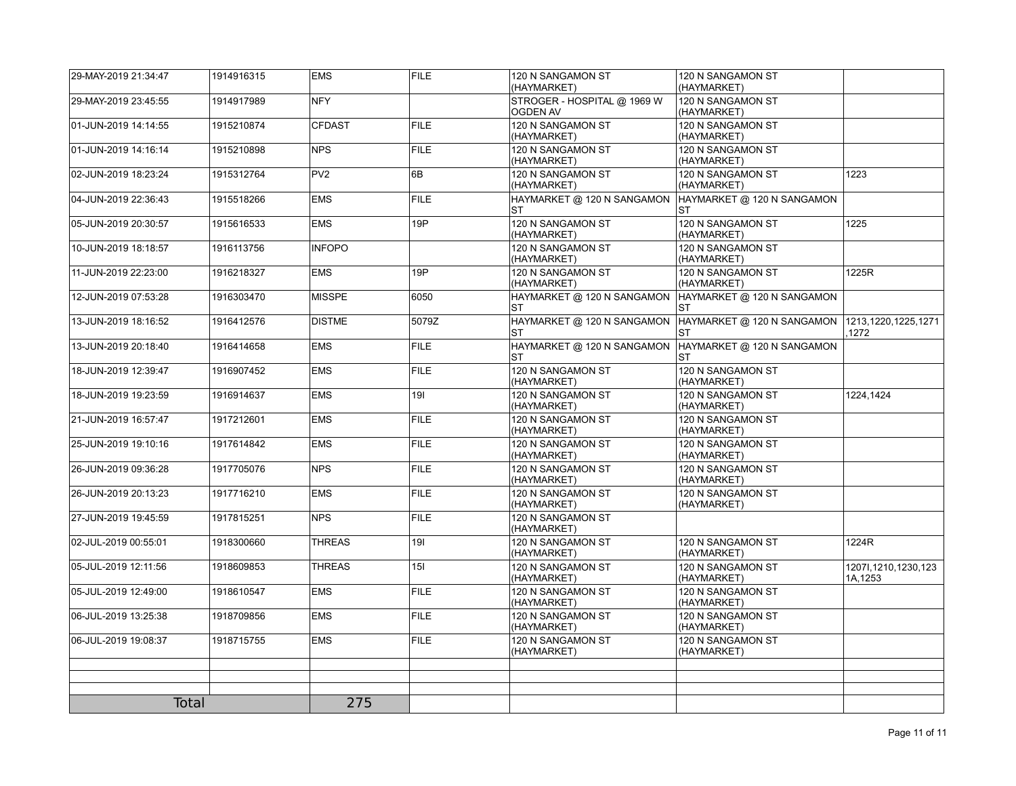| 29-MAY-2019 21:34:47 | 1914916315 | <b>EMS</b>      | <b>FILE</b> | 120 N SANGAMON ST<br>(HAYMARKET)               | 120 N SANGAMON ST<br>(HAYMARKET)        |                                    |
|----------------------|------------|-----------------|-------------|------------------------------------------------|-----------------------------------------|------------------------------------|
| 29-MAY-2019 23:45:55 | 1914917989 | <b>NFY</b>      |             | STROGER - HOSPITAL @ 1969 W<br><b>OGDEN AV</b> | 120 N SANGAMON ST<br>(HAYMARKET)        |                                    |
| 01-JUN-2019 14:14:55 | 1915210874 | <b>CFDAST</b>   | <b>FILE</b> | 120 N SANGAMON ST<br>(HAYMARKET)               | 120 N SANGAMON ST<br>(HAYMARKET)        |                                    |
| 01-JUN-2019 14:16:14 | 1915210898 | <b>NPS</b>      | <b>FILE</b> | 120 N SANGAMON ST<br>(HAYMARKET)               | 120 N SANGAMON ST<br>(HAYMARKET)        |                                    |
| 02-JUN-2019 18:23:24 | 1915312764 | PV <sub>2</sub> | 6B          | 120 N SANGAMON ST<br>(HAYMARKET)               | 120 N SANGAMON ST<br>(HAYMARKET)        | 1223                               |
| 04-JUN-2019 22:36:43 | 1915518266 | <b>EMS</b>      | <b>FILE</b> | HAYMARKET @ 120 N SANGAMON<br><b>ST</b>        | HAYMARKET @ 120 N SANGAMON<br>ST        |                                    |
| 05-JUN-2019 20:30:57 | 1915616533 | <b>EMS</b>      | 19P         | 120 N SANGAMON ST<br>(HAYMARKET)               | 120 N SANGAMON ST<br>(HAYMARKET)        | 1225                               |
| 10-JUN-2019 18:18:57 | 1916113756 | <b>INFOPO</b>   |             | 120 N SANGAMON ST<br>(HAYMARKET)               | 120 N SANGAMON ST<br>(HAYMARKET)        |                                    |
| 11-JUN-2019 22:23:00 | 1916218327 | <b>EMS</b>      | 19P         | 120 N SANGAMON ST<br>(HAYMARKET)               | 120 N SANGAMON ST<br>(HAYMARKET)        | 1225R                              |
| 12-JUN-2019 07:53:28 | 1916303470 | <b>MISSPE</b>   | 6050        | HAYMARKET @ 120 N SANGAMON<br>ST               | HAYMARKET @ 120 N SANGAMON<br>ST        |                                    |
| 13-JUN-2019 18:16:52 | 1916412576 | <b>DISTME</b>   | 5079Z       | HAYMARKET @ 120 N SANGAMON<br><b>ST</b>        | HAYMARKET @ 120 N SANGAMON<br><b>ST</b> | 1213, 1220, 1225, 1271<br>.1272    |
| 13-JUN-2019 20:18:40 | 1916414658 | <b>EMS</b>      | <b>FILE</b> | HAYMARKET @ 120 N SANGAMON<br><b>ST</b>        | HAYMARKET @ 120 N SANGAMON<br>ST        |                                    |
| 18-JUN-2019 12:39:47 | 1916907452 | <b>EMS</b>      | <b>FILE</b> | 120 N SANGAMON ST<br>(HAYMARKET)               | 120 N SANGAMON ST<br>(HAYMARKET)        |                                    |
| 18-JUN-2019 19:23:59 | 1916914637 | <b>EMS</b>      | 191         | 120 N SANGAMON ST<br>(HAYMARKET)               | 120 N SANGAMON ST<br>(HAYMARKET)        | 1224,1424                          |
| 21-JUN-2019 16:57:47 | 1917212601 | <b>EMS</b>      | <b>FILE</b> | 120 N SANGAMON ST<br>(HAYMARKET)               | 120 N SANGAMON ST<br>(HAYMARKET)        |                                    |
| 25-JUN-2019 19:10:16 | 1917614842 | <b>EMS</b>      | <b>FILE</b> | 120 N SANGAMON ST<br>(HAYMARKET)               | 120 N SANGAMON ST<br>(HAYMARKET)        |                                    |
| 26-JUN-2019 09:36:28 | 1917705076 | <b>NPS</b>      | <b>FILE</b> | 120 N SANGAMON ST<br>(HAYMARKET)               | 120 N SANGAMON ST<br>(HAYMARKET)        |                                    |
| 26-JUN-2019 20:13:23 | 1917716210 | <b>EMS</b>      | <b>FILE</b> | 120 N SANGAMON ST<br>(HAYMARKET)               | 120 N SANGAMON ST<br>(HAYMARKET)        |                                    |
| 27-JUN-2019 19:45:59 | 1917815251 | <b>NPS</b>      | <b>FILE</b> | 120 N SANGAMON ST<br>(HAYMARKET)               |                                         |                                    |
| 02-JUL-2019 00:55:01 | 1918300660 | <b>THREAS</b>   | 191         | 120 N SANGAMON ST<br>(HAYMARKET)               | 120 N SANGAMON ST<br>(HAYMARKET)        | 1224R                              |
| 05-JUL-2019 12:11:56 | 1918609853 | <b>THREAS</b>   | 15I         | 120 N SANGAMON ST<br>(HAYMARKET)               | 120 N SANGAMON ST<br>(HAYMARKET)        | 1207l, 1210, 1230, 123<br>1A, 1253 |
| 05-JUL-2019 12:49:00 | 1918610547 | <b>EMS</b>      | <b>FILE</b> | 120 N SANGAMON ST<br>(HAYMARKET)               | 120 N SANGAMON ST<br>(HAYMARKET)        |                                    |
| 06-JUL-2019 13:25:38 | 1918709856 | <b>EMS</b>      | <b>FILE</b> | 120 N SANGAMON ST<br>(HAYMARKET)               | 120 N SANGAMON ST<br>(HAYMARKET)        |                                    |
| 06-JUL-2019 19:08:37 | 1918715755 | <b>EMS</b>      | <b>FILE</b> | 120 N SANGAMON ST<br>(HAYMARKET)               | 120 N SANGAMON ST<br>(HAYMARKET)        |                                    |
|                      |            |                 |             |                                                |                                         |                                    |
|                      |            |                 |             |                                                |                                         |                                    |
| <b>Total</b>         |            | 275             |             |                                                |                                         |                                    |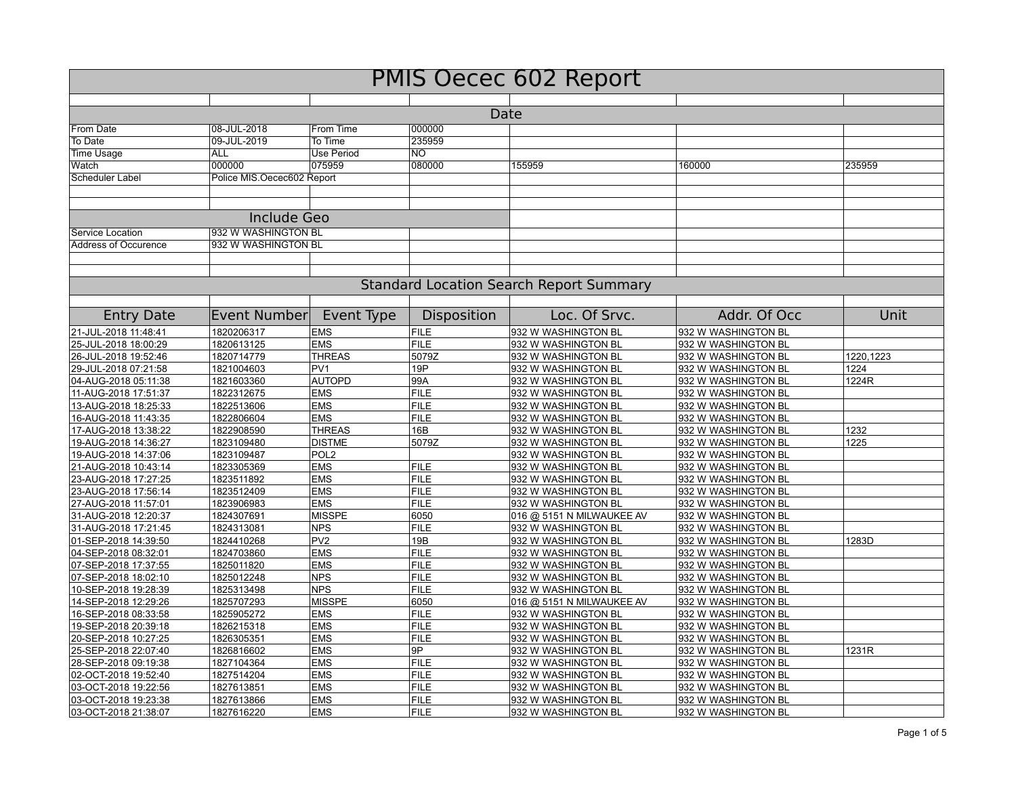| <b>PMIS Oecec 602 Report</b>                   |                            |                               |                     |                                            |                                            |           |  |  |  |
|------------------------------------------------|----------------------------|-------------------------------|---------------------|--------------------------------------------|--------------------------------------------|-----------|--|--|--|
|                                                |                            |                               |                     |                                            |                                            |           |  |  |  |
| Date                                           |                            |                               |                     |                                            |                                            |           |  |  |  |
| From Date                                      | 08-JUL-2018                | From Time                     | 000000              |                                            |                                            |           |  |  |  |
| To Date                                        | 09-JUL-2019                | To Time                       | 235959              |                                            |                                            |           |  |  |  |
| <b>Time Usage</b>                              | <b>ALL</b>                 | <b>Use Period</b>             | NO.                 |                                            |                                            |           |  |  |  |
| Watch                                          | 000000                     | 075959                        | 080000              | 155959                                     | 160000                                     | 235959    |  |  |  |
| Scheduler Label                                | Police MIS.Oecec602 Report |                               |                     |                                            |                                            |           |  |  |  |
|                                                |                            |                               |                     |                                            |                                            |           |  |  |  |
|                                                |                            |                               |                     |                                            |                                            |           |  |  |  |
| <b>Include Geo</b>                             |                            |                               |                     |                                            |                                            |           |  |  |  |
| Service Location                               | 932 W WASHINGTON BL        |                               |                     |                                            |                                            |           |  |  |  |
| <b>Address of Occurence</b>                    | 932 W WASHINGTON BL        |                               |                     |                                            |                                            |           |  |  |  |
|                                                |                            |                               |                     |                                            |                                            |           |  |  |  |
| <b>Standard Location Search Report Summary</b> |                            |                               |                     |                                            |                                            |           |  |  |  |
|                                                |                            |                               |                     |                                            |                                            |           |  |  |  |
| <b>Entry Date</b>                              | <b>Event Number</b>        | Event Type                    | Disposition         | Loc. Of Srvc.                              | Addr. Of Occ                               | Unit      |  |  |  |
| 21-JUL-2018 11:48:41                           | 1820206317                 | <b>EMS</b>                    | <b>FILE</b>         | 932 W WASHINGTON BL                        | 932 W WASHINGTON BL                        |           |  |  |  |
| 25-JUL-2018 18:00:29                           | 1820613125                 | <b>EMS</b>                    | <b>FILE</b>         | 932 W WASHINGTON BL                        | 932 W WASHINGTON BL                        |           |  |  |  |
| 26-JUL-2018 19:52:46                           | 1820714779                 | <b>THREAS</b>                 | 5079Z               | 932 W WASHINGTON BL                        | 932 W WASHINGTON BL                        | 1220,1223 |  |  |  |
| 29-JUL-2018 07:21:58                           | 1821004603                 | PV <sub>1</sub>               | 19P                 | 932 W WASHINGTON BL                        | 932 W WASHINGTON BL                        | 1224      |  |  |  |
| 04-AUG-2018 05:11:38                           | 1821603360                 | <b>AUTOPD</b>                 | 99A                 | 932 W WASHINGTON BL                        | 932 W WASHINGTON BL                        | 1224R     |  |  |  |
| 11-AUG-2018 17:51:37                           | 1822312675                 | <b>EMS</b>                    | <b>FILE</b>         | 932 W WASHINGTON BL                        | 932 W WASHINGTON BL                        |           |  |  |  |
| 13-AUG-2018 18:25:33                           | 1822513606                 | <b>EMS</b>                    | <b>FILE</b>         | 932 W WASHINGTON BL                        | 932 W WASHINGTON BL                        |           |  |  |  |
| 16-AUG-2018 11:43:35                           | 1822806604                 | <b>EMS</b>                    | <b>FILE</b>         | 932 W WASHINGTON BL                        | 932 W WASHINGTON BL                        |           |  |  |  |
| 17-AUG-2018 13:38:22                           | 1822908590                 | <b>THREAS</b>                 | 16B                 | 932 W WASHINGTON BL                        | 932 W WASHINGTON BL                        | 1232      |  |  |  |
| 19-AUG-2018 14:36:27                           | 1823109480                 | <b>DISTME</b>                 | 5079Z               | 932 W WASHINGTON BL                        | 932 W WASHINGTON BL                        | 1225      |  |  |  |
| 19-AUG-2018 14:37:06                           | 1823109487                 | POL <sub>2</sub>              |                     | 932 W WASHINGTON BL                        | 932 W WASHINGTON BL                        |           |  |  |  |
| 21-AUG-2018 10:43:14                           | 1823305369                 | <b>EMS</b>                    | <b>FILE</b>         | 932 W WASHINGTON BL                        | 932 W WASHINGTON BL                        |           |  |  |  |
| 23-AUG-2018 17:27:25                           | 1823511892                 | <b>EMS</b>                    | <b>FILE</b>         | 932 W WASHINGTON BL                        | 932 W WASHINGTON BL                        |           |  |  |  |
| 23-AUG-2018 17:56:14                           | 1823512409                 | <b>EMS</b>                    | <b>FILE</b>         | 932 W WASHINGTON BL                        | 932 W WASHINGTON BL                        |           |  |  |  |
| 27-AUG-2018 11:57:01                           | 1823906983                 | <b>EMS</b>                    | <b>FILE</b>         | 932 W WASHINGTON BL                        | 932 W WASHINGTON BL                        |           |  |  |  |
| 31-AUG-2018 12:20:37                           | 1824307691                 | <b>MISSPE</b>                 | 6050<br><b>FILE</b> | 016 @ 5151 N MILWAUKEE AV                  | 932 W WASHINGTON BL                        |           |  |  |  |
| 31-AUG-2018 17:21:45<br>01-SEP-2018 14:39:50   | 1824313081<br>1824410268   | <b>NPS</b><br>PV <sub>2</sub> | 19B                 | 932 W WASHINGTON BL<br>932 W WASHINGTON BL | 932 W WASHINGTON BL<br>932 W WASHINGTON BL | 1283D     |  |  |  |
| 04-SEP-2018 08:32:01                           | 1824703860                 | <b>EMS</b>                    | <b>FILE</b>         | 932 W WASHINGTON BL                        | 932 W WASHINGTON BL                        |           |  |  |  |
| 07-SEP-2018 17:37:55                           | 1825011820                 | <b>EMS</b>                    | FILE                | 932 W WASHINGTON BL                        | 932 W WASHINGTON BL                        |           |  |  |  |
| 07-SEP-2018 18:02:10                           | 1825012248                 | <b>NPS</b>                    | <b>FILE</b>         | 932 W WASHINGTON BL                        | 932 W WASHINGTON BL                        |           |  |  |  |
| 10-SEP-2018 19:28:39                           | 1825313498                 | <b>NPS</b>                    | <b>FILE</b>         | 932 W WASHINGTON BL                        | 932 W WASHINGTON BL                        |           |  |  |  |
| 14-SEP-2018 12:29:26                           | 1825707293                 | <b>MISSPE</b>                 | 6050                | 016 @ 5151 N MILWAUKEE AV                  | 932 W WASHINGTON BL                        |           |  |  |  |
| 16-SEP-2018 08:33:58                           | 1825905272                 | <b>EMS</b>                    | <b>FILE</b>         | 932 W WASHINGTON BL                        | 932 W WASHINGTON BL                        |           |  |  |  |
| 19-SEP-2018 20:39:18                           | 1826215318                 | <b>EMS</b>                    | <b>FILE</b>         | 932 W WASHINGTON BL                        | 932 W WASHINGTON BL                        |           |  |  |  |
| 20-SEP-2018 10:27:25                           | 1826305351                 | <b>EMS</b>                    | <b>FILE</b>         | 932 W WASHINGTON BL                        | 932 W WASHINGTON BL                        |           |  |  |  |
| 25-SEP-2018 22:07:40                           | 1826816602                 | <b>EMS</b>                    | 9P                  | 932 W WASHINGTON BL                        | 932 W WASHINGTON BL                        | 1231R     |  |  |  |
| 28-SEP-2018 09:19:38                           | 1827104364                 | <b>EMS</b>                    | <b>FILE</b>         | 932 W WASHINGTON BL                        | 932 W WASHINGTON BL                        |           |  |  |  |
| 02-OCT-2018 19:52:40                           | 1827514204                 | <b>EMS</b>                    | <b>FILE</b>         | 932 W WASHINGTON BL                        | 932 W WASHINGTON BL                        |           |  |  |  |
| 03-OCT-2018 19:22:56                           | 1827613851                 | <b>EMS</b>                    | <b>FILE</b>         | 932 W WASHINGTON BL                        | 932 W WASHINGTON BL                        |           |  |  |  |
| 03-OCT-2018 19:23:38                           | 1827613866                 | <b>EMS</b>                    | <b>FILE</b>         | 932 W WASHINGTON BL                        | 932 W WASHINGTON BL                        |           |  |  |  |
| 03-OCT-2018 21:38:07                           | 1827616220                 | <b>EMS</b>                    | <b>FILE</b>         | 932 W WASHINGTON BL                        | 932 W WASHINGTON BL                        |           |  |  |  |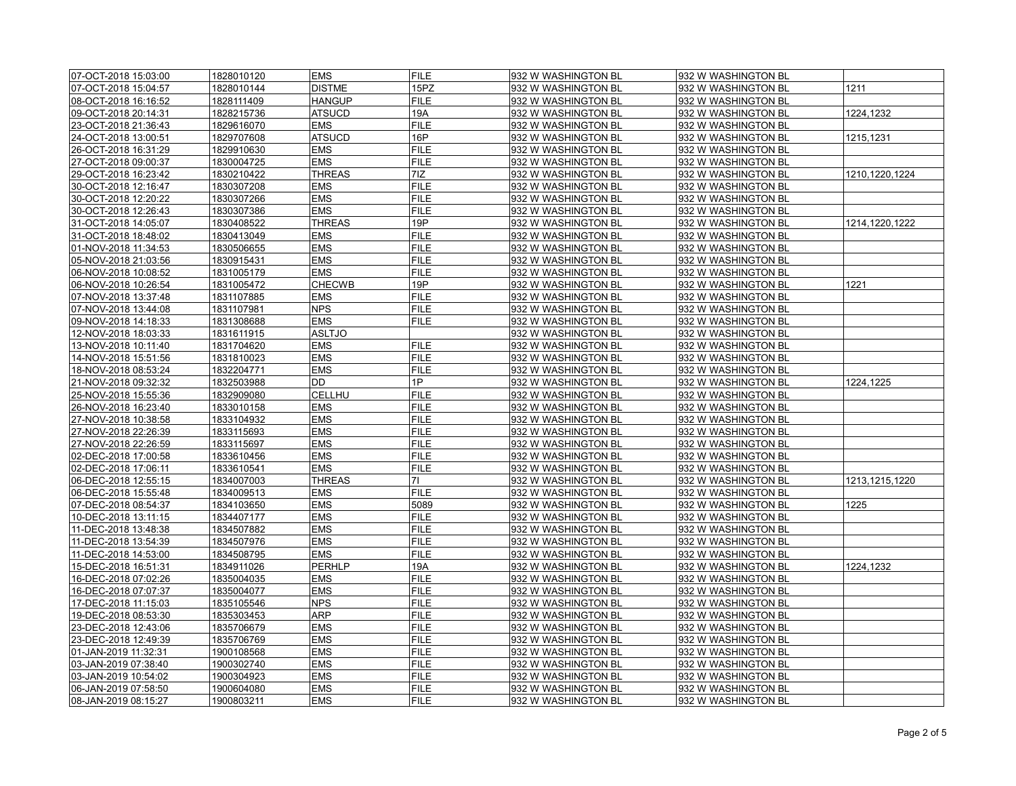| 07-OCT-2018 15:03:00 | 1828010120 | <b>EMS</b>    | <b>FILE</b>    | 932 W WASHINGTON BL | 932 W WASHINGTON BL |                  |
|----------------------|------------|---------------|----------------|---------------------|---------------------|------------------|
| 07-OCT-2018 15:04:57 | 1828010144 | <b>DISTME</b> | 15PZ           | 932 W WASHINGTON BL | 932 W WASHINGTON BL | 1211             |
| 08-OCT-2018 16:16:52 | 1828111409 | <b>HANGUP</b> | <b>FILE</b>    | 932 W WASHINGTON BL | 932 W WASHINGTON BL |                  |
| 09-OCT-2018 20:14:31 | 1828215736 | ATSUCD        | 19A            | 932 W WASHINGTON BL | 932 W WASHINGTON BL | 1224,1232        |
| 23-OCT-2018 21:36:43 | 1829616070 | <b>EMS</b>    | <b>FILE</b>    | 932 W WASHINGTON BL | 932 W WASHINGTON BL |                  |
| 24-OCT-2018 13:00:51 | 1829707608 | <b>ATSUCD</b> | 16P            | 932 W WASHINGTON BL | 932 W WASHINGTON BL | 1215,1231        |
| 26-OCT-2018 16:31:29 | 1829910630 | <b>EMS</b>    | <b>FILE</b>    | 932 W WASHINGTON BL | 932 W WASHINGTON BL |                  |
| 27-OCT-2018 09:00:37 | 1830004725 | <b>EMS</b>    | <b>FILE</b>    | 932 W WASHINGTON BL | 932 W WASHINGTON BL |                  |
| 29-OCT-2018 16:23:42 | 1830210422 | <b>THREAS</b> | 7 <sub>z</sub> | 932 W WASHINGTON BL | 932 W WASHINGTON BL | 1210,1220,1224   |
| 30-OCT-2018 12:16:47 | 1830307208 | <b>EMS</b>    | <b>FILE</b>    | 932 W WASHINGTON BL | 932 W WASHINGTON BL |                  |
| 30-OCT-2018 12:20:22 | 1830307266 | <b>EMS</b>    | <b>FILE</b>    | 932 W WASHINGTON BL | 932 W WASHINGTON BL |                  |
| 30-OCT-2018 12:26:43 | 1830307386 | <b>EMS</b>    | <b>FILE</b>    | 932 W WASHINGTON BL | 932 W WASHINGTON BL |                  |
| 31-OCT-2018 14:05:07 | 1830408522 | <b>THREAS</b> | 19P            | 932 W WASHINGTON BL | 932 W WASHINGTON BL | 1214, 1220, 1222 |
| 31-OCT-2018 18:48:02 | 1830413049 | <b>EMS</b>    | <b>FILE</b>    | 932 W WASHINGTON BL | 932 W WASHINGTON BL |                  |
| 01-NOV-2018 11:34:53 | 1830506655 | <b>EMS</b>    | <b>FILE</b>    | 932 W WASHINGTON BL | 932 W WASHINGTON BL |                  |
| 05-NOV-2018 21:03:56 | 1830915431 | <b>EMS</b>    | <b>FILE</b>    | 932 W WASHINGTON BL | 932 W WASHINGTON BL |                  |
| 06-NOV-2018 10:08:52 | 1831005179 | <b>EMS</b>    | <b>FILE</b>    | 932 W WASHINGTON BL | 932 W WASHINGTON BL |                  |
| 06-NOV-2018 10:26:54 | 1831005472 | <b>CHECWB</b> | 19P            | 932 W WASHINGTON BL | 932 W WASHINGTON BL | 1221             |
| 07-NOV-2018 13:37:48 | 1831107885 | <b>EMS</b>    | <b>FILE</b>    | 932 W WASHINGTON BL | 932 W WASHINGTON BL |                  |
| 07-NOV-2018 13:44:08 | 1831107981 | <b>NPS</b>    | <b>FILE</b>    | 932 W WASHINGTON BL | 932 W WASHINGTON BL |                  |
| 09-NOV-2018 14:18:33 | 1831308688 | <b>EMS</b>    | <b>FILE</b>    | 932 W WASHINGTON BL | 932 W WASHINGTON BL |                  |
| 12-NOV-2018 18:03:33 | 1831611915 | ASLTJO        |                | 932 W WASHINGTON BL | 932 W WASHINGTON BL |                  |
| 13-NOV-2018 10:11:40 | 1831704620 | <b>EMS</b>    | <b>FILE</b>    | 932 W WASHINGTON BL | 932 W WASHINGTON BL |                  |
| 14-NOV-2018 15:51:56 | 1831810023 | <b>EMS</b>    | <b>FILE</b>    | 932 W WASHINGTON BL | 932 W WASHINGTON BL |                  |
| 18-NOV-2018 08:53:24 | 1832204771 | <b>EMS</b>    | <b>FILE</b>    | 932 W WASHINGTON BL | 932 W WASHINGTON BL |                  |
| 21-NOV-2018 09:32:32 | 1832503988 | DD            | 1P             | 932 W WASHINGTON BL | 932 W WASHINGTON BL | 1224,1225        |
| 25-NOV-2018 15:55:36 | 1832909080 | CELLHU        | <b>FILE</b>    | 932 W WASHINGTON BL | 932 W WASHINGTON BL |                  |
| 26-NOV-2018 16:23:40 | 1833010158 | <b>EMS</b>    | <b>FILE</b>    | 932 W WASHINGTON BL | 932 W WASHINGTON BL |                  |
| 27-NOV-2018 10:38:58 | 1833104932 | <b>EMS</b>    | <b>FILE</b>    | 932 W WASHINGTON BL | 932 W WASHINGTON BL |                  |
| 27-NOV-2018 22:26:39 | 1833115693 | <b>EMS</b>    | <b>FILE</b>    | 932 W WASHINGTON BL | 932 W WASHINGTON BL |                  |
| 27-NOV-2018 22:26:59 | 1833115697 | <b>EMS</b>    | <b>FILE</b>    | 932 W WASHINGTON BL | 932 W WASHINGTON BL |                  |
| 02-DEC-2018 17:00:58 | 1833610456 | <b>EMS</b>    | <b>FILE</b>    | 932 W WASHINGTON BL | 932 W WASHINGTON BL |                  |
| 02-DEC-2018 17:06:11 | 1833610541 | <b>EMS</b>    | <b>FILE</b>    | 932 W WASHINGTON BL | 932 W WASHINGTON BL |                  |
| 06-DEC-2018 12:55:15 | 1834007003 | <b>THREAS</b> | 71             | 932 W WASHINGTON BL | 932 W WASHINGTON BL | 1213,1215,1220   |
| 06-DEC-2018 15:55:48 | 1834009513 | <b>EMS</b>    | <b>FILE</b>    | 932 W WASHINGTON BL | 932 W WASHINGTON BL |                  |
| 07-DEC-2018 08:54:37 | 1834103650 | <b>EMS</b>    | 5089           | 932 W WASHINGTON BL | 932 W WASHINGTON BL | 1225             |
| 10-DEC-2018 13:11:15 | 1834407177 | <b>EMS</b>    | <b>FILE</b>    | 932 W WASHINGTON BL | 932 W WASHINGTON BL |                  |
| 11-DEC-2018 13:48:38 | 1834507882 | <b>EMS</b>    | <b>FILE</b>    | 932 W WASHINGTON BL | 932 W WASHINGTON BL |                  |
| 11-DEC-2018 13:54:39 | 1834507976 | <b>EMS</b>    | <b>FILE</b>    | 932 W WASHINGTON BL | 932 W WASHINGTON BL |                  |
| 11-DEC-2018 14:53:00 | 1834508795 | <b>EMS</b>    | <b>FILE</b>    | 932 W WASHINGTON BL | 932 W WASHINGTON BL |                  |
| 15-DEC-2018 16:51:31 | 1834911026 | <b>PERHLP</b> | 19A            | 932 W WASHINGTON BL | 932 W WASHINGTON BL | 1224,1232        |
| 16-DEC-2018 07:02:26 | 1835004035 | <b>EMS</b>    | <b>FILE</b>    | 932 W WASHINGTON BL | 932 W WASHINGTON BL |                  |
| 16-DEC-2018 07:07:37 | 1835004077 | <b>EMS</b>    | <b>FILE</b>    | 932 W WASHINGTON BL | 932 W WASHINGTON BL |                  |
| 17-DEC-2018 11:15:03 | 1835105546 | <b>NPS</b>    | <b>FILE</b>    | 932 W WASHINGTON BL | 932 W WASHINGTON BL |                  |
| 19-DEC-2018 08:53:30 | 1835303453 | ARP           | <b>FILE</b>    | 932 W WASHINGTON BL | 932 W WASHINGTON BL |                  |
| 23-DEC-2018 12:43:06 | 1835706679 | <b>EMS</b>    | <b>FILE</b>    | 932 W WASHINGTON BL | 932 W WASHINGTON BL |                  |
| 23-DEC-2018 12:49:39 | 1835706769 | <b>EMS</b>    | <b>FILE</b>    | 932 W WASHINGTON BL | 932 W WASHINGTON BL |                  |
| 01-JAN-2019 11:32:31 | 1900108568 | <b>EMS</b>    | <b>FILE</b>    | 932 W WASHINGTON BL | 932 W WASHINGTON BL |                  |
| 03-JAN-2019 07:38:40 | 1900302740 | <b>EMS</b>    | <b>FILE</b>    | 932 W WASHINGTON BL | 932 W WASHINGTON BL |                  |
| 03-JAN-2019 10:54:02 | 1900304923 | <b>EMS</b>    | <b>FILE</b>    | 932 W WASHINGTON BL | 932 W WASHINGTON BL |                  |
| 06-JAN-2019 07:58:50 | 1900604080 | EMS           | <b>FILE</b>    | 932 W WASHINGTON BL | 932 W WASHINGTON BL |                  |
| 08-JAN-2019 08:15:27 | 1900803211 | <b>EMS</b>    | <b>FILE</b>    | 932 W WASHINGTON BL | 932 W WASHINGTON BL |                  |
|                      |            |               |                |                     |                     |                  |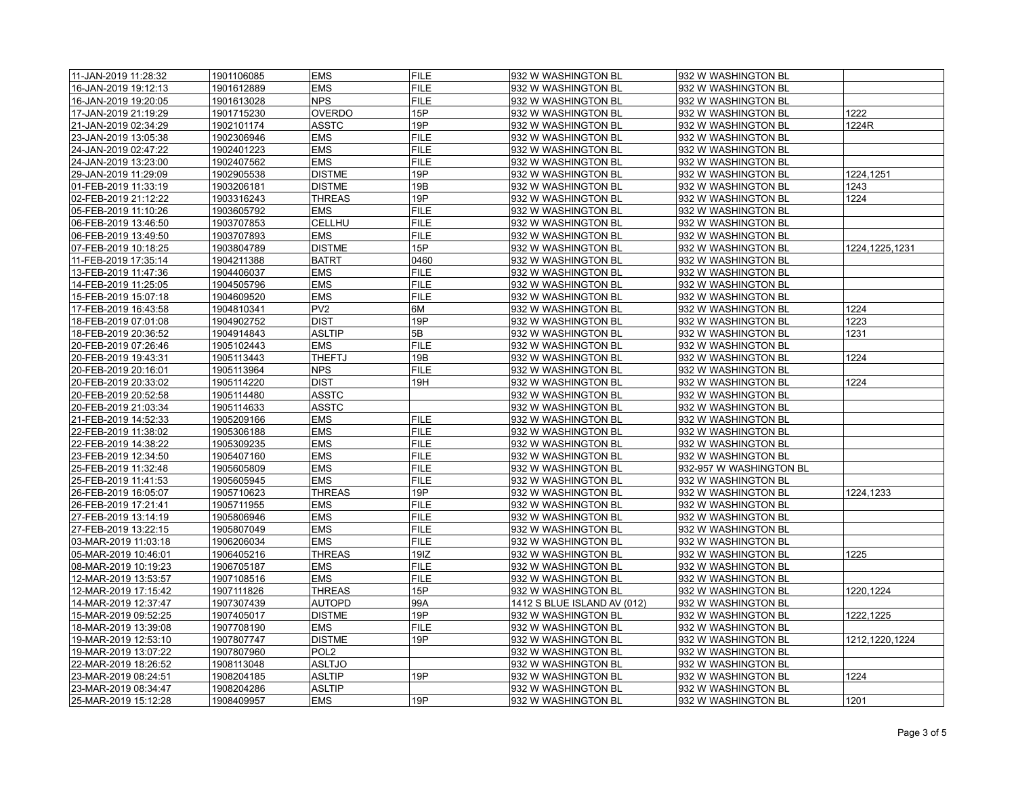| 11-JAN-2019 11:28:32                         | 1901106085 | <b>EMS</b>       | <b>FILE</b> | 932 W WASHINGTON BL         | 932 W WASHINGTON BL     |                  |
|----------------------------------------------|------------|------------------|-------------|-----------------------------|-------------------------|------------------|
| 16-JAN-2019 19:12:13                         | 1901612889 | EMS              | <b>FILE</b> | 932 W WASHINGTON BL         | 932 W WASHINGTON BL     |                  |
| 16-JAN-2019 19:20:05                         | 1901613028 | <b>NPS</b>       | <b>FILE</b> | 932 W WASHINGTON BL         | 932 W WASHINGTON BL     |                  |
| 17-JAN-2019 21:19:29                         | 1901715230 | <b>OVERDO</b>    | 15P         | 932 W WASHINGTON BL         | 932 W WASHINGTON BL     | 1222             |
| 21-JAN-2019 02:34:29                         | 1902101174 | ASSTC            | 19P         | 932 W WASHINGTON BL         | 932 W WASHINGTON BL     | 1224R            |
| 23-JAN-2019 13:05:38                         | 1902306946 | <b>EMS</b>       | <b>FILE</b> | 932 W WASHINGTON BL         | 932 W WASHINGTON BL     |                  |
| 24-JAN-2019 02:47:22                         | 1902401223 | <b>EMS</b>       | <b>FILE</b> | 932 W WASHINGTON BL         | 932 W WASHINGTON BL     |                  |
| 24-JAN-2019 13:23:00                         | 1902407562 | <b>EMS</b>       | <b>FILE</b> | 932 W WASHINGTON BL         | 932 W WASHINGTON BL     |                  |
| 29-JAN-2019 11:29:09                         | 1902905538 | <b>DISTME</b>    | 19P         | 932 W WASHINGTON BL         | 932 W WASHINGTON BL     | 1224.1251        |
| 01-FEB-2019 11:33:19                         | 1903206181 | <b>DISTME</b>    | 19B         | 932 W WASHINGTON BL         | 932 W WASHINGTON BL     | 1243             |
| 02-FEB-2019 21:12:22                         | 1903316243 | <b>THREAS</b>    | 19P         | 932 W WASHINGTON BL         | 932 W WASHINGTON BL     | 1224             |
| 05-FEB-2019 11:10:26                         | 1903605792 | <b>EMS</b>       | <b>FILE</b> | 932 W WASHINGTON BL         | 932 W WASHINGTON BL     |                  |
| 06-FEB-2019 13:46:50                         | 1903707853 | CELLHU           | <b>FILE</b> | 932 W WASHINGTON BL         | 932 W WASHINGTON BL     |                  |
| 06-FEB-2019 13:49:50                         | 1903707893 | <b>EMS</b>       | <b>FILE</b> | 932 W WASHINGTON BL         | 932 W WASHINGTON BL     |                  |
| 07-FEB-2019 10:18:25                         | 1903804789 | <b>DISTME</b>    | 15P         | 932 W WASHINGTON BL         | 932 W WASHINGTON BL     | 1224, 1225, 1231 |
| 11-FEB-2019 17:35:14                         | 1904211388 | <b>BATRT</b>     | 0460        | 932 W WASHINGTON BL         | 932 W WASHINGTON BL     |                  |
| 13-FEB-2019 11:47:36                         | 1904406037 | <b>EMS</b>       | <b>FILE</b> | 932 W WASHINGTON BL         | 932 W WASHINGTON BL     |                  |
| 14-FEB-2019 11:25:05                         | 1904505796 | <b>EMS</b>       | <b>FILE</b> | 932 W WASHINGTON BL         | 932 W WASHINGTON BL     |                  |
| 15-FEB-2019 15:07:18                         | 1904609520 | <b>EMS</b>       | <b>FILE</b> | 932 W WASHINGTON BL         | 932 W WASHINGTON BL     |                  |
| 17-FEB-2019 16:43:58                         | 1904810341 | PV <sub>2</sub>  | 6M          | 932 W WASHINGTON BL         | 932 W WASHINGTON BL     | 1224             |
| 18-FEB-2019 07:01:08                         | 1904902752 | <b>DIST</b>      | 19P         | 932 W WASHINGTON BL         | 932 W WASHINGTON BL     | 1223             |
| 18-FEB-2019 20:36:52                         | 1904914843 | <b>ASLTIP</b>    | 5B          | 932 W WASHINGTON BL         | 932 W WASHINGTON BL     | 1231             |
| 20-FEB-2019 07:26:46                         | 1905102443 | EMS              | <b>FILE</b> | 932 W WASHINGTON BL         | 932 W WASHINGTON BL     |                  |
| 20-FEB-2019 19:43:31                         | 1905113443 | THEFTJ           | 19B         | 932 W WASHINGTON BL         | 932 W WASHINGTON BL     | 1224             |
| 20-FEB-2019 20:16:01                         | 1905113964 | <b>NPS</b>       | <b>FILE</b> | 932 W WASHINGTON BL         | 932 W WASHINGTON BL     |                  |
| 20-FEB-2019 20:33:02                         | 1905114220 | <b>DIST</b>      | 19H         | 932 W WASHINGTON BL         | 932 W WASHINGTON BL     | 1224             |
|                                              |            |                  |             |                             |                         |                  |
| 20-FEB-2019 20:52:58<br>20-FEB-2019 21:03:34 | 1905114480 | ASSTC<br>ASSTC   |             | 932 W WASHINGTON BL         | 932 W WASHINGTON BL     |                  |
|                                              | 1905114633 |                  |             | 932 W WASHINGTON BL         | 932 W WASHINGTON BL     |                  |
| 21-FEB-2019 14:52:33                         | 1905209166 | <b>EMS</b>       | <b>FILE</b> | 932 W WASHINGTON BL         | 932 W WASHINGTON BL     |                  |
| 22-FEB-2019 11:38:02                         | 1905306188 | <b>EMS</b>       | <b>FILE</b> | 932 W WASHINGTON BL         | 932 W WASHINGTON BL     |                  |
| 22-FEB-2019 14:38:22                         | 1905309235 | <b>EMS</b>       | <b>FILE</b> | 932 W WASHINGTON BL         | 932 W WASHINGTON BL     |                  |
| 23-FEB-2019 12:34:50                         | 1905407160 | <b>EMS</b>       | <b>FILE</b> | 932 W WASHINGTON BL         | 932 W WASHINGTON BL     |                  |
| 25-FEB-2019 11:32:48                         | 1905605809 | <b>EMS</b>       | <b>FILE</b> | 932 W WASHINGTON BL         | 932-957 W WASHINGTON BL |                  |
| 25-FEB-2019 11:41:53                         | 1905605945 | <b>EMS</b>       | <b>FILE</b> | 932 W WASHINGTON BL         | 932 W WASHINGTON BL     |                  |
| 26-FEB-2019 16:05:07                         | 1905710623 | <b>THREAS</b>    | 19P         | 932 W WASHINGTON BL         | 932 W WASHINGTON BL     | 1224,1233        |
| 26-FEB-2019 17:21:41                         | 1905711955 | <b>EMS</b>       | <b>FILE</b> | 932 W WASHINGTON BL         | 932 W WASHINGTON BL     |                  |
| 27-FEB-2019 13:14:19                         | 1905806946 | <b>EMS</b>       | <b>FILE</b> | 932 W WASHINGTON BL         | 932 W WASHINGTON BL     |                  |
| 27-FEB-2019 13:22:15                         | 1905807049 | EMS              | <b>FILE</b> | 932 W WASHINGTON BL         | 932 W WASHINGTON BL     |                  |
| 03-MAR-2019 11:03:18                         | 1906206034 | <b>EMS</b>       | <b>FILE</b> | 932 W WASHINGTON BL         | 932 W WASHINGTON BL     |                  |
| 05-MAR-2019 10:46:01                         | 1906405216 | <b>THREAS</b>    | 19IZ        | 932 W WASHINGTON BL         | 932 W WASHINGTON BL     | 1225             |
| 08-MAR-2019 10:19:23                         | 1906705187 | <b>EMS</b>       | <b>FILE</b> | 932 W WASHINGTON BL         | 932 W WASHINGTON BL     |                  |
| 12-MAR-2019 13:53:57                         | 1907108516 | EMS              | <b>FILE</b> | 932 W WASHINGTON BL         | 932 W WASHINGTON BL     |                  |
| 12-MAR-2019 17:15:42                         | 1907111826 | <b>THREAS</b>    | 15P         | 932 W WASHINGTON BL         | 932 W WASHINGTON BL     | 1220,1224        |
| 14-MAR-2019 12:37:47                         | 1907307439 | <b>AUTOPD</b>    | 99A         | 1412 S BLUE ISLAND AV (012) | 932 W WASHINGTON BL     |                  |
| 15-MAR-2019 09:52:25                         | 1907405017 | <b>DISTME</b>    | 19P         | 932 W WASHINGTON BL         | 932 W WASHINGTON BL     | 1222,1225        |
| 18-MAR-2019 13:39:08                         | 1907708190 | <b>EMS</b>       | <b>FILE</b> | 932 W WASHINGTON BL         | 932 W WASHINGTON BL     |                  |
| 19-MAR-2019 12:53:10                         | 1907807747 | <b>DISTME</b>    | 19P         | 932 W WASHINGTON BL         | 932 W WASHINGTON BL     | 1212,1220,1224   |
| 19-MAR-2019 13:07:22                         | 1907807960 | POL <sub>2</sub> |             | 932 W WASHINGTON BL         | 932 W WASHINGTON BL     |                  |
| 22-MAR-2019 18:26:52                         | 1908113048 | <b>ASLTJO</b>    |             | 932 W WASHINGTON BL         | 932 W WASHINGTON BL     |                  |
| 23-MAR-2019 08:24:51                         | 1908204185 | <b>ASLTIP</b>    | 19P         | 932 W WASHINGTON BL         | 932 W WASHINGTON BL     | 1224             |
| 23-MAR-2019 08:34:47                         | 1908204286 | <b>ASLTIP</b>    |             | 932 W WASHINGTON BL         | 932 W WASHINGTON BL     |                  |
| 25-MAR-2019 15:12:28                         | 1908409957 | <b>EMS</b>       | 19P         | 932 W WASHINGTON BL         | 932 W WASHINGTON BL     | 1201             |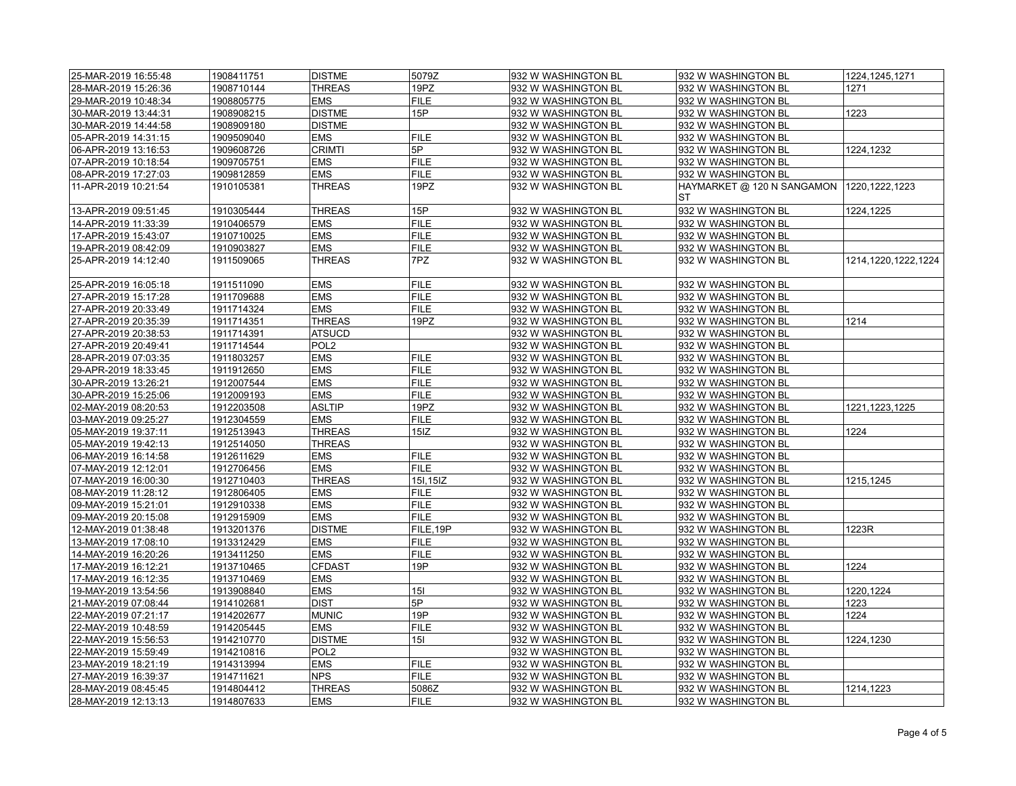| 25-MAR-2019 16:55:48 | 1908411751 | <b>DISTME</b>    | 5079Z       | 932 W WASHINGTON BL | 932 W WASHINGTON BL              | 1224, 1245, 1271    |
|----------------------|------------|------------------|-------------|---------------------|----------------------------------|---------------------|
| 28-MAR-2019 15:26:36 | 1908710144 | <b>THREAS</b>    | 19PZ        | 932 W WASHINGTON BL | 932 W WASHINGTON BL              | 1271                |
| 29-MAR-2019 10:48:34 | 1908805775 | <b>EMS</b>       | <b>FILE</b> | 932 W WASHINGTON BL | 932 W WASHINGTON BL              |                     |
| 30-MAR-2019 13:44:31 | 1908908215 | <b>DISTME</b>    | 15P         | 932 W WASHINGTON BL | 932 W WASHINGTON BL              | 1223                |
| 30-MAR-2019 14:44:58 | 1908909180 | <b>DISTME</b>    |             | 932 W WASHINGTON BL | 932 W WASHINGTON BL              |                     |
| 05-APR-2019 14:31:15 | 1909509040 | <b>EMS</b>       | <b>FILE</b> | 932 W WASHINGTON BL | 932 W WASHINGTON BL              |                     |
| 06-APR-2019 13:16:53 | 1909608726 | <b>CRIMTI</b>    | 5P          | 932 W WASHINGTON BL | 932 W WASHINGTON BL              | 1224,1232           |
| 07-APR-2019 10:18:54 | 1909705751 | <b>EMS</b>       | <b>FILE</b> | 932 W WASHINGTON BL | 932 W WASHINGTON BL              |                     |
| 08-APR-2019 17:27:03 | 1909812859 | <b>EMS</b>       | <b>FILE</b> | 932 W WASHINGTON BL | 932 W WASHINGTON BL              |                     |
| 11-APR-2019 10:21:54 | 1910105381 | <b>THREAS</b>    | 19PZ        | 932 W WASHINGTON BL | HAYMARKET @ 120 N SANGAMON<br>ST | 1220, 1222, 1223    |
| 13-APR-2019 09:51:45 | 1910305444 | <b>THREAS</b>    | 15P         | 932 W WASHINGTON BL | 932 W WASHINGTON BL              | 1224,1225           |
| 14-APR-2019 11:33:39 | 1910406579 | <b>EMS</b>       | <b>FILE</b> | 932 W WASHINGTON BL | 932 W WASHINGTON BL              |                     |
| 17-APR-2019 15:43:07 | 1910710025 | <b>EMS</b>       | <b>FILE</b> | 932 W WASHINGTON BL | 932 W WASHINGTON BL              |                     |
| 19-APR-2019 08:42:09 | 1910903827 | <b>EMS</b>       | <b>FILE</b> | 932 W WASHINGTON BL | 932 W WASHINGTON BL              |                     |
| 25-APR-2019 14:12:40 | 1911509065 | <b>THREAS</b>    | 7PZ         | 932 W WASHINGTON BL | 932 W WASHINGTON BL              | 1214,1220,1222,1224 |
| 25-APR-2019 16:05:18 | 1911511090 | <b>EMS</b>       | <b>FILE</b> | 932 W WASHINGTON BL | 932 W WASHINGTON BL              |                     |
| 27-APR-2019 15:17:28 | 1911709688 | <b>EMS</b>       | <b>FILE</b> | 932 W WASHINGTON BL | 932 W WASHINGTON BL              |                     |
| 27-APR-2019 20:33:49 | 1911714324 | <b>EMS</b>       | <b>FILE</b> | 932 W WASHINGTON BL | 932 W WASHINGTON BL              |                     |
| 27-APR-2019 20:35:39 | 1911714351 | <b>THREAS</b>    | 19PZ        | 932 W WASHINGTON BL | 932 W WASHINGTON BL              | 1214                |
| 27-APR-2019 20:38:53 | 1911714391 | <b>ATSUCD</b>    |             | 932 W WASHINGTON BL | 932 W WASHINGTON BL              |                     |
| 27-APR-2019 20:49:41 | 1911714544 | POL <sub>2</sub> |             | 932 W WASHINGTON BL | 932 W WASHINGTON BL              |                     |
| 28-APR-2019 07:03:35 | 1911803257 | <b>EMS</b>       | <b>FILE</b> | 932 W WASHINGTON BL | 932 W WASHINGTON BL              |                     |
| 29-APR-2019 18:33:45 | 1911912650 | <b>EMS</b>       | <b>FILE</b> | 932 W WASHINGTON BL | 932 W WASHINGTON BL              |                     |
| 30-APR-2019 13:26:21 | 1912007544 | <b>EMS</b>       | <b>FILE</b> | 932 W WASHINGTON BL | 932 W WASHINGTON BL              |                     |
| 30-APR-2019 15:25:06 | 1912009193 | <b>EMS</b>       | <b>FILE</b> | 932 W WASHINGTON BL | 932 W WASHINGTON BL              |                     |
| 02-MAY-2019 08:20:53 | 1912203508 | <b>ASLTIP</b>    | 19PZ        | 932 W WASHINGTON BL | 932 W WASHINGTON BL              | 1221, 1223, 1225    |
| 03-MAY-2019 09:25:27 | 1912304559 | <b>EMS</b>       | <b>FILE</b> | 932 W WASHINGTON BL | 932 W WASHINGTON BL              |                     |
| 05-MAY-2019 19:37:11 | 1912513943 | <b>THREAS</b>    | 15IZ        | 932 W WASHINGTON BL | 932 W WASHINGTON BL              | 1224                |
| 05-MAY-2019 19:42:13 | 1912514050 | <b>THREAS</b>    |             | 932 W WASHINGTON BL | 932 W WASHINGTON BL              |                     |
| 06-MAY-2019 16:14:58 | 1912611629 | <b>EMS</b>       | <b>FILE</b> | 932 W WASHINGTON BL | 932 W WASHINGTON BL              |                     |
| 07-MAY-2019 12:12:01 | 1912706456 | <b>EMS</b>       | <b>FILE</b> | 932 W WASHINGTON BL | 932 W WASHINGTON BL              |                     |
| 07-MAY-2019 16:00:30 | 1912710403 | <b>THREAS</b>    | 15I, 15IZ   | 932 W WASHINGTON BL | 932 W WASHINGTON BL              | 1215,1245           |
| 08-MAY-2019 11:28:12 | 1912806405 | <b>EMS</b>       | <b>FILE</b> | 932 W WASHINGTON BL | 932 W WASHINGTON BL              |                     |
| 09-MAY-2019 15:21:01 | 1912910338 | <b>EMS</b>       | <b>FILE</b> | 932 W WASHINGTON BL | 932 W WASHINGTON BL              |                     |
| 09-MAY-2019 20:15:08 | 1912915909 | <b>EMS</b>       | <b>FILE</b> | 932 W WASHINGTON BL | 932 W WASHINGTON BL              |                     |
| 12-MAY-2019 01:38:48 | 1913201376 | <b>DISTME</b>    | FILE, 19P   | 932 W WASHINGTON BL | 932 W WASHINGTON BL              | 1223R               |
| 13-MAY-2019 17:08:10 | 1913312429 | <b>EMS</b>       | <b>FILE</b> | 932 W WASHINGTON BL | 932 W WASHINGTON BL              |                     |
| 14-MAY-2019 16:20:26 | 1913411250 | <b>EMS</b>       | <b>FILE</b> | 932 W WASHINGTON BL | 932 W WASHINGTON BL              |                     |
| 17-MAY-2019 16:12:21 | 1913710465 | <b>CFDAST</b>    | 19P         | 932 W WASHINGTON BL | 932 W WASHINGTON BL              | 1224                |
| 17-MAY-2019 16:12:35 | 1913710469 | <b>EMS</b>       |             | 932 W WASHINGTON BL | 932 W WASHINGTON BL              |                     |
| 19-MAY-2019 13:54:56 | 1913908840 | <b>EMS</b>       | 15I         | 932 W WASHINGTON BL | 932 W WASHINGTON BL              | 1220,1224           |
| 21-MAY-2019 07:08:44 | 1914102681 | <b>DIST</b>      | 5P          | 932 W WASHINGTON BL | 932 W WASHINGTON BL              | 1223                |
| 22-MAY-2019 07:21:17 | 1914202677 | <b>MUNIC</b>     | 19P         | 932 W WASHINGTON BL | 932 W WASHINGTON BL              | 1224                |
| 22-MAY-2019 10:48:59 | 1914205445 | <b>EMS</b>       | <b>FILE</b> | 932 W WASHINGTON BL | 932 W WASHINGTON BL              |                     |
| 22-MAY-2019 15:56:53 | 1914210770 | <b>DISTME</b>    | 15I         | 932 W WASHINGTON BL | 932 W WASHINGTON BL              | 1224,1230           |
| 22-MAY-2019 15:59:49 | 1914210816 | POL <sub>2</sub> |             | 932 W WASHINGTON BL | 932 W WASHINGTON BL              |                     |
| 23-MAY-2019 18:21:19 | 1914313994 | <b>EMS</b>       | <b>FILE</b> | 932 W WASHINGTON BL | 932 W WASHINGTON BL              |                     |
| 27-MAY-2019 16:39:37 | 1914711621 | <b>NPS</b>       | <b>FILE</b> | 932 W WASHINGTON BL | 932 W WASHINGTON BL              |                     |
| 28-MAY-2019 08:45:45 | 1914804412 | <b>THREAS</b>    | 5086Z       | 932 W WASHINGTON BL | 932 W WASHINGTON BL              | 1214,1223           |
| 28-MAY-2019 12:13:13 | 1914807633 | <b>EMS</b>       | <b>FILE</b> | 932 W_WASHINGTON BL | 932 W WASHINGTON BL              |                     |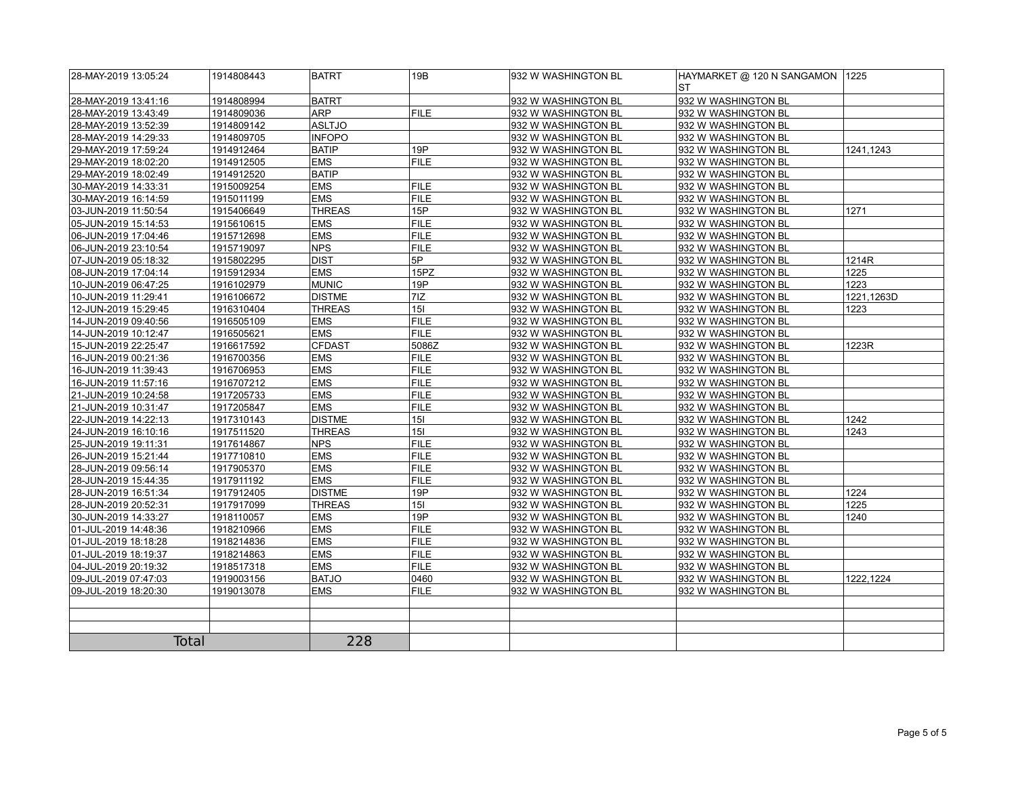| 28-MAY-2019 13:05:24 | 1914808443 | <b>BATRT</b>  | 19B         | 932 W WASHINGTON BL | HAYMARKET @ 120 N SANGAMON<br>ST | 1225       |
|----------------------|------------|---------------|-------------|---------------------|----------------------------------|------------|
| 28-MAY-2019 13:41:16 | 1914808994 | <b>BATRT</b>  |             | 932 W WASHINGTON BL | 932 W WASHINGTON BL              |            |
| 28-MAY-2019 13:43:49 | 1914809036 | <b>ARP</b>    | <b>FILE</b> | 932 W WASHINGTON BL | 932 W WASHINGTON BL              |            |
| 28-MAY-2019 13:52:39 | 1914809142 | ASLTJO        |             | 932 W WASHINGTON BL | 932 W WASHINGTON BL              |            |
| 28-MAY-2019 14:29:33 | 1914809705 | <b>INFOPO</b> |             | 932 W WASHINGTON BL | 932 W WASHINGTON BL              |            |
| 29-MAY-2019 17:59:24 | 1914912464 | <b>BATIP</b>  | 19P         | 932 W WASHINGTON BL | 932 W WASHINGTON BL              | 1241,1243  |
| 29-MAY-2019 18:02:20 | 1914912505 | <b>EMS</b>    | <b>FILE</b> | 932 W WASHINGTON BL | 932 W WASHINGTON BL              |            |
| 29-MAY-2019 18:02:49 | 1914912520 | <b>BATIP</b>  |             | 932 W WASHINGTON BL | 932 W WASHINGTON BL              |            |
| 30-MAY-2019 14:33:31 | 1915009254 | <b>EMS</b>    | <b>FILE</b> | 932 W WASHINGTON BL | 932 W WASHINGTON BL              |            |
| 30-MAY-2019 16:14:59 | 1915011199 | <b>EMS</b>    | <b>FILE</b> | 932 W WASHINGTON BL | 932 W WASHINGTON BL              |            |
| 03-JUN-2019 11:50:54 | 1915406649 | <b>THREAS</b> | 15P         | 932 W WASHINGTON BL | 932 W WASHINGTON BL              | 1271       |
| 05-JUN-2019 15:14:53 | 1915610615 | <b>EMS</b>    | <b>FILE</b> | 932 W WASHINGTON BL | 932 W WASHINGTON BL              |            |
| 06-JUN-2019 17:04:46 | 1915712698 | <b>EMS</b>    | <b>FILE</b> | 932 W WASHINGTON BL | 932 W WASHINGTON BL              |            |
| 06-JUN-2019 23:10:54 | 1915719097 | <b>NPS</b>    | <b>FILE</b> | 932 W WASHINGTON BL | 932 W WASHINGTON BL              |            |
| 07-JUN-2019 05:18:32 | 1915802295 | <b>DIST</b>   | 5P          | 932 W WASHINGTON BL | 932 W WASHINGTON BL              | 1214R      |
| 08-JUN-2019 17:04:14 | 1915912934 | <b>EMS</b>    | 15PZ        | 932 W WASHINGTON BL | 932 W WASHINGTON BL              | 1225       |
| 10-JUN-2019 06:47:25 | 1916102979 | <b>MUNIC</b>  | 19P         | 932 W WASHINGTON BL | 932 W WASHINGTON BL              | 1223       |
| 10-JUN-2019 11:29:41 | 1916106672 | <b>DISTME</b> | 7IZ         | 932 W WASHINGTON BL | 932 W WASHINGTON BL              | 1221,1263D |
| 12-JUN-2019 15:29:45 | 1916310404 | <b>THREAS</b> | 15I         | 932 W WASHINGTON BL | 932 W WASHINGTON BL              | 1223       |
| 14-JUN-2019 09:40:56 | 1916505109 | <b>EMS</b>    | <b>FILE</b> | 932 W WASHINGTON BL | 932 W WASHINGTON BL              |            |
| 14-JUN-2019 10:12:47 | 1916505621 | <b>EMS</b>    | <b>FILE</b> | 932 W WASHINGTON BL | 932 W WASHINGTON BL              |            |
| 15-JUN-2019 22:25:47 | 1916617592 | <b>CFDAST</b> | 5086Z       | 932 W WASHINGTON BL | 932 W WASHINGTON BL              | 1223R      |
| 16-JUN-2019 00:21:36 | 1916700356 | <b>EMS</b>    | <b>FILE</b> | 932 W WASHINGTON BL | 932 W WASHINGTON BL              |            |
| 16-JUN-2019 11:39:43 | 1916706953 | <b>EMS</b>    | <b>FILE</b> | 932 W WASHINGTON BL | 932 W WASHINGTON BL              |            |
| 16-JUN-2019 11:57:16 | 1916707212 | <b>EMS</b>    | <b>FILE</b> | 932 W WASHINGTON BL | 932 W WASHINGTON BL              |            |
| 21-JUN-2019 10:24:58 | 1917205733 | <b>EMS</b>    | <b>FILE</b> | 932 W WASHINGTON BL | 932 W WASHINGTON BL              |            |
| 21-JUN-2019 10:31:47 | 1917205847 | <b>EMS</b>    | <b>FILE</b> | 932 W WASHINGTON BL | 932 W WASHINGTON BL              |            |
| 22-JUN-2019 14:22:13 | 1917310143 | <b>DISTME</b> | 15I         | 932 W WASHINGTON BL | 932 W WASHINGTON BL              | 1242       |
| 24-JUN-2019 16:10:16 | 1917511520 | <b>THREAS</b> | 15I         | 932 W WASHINGTON BL | 932 W WASHINGTON BL              | 1243       |
| 25-JUN-2019 19:11:31 | 1917614867 | <b>NPS</b>    | <b>FILE</b> | 932 W WASHINGTON BL | 932 W WASHINGTON BL              |            |
| 26-JUN-2019 15:21:44 | 1917710810 | <b>EMS</b>    | <b>FILE</b> | 932 W WASHINGTON BL | 932 W WASHINGTON BL              |            |
| 28-JUN-2019 09:56:14 | 1917905370 | <b>EMS</b>    | <b>FILE</b> | 932 W WASHINGTON BL | 932 W WASHINGTON BL              |            |
| 28-JUN-2019 15:44:35 | 1917911192 | <b>EMS</b>    | <b>FILE</b> | 932 W WASHINGTON BL | 932 W WASHINGTON BL              |            |
| 28-JUN-2019 16:51:34 | 1917912405 | <b>DISTME</b> | 19P         | 932 W WASHINGTON BL | 932 W WASHINGTON BL              | 1224       |
| 28-JUN-2019 20:52:31 | 1917917099 | <b>THREAS</b> | 15I         | 932 W WASHINGTON BL | 932 W WASHINGTON BL              | 1225       |
| 30-JUN-2019 14:33:27 | 1918110057 | <b>EMS</b>    | 19P         | 932 W WASHINGTON BL | 932 W WASHINGTON BL              | 1240       |
| 01-JUL-2019 14:48:36 | 1918210966 | <b>EMS</b>    | <b>FILE</b> | 932 W WASHINGTON BL | 932 W WASHINGTON BL              |            |
| 01-JUL-2019 18:18:28 | 1918214836 | <b>EMS</b>    | <b>FILE</b> | 932 W WASHINGTON BL | 932 W WASHINGTON BL              |            |
| 01-JUL-2019 18:19:37 | 1918214863 | <b>EMS</b>    | <b>FILE</b> | 932 W WASHINGTON BL | 932 W WASHINGTON BL              |            |
| 04-JUL-2019 20:19:32 | 1918517318 | <b>EMS</b>    | <b>FILE</b> | 932 W WASHINGTON BL | 932 W WASHINGTON BL              |            |
| 09-JUL-2019 07:47:03 | 1919003156 | <b>BATJO</b>  | 0460        | 932 W WASHINGTON BL | 932 W WASHINGTON BL              | 1222,1224  |
| 09-JUL-2019 18:20:30 | 1919013078 | <b>EMS</b>    | <b>FILE</b> | 932 W WASHINGTON BL | 932 W WASHINGTON BL              |            |
|                      |            |               |             |                     |                                  |            |
|                      |            |               |             |                     |                                  |            |
|                      |            |               |             |                     |                                  |            |
| <b>Total</b>         |            | 228           |             |                     |                                  |            |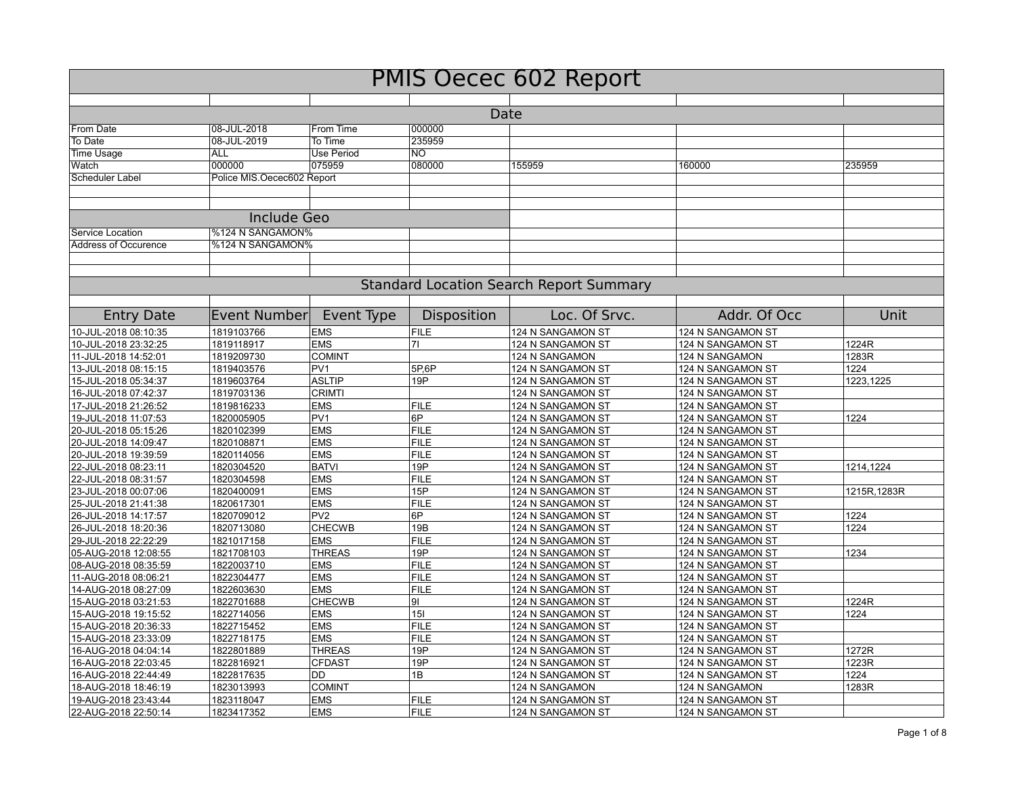| <b>PMIS Oecec 602 Report</b>                 |                            |                               |                   |                                                |                                        |              |  |  |  |
|----------------------------------------------|----------------------------|-------------------------------|-------------------|------------------------------------------------|----------------------------------------|--------------|--|--|--|
|                                              |                            |                               |                   |                                                |                                        |              |  |  |  |
| Date                                         |                            |                               |                   |                                                |                                        |              |  |  |  |
| From Date                                    | 08-JUL-2018                | From Time                     | 000000            |                                                |                                        |              |  |  |  |
| To Date                                      | 08-JUL-2019                | To Time                       | 235959            |                                                |                                        |              |  |  |  |
| <b>Time Usage</b>                            | <b>ALL</b>                 | <b>Use Period</b>             | $\overline{NO}$   |                                                |                                        |              |  |  |  |
| Watch                                        | 000000                     | 075959                        | 080000            | 155959                                         | 160000                                 | 235959       |  |  |  |
| Scheduler Label                              | Police MIS.Oecec602 Report |                               |                   |                                                |                                        |              |  |  |  |
|                                              | <b>Include Geo</b>         |                               |                   |                                                |                                        |              |  |  |  |
| Service Location                             | %124 N SANGAMON%           |                               |                   |                                                |                                        |              |  |  |  |
| Address of Occurence                         | %124 N SANGAMON%           |                               |                   |                                                |                                        |              |  |  |  |
|                                              |                            |                               |                   |                                                |                                        |              |  |  |  |
|                                              |                            |                               |                   | <b>Standard Location Search Report Summary</b> |                                        |              |  |  |  |
| <b>Entry Date</b>                            | <b>Event Number</b>        |                               | Disposition       | Loc. Of Srvc.                                  | Addr. Of Occ                           | Unit         |  |  |  |
| 10-JUL-2018 08:10:35                         | 1819103766                 | Event Type<br><b>EMS</b>      | <b>FILE</b>       | 124 N SANGAMON ST                              | 124 N SANGAMON ST                      |              |  |  |  |
| 10-JUL-2018 23:32:25                         | 1819118917                 | <b>EMS</b>                    | 71                | 124 N SANGAMON ST                              | 124 N SANGAMON ST                      | 1224R        |  |  |  |
|                                              |                            | <b>COMINT</b>                 |                   |                                                |                                        | 1283R        |  |  |  |
| 11-JUL-2018 14:52:01                         | 1819209730                 | PV <sub>1</sub>               |                   | 124 N SANGAMON                                 | 124 N SANGAMON                         | 1224         |  |  |  |
| 13-JUL-2018 08:15:15                         | 1819403576                 |                               | 5P,6P<br>19P      | 124 N SANGAMON ST                              | 124 N SANGAMON ST                      |              |  |  |  |
| 15-JUL-2018 05:34:37                         | 1819603764                 | <b>ASLTIP</b>                 |                   | 124 N SANGAMON ST                              | 124 N SANGAMON ST                      | 1223.1225    |  |  |  |
| 16-JUL-2018 07:42:37                         | 1819703136                 | <b>CRIMTI</b>                 |                   | 124 N SANGAMON ST                              | 124 N SANGAMON ST                      |              |  |  |  |
| 17-JUL-2018 21:26:52                         | 1819816233                 | <b>EMS</b><br>PV <sub>1</sub> | <b>FILE</b><br>6P | 124 N SANGAMON ST                              | 124 N SANGAMON ST                      | 1224         |  |  |  |
| 19-JUL-2018 11:07:53                         | 1820005905                 |                               | <b>FILE</b>       | 124 N SANGAMON ST                              | 124 N SANGAMON ST                      |              |  |  |  |
| 20-JUL-2018 05:15:26<br>20-JUL-2018 14:09:47 | 1820102399<br>1820108871   | <b>EMS</b><br><b>EMS</b>      | <b>FILE</b>       | 124 N SANGAMON ST<br>124 N SANGAMON ST         | 124 N SANGAMON ST<br>124 N SANGAMON ST |              |  |  |  |
| 20-JUL-2018 19:39:59                         | 1820114056                 | <b>EMS</b>                    | <b>FILE</b>       | 124 N SANGAMON ST                              | 124 N SANGAMON ST                      |              |  |  |  |
| 22-JUL-2018 08:23:11                         | 1820304520                 | <b>BATVI</b>                  | 19P               | 124 N SANGAMON ST                              |                                        | 1214,1224    |  |  |  |
| 22-JUL-2018 08:31:57                         | 1820304598                 | <b>EMS</b>                    | <b>FILE</b>       | 124 N SANGAMON ST                              | 124 N SANGAMON ST<br>124 N SANGAMON ST |              |  |  |  |
| 23-JUL-2018 00:07:06                         |                            | <b>EMS</b>                    | 15P               |                                                |                                        |              |  |  |  |
| 25-JUL-2018 21:41:38                         | 1820400091<br>1820617301   | <b>EMS</b>                    | <b>FILE</b>       | 124 N SANGAMON ST<br>124 N SANGAMON ST         | 124 N SANGAMON ST<br>124 N SANGAMON ST | 1215R, 1283R |  |  |  |
| 26-JUL-2018 14:17:57                         | 1820709012                 | PV <sub>2</sub>               | 6P                | 124 N SANGAMON ST                              | 124 N SANGAMON ST                      | 1224         |  |  |  |
| 26-JUL-2018 18:20:36                         | 1820713080                 | <b>CHECWB</b>                 | 19B               | 124 N SANGAMON ST                              | 124 N SANGAMON ST                      | 1224         |  |  |  |
| 29-JUL-2018 22:22:29                         | 1821017158                 | <b>EMS</b>                    | <b>FILE</b>       | 124 N SANGAMON ST                              | 124 N SANGAMON ST                      |              |  |  |  |
| 05-AUG-2018 12:08:55                         | 1821708103                 | <b>THREAS</b>                 | 19P               | 124 N SANGAMON ST                              | 124 N SANGAMON ST                      | 1234         |  |  |  |
| 08-AUG-2018 08:35:59                         | 1822003710                 | <b>EMS</b>                    | <b>FILE</b>       | 124 N SANGAMON ST                              | 124 N SANGAMON ST                      |              |  |  |  |
| 11-AUG-2018 08:06:21                         | 1822304477                 | <b>EMS</b>                    | <b>FILE</b>       | 124 N SANGAMON ST                              | 124 N SANGAMON ST                      |              |  |  |  |
| 14-AUG-2018 08:27:09                         | 1822603630                 | <b>EMS</b>                    | <b>FILE</b>       | 124 N SANGAMON ST                              | 124 N SANGAMON ST                      |              |  |  |  |
| 15-AUG-2018 03:21:53                         | 1822701688                 | <b>CHECWB</b>                 | 91                | 124 N SANGAMON ST                              | 124 N SANGAMON ST                      | 1224R        |  |  |  |
| 15-AUG-2018 19:15:52                         | 1822714056                 | <b>EMS</b>                    | 15I               | 124 N SANGAMON ST                              | 124 N SANGAMON ST                      | 1224         |  |  |  |
| 15-AUG-2018 20:36:33                         | 1822715452                 | <b>EMS</b>                    | <b>FILE</b>       | 124 N SANGAMON ST                              | 124 N SANGAMON ST                      |              |  |  |  |
| 15-AUG-2018 23:33:09                         | 1822718175                 | <b>EMS</b>                    | <b>FILE</b>       | 124 N SANGAMON ST                              | 124 N SANGAMON ST                      |              |  |  |  |
| 16-AUG-2018 04:04:14                         | 1822801889                 | <b>THREAS</b>                 | 19P               | 124 N SANGAMON ST                              | 124 N SANGAMON ST                      | 1272R        |  |  |  |
| 16-AUG-2018 22:03:45                         | 1822816921                 | <b>CFDAST</b>                 | 19P               | 124 N SANGAMON ST                              | 124 N SANGAMON ST                      | 1223R        |  |  |  |
| 16-AUG-2018 22:44:49                         | 1822817635                 | <b>DD</b>                     | 1B                | 124 N SANGAMON ST                              | 124 N SANGAMON ST                      | 1224         |  |  |  |
| 18-AUG-2018 18:46:19                         | 1823013993                 | <b>COMINT</b>                 |                   | 124 N SANGAMON                                 | 124 N SANGAMON                         | 1283R        |  |  |  |
| 19-AUG-2018 23:43:44                         | 1823118047                 | <b>EMS</b>                    | <b>FILE</b>       | 124 N SANGAMON ST                              | 124 N SANGAMON ST                      |              |  |  |  |
| 22-AUG-2018 22:50:14                         | 1823417352                 | <b>EMS</b>                    | <b>FILE</b>       | 124 N SANGAMON ST                              | 124 N SANGAMON ST                      |              |  |  |  |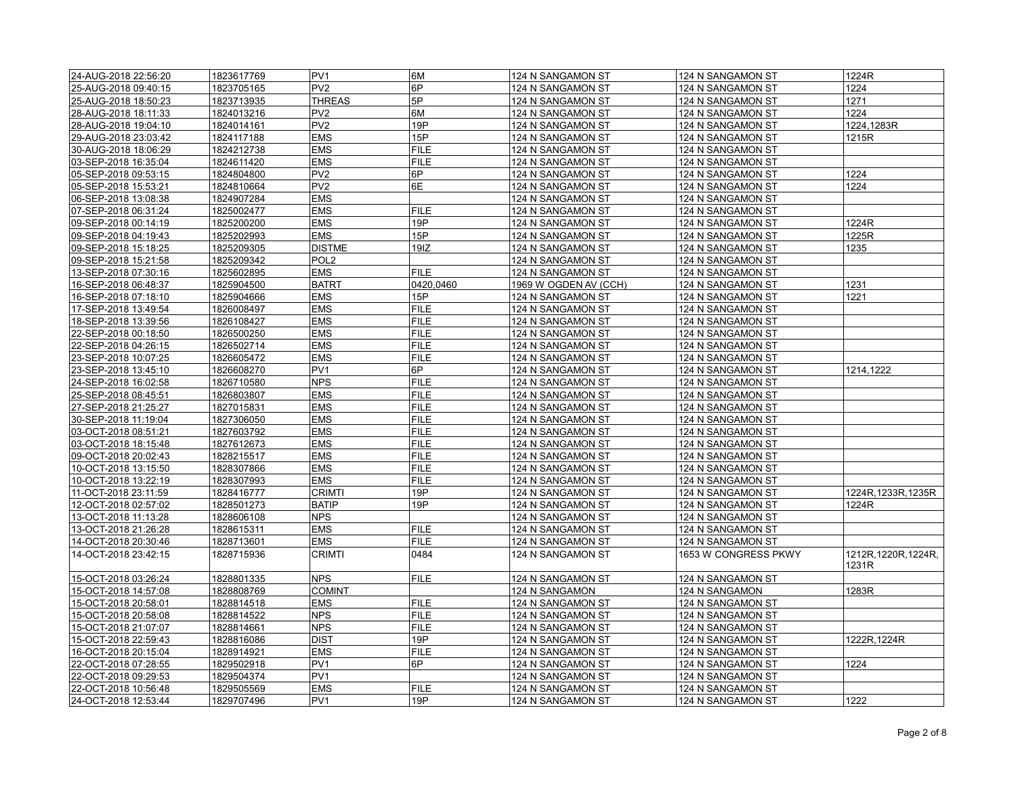| 24-AUG-2018 22:56:20 | 1823617769 | PV <sub>1</sub>  | 6M                         | 124 N SANGAMON ST     | 124 N SANGAMON ST    | 1224R                         |
|----------------------|------------|------------------|----------------------------|-----------------------|----------------------|-------------------------------|
| 25-AUG-2018 09:40:15 | 1823705165 | PV <sub>2</sub>  | ∣6P                        | 124 N SANGAMON ST     | 124 N SANGAMON ST    | 1224                          |
| 25-AUG-2018 18:50:23 | 1823713935 | <b>THREAS</b>    | 5P                         | 124 N SANGAMON ST     | 124 N SANGAMON ST    | 1271                          |
| 28-AUG-2018 18:11:33 | 1824013216 | PV <sub>2</sub>  | 6M                         | 124 N SANGAMON ST     | 124 N SANGAMON ST    | 1224                          |
| 28-AUG-2018 19:04:10 | 1824014161 | PV <sub>2</sub>  | 19P                        | 124 N SANGAMON ST     | 124 N SANGAMON ST    | 1224,1283R                    |
| 29-AUG-2018 23:03:42 | 1824117188 | <b>EMS</b>       | 15P                        | 124 N SANGAMON ST     | 124 N SANGAMON ST    | 1215R                         |
| 30-AUG-2018 18:06:29 | 1824212738 | <b>EMS</b>       | <b>FILE</b>                | 124 N SANGAMON ST     | 124 N SANGAMON ST    |                               |
| 03-SEP-2018 16:35:04 | 1824611420 | <b>EMS</b>       | FILE                       | 124 N SANGAMON ST     | 124 N SANGAMON ST    |                               |
| 05-SEP-2018 09:53:15 | 1824804800 | PV <sub>2</sub>  | 6P                         | 124 N SANGAMON ST     | 124 N SANGAMON ST    | 1224                          |
| 05-SEP-2018 15:53:21 | 1824810664 | PV <sub>2</sub>  | 6E                         | 124 N SANGAMON ST     | 124 N SANGAMON ST    | 1224                          |
| 06-SEP-2018 13:08:38 | 1824907284 | <b>EMS</b>       |                            | 124 N SANGAMON ST     | 124 N SANGAMON ST    |                               |
| 07-SEP-2018 06:31:24 | 1825002477 | <b>EMS</b>       | <b>FILE</b>                | 124 N SANGAMON ST     | 124 N SANGAMON ST    |                               |
| 09-SEP-2018 00:14:19 | 1825200200 | <b>EMS</b>       | 19P                        | 124 N SANGAMON ST     | 124 N SANGAMON ST    | 1224R                         |
| 09-SEP-2018 04:19:43 | 1825202993 | <b>EMS</b>       | 15P                        | 124 N SANGAMON ST     | 124 N SANGAMON ST    | 1225R                         |
| 09-SEP-2018 15:18:25 | 1825209305 | <b>DISTME</b>    | 19IZ                       | 124 N SANGAMON ST     | 124 N SANGAMON ST    | 1235                          |
| 09-SEP-2018 15:21:58 | 1825209342 | POL <sub>2</sub> |                            | 124 N SANGAMON ST     | 124 N SANGAMON ST    |                               |
| 13-SEP-2018 07:30:16 | 1825602895 | <b>EMS</b>       | <b>FILE</b>                | 124 N SANGAMON ST     | 124 N SANGAMON ST    |                               |
| 16-SEP-2018 06:48:37 | 1825904500 | <b>BATRT</b>     | 0420,0460                  | 1969 W OGDEN AV (CCH) | 124 N SANGAMON ST    | 1231                          |
| 16-SEP-2018 07:18:10 | 1825904666 | <b>EMS</b>       | 15P                        | 124 N SANGAMON ST     | 124 N SANGAMON ST    | 1221                          |
| 17-SEP-2018 13:49:54 | 1826008497 | <b>EMS</b>       | <b>FILE</b>                | 124 N SANGAMON ST     | 124 N SANGAMON ST    |                               |
| 18-SEP-2018 13:39:56 | 1826108427 | <b>EMS</b>       | <b>FILE</b>                | 124 N SANGAMON ST     | 124 N SANGAMON ST    |                               |
| 22-SEP-2018 00:18:50 | 1826500250 | <b>EMS</b>       | <b>FILE</b>                | 124 N SANGAMON ST     | 124 N SANGAMON ST    |                               |
| 22-SEP-2018 04:26:15 | 1826502714 | <b>EMS</b>       | FILE                       | 124 N SANGAMON ST     | 124 N SANGAMON ST    |                               |
| 23-SEP-2018 10:07:25 | 1826605472 | <b>EMS</b>       | <b>FILE</b>                | 124 N SANGAMON ST     | 124 N SANGAMON ST    |                               |
| 23-SEP-2018 13:45:10 | 1826608270 | PV <sub>1</sub>  | 6P                         | 124 N SANGAMON ST     | 124 N SANGAMON ST    | 1214,1222                     |
| 24-SEP-2018 16:02:58 | 1826710580 | <b>NPS</b>       | <b>FILE</b>                | 124 N SANGAMON ST     | 124 N SANGAMON ST    |                               |
|                      | 1826803807 | <b>EMS</b>       | FILE                       |                       |                      |                               |
| 25-SEP-2018 08:45:51 |            | <b>EMS</b>       | <b>FILE</b>                | 124 N SANGAMON ST     | 124 N SANGAMON ST    |                               |
| 27-SEP-2018 21:25:27 | 1827015831 |                  |                            | 124 N SANGAMON ST     | 124 N SANGAMON ST    |                               |
| 30-SEP-2018 11:19:04 | 1827306050 | <b>EMS</b>       | <b>FILE</b><br><b>FILE</b> | 124 N SANGAMON ST     | 124 N SANGAMON ST    |                               |
| 03-OCT-2018 08:51:21 | 1827603792 | <b>EMS</b>       | FILE                       | 124 N SANGAMON ST     | 124 N SANGAMON ST    |                               |
| 03-OCT-2018 18:15:48 | 1827612673 | <b>EMS</b>       |                            | 124 N SANGAMON ST     | 124 N SANGAMON ST    |                               |
| 09-OCT-2018 20:02:43 | 1828215517 | <b>EMS</b>       | <b>FILE</b>                | 124 N SANGAMON ST     | 124 N SANGAMON ST    |                               |
| 10-OCT-2018 13:15:50 | 1828307866 | <b>EMS</b>       | FILE                       | 124 N SANGAMON ST     | 124 N SANGAMON ST    |                               |
| 10-OCT-2018 13:22:19 | 1828307993 | <b>EMS</b>       | FILE                       | 124 N SANGAMON ST     | 124 N SANGAMON ST    |                               |
| 11-OCT-2018 23:11:59 | 1828416777 | <b>CRIMTI</b>    | 19P                        | 124 N SANGAMON ST     | 124 N SANGAMON ST    | 1224R, 1233R, 1235R           |
| 12-OCT-2018 02:57:02 | 1828501273 | <b>BATIP</b>     | 19P                        | 124 N SANGAMON ST     | 124 N SANGAMON ST    | 1224R                         |
| 13-OCT-2018 11:13:28 | 1828606108 | <b>NPS</b>       |                            | 124 N SANGAMON ST     | 124 N SANGAMON ST    |                               |
| 13-OCT-2018 21:26:28 | 1828615311 | <b>EMS</b>       | <b>FILE</b>                | 124 N SANGAMON ST     | 124 N SANGAMON ST    |                               |
| 14-OCT-2018 20:30:46 | 1828713601 | <b>EMS</b>       | <b>FILE</b>                | 124 N SANGAMON ST     | 124 N SANGAMON ST    |                               |
| 14-OCT-2018 23:42:15 | 1828715936 | <b>CRIMTI</b>    | 0484                       | 124 N SANGAMON ST     | 1653 W CONGRESS PKWY | 1212R, 1220R, 1224R,<br>1231R |
| 15-OCT-2018 03:26:24 | 1828801335 | <b>NPS</b>       | <b>FILE</b>                | 124 N SANGAMON ST     | 124 N SANGAMON ST    |                               |
| 15-OCT-2018 14:57:08 | 1828808769 | <b>COMINT</b>    |                            | 124 N SANGAMON        | 124 N SANGAMON       | 1283R                         |
| 15-OCT-2018 20:58:01 | 1828814518 | <b>EMS</b>       | <b>FILE</b>                | 124 N SANGAMON ST     | 124 N SANGAMON ST    |                               |
| 15-OCT-2018 20:58:08 | 1828814522 | <b>NPS</b>       | <b>FILE</b>                | 124 N SANGAMON ST     | 124 N SANGAMON ST    |                               |
| 15-OCT-2018 21:07:07 | 1828814661 | <b>NPS</b>       | <b>FILE</b>                | 124 N SANGAMON ST     | 124 N SANGAMON ST    |                               |
| 15-OCT-2018 22:59:43 | 1828816086 | <b>DIST</b>      | 19P                        | 124 N SANGAMON ST     | 124 N SANGAMON ST    | 1222R, 1224R                  |
| 16-OCT-2018 20:15:04 | 1828914921 | <b>EMS</b>       | <b>FILE</b>                | 124 N SANGAMON ST     | 124 N SANGAMON ST    |                               |
| 22-OCT-2018 07:28:55 | 1829502918 | PV <sub>1</sub>  | 6P                         | 124 N SANGAMON ST     | 124 N SANGAMON ST    | 1224                          |
| 22-OCT-2018 09:29:53 | 1829504374 | PV <sub>1</sub>  |                            | 124 N SANGAMON ST     | 124 N SANGAMON ST    |                               |
| 22-OCT-2018 10:56:48 | 1829505569 | <b>EMS</b>       | <b>FILE</b>                | 124 N SANGAMON ST     | 124 N SANGAMON ST    |                               |
| 24-OCT-2018 12:53:44 | 1829707496 | PV1              | 19P                        | 124 N SANGAMON ST     | 124 N SANGAMON ST    | 1222                          |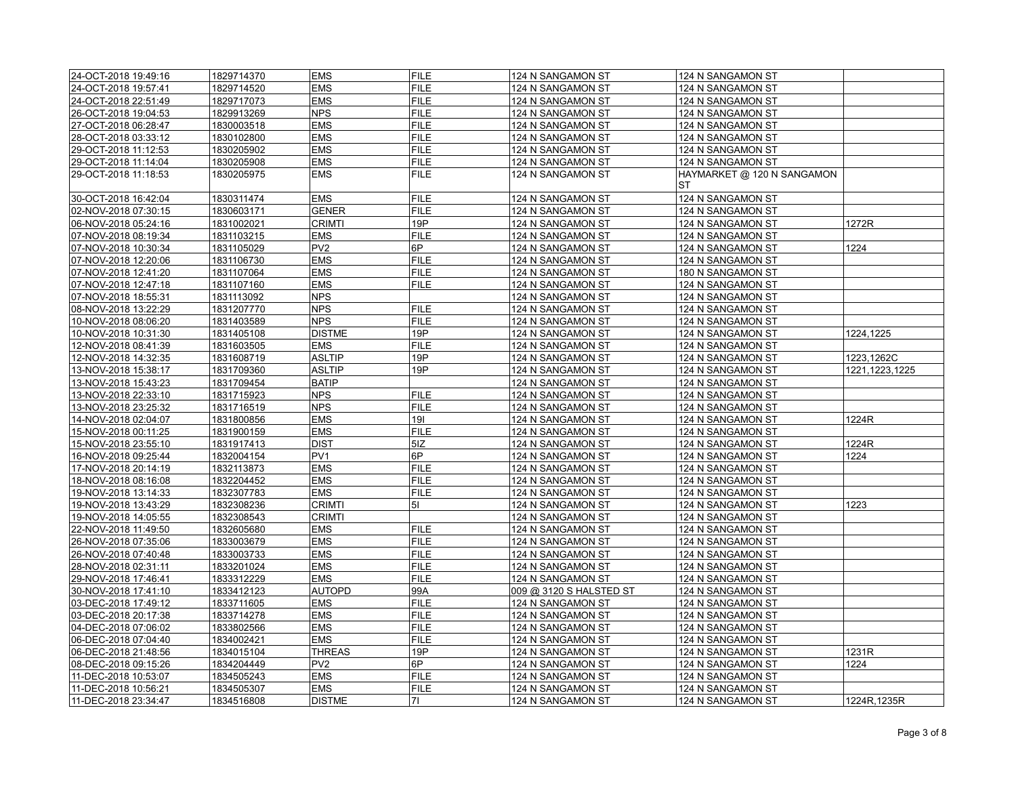| 24-OCT-2018 19:49:16 | 1829714370 | <b>EMS</b>      | <b>FILE</b> | 124 N SANGAMON ST       | 124 N SANGAMON ST          |                |
|----------------------|------------|-----------------|-------------|-------------------------|----------------------------|----------------|
| 24-OCT-2018 19:57:41 | 1829714520 | EMS             | <b>FILE</b> | 124 N SANGAMON ST       | 124 N SANGAMON ST          |                |
| 24-OCT-2018 22:51:49 | 1829717073 | <b>EMS</b>      | <b>FILE</b> | 124 N SANGAMON ST       | 124 N SANGAMON ST          |                |
| 26-OCT-2018 19:04:53 | 1829913269 | <b>NPS</b>      | <b>FILE</b> | 124 N SANGAMON ST       | 124 N SANGAMON ST          |                |
| 27-OCT-2018 06:28:47 | 1830003518 | <b>EMS</b>      | <b>FILE</b> | 124 N SANGAMON ST       | 124 N SANGAMON ST          |                |
| 28-OCT-2018 03:33:12 | 1830102800 | <b>EMS</b>      | <b>FILE</b> | 124 N SANGAMON ST       | 124 N SANGAMON ST          |                |
| 29-OCT-2018 11:12:53 | 1830205902 | EMS             | <b>FILE</b> | 124 N SANGAMON ST       | 124 N SANGAMON ST          |                |
| 29-OCT-2018 11:14:04 | 1830205908 | EMS             | <b>FILE</b> | 124 N SANGAMON ST       | 124 N SANGAMON ST          |                |
| 29-OCT-2018 11:18:53 | 1830205975 | <b>EMS</b>      | <b>FILE</b> | 124 N SANGAMON ST       | HAYMARKET @ 120 N SANGAMON |                |
|                      |            |                 |             |                         | <b>ST</b>                  |                |
| 30-OCT-2018 16:42:04 | 1830311474 | <b>EMS</b>      | <b>FILE</b> | 124 N SANGAMON ST       | 124 N SANGAMON ST          |                |
| 02-NOV-2018 07:30:15 | 1830603171 | <b>GENER</b>    | <b>FILE</b> | 124 N SANGAMON ST       | 124 N SANGAMON ST          |                |
| 06-NOV-2018 05:24:16 | 1831002021 | <b>CRIMTI</b>   | 19P         | 124 N SANGAMON ST       | 124 N SANGAMON ST          | 1272R          |
| 07-NOV-2018 08:19:34 | 1831103215 | <b>EMS</b>      | <b>FILE</b> | 124 N SANGAMON ST       | 124 N SANGAMON ST          |                |
| 07-NOV-2018 10:30:34 | 1831105029 | PV <sub>2</sub> | 6P          | 124 N SANGAMON ST       | 124 N SANGAMON ST          | 1224           |
| 07-NOV-2018 12:20:06 | 1831106730 | <b>EMS</b>      | <b>FILE</b> | 124 N SANGAMON ST       | 124 N SANGAMON ST          |                |
| 07-NOV-2018 12:41:20 | 1831107064 | EMS             | <b>FILE</b> | 124 N SANGAMON ST       | 180 N SANGAMON ST          |                |
| 07-NOV-2018 12:47:18 | 1831107160 | <b>EMS</b>      | <b>FILE</b> | 124 N SANGAMON ST       | 124 N SANGAMON ST          |                |
| 07-NOV-2018 18:55:31 | 1831113092 | <b>NPS</b>      |             | 124 N SANGAMON ST       | 124 N SANGAMON ST          |                |
| 08-NOV-2018 13:22:29 | 1831207770 | <b>NPS</b>      | <b>FILE</b> | 124 N SANGAMON ST       | 124 N SANGAMON ST          |                |
| 10-NOV-2018 08:06:20 | 1831403589 | <b>NPS</b>      | <b>FILE</b> | 124 N SANGAMON ST       | 124 N SANGAMON ST          |                |
| 10-NOV-2018 10:31:30 | 1831405108 | <b>DISTME</b>   | 19P         | 124 N SANGAMON ST       | 124 N SANGAMON ST          | 1224,1225      |
| 12-NOV-2018 08:41:39 | 1831603505 | EMS             | <b>FILE</b> | 124 N SANGAMON ST       | 124 N SANGAMON ST          |                |
| 12-NOV-2018 14:32:35 | 1831608719 | <b>ASLTIP</b>   | 19P         | 124 N SANGAMON ST       | 124 N SANGAMON ST          | 1223,1262C     |
| 13-NOV-2018 15:38:17 | 1831709360 | ASLTIP          | 19P         | 124 N SANGAMON ST       | 124 N SANGAMON ST          | 1221,1223,1225 |
| 13-NOV-2018 15:43:23 | 1831709454 | <b>BATIP</b>    |             | 124 N SANGAMON ST       | 124 N SANGAMON ST          |                |
| 13-NOV-2018 22:33:10 | 1831715923 | <b>NPS</b>      | <b>FILE</b> | 124 N SANGAMON ST       | 124 N SANGAMON ST          |                |
| 13-NOV-2018 23:25:32 | 1831716519 | <b>NPS</b>      | <b>FILE</b> | 124 N SANGAMON ST       | 124 N SANGAMON ST          |                |
| 14-NOV-2018 02:04:07 | 1831800856 | EMS             | 191         | 124 N SANGAMON ST       | 124 N SANGAMON ST          | 1224R          |
| 15-NOV-2018 00:11:25 | 1831900159 | <b>EMS</b>      | <b>FILE</b> | 124 N SANGAMON ST       | 124 N SANGAMON ST          |                |
| 15-NOV-2018 23:55:10 | 1831917413 | <b>DIST</b>     | 5IZ         | 124 N SANGAMON ST       | 124 N SANGAMON ST          | 1224R          |
| 16-NOV-2018 09:25:44 | 1832004154 | PV <sub>1</sub> | 6P          | 124 N SANGAMON ST       | 124 N SANGAMON ST          | 1224           |
| 17-NOV-2018 20:14:19 | 1832113873 | EMS             | <b>FILE</b> | 124 N SANGAMON ST       | 124 N SANGAMON ST          |                |
| 18-NOV-2018 08:16:08 | 1832204452 | EMS             | <b>FILE</b> | 124 N SANGAMON ST       | 124 N SANGAMON ST          |                |
| 19-NOV-2018 13:14:33 | 1832307783 | <b>EMS</b>      | <b>FILE</b> | 124 N SANGAMON ST       | 124 N SANGAMON ST          |                |
| 19-NOV-2018 13:43:29 | 1832308236 | <b>CRIMTI</b>   | 51          | 124 N SANGAMON ST       | 124 N SANGAMON ST          | 1223           |
| 19-NOV-2018 14:05:55 | 1832308543 | <b>CRIMTI</b>   |             | 124 N SANGAMON ST       | 124 N SANGAMON ST          |                |
| 22-NOV-2018 11:49:50 | 1832605680 | EMS             | <b>FILE</b> | 124 N SANGAMON ST       | 124 N SANGAMON ST          |                |
| 26-NOV-2018 07:35:06 | 1833003679 | <b>EMS</b>      | <b>FILE</b> | 124 N SANGAMON ST       | 124 N SANGAMON ST          |                |
| 26-NOV-2018 07:40:48 | 1833003733 | EMS             | <b>FILE</b> | 124 N SANGAMON ST       | 124 N SANGAMON ST          |                |
| 28-NOV-2018 02:31:11 | 1833201024 | <b>EMS</b>      | <b>FILE</b> | 124 N SANGAMON ST       | 124 N SANGAMON ST          |                |
| 29-NOV-2018 17:46:41 | 1833312229 | <b>EMS</b>      | <b>FILE</b> | 124 N SANGAMON ST       | 124 N SANGAMON ST          |                |
| 30-NOV-2018 17:41:10 | 1833412123 | AUTOPD          | 99A         | 009 @ 3120 S HALSTED ST | 124 N SANGAMON ST          |                |
| 03-DEC-2018 17:49:12 | 1833711605 | <b>EMS</b>      | <b>FILE</b> | 124 N SANGAMON ST       | 124 N SANGAMON ST          |                |
| 03-DEC-2018 20:17:38 | 1833714278 | <b>EMS</b>      | <b>FILE</b> | 124 N SANGAMON ST       | 124 N SANGAMON ST          |                |
| 04-DEC-2018 07:06:02 | 1833802566 | <b>EMS</b>      | <b>FILE</b> | 124 N SANGAMON ST       | 124 N SANGAMON ST          |                |
| 06-DEC-2018 07:04:40 | 1834002421 | <b>EMS</b>      | <b>FILE</b> | 124 N SANGAMON ST       | 124 N SANGAMON ST          |                |
| 06-DEC-2018 21:48:56 | 1834015104 | <b>THREAS</b>   | 19P         | 124 N SANGAMON ST       | 124 N SANGAMON ST          | 1231R          |
| 08-DEC-2018 09:15:26 | 1834204449 | PV <sub>2</sub> | 6P          | 124 N SANGAMON ST       | 124 N SANGAMON ST          | 1224           |
| 11-DEC-2018 10:53:07 | 1834505243 | <b>EMS</b>      | <b>FILE</b> | 124 N SANGAMON ST       | 124 N SANGAMON ST          |                |
| 11-DEC-2018 10:56:21 | 1834505307 | <b>EMS</b>      | <b>FILE</b> | 124 N SANGAMON ST       | 124 N SANGAMON ST          |                |
| 11-DEC-2018 23:34:47 | 1834516808 | <b>DISTME</b>   | 71          | 124 N SANGAMON ST       | 124 N SANGAMON ST          | 1224R, 1235R   |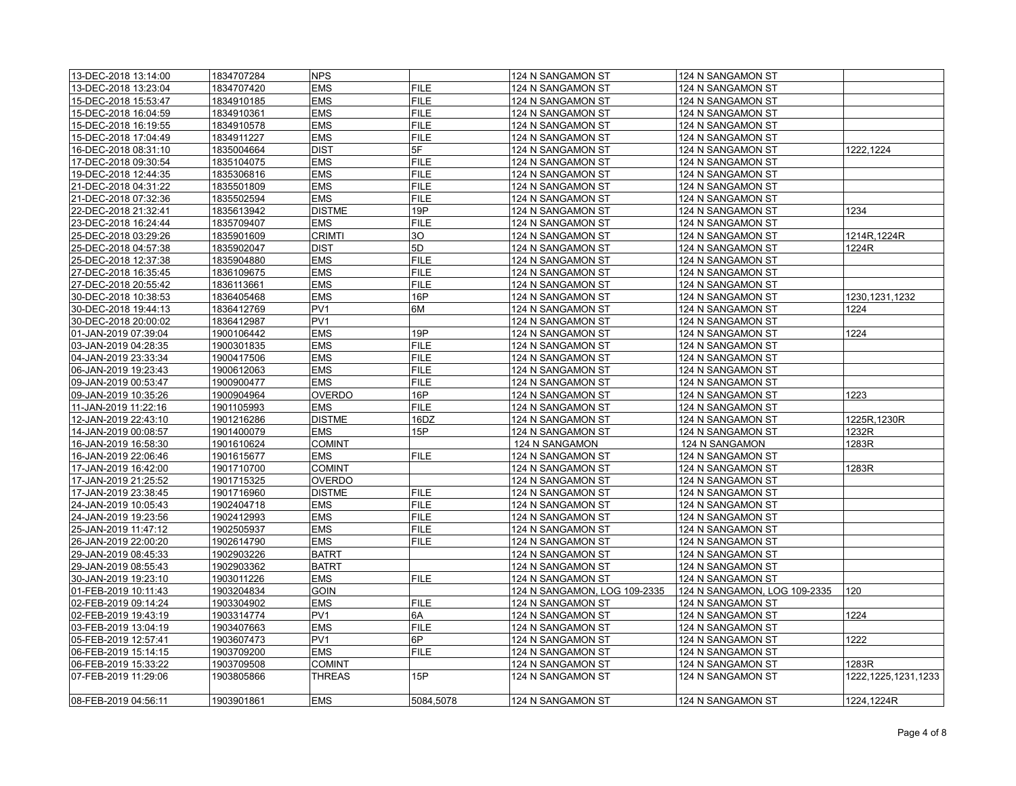| 13-DEC-2018 13:14:00 | 1834707284 | <b>NPS</b>      |             | 124 N SANGAMON ST            | 124 N SANGAMON ST            |                     |
|----------------------|------------|-----------------|-------------|------------------------------|------------------------------|---------------------|
| 13-DEC-2018 13:23:04 | 1834707420 | <b>EMS</b>      | <b>FILE</b> | 124 N SANGAMON ST            | 124 N SANGAMON ST            |                     |
| 15-DEC-2018 15:53:47 | 1834910185 | <b>EMS</b>      | <b>FILE</b> | 124 N SANGAMON ST            | 124 N SANGAMON ST            |                     |
| 15-DEC-2018 16:04:59 | 1834910361 | <b>EMS</b>      | <b>FILE</b> | 124 N SANGAMON ST            | 124 N SANGAMON ST            |                     |
|                      |            | <b>EMS</b>      | <b>FILE</b> |                              |                              |                     |
| 15-DEC-2018 16:19:55 | 1834910578 |                 |             | 124 N SANGAMON ST            | 124 N SANGAMON ST            |                     |
| 15-DEC-2018 17:04:49 | 1834911227 | <b>EMS</b>      | <b>FILE</b> | 124 N SANGAMON ST            | 124 N SANGAMON ST            |                     |
| 16-DEC-2018 08:31:10 | 1835004664 | <b>DIST</b>     | 5F          | 124 N SANGAMON ST            | 124 N SANGAMON ST            | 1222,1224           |
| 17-DEC-2018 09:30:54 | 1835104075 | <b>EMS</b>      | <b>FILE</b> | 124 N SANGAMON ST            | 124 N SANGAMON ST            |                     |
| 19-DEC-2018 12:44:35 | 1835306816 | <b>EMS</b>      | <b>FILE</b> | 124 N SANGAMON ST            | 124 N SANGAMON ST            |                     |
| 21-DEC-2018 04:31:22 | 1835501809 | <b>EMS</b>      | <b>FILE</b> | 124 N SANGAMON ST            | 124 N SANGAMON ST            |                     |
| 21-DEC-2018 07:32:36 | 1835502594 | <b>EMS</b>      | <b>FILE</b> | 124 N SANGAMON ST            | 124 N SANGAMON ST            |                     |
| 22-DEC-2018 21:32:41 | 1835613942 | <b>DISTME</b>   | 19P         | 124 N SANGAMON ST            | 124 N SANGAMON ST            | 1234                |
| 23-DEC-2018 16:24:44 | 1835709407 | <b>EMS</b>      | <b>FILE</b> | 124 N SANGAMON ST            | 124 N SANGAMON ST            |                     |
| 25-DEC-2018 03:29:26 | 1835901609 | <b>CRIMTI</b>   | 30          | 124 N SANGAMON ST            | 124 N SANGAMON ST            | 1214R, 1224R        |
| 25-DEC-2018 04:57:38 | 1835902047 | <b>DIST</b>     | 5D          | 124 N SANGAMON ST            | 124 N SANGAMON ST            | 1224R               |
| 25-DEC-2018 12:37:38 | 1835904880 | <b>EMS</b>      | <b>FILE</b> | 124 N SANGAMON ST            | 124 N SANGAMON ST            |                     |
| 27-DEC-2018 16:35:45 | 1836109675 | <b>EMS</b>      | <b>FILE</b> | 124 N SANGAMON ST            | 124 N SANGAMON ST            |                     |
| 27-DEC-2018 20:55:42 | 1836113661 | <b>EMS</b>      | <b>FILE</b> | 124 N SANGAMON ST            | 124 N SANGAMON ST            |                     |
| 30-DEC-2018 10:38:53 | 1836405468 | <b>EMS</b>      | 16P         | 124 N SANGAMON ST            | 124 N SANGAMON ST            | 1230, 1231, 1232    |
| 30-DEC-2018 19:44:13 | 1836412769 | PV <sub>1</sub> | 6M          | 124 N SANGAMON ST            | 124 N SANGAMON ST            | 1224                |
| 30-DEC-2018 20:00:02 | 1836412987 | PV <sub>1</sub> |             | 124 N SANGAMON ST            | 124 N SANGAMON ST            |                     |
| 01-JAN-2019 07:39:04 | 1900106442 | <b>EMS</b>      | 19P         | 124 N SANGAMON ST            | 124 N SANGAMON ST            | 1224                |
|                      | 1900301835 | <b>EMS</b>      | <b>FILE</b> |                              |                              |                     |
| 03-JAN-2019 04:28:35 |            |                 |             | 124 N SANGAMON ST            | 124 N SANGAMON ST            |                     |
| 04-JAN-2019 23:33:34 | 1900417506 | <b>EMS</b>      | <b>FILE</b> | 124 N SANGAMON ST            | 124 N SANGAMON ST            |                     |
| 06-JAN-2019 19:23:43 | 1900612063 | <b>EMS</b>      | <b>FILE</b> | 124 N SANGAMON ST            | 124 N SANGAMON ST            |                     |
| 09-JAN-2019 00:53:47 | 1900900477 | <b>EMS</b>      | <b>FILE</b> | 124 N SANGAMON ST            | 124 N SANGAMON ST            |                     |
| 09-JAN-2019 10:35:26 | 1900904964 | <b>OVERDO</b>   | 16P         | 124 N SANGAMON ST            | 124 N SANGAMON ST            | 1223                |
| 11-JAN-2019 11:22:16 | 1901105993 | EMS             | <b>FILE</b> | 124 N SANGAMON ST            | 124 N SANGAMON ST            |                     |
| 12-JAN-2019 22:43:10 | 1901216286 | <b>DISTME</b>   | 16DZ        | 124 N SANGAMON ST            | 124 N SANGAMON ST            | 1225R, 1230R        |
| 14-JAN-2019 00:08:57 | 1901400079 | <b>EMS</b>      | 15P         | 124 N SANGAMON ST            | 124 N SANGAMON ST            | 1232R               |
| 16-JAN-2019 16:58:30 | 1901610624 | <b>COMINT</b>   |             | 124 N SANGAMON               | 124 N SANGAMON               | 1283R               |
| 16-JAN-2019 22:06:46 | 1901615677 | <b>EMS</b>      | <b>FILE</b> | 124 N SANGAMON ST            | 124 N SANGAMON ST            |                     |
| 17-JAN-2019 16:42:00 | 1901710700 | <b>COMINT</b>   |             | 124 N SANGAMON ST            | 124 N SANGAMON ST            | 1283R               |
| 17-JAN-2019 21:25:52 | 1901715325 | <b>OVERDO</b>   |             | 124 N SANGAMON ST            | 124 N SANGAMON ST            |                     |
| 17-JAN-2019 23:38:45 | 1901716960 | <b>DISTME</b>   | <b>FILE</b> | 124 N SANGAMON ST            | 124 N SANGAMON ST            |                     |
| 24-JAN-2019 10:05:43 | 1902404718 | <b>EMS</b>      | <b>FILE</b> | 124 N SANGAMON ST            | 124 N SANGAMON ST            |                     |
| 24-JAN-2019 19:23:56 | 1902412993 | <b>EMS</b>      | <b>FILE</b> | 124 N SANGAMON ST            | 124 N SANGAMON ST            |                     |
| 25-JAN-2019 11:47:12 | 1902505937 | <b>EMS</b>      | <b>FILE</b> | 124 N SANGAMON ST            | 124 N SANGAMON ST            |                     |
| 26-JAN-2019 22:00:20 | 1902614790 | <b>EMS</b>      | <b>FILE</b> | 124 N SANGAMON ST            | 124 N SANGAMON ST            |                     |
| 29-JAN-2019 08:45:33 | 1902903226 | <b>BATRT</b>    |             | 124 N SANGAMON ST            | 124 N SANGAMON ST            |                     |
| 29-JAN-2019 08:55:43 | 1902903362 | <b>BATRT</b>    |             | 124 N SANGAMON ST            | 124 N SANGAMON ST            |                     |
| 30-JAN-2019 19:23:10 | 1903011226 | <b>EMS</b>      | <b>FILE</b> | 124 N SANGAMON ST            | 124 N SANGAMON ST            |                     |
|                      | 1903204834 | <b>GOIN</b>     |             |                              | 124 N SANGAMON, LOG 109-2335 | 120                 |
| 01-FEB-2019 10:11:43 |            |                 |             | 124 N SANGAMON, LOG 109-2335 |                              |                     |
| 02-FEB-2019 09:14:24 | 1903304902 | <b>EMS</b>      | <b>FILE</b> | 124 N SANGAMON ST            | 124 N SANGAMON ST            |                     |
| 02-FEB-2019 19:43:19 | 1903314774 | PV <sub>1</sub> | 6A          | 124 N SANGAMON ST            | 124 N SANGAMON ST            | 1224                |
| 03-FEB-2019 13:04:19 | 1903407663 | <b>EMS</b>      | <b>FILE</b> | 124 N SANGAMON ST            | 124 N SANGAMON ST            |                     |
| 05-FEB-2019 12:57:41 | 1903607473 | PV <sub>1</sub> | 6P          | 124 N SANGAMON ST            | 124 N SANGAMON ST            | 1222                |
| 06-FEB-2019 15:14:15 | 1903709200 | <b>EMS</b>      | <b>FILE</b> | 124 N SANGAMON ST            | 124 N SANGAMON ST            |                     |
| 06-FEB-2019 15:33:22 | 1903709508 | <b>COMINT</b>   |             | 124 N SANGAMON ST            | 124 N SANGAMON ST            | 1283R               |
| 07-FEB-2019 11:29:06 | 1903805866 | <b>THREAS</b>   | 15P         | 124 N SANGAMON ST            | 124 N SANGAMON ST            | 1222,1225,1231,1233 |
| 08-FEB-2019 04:56:11 | 1903901861 | <b>EMS</b>      | 5084.5078   | 124 N SANGAMON ST            | 124 N SANGAMON ST            | 1224,1224R          |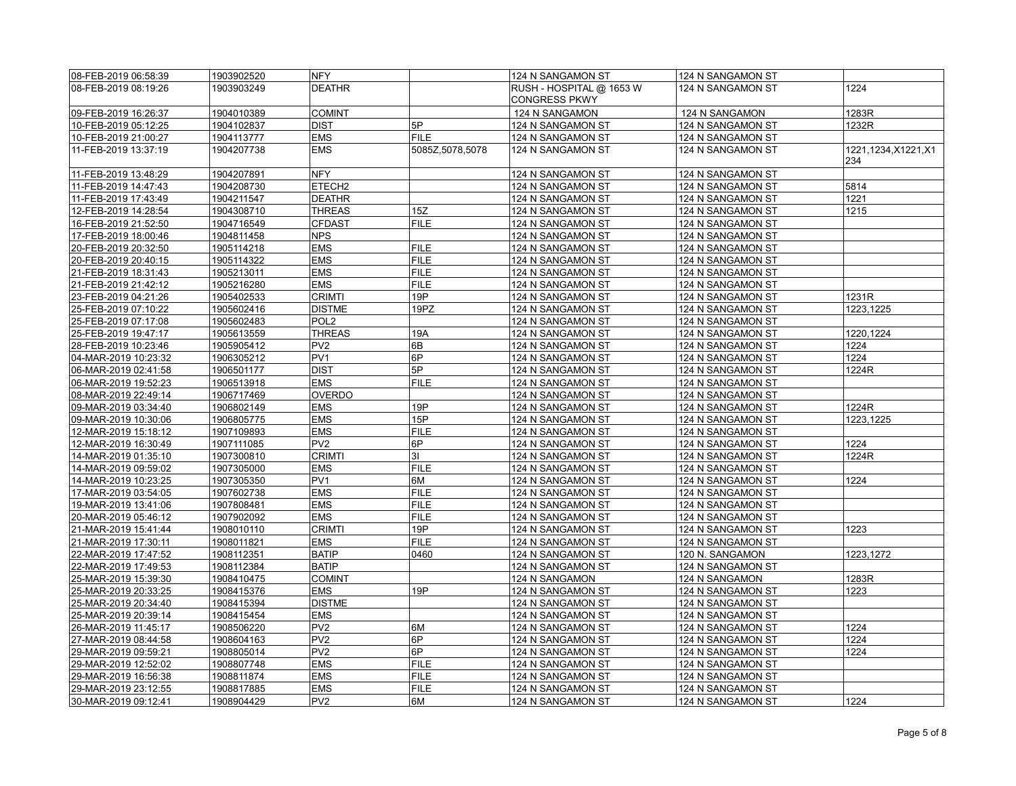| 08-FEB-2019 06:58:39                         | 1903902520               | <b>NFY</b>                  |                 | 124 N SANGAMON ST                                | 124 N SANGAMON ST                      |                    |
|----------------------------------------------|--------------------------|-----------------------------|-----------------|--------------------------------------------------|----------------------------------------|--------------------|
| 08-FEB-2019 08:19:26                         | 1903903249               | <b>DEATHR</b>               |                 | RUSH - HOSPITAL @ 1653 W<br><b>CONGRESS PKWY</b> | 124 N SANGAMON ST                      | 1224               |
| 09-FEB-2019 16:26:37                         | 1904010389               | <b>COMINT</b>               |                 | 124 N SANGAMON                                   | 124 N SANGAMON                         | 1283R              |
| 10-FEB-2019 05:12:25                         | 1904102837               | <b>DIST</b>                 | 5P              | 124 N SANGAMON ST                                | 124 N SANGAMON ST                      | 1232R              |
| 10-FEB-2019 21:00:27                         | 1904113777               | <b>EMS</b>                  | <b>FILE</b>     | 124 N SANGAMON ST                                | 124 N SANGAMON ST                      |                    |
| 11-FEB-2019 13:37:19                         | 1904207738               | <b>EMS</b>                  | 5085Z,5078,5078 | 124 N SANGAMON ST                                | 124 N SANGAMON ST                      | 1221,1234,X1221,X1 |
|                                              |                          |                             |                 |                                                  |                                        | 234                |
| 11-FEB-2019 13:48:29                         | 1904207891               | <b>NFY</b>                  |                 | 124 N SANGAMON ST                                | 124 N SANGAMON ST                      |                    |
| 11-FEB-2019 14:47:43                         | 1904208730               | ETECH <sub>2</sub>          |                 | 124 N SANGAMON ST                                | 124 N SANGAMON ST                      | 5814               |
| 11-FEB-2019 17:43:49                         | 1904211547               | <b>DEATHR</b>               |                 | 124 N SANGAMON ST                                | 124 N SANGAMON ST                      | 1221               |
| 12-FEB-2019 14:28:54                         | 1904308710               | <b>THREAS</b>               | 15Z             | 124 N SANGAMON ST                                | 124 N SANGAMON ST                      | 1215               |
| 16-FEB-2019 21:52:50                         | 1904716549               | <b>CFDAST</b>               | <b>FILE</b>     | 124 N SANGAMON ST                                | 124 N SANGAMON ST                      |                    |
| 17-FEB-2019 18:00:46                         | 1904811458               | <b>NPS</b>                  |                 | 124 N SANGAMON ST                                | 124 N SANGAMON ST                      |                    |
| 20-FEB-2019 20:32:50                         | 1905114218               | <b>EMS</b>                  | <b>FILE</b>     | 124 N SANGAMON ST                                | 124 N SANGAMON ST                      |                    |
| 20-FEB-2019 20:40:15                         | 1905114322               | <b>EMS</b>                  | <b>FILE</b>     | 124 N SANGAMON ST                                | 124 N SANGAMON ST                      |                    |
| 21-FEB-2019 18:31:43                         | 1905213011               | <b>EMS</b>                  | <b>FILE</b>     | 124 N SANGAMON ST                                | 124 N SANGAMON ST                      |                    |
| 21-FEB-2019 21:42:12                         | 1905216280               | <b>EMS</b>                  | <b>FILE</b>     | 124 N SANGAMON ST                                | 124 N SANGAMON ST                      |                    |
| 23-FEB-2019 04:21:26                         | 1905402533               | <b>CRIMTI</b>               | 19P             | 124 N SANGAMON ST                                | 124 N SANGAMON ST                      | 1231R              |
| 25-FEB-2019 07:10:22                         | 1905602416               | <b>DISTME</b>               | 19PZ            | 124 N SANGAMON ST                                | 124 N SANGAMON ST                      | 1223.1225          |
| 25-FEB-2019 07:17:08                         | 1905602483               | POL <sub>2</sub>            |                 | 124 N SANGAMON ST                                | 124 N SANGAMON ST                      |                    |
| 25-FEB-2019 19:47:17                         | 1905613559               | <b>THREAS</b>               | 19A             | 124 N SANGAMON ST                                | 124 N SANGAMON ST                      | 1220,1224          |
| 28-FEB-2019 10:23:46                         | 1905905412               | PV <sub>2</sub>             | 6B              | 124 N SANGAMON ST                                | 124 N SANGAMON ST                      | 1224               |
| 04-MAR-2019 10:23:32                         | 1906305212               | PV <sub>1</sub>             | 6P              | 124 N SANGAMON ST                                | 124 N SANGAMON ST                      | 1224               |
| 06-MAR-2019 02:41:58                         | 1906501177               | <b>DIST</b>                 | 5P              | 124 N SANGAMON ST                                | 124 N SANGAMON ST                      | 1224R              |
| 06-MAR-2019 19:52:23                         | 1906513918               | <b>EMS</b>                  | <b>FILE</b>     | 124 N SANGAMON ST                                | 124 N SANGAMON ST                      |                    |
| 08-MAR-2019 22:49:14                         | 1906717469               | <b>OVERDO</b>               |                 | 124 N SANGAMON ST                                | 124 N SANGAMON ST                      |                    |
| 09-MAR-2019 03:34:40                         | 1906802149               | <b>EMS</b>                  | 19P             | 124 N SANGAMON ST                                | 124 N SANGAMON ST                      | 1224R              |
| 09-MAR-2019 10:30:06                         | 1906805775               | <b>EMS</b>                  | 15P             | 124 N SANGAMON ST                                | 124 N SANGAMON ST                      | 1223,1225          |
| 12-MAR-2019 15:18:12                         | 1907109893               | <b>EMS</b>                  | <b>FILE</b>     | 124 N SANGAMON ST                                | 124 N SANGAMON ST                      |                    |
| 12-MAR-2019 16:30:49                         | 1907111085               | PV <sub>2</sub>             | 6P              | 124 N SANGAMON ST                                | 124 N SANGAMON ST                      | 1224               |
| 14-MAR-2019 01:35:10                         | 1907300810               | <b>CRIMTI</b>               | 3 <sub>l</sub>  | 124 N SANGAMON ST                                | 124 N SANGAMON ST                      | 1224R              |
| 14-MAR-2019 09:59:02                         | 1907305000               | <b>EMS</b>                  | <b>FILE</b>     | 124 N SANGAMON ST                                | 124 N SANGAMON ST                      |                    |
| 14-MAR-2019 10:23:25                         | 1907305350               | PV <sub>1</sub>             | 6M              | 124 N SANGAMON ST                                | 124 N SANGAMON ST                      | 1224               |
| 17-MAR-2019 03:54:05                         | 1907602738               | <b>EMS</b>                  | <b>FILE</b>     | 124 N SANGAMON ST                                | 124 N SANGAMON ST                      |                    |
| 19-MAR-2019 13:41:06                         | 1907808481               | <b>EMS</b>                  | <b>FILE</b>     | 124 N SANGAMON ST                                | 124 N SANGAMON ST                      |                    |
| 20-MAR-2019 05:46:12                         | 1907902092               | <b>EMS</b>                  | <b>FILE</b>     | 124 N SANGAMON ST                                | 124 N SANGAMON ST                      |                    |
| 21-MAR-2019 15:41:44                         | 1908010110               | <b>CRIMTI</b>               | 19P             | 124 N SANGAMON ST                                | 124 N SANGAMON ST                      | 1223               |
| 21-MAR-2019 17:30:11                         | 1908011821               | <b>EMS</b>                  | <b>FILE</b>     | 124 N SANGAMON ST                                | 124 N SANGAMON ST                      |                    |
| 22-MAR-2019 17:47:52                         | 1908112351               | <b>BATIP</b>                | 0460            | 124 N SANGAMON ST                                | 120 N. SANGAMON                        | 1223,1272          |
| 22-MAR-2019 17:49:53                         | 1908112384               | <b>BATIP</b>                |                 | 124 N SANGAMON ST                                | 124 N SANGAMON ST                      |                    |
| 25-MAR-2019 15:39:30                         | 1908410475               | <b>COMINT</b><br><b>EMS</b> | 19P             | 124 N SANGAMON                                   | 124 N SANGAMON                         | 1283R              |
| 25-MAR-2019 20:33:25                         | 1908415376<br>1908415394 | <b>DISTME</b>               |                 | 124 N SANGAMON ST                                | 124 N SANGAMON ST                      | 1223               |
| 25-MAR-2019 20:34:40                         |                          | <b>EMS</b>                  |                 | 124 N SANGAMON ST                                | 124 N SANGAMON ST                      |                    |
| 25-MAR-2019 20:39:14<br>26-MAR-2019 11:45:17 | 1908415454<br>1908506220 | PV <sub>2</sub>             | 6M              | 124 N SANGAMON ST<br>124 N SANGAMON ST           | 124 N SANGAMON ST<br>124 N SANGAMON ST | 1224               |
| 27-MAR-2019 08:44:58                         | 1908604163               | PV <sub>2</sub>             | 6P              | 124 N SANGAMON ST                                | 124 N SANGAMON ST                      | 1224               |
| 29-MAR-2019 09:59:21                         | 1908805014               | PV <sub>2</sub>             | 6P              | 124 N SANGAMON ST                                | 124 N SANGAMON ST                      | 1224               |
| 29-MAR-2019 12:52:02                         | 1908807748               | <b>EMS</b>                  | <b>FILE</b>     | 124 N SANGAMON ST                                | 124 N SANGAMON ST                      |                    |
| 29-MAR-2019 16:56:38                         | 1908811874               | <b>EMS</b>                  | <b>FILE</b>     | 124 N SANGAMON ST                                | 124 N SANGAMON ST                      |                    |
| 29-MAR-2019 23:12:55                         | 1908817885               | <b>EMS</b>                  | <b>FILE</b>     | 124 N SANGAMON ST                                | 124 N SANGAMON ST                      |                    |
| 30-MAR-2019 09:12:41                         | 1908904429               | PV <sub>2</sub>             | 6M              | 124 N SANGAMON ST                                | 124 N SANGAMON ST                      | 1224               |
|                                              |                          |                             |                 |                                                  |                                        |                    |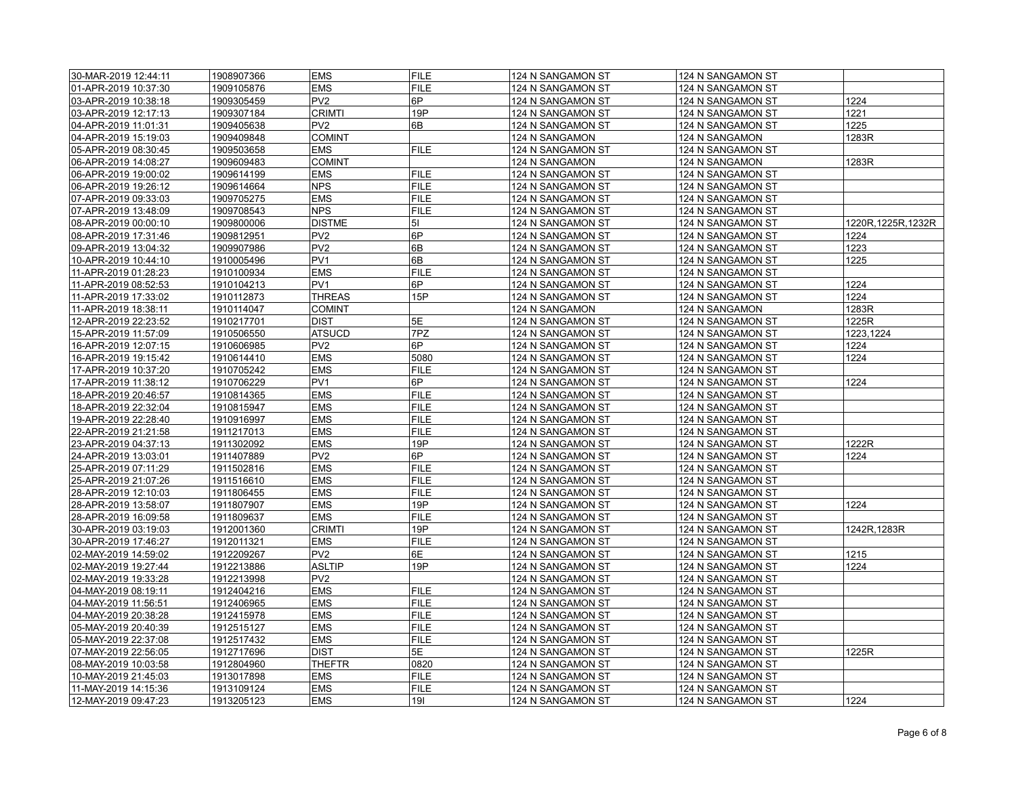| 30-MAR-2019 12:44:11 | 1908907366 | <b>EMS</b>      | <b>FILE</b>                | 124 N SANGAMON ST | 124 N SANGAMON ST |                     |
|----------------------|------------|-----------------|----------------------------|-------------------|-------------------|---------------------|
| 01-APR-2019 10:37:30 | 1909105876 | <b>EMS</b>      | <b>FILE</b>                | 124 N SANGAMON ST | 124 N SANGAMON ST |                     |
| 03-APR-2019 10:38:18 | 1909305459 | PV <sub>2</sub> | 6P                         | 124 N SANGAMON ST | 124 N SANGAMON ST | 1224                |
| 03-APR-2019 12:17:13 | 1909307184 | <b>CRIMTI</b>   | 19P                        | 124 N SANGAMON ST | 124 N SANGAMON ST | 1221                |
| 04-APR-2019 11:01:31 | 1909405638 | PV <sub>2</sub> | 6B                         | 124 N SANGAMON ST | 124 N SANGAMON ST | 1225                |
| 04-APR-2019 15:19:03 | 1909409848 | <b>COMINT</b>   |                            | 124 N SANGAMON    | 124 N SANGAMON    | 1283R               |
| 05-APR-2019 08:30:45 | 1909503658 | <b>EMS</b>      | <b>FILE</b>                | 124 N SANGAMON ST | 124 N SANGAMON ST |                     |
| 06-APR-2019 14:08:27 | 1909609483 | <b>COMINT</b>   |                            | 124 N SANGAMON    | 124 N SANGAMON    | 1283R               |
| 06-APR-2019 19:00:02 | 1909614199 | <b>EMS</b>      | <b>FILE</b>                | 124 N SANGAMON ST | 124 N SANGAMON ST |                     |
| 06-APR-2019 19:26:12 | 1909614664 | <b>NPS</b>      | <b>FILE</b>                | 124 N SANGAMON ST | 124 N SANGAMON ST |                     |
| 07-APR-2019 09:33:03 | 1909705275 | <b>EMS</b>      | <b>FILE</b>                | 124 N SANGAMON ST | 124 N SANGAMON ST |                     |
| 07-APR-2019 13:48:09 | 1909708543 | <b>NPS</b>      | <b>FILE</b>                | 124 N SANGAMON ST | 124 N SANGAMON ST |                     |
| 08-APR-2019 00:00:10 | 1909800006 | <b>DISTME</b>   | 51                         | 124 N SANGAMON ST | 124 N SANGAMON ST | 1220R, 1225R, 1232R |
| 08-APR-2019 17:31:46 | 1909812951 | PV <sub>2</sub> | 6P                         | 124 N SANGAMON ST | 124 N SANGAMON ST | 1224                |
| 09-APR-2019 13:04:32 | 1909907986 | PV <sub>2</sub> | 6B                         | 124 N SANGAMON ST | 124 N SANGAMON ST | 1223                |
| 10-APR-2019 10:44:10 | 1910005496 | PV <sub>1</sub> | 6B                         | 124 N SANGAMON ST | 124 N SANGAMON ST | 1225                |
| 11-APR-2019 01:28:23 | 1910100934 | <b>EMS</b>      | <b>FILE</b>                | 124 N SANGAMON ST | 124 N SANGAMON ST |                     |
| 11-APR-2019 08:52:53 | 1910104213 | PV <sub>1</sub> | 6P                         | 124 N SANGAMON ST | 124 N SANGAMON ST | 1224                |
| 11-APR-2019 17:33:02 | 1910112873 | <b>THREAS</b>   | 15P                        | 124 N SANGAMON ST | 124 N SANGAMON ST | 1224                |
| 11-APR-2019 18:38:11 | 1910114047 | <b>COMINT</b>   |                            | 124 N SANGAMON    | 124 N SANGAMON    | 1283R               |
| 12-APR-2019 22:23:52 | 1910217701 | <b>DIST</b>     | 5E                         | 124 N SANGAMON ST | 124 N SANGAMON ST | 1225R               |
| 15-APR-2019 11:57:09 | 1910506550 | <b>ATSUCD</b>   | 7PZ                        | 124 N SANGAMON ST | 124 N SANGAMON ST | 1223,1224           |
| 16-APR-2019 12:07:15 | 1910606985 | PV <sub>2</sub> | 6P                         | 124 N SANGAMON ST | 124 N SANGAMON ST | 1224                |
| 16-APR-2019 19:15:42 | 1910614410 | <b>EMS</b>      | 5080                       | 124 N SANGAMON ST | 124 N SANGAMON ST | 1224                |
| 17-APR-2019 10:37:20 | 1910705242 | <b>EMS</b>      | <b>FILE</b>                | 124 N SANGAMON ST | 124 N SANGAMON ST |                     |
| 17-APR-2019 11:38:12 | 1910706229 | PV <sub>1</sub> | 6P                         | 124 N SANGAMON ST | 124 N SANGAMON ST | 1224                |
|                      |            | <b>EMS</b>      | <b>FILE</b>                |                   |                   |                     |
| 18-APR-2019 20:46:57 | 1910814365 | <b>EMS</b>      | <b>FILE</b>                | 124 N SANGAMON ST | 124 N SANGAMON ST |                     |
| 18-APR-2019 22:32:04 | 1910815947 | <b>EMS</b>      |                            | 124 N SANGAMON ST | 124 N SANGAMON ST |                     |
| 19-APR-2019 22:28:40 | 1910916997 |                 | <b>FILE</b><br><b>FILE</b> | 124 N SANGAMON ST | 124 N SANGAMON ST |                     |
| 22-APR-2019 21:21:58 | 1911217013 | <b>EMS</b>      | 19P                        | 124 N SANGAMON ST | 124 N SANGAMON ST | 1222R               |
| 23-APR-2019 04:37:13 | 1911302092 | <b>EMS</b>      |                            | 124 N SANGAMON ST | 124 N SANGAMON ST |                     |
| 24-APR-2019 13:03:01 | 1911407889 | PV <sub>2</sub> | 6P                         | 124 N SANGAMON ST | 124 N SANGAMON ST | 1224                |
| 25-APR-2019 07:11:29 | 1911502816 | <b>EMS</b>      | <b>FILE</b>                | 124 N SANGAMON ST | 124 N SANGAMON ST |                     |
| 25-APR-2019 21:07:26 | 1911516610 | <b>EMS</b>      | <b>FILE</b>                | 124 N SANGAMON ST | 124 N SANGAMON ST |                     |
| 28-APR-2019 12:10:03 | 1911806455 | <b>EMS</b>      | <b>FILE</b>                | 124 N SANGAMON ST | 124 N SANGAMON ST |                     |
| 28-APR-2019 13:58:07 | 1911807907 | <b>EMS</b>      | 19P                        | 124 N SANGAMON ST | 124 N SANGAMON ST | 1224                |
| 28-APR-2019 16:09:58 | 1911809637 | <b>EMS</b>      | <b>FILE</b>                | 124 N SANGAMON ST | 124 N SANGAMON ST |                     |
| 30-APR-2019 03:19:03 | 1912001360 | <b>CRIMTI</b>   | 19P                        | 124 N SANGAMON ST | 124 N SANGAMON ST | 1242R, 1283R        |
| 30-APR-2019 17:46:27 | 1912011321 | <b>EMS</b>      | <b>FILE</b>                | 124 N SANGAMON ST | 124 N SANGAMON ST |                     |
| 02-MAY-2019 14:59:02 | 1912209267 | PV <sub>2</sub> | 6E                         | 124 N SANGAMON ST | 124 N SANGAMON ST | 1215                |
| 02-MAY-2019 19:27:44 | 1912213886 | <b>ASLTIP</b>   | 19P                        | 124 N SANGAMON ST | 124 N SANGAMON ST | 1224                |
| 02-MAY-2019 19:33:28 | 1912213998 | PV <sub>2</sub> |                            | 124 N SANGAMON ST | 124 N SANGAMON ST |                     |
| 04-MAY-2019 08:19:11 | 1912404216 | <b>EMS</b>      | <b>FILE</b>                | 124 N SANGAMON ST | 124 N SANGAMON ST |                     |
| 04-MAY-2019 11:56:51 | 1912406965 | <b>EMS</b>      | <b>FILE</b>                | 124 N SANGAMON ST | 124 N SANGAMON ST |                     |
| 04-MAY-2019 20:38:28 | 1912415978 | <b>EMS</b>      | <b>FILE</b>                | 124 N SANGAMON ST | 124 N SANGAMON ST |                     |
| 05-MAY-2019 20:40:39 | 1912515127 | <b>EMS</b>      | <b>FILE</b>                | 124 N SANGAMON ST | 124 N SANGAMON ST |                     |
| 05-MAY-2019 22:37:08 | 1912517432 | <b>EMS</b>      | <b>FILE</b>                | 124 N SANGAMON ST | 124 N SANGAMON ST |                     |
| 07-MAY-2019 22:56:05 | 1912717696 | <b>DIST</b>     | 5E                         | 124 N SANGAMON ST | 124 N SANGAMON ST | 1225R               |
| 08-MAY-2019 10:03:58 | 1912804960 | <b>THEFTR</b>   | 0820                       | 124 N SANGAMON ST | 124 N SANGAMON ST |                     |
| 10-MAY-2019 21:45:03 | 1913017898 | <b>EMS</b>      | <b>FILE</b>                | 124 N SANGAMON ST | 124 N SANGAMON ST |                     |
| 11-MAY-2019 14:15:36 | 1913109124 | <b>EMS</b>      | <b>FILE</b>                | 124 N SANGAMON ST | 124 N SANGAMON ST |                     |
| 12-MAY-2019 09:47:23 | 1913205123 | <b>EMS</b>      | 191                        | 124 N SANGAMON ST | 124 N SANGAMON ST | 1224                |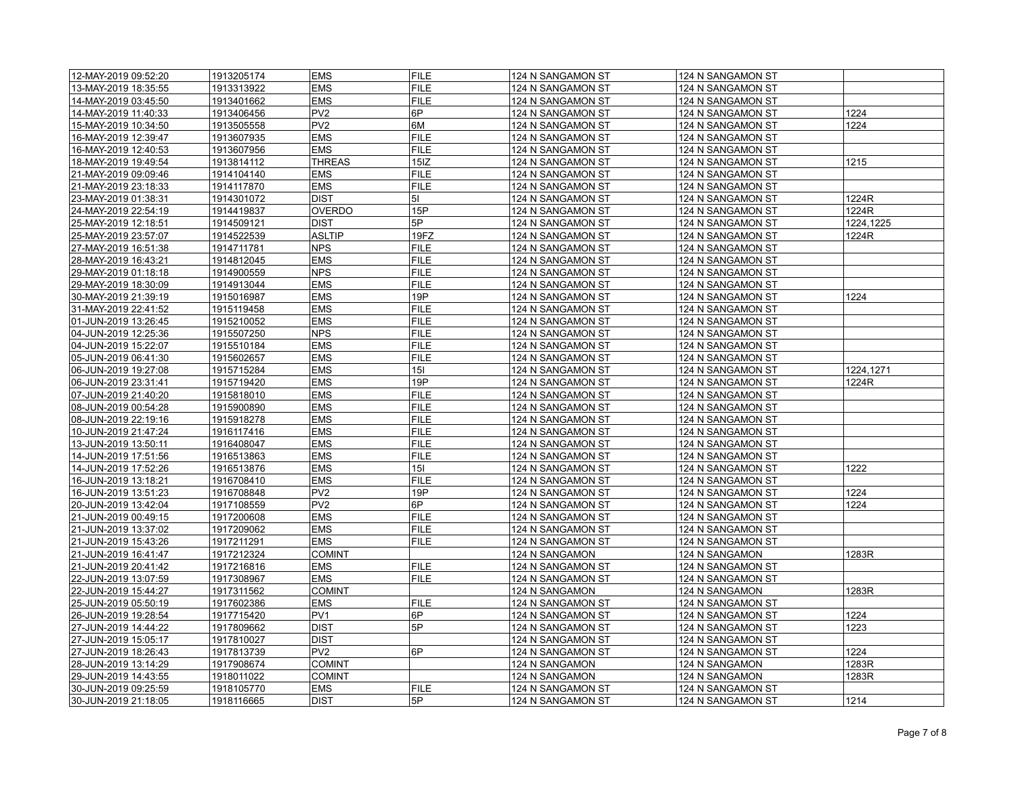| 12-MAY-2019 09:52:20 | 1913205174 | <b>EMS</b>      | <b>FILE</b> | 124 N SANGAMON ST | 124 N SANGAMON ST |           |
|----------------------|------------|-----------------|-------------|-------------------|-------------------|-----------|
| 13-MAY-2019 18:35:55 | 1913313922 | <b>EMS</b>      | <b>FILE</b> | 124 N SANGAMON ST | 124 N SANGAMON ST |           |
| 14-MAY-2019 03:45:50 | 1913401662 | <b>EMS</b>      | <b>FILE</b> | 124 N SANGAMON ST | 124 N SANGAMON ST |           |
| 14-MAY-2019 11:40:33 | 1913406456 | PV <sub>2</sub> | 6P          | 124 N SANGAMON ST | 124 N SANGAMON ST | 1224      |
| 15-MAY-2019 10:34:50 | 1913505558 | PV <sub>2</sub> | 6M          | 124 N SANGAMON ST | 124 N SANGAMON ST | 1224      |
| 16-MAY-2019 12:39:47 | 1913607935 | <b>EMS</b>      | <b>FILE</b> | 124 N SANGAMON ST | 124 N SANGAMON ST |           |
| 16-MAY-2019 12:40:53 | 1913607956 | <b>EMS</b>      | <b>FILE</b> | 124 N SANGAMON ST | 124 N SANGAMON ST |           |
| 18-MAY-2019 19:49:54 | 1913814112 | <b>THREAS</b>   | 15IZ        | 124 N SANGAMON ST | 124 N SANGAMON ST | 1215      |
| 21-MAY-2019 09:09:46 | 1914104140 | <b>EMS</b>      | <b>FILE</b> | 124 N SANGAMON ST | 124 N SANGAMON ST |           |
|                      |            | <b>EMS</b>      | <b>FILE</b> |                   |                   |           |
| 21-MAY-2019 23:18:33 | 1914117870 |                 |             | 124 N SANGAMON ST | 124 N SANGAMON ST |           |
| 23-MAY-2019 01:38:31 | 1914301072 | <b>DIST</b>     | 51          | 124 N SANGAMON ST | 124 N SANGAMON ST | 1224R     |
| 24-MAY-2019 22:54:19 | 1914419837 | <b>OVERDO</b>   | 15P         | 124 N SANGAMON ST | 124 N SANGAMON ST | 1224R     |
| 25-MAY-2019 12:18:51 | 1914509121 | <b>DIST</b>     | 5P          | 124 N SANGAMON ST | 124 N SANGAMON ST | 1224,1225 |
| 25-MAY-2019 23:57:07 | 1914522539 | <b>ASLTIP</b>   | 19FZ        | 124 N SANGAMON ST | 124 N SANGAMON ST | 1224R     |
| 27-MAY-2019 16:51:38 | 1914711781 | <b>NPS</b>      | <b>FILE</b> | 124 N SANGAMON ST | 124 N SANGAMON ST |           |
| 28-MAY-2019 16:43:21 | 1914812045 | <b>EMS</b>      | <b>FILE</b> | 124 N SANGAMON ST | 124 N SANGAMON ST |           |
| 29-MAY-2019 01:18:18 | 1914900559 | <b>NPS</b>      | <b>FILE</b> | 124 N SANGAMON ST | 124 N SANGAMON ST |           |
| 29-MAY-2019 18:30:09 | 1914913044 | <b>EMS</b>      | <b>FILE</b> | 124 N SANGAMON ST | 124 N SANGAMON ST |           |
| 30-MAY-2019 21:39:19 | 1915016987 | <b>EMS</b>      | 19P         | 124 N SANGAMON ST | 124 N SANGAMON ST | 1224      |
| 31-MAY-2019 22:41:52 | 1915119458 | <b>EMS</b>      | <b>FILE</b> | 124 N SANGAMON ST | 124 N SANGAMON ST |           |
| 01-JUN-2019 13:26:45 | 1915210052 | <b>EMS</b>      | <b>FILE</b> | 124 N SANGAMON ST | 124 N SANGAMON ST |           |
| 04-JUN-2019 12:25:36 | 1915507250 | <b>NPS</b>      | <b>FILE</b> | 124 N SANGAMON ST | 124 N SANGAMON ST |           |
| 04-JUN-2019 15:22:07 | 1915510184 | <b>EMS</b>      | <b>FILE</b> | 124 N SANGAMON ST | 124 N SANGAMON ST |           |
| 05-JUN-2019 06:41:30 | 1915602657 | <b>EMS</b>      | <b>FILE</b> | 124 N SANGAMON ST | 124 N SANGAMON ST |           |
| 06-JUN-2019 19:27:08 | 1915715284 | <b>EMS</b>      | 15I         | 124 N SANGAMON ST | 124 N SANGAMON ST | 1224,1271 |
| 06-JUN-2019 23:31:41 | 1915719420 | <b>EMS</b>      | 19P         | 124 N SANGAMON ST | 124 N SANGAMON ST | 1224R     |
| 07-JUN-2019 21:40:20 | 1915818010 | <b>EMS</b>      | <b>FILE</b> | 124 N SANGAMON ST | 124 N SANGAMON ST |           |
| 08-JUN-2019 00:54:28 | 1915900890 | <b>EMS</b>      | <b>FILE</b> | 124 N SANGAMON ST | 124 N SANGAMON ST |           |
| 08-JUN-2019 22:19:16 | 1915918278 | <b>EMS</b>      | <b>FILE</b> | 124 N SANGAMON ST | 124 N SANGAMON ST |           |
| 10-JUN-2019 21:47:24 | 1916117416 | <b>EMS</b>      | <b>FILE</b> | 124 N SANGAMON ST | 124 N SANGAMON ST |           |
| 13-JUN-2019 13:50:11 | 1916408047 | <b>EMS</b>      | <b>FILE</b> | 124 N SANGAMON ST | 124 N SANGAMON ST |           |
| 14-JUN-2019 17:51:56 | 1916513863 | <b>EMS</b>      | <b>FILE</b> | 124 N SANGAMON ST | 124 N SANGAMON ST |           |
| 14-JUN-2019 17:52:26 | 1916513876 | <b>EMS</b>      | 15I         | 124 N SANGAMON ST | 124 N SANGAMON ST | 1222      |
| 16-JUN-2019 13:18:21 | 1916708410 | <b>EMS</b>      | <b>FILE</b> | 124 N SANGAMON ST | 124 N SANGAMON ST |           |
| 16-JUN-2019 13:51:23 | 1916708848 | PV <sub>2</sub> | 19P         | 124 N SANGAMON ST | 124 N SANGAMON ST | 1224      |
| 20-JUN-2019 13:42:04 | 1917108559 | PV <sub>2</sub> | 6P          | 124 N SANGAMON ST | 124 N SANGAMON ST | 1224      |
| 21-JUN-2019 00:49:15 | 1917200608 | <b>EMS</b>      | <b>FILE</b> | 124 N SANGAMON ST | 124 N SANGAMON ST |           |
| 21-JUN-2019 13:37:02 | 1917209062 | <b>EMS</b>      | <b>FILE</b> | 124 N SANGAMON ST | 124 N SANGAMON ST |           |
| 21-JUN-2019 15:43:26 | 1917211291 | <b>EMS</b>      | <b>FILE</b> | 124 N SANGAMON ST | 124 N SANGAMON ST |           |
| 21-JUN-2019 16:41:47 | 1917212324 | <b>COMINT</b>   |             | 124 N SANGAMON    | 124 N SANGAMON    | 1283R     |
| 21-JUN-2019 20:41:42 | 1917216816 | <b>EMS</b>      | <b>FILE</b> | 124 N SANGAMON ST | 124 N SANGAMON ST |           |
| 22-JUN-2019 13:07:59 | 1917308967 | <b>EMS</b>      | <b>FILE</b> | 124 N SANGAMON ST | 124 N SANGAMON ST |           |
| 22-JUN-2019 15:44:27 | 1917311562 | <b>COMINT</b>   |             | 124 N SANGAMON    | 124 N SANGAMON    | 1283R     |
| 25-JUN-2019 05:50:19 | 1917602386 | <b>EMS</b>      | <b>FILE</b> | 124 N SANGAMON ST | 124 N SANGAMON ST |           |
| 26-JUN-2019 19:28:54 | 1917715420 | PV <sub>1</sub> | 6P          | 124 N SANGAMON ST | 124 N SANGAMON ST | 1224      |
| 27-JUN-2019 14:44:22 | 1917809662 | <b>DIST</b>     | 5P          | 124 N SANGAMON ST | 124 N SANGAMON ST | 1223      |
| 27-JUN-2019 15:05:17 | 1917810027 | <b>DIST</b>     |             | 124 N SANGAMON ST | 124 N SANGAMON ST |           |
| 27-JUN-2019 18:26:43 | 1917813739 | PV <sub>2</sub> | 6P          | 124 N SANGAMON ST | 124 N SANGAMON ST | 1224      |
| 28-JUN-2019 13:14:29 | 1917908674 | <b>COMINT</b>   |             | 124 N SANGAMON    | 124 N SANGAMON    | 1283R     |
| 29-JUN-2019 14:43:55 | 1918011022 | <b>COMINT</b>   |             | 124 N SANGAMON    | 124 N SANGAMON    | 1283R     |
| 30-JUN-2019 09:25:59 | 1918105770 | <b>EMS</b>      | <b>FILE</b> | 124 N SANGAMON ST | 124 N SANGAMON ST |           |
| 30-JUN-2019 21:18:05 | 1918116665 | <b>DIST</b>     | 5P          | 124 N SANGAMON ST | 124 N SANGAMON ST | 1214      |
|                      |            |                 |             |                   |                   |           |